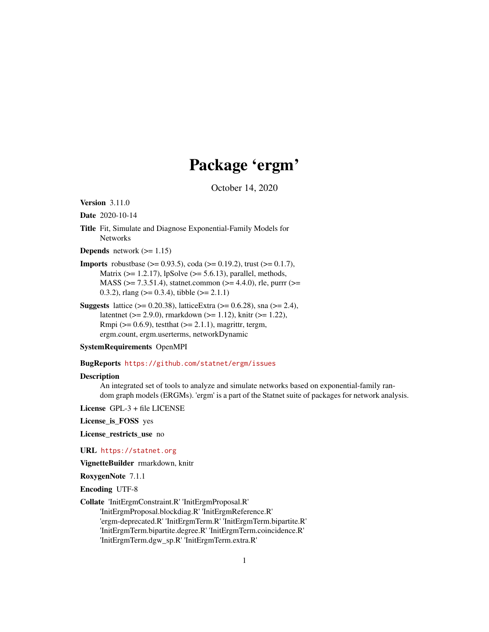## Package 'ergm'

October 14, 2020

<span id="page-0-0"></span>Version 3.11.0

Date 2020-10-14

Title Fit, Simulate and Diagnose Exponential-Family Models for Networks

**Depends** network  $(>= 1.15)$ 

**Imports** robustbase ( $> = 0.93.5$ ), coda ( $> = 0.19.2$ ), trust ( $> = 0.1.7$ ), Matrix ( $>= 1.2.17$ ), lpSolve ( $>= 5.6.13$ ), parallel, methods, MASS ( $>= 7.3.51.4$ ), statnet.common ( $>= 4.4.0$ ), rle, purrr ( $>=$ 0.3.2), rlang ( $> = 0.3.4$ ), tibble ( $> = 2.1.1$ )

**Suggests** lattice ( $> = 0.20.38$ ), latticeExtra ( $> = 0.6.28$ ), sna ( $> = 2.4$ ), latentnet (>= 2.9.0), rmarkdown (>= 1.12), knitr (>= 1.22), Rmpi ( $> = 0.6.9$ ), testthat ( $> = 2.1.1$ ), magrittr, tergm, ergm.count, ergm.userterms, networkDynamic

#### SystemRequirements OpenMPI

#### BugReports <https://github.com/statnet/ergm/issues>

#### **Description**

An integrated set of tools to analyze and simulate networks based on exponential-family random graph models (ERGMs). 'ergm' is a part of the Statnet suite of packages for network analysis.

License GPL-3 + file LICENSE

License\_is\_FOSS yes

License\_restricts\_use no

URL <https://statnet.org>

VignetteBuilder rmarkdown, knitr

RoxygenNote 7.1.1

Encoding UTF-8

Collate 'InitErgmConstraint.R' 'InitErgmProposal.R'

'InitErgmProposal.blockdiag.R' 'InitErgmReference.R' 'ergm-deprecated.R' 'InitErgmTerm.R' 'InitErgmTerm.bipartite.R' 'InitErgmTerm.bipartite.degree.R' 'InitErgmTerm.coincidence.R' 'InitErgmTerm.dgw\_sp.R' 'InitErgmTerm.extra.R'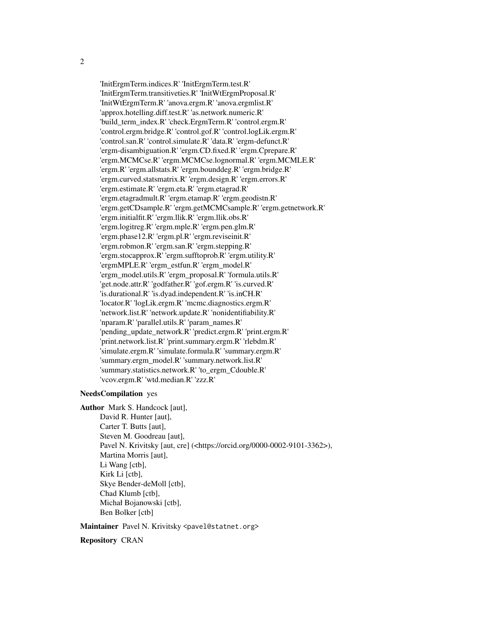'InitErgmTerm.indices.R' 'InitErgmTerm.test.R' 'InitErgmTerm.transitiveties.R' 'InitWtErgmProposal.R' 'InitWtErgmTerm.R' 'anova.ergm.R' 'anova.ergmlist.R' 'approx.hotelling.diff.test.R' 'as.network.numeric.R' 'build\_term\_index.R' 'check.ErgmTerm.R' 'control.ergm.R' 'control.ergm.bridge.R' 'control.gof.R' 'control.logLik.ergm.R' 'control.san.R' 'control.simulate.R' 'data.R' 'ergm-defunct.R' 'ergm-disambiguation.R' 'ergm.CD.fixed.R' 'ergm.Cprepare.R' 'ergm.MCMCse.R' 'ergm.MCMCse.lognormal.R' 'ergm.MCMLE.R' 'ergm.R' 'ergm.allstats.R' 'ergm.bounddeg.R' 'ergm.bridge.R' 'ergm.curved.statsmatrix.R' 'ergm.design.R' 'ergm.errors.R' 'ergm.estimate.R' 'ergm.eta.R' 'ergm.etagrad.R' 'ergm.etagradmult.R' 'ergm.etamap.R' 'ergm.geodistn.R' 'ergm.getCDsample.R' 'ergm.getMCMCsample.R' 'ergm.getnetwork.R' 'ergm.initialfit.R' 'ergm.llik.R' 'ergm.llik.obs.R' 'ergm.logitreg.R' 'ergm.mple.R' 'ergm.pen.glm.R' 'ergm.phase12.R' 'ergm.pl.R' 'ergm.reviseinit.R' 'ergm.robmon.R' 'ergm.san.R' 'ergm.stepping.R' 'ergm.stocapprox.R' 'ergm.sufftoprob.R' 'ergm.utility.R' 'ergmMPLE.R' 'ergm\_estfun.R' 'ergm\_model.R' 'ergm\_model.utils.R' 'ergm\_proposal.R' 'formula.utils.R' 'get.node.attr.R' 'godfather.R' 'gof.ergm.R' 'is.curved.R' 'is.durational.R' 'is.dyad.independent.R' 'is.inCH.R' 'locator.R' 'logLik.ergm.R' 'mcmc.diagnostics.ergm.R' 'network.list.R' 'network.update.R' 'nonidentifiability.R' 'nparam.R' 'parallel.utils.R' 'param\_names.R' 'pending\_update\_network.R' 'predict.ergm.R' 'print.ergm.R' 'print.network.list.R' 'print.summary.ergm.R' 'rlebdm.R' 'simulate.ergm.R' 'simulate.formula.R' 'summary.ergm.R' 'summary.ergm\_model.R' 'summary.network.list.R' 'summary.statistics.network.R' 'to\_ergm\_Cdouble.R' 'vcov.ergm.R' 'wtd.median.R' 'zzz.R'

### NeedsCompilation yes

Author Mark S. Handcock [aut], David R. Hunter [aut], Carter T. Butts [aut], Steven M. Goodreau [aut], Pavel N. Krivitsky [aut, cre] (<https://orcid.org/0000-0002-9101-3362>), Martina Morris [aut], Li Wang [ctb], Kirk Li [ctb], Skye Bender-deMoll [ctb], Chad Klumb [ctb], Michał Bojanowski [ctb], Ben Bolker [ctb]

#### Maintainer Pavel N. Krivitsky <pavel@statnet.org>

#### Repository CRAN

2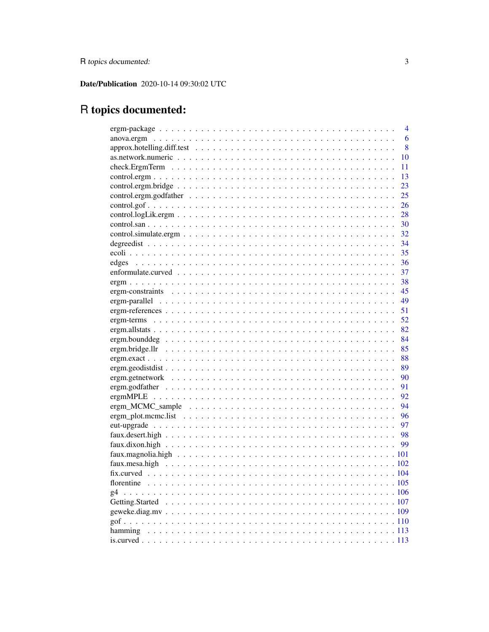Date/Publication 2020-10-14 09:30:02 UTC

# R topics documented:

|    | 4    |
|----|------|
|    | 6    |
|    | 8    |
|    | 10   |
|    | 11   |
|    | 13   |
|    | 23   |
|    | 25   |
|    | 26   |
|    | 28   |
|    | 30   |
|    | 32   |
|    | - 34 |
|    | 35   |
|    | 36   |
|    | 37   |
|    | 38   |
|    | 45   |
|    | 49   |
|    | 51   |
|    | 52   |
|    | 82   |
|    | - 84 |
|    | 85   |
|    | -88  |
|    | - 89 |
|    | - 90 |
|    | -91  |
|    | - 92 |
|    | - 94 |
|    | - 96 |
|    | - 97 |
|    |      |
|    |      |
|    |      |
|    |      |
|    |      |
|    |      |
| g4 |      |
|    |      |
|    |      |
|    |      |
|    |      |
|    |      |
|    |      |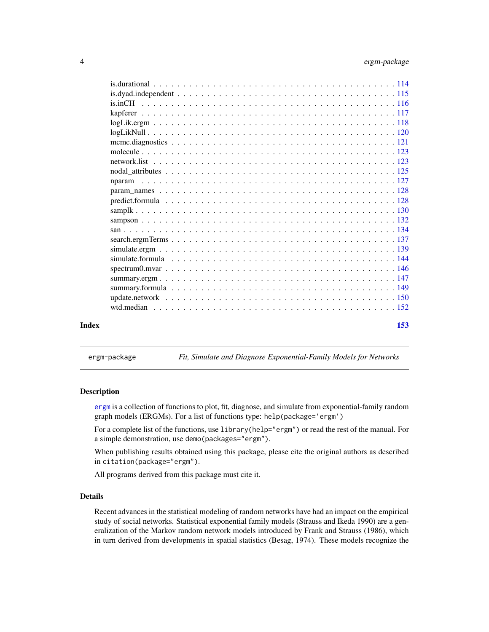<span id="page-3-0"></span>

| Index | 153 |
|-------|-----|
|       |     |
|       |     |
|       |     |
|       |     |
|       |     |
|       |     |
|       |     |
|       |     |
|       |     |
|       |     |
|       |     |
|       |     |
|       |     |
|       |     |
|       |     |
|       |     |
|       |     |
|       |     |
|       |     |
|       |     |
|       |     |
|       |     |
|       |     |

<span id="page-3-1"></span>ergm-package *Fit, Simulate and Diagnose Exponential-Family Models for Networks*

### Description

[ergm](#page-3-1) is a collection of functions to plot, fit, diagnose, and simulate from exponential-family random graph models (ERGMs). For a list of functions type: help(package='ergm')

For a complete list of the functions, use library(help="ergm") or read the rest of the manual. For a simple demonstration, use demo(packages="ergm").

When publishing results obtained using this package, please cite the original authors as described in citation(package="ergm").

All programs derived from this package must cite it.

### Details

Recent advances in the statistical modeling of random networks have had an impact on the empirical study of social networks. Statistical exponential family models (Strauss and Ikeda 1990) are a generalization of the Markov random network models introduced by Frank and Strauss (1986), which in turn derived from developments in spatial statistics (Besag, 1974). These models recognize the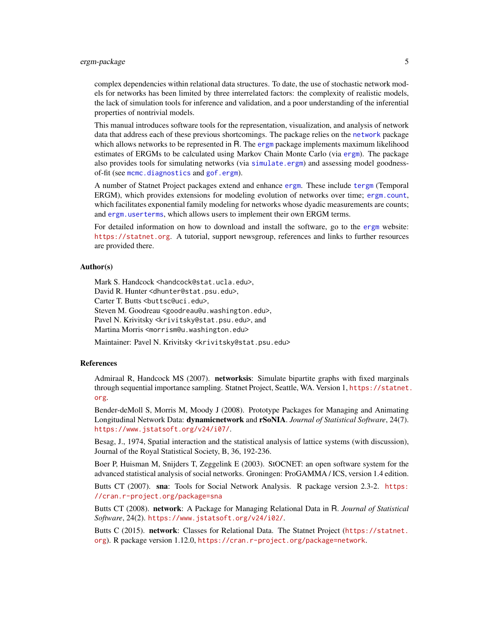### ergm-package 5

complex dependencies within relational data structures. To date, the use of stochastic network models for networks has been limited by three interrelated factors: the complexity of realistic models, the lack of simulation tools for inference and validation, and a poor understanding of the inferential properties of nontrivial models.

This manual introduces software tools for the representation, visualization, and analysis of network data that address each of these previous shortcomings. The package relies on the [network](#page-0-0) package which allows networks to be represented in R. The [ergm](#page-3-1) package implements maximum likelihood estimates of ERGMs to be calculated using Markov Chain Monte Carlo (via [ergm](#page-37-1)). The package also provides tools for simulating networks (via [simulate.ergm](#page-138-1)) and assessing model goodnessof-fit (see [mcmc.diagnostics](#page-120-1) and [gof.ergm](#page-109-1)).

A number of Statnet Project packages extend and enhance [ergm](#page-3-1). These include [tergm](#page-0-0) (Temporal ERGM), which provides extensions for modeling evolution of networks over time; [ergm.count](#page-0-0), which facilitates exponential family modeling for networks whose dyadic measurements are counts; and [ergm.userterms](#page-0-0), which allows users to implement their own ERGM terms.

For detailed information on how to download and install the software, go to the [ergm](#page-3-1) website: <https://statnet.org>. A tutorial, support newsgroup, references and links to further resources are provided there.

### Author(s)

Mark S. Handcock <handcock@stat.ucla.edu>,

David R. Hunter <dhunter@stat.psu.edu>,

Carter T. Butts <br/>buttsc@uci.edu>,

Steven M. Goodreau <goodreau@u.washington.edu>,

Pavel N. Krivitsky <krivitsky@stat.psu.edu>, and

Martina Morris <morrism@u.washington.edu>

Maintainer: Pavel N. Krivitsky <krivitsky@stat.psu.edu>

#### References

Admiraal R, Handcock MS (2007). networksis: Simulate bipartite graphs with fixed marginals through sequential importance sampling. Statnet Project, Seattle, WA. Version 1, [https://statnet.](https://statnet.org) [org](https://statnet.org).

Bender-deMoll S, Morris M, Moody J (2008). Prototype Packages for Managing and Animating Longitudinal Network Data: dynamicnetwork and rSoNIA. *Journal of Statistical Software*, 24(7). <https://www.jstatsoft.org/v24/i07/>.

Besag, J., 1974, Spatial interaction and the statistical analysis of lattice systems (with discussion), Journal of the Royal Statistical Society, B, 36, 192-236.

Boer P, Huisman M, Snijders T, Zeggelink E (2003). StOCNET: an open software system for the advanced statistical analysis of social networks. Groningen: ProGAMMA / ICS, version 1.4 edition.

Butts CT (2007). sna: Tools for Social Network Analysis. R package version 2.3-2. [https:](https://cran.r-project.org/package=sna) [//cran.r-project.org/package=sna](https://cran.r-project.org/package=sna)

Butts CT (2008). network: A Package for Managing Relational Data in R. *Journal of Statistical Software*, 24(2). <https://www.jstatsoft.org/v24/i02/>.

Butts C (2015). network: Classes for Relational Data. The Statnet Project ([https://statnet.](https://statnet.org) [org](https://statnet.org)). R package version 1.12.0, <https://cran.r-project.org/package=network>.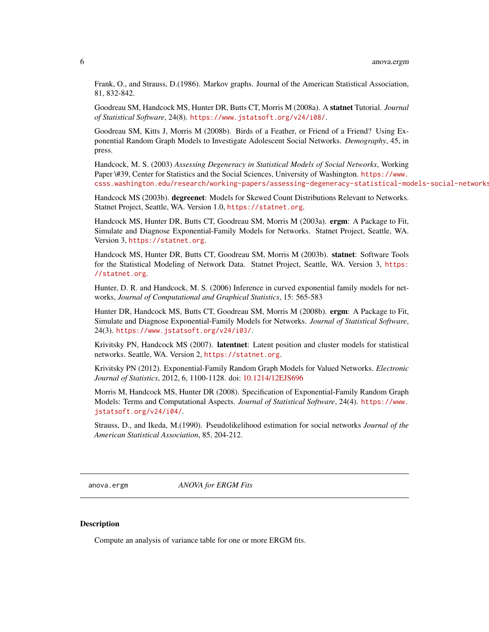<span id="page-5-0"></span>Frank, O., and Strauss, D.(1986). Markov graphs. Journal of the American Statistical Association, 81, 832-842.

Goodreau SM, Handcock MS, Hunter DR, Butts CT, Morris M (2008a). A statnet Tutorial. *Journal of Statistical Software*, 24(8). <https://www.jstatsoft.org/v24/i08/>.

Goodreau SM, Kitts J, Morris M (2008b). Birds of a Feather, or Friend of a Friend? Using Exponential Random Graph Models to Investigate Adolescent Social Networks. *Demography*, 45, in press.

Handcock, M. S. (2003) *Assessing Degeneracy in Statistical Models of Social Networks*, Working Paper \#39, Center for Statistics and the Social Sciences, University of Washington. [https://www.](https://www.csss.washington.edu/research/working-papers/assessing-degeneracy-statistical-models-social-networks) [csss.washington.edu/research/working-papers/assessing-degeneracy-statistical-models-social-networks](https://www.csss.washington.edu/research/working-papers/assessing-degeneracy-statistical-models-social-networks)

Handcock MS (2003b). degreenet: Models for Skewed Count Distributions Relevant to Networks. Statnet Project, Seattle, WA. Version 1.0, <https://statnet.org>.

Handcock MS, Hunter DR, Butts CT, Goodreau SM, Morris M (2003a). ergm: A Package to Fit, Simulate and Diagnose Exponential-Family Models for Networks. Statnet Project, Seattle, WA. Version 3, <https://statnet.org>.

Handcock MS, Hunter DR, Butts CT, Goodreau SM, Morris M (2003b). statnet: Software Tools for the Statistical Modeling of Network Data. Statnet Project, Seattle, WA. Version 3, [https:](https://statnet.org) [//statnet.org](https://statnet.org).

Hunter, D. R. and Handcock, M. S. (2006) Inference in curved exponential family models for networks, *Journal of Computational and Graphical Statistics*, 15: 565-583

Hunter DR, Handcock MS, Butts CT, Goodreau SM, Morris M (2008b). ergm: A Package to Fit, Simulate and Diagnose Exponential-Family Models for Networks. *Journal of Statistical Software*, 24(3). <https://www.jstatsoft.org/v24/i03/>.

Krivitsky PN, Handcock MS (2007). latentnet: Latent position and cluster models for statistical networks. Seattle, WA. Version 2, <https://statnet.org>.

Krivitsky PN (2012). Exponential-Family Random Graph Models for Valued Networks. *Electronic Journal of Statistics*, 2012, 6, 1100-1128. doi: [10.1214/12EJS696](https://doi.org/10.1214/12-EJS696)

Morris M, Handcock MS, Hunter DR (2008). Specification of Exponential-Family Random Graph Models: Terms and Computational Aspects. *Journal of Statistical Software*, 24(4). [https://www.](https://www.jstatsoft.org/v24/i04/) [jstatsoft.org/v24/i04/](https://www.jstatsoft.org/v24/i04/).

Strauss, D., and Ikeda, M.(1990). Pseudolikelihood estimation for social networks *Journal of the American Statistical Association*, 85, 204-212.

anova.ergm *ANOVA for ERGM Fits*

#### <span id="page-5-1"></span>**Description**

Compute an analysis of variance table for one or more ERGM fits.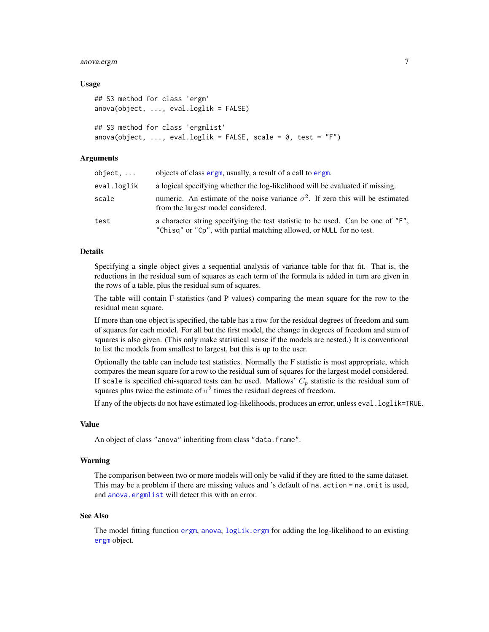### anova.ergm 7

#### Usage

```
## S3 method for class 'ergm'
anova(object, ..., eval.loglik = FALSE)
## S3 method for class 'ergmlist'
anova(object, ..., eval.loglik = FALSE, scale = 0, test = "F")
```
### Arguments

| object,     | objects of class ergm, usually, a result of a call to ergm.                                                                                             |
|-------------|---------------------------------------------------------------------------------------------------------------------------------------------------------|
| eval.loglik | a logical specifying whether the log-likelihood will be evaluated if missing.                                                                           |
| scale       | numeric. An estimate of the noise variance $\sigma^2$ . If zero this will be estimated<br>from the largest model considered.                            |
| test        | a character string specifying the test statistic to be used. Can be one of "F",<br>"Chisq" or "Cp", with partial matching allowed, or NULL for no test. |

### Details

Specifying a single object gives a sequential analysis of variance table for that fit. That is, the reductions in the residual sum of squares as each term of the formula is added in turn are given in the rows of a table, plus the residual sum of squares.

The table will contain F statistics (and P values) comparing the mean square for the row to the residual mean square.

If more than one object is specified, the table has a row for the residual degrees of freedom and sum of squares for each model. For all but the first model, the change in degrees of freedom and sum of squares is also given. (This only make statistical sense if the models are nested.) It is conventional to list the models from smallest to largest, but this is up to the user.

Optionally the table can include test statistics. Normally the F statistic is most appropriate, which compares the mean square for a row to the residual sum of squares for the largest model considered. If scale is specified chi-squared tests can be used. Mallows'  $C_p$  statistic is the residual sum of squares plus twice the estimate of  $\sigma^2$  times the residual degrees of freedom.

If any of the objects do not have estimated log-likelihoods, produces an error, unless eval.loglik=TRUE.

#### Value

An object of class "anova" inheriting from class "data.frame".

### Warning

The comparison between two or more models will only be valid if they are fitted to the same dataset. This may be a problem if there are missing values and 's default of na.action = na.omit is used, and [anova.ergmlist](#page-5-1) will detect this with an error.

#### See Also

The model fitting function [ergm](#page-37-1), [anova](#page-0-0), [logLik.ergm](#page-117-1) for adding the log-likelihood to an existing [ergm](#page-37-2) object.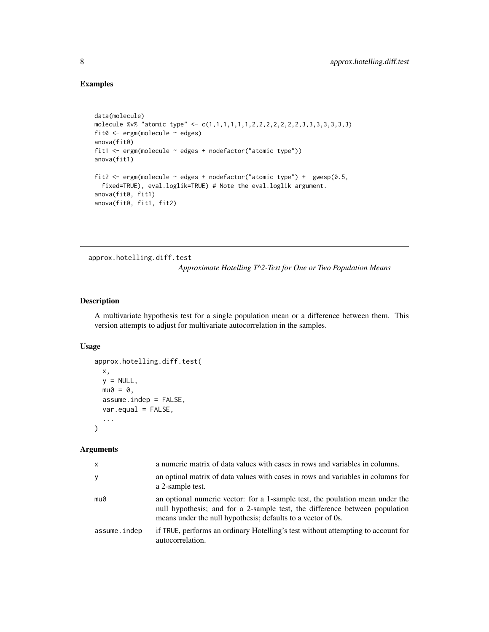### Examples

```
data(molecule)
molecule %v% "atomic type" <- c(1,1,1,1,1,1,2,2,2,2,2,2,2,3,3,3,3,3,3,3)
fit0 <- ergm(molecule ~ edges)
anova(fit0)
fit1 <- ergm(molecule ~ edges + nodefactor("atomic type"))
anova(fit1)
fit2 <- ergm(molecule ~ edges + nodefactor("atomic type") + gwesp(0.5,
  fixed=TRUE), eval.loglik=TRUE) # Note the eval.loglik argument.
anova(fit0, fit1)
anova(fit0, fit1, fit2)
```
approx.hotelling.diff.test

*Approximate Hotelling T^2-Test for One or Two Population Means*

### Description

A multivariate hypothesis test for a single population mean or a difference between them. This version attempts to adjust for multivariate autocorrelation in the samples.

### Usage

```
approx.hotelling.diff.test(
 x,
 y = NULL,mu0 = 0,
 assume.indep = FALSE,
 var.equal = FALSE,
  ...
)
```

| X            | a numeric matrix of data values with cases in rows and variables in columns.                                                                                                                                                 |
|--------------|------------------------------------------------------------------------------------------------------------------------------------------------------------------------------------------------------------------------------|
| У            | an optinal matrix of data values with cases in rows and variables in columns for<br>a 2-sample test.                                                                                                                         |
| mu0          | an optional numeric vector: for a 1-sample test, the poulation mean under the<br>null hypothesis; and for a 2-sample test, the difference between population<br>means under the null hypothesis; defaults to a vector of 0s. |
| assume.indep | if TRUE, performs an ordinary Hotelling's test without attempting to account for<br>autocorrelation.                                                                                                                         |

<span id="page-7-0"></span>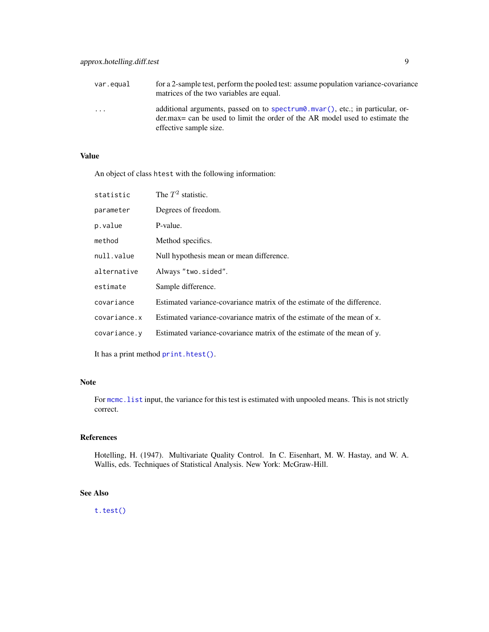| var.equal               | for a 2-sample test, perform the pooled test: assume population variance-covariance<br>matrices of the two variables are equal.                                                                    |
|-------------------------|----------------------------------------------------------------------------------------------------------------------------------------------------------------------------------------------------|
| $\cdot$ $\cdot$ $\cdot$ | additional arguments, passed on to spectrum $\theta$ . mvar(), etc.; in particular, or-<br>der max = can be used to limit the order of the AR model used to estimate the<br>effective sample size. |

### Value

An object of class htest with the following information:

| statistic    | The $T^2$ statistic.                                                    |
|--------------|-------------------------------------------------------------------------|
| parameter    | Degrees of freedom.                                                     |
| p.value      | P-value.                                                                |
| method       | Method specifics.                                                       |
| null.value   | Null hypothesis mean or mean difference.                                |
| alternative  | Always "two.sided".                                                     |
| estimate     | Sample difference.                                                      |
| covariance   | Estimated variance-covariance matrix of the estimate of the difference. |
| covariance.x | Estimated variance-covariance matrix of the estimate of the mean of x.  |
| covariance.y | Estimated variance-covariance matrix of the estimate of the mean of y.  |
|              |                                                                         |

It has a print method [print.htest\(\)](#page-0-0).

### Note

For mcmc. list input, the variance for this test is estimated with unpooled means. This is not strictly correct.

### References

Hotelling, H. (1947). Multivariate Quality Control. In C. Eisenhart, M. W. Hastay, and W. A. Wallis, eds. Techniques of Statistical Analysis. New York: McGraw-Hill.

### See Also

[t.test\(\)](#page-0-0)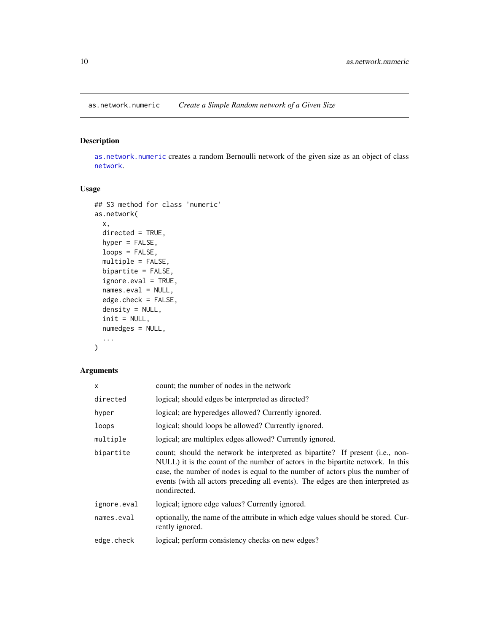<span id="page-9-1"></span><span id="page-9-0"></span>as.network.numeric *Create a Simple Random network of a Given Size*

### Description

[as.network.numeric](#page-9-1) creates a random Bernoulli network of the given size as an object of class [network](#page-0-0).

### Usage

```
## S3 method for class 'numeric'
as.network(
 x,
 directed = TRUE,
 hyper = FALSE,
 loops = FALSE,
 multiple = FALSE,
 bipartite = FALSE,
  ignore.eval = TRUE,
 names.eval = NULL,
 edge.check = FALSE,
 density = NULL,
  init = NULL,
 numedges = NULL,
  ...
\mathcal{L}
```

| $\mathsf{x}$ | count; the number of nodes in the network                                                                                                                                                                                                                                                                                                             |  |
|--------------|-------------------------------------------------------------------------------------------------------------------------------------------------------------------------------------------------------------------------------------------------------------------------------------------------------------------------------------------------------|--|
| directed     | logical; should edges be interpreted as directed?                                                                                                                                                                                                                                                                                                     |  |
| hyper        | logical; are hyperedges allowed? Currently ignored.                                                                                                                                                                                                                                                                                                   |  |
| loops        | logical; should loops be allowed? Currently ignored.                                                                                                                                                                                                                                                                                                  |  |
| multiple     | logical; are multiplex edges allowed? Currently ignored.                                                                                                                                                                                                                                                                                              |  |
| bipartite    | count; should the network be interpreted as bipartite? If present (i.e., non-<br>NULL) it is the count of the number of actors in the bipartite network. In this<br>case, the number of nodes is equal to the number of actors plus the number of<br>events (with all actors preceding all events). The edges are then interpreted as<br>nondirected. |  |
| ignore.eval  | logical; ignore edge values? Currently ignored.                                                                                                                                                                                                                                                                                                       |  |
| names.eval   | optionally, the name of the attribute in which edge values should be stored. Cur-<br>rently ignored.                                                                                                                                                                                                                                                  |  |
| edge.check   | logical; perform consistency checks on new edges?                                                                                                                                                                                                                                                                                                     |  |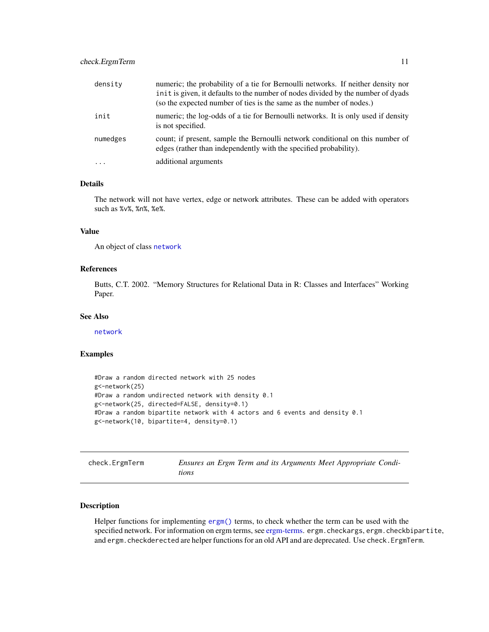<span id="page-10-0"></span>

| density   | numeric; the probability of a tie for Bernoulli networks. If neither density nor<br>in it is given, it defaults to the number of nodes divided by the number of dyads<br>(so the expected number of ties is the same as the number of nodes.) |
|-----------|-----------------------------------------------------------------------------------------------------------------------------------------------------------------------------------------------------------------------------------------------|
| init      | numeric; the log-odds of a tie for Bernoulli networks. It is only used if density<br>is not specified.                                                                                                                                        |
| numedges  | count; if present, sample the Bernoulli network conditional on this number of<br>edges (rather than independently with the specified probability).                                                                                            |
| $\ddotsc$ | additional arguments                                                                                                                                                                                                                          |

### Details

The network will not have vertex, edge or network attributes. These can be added with operators such as %v%, %n%, %e%.

#### Value

An object of class [network](#page-0-0)

#### References

Butts, C.T. 2002. "Memory Structures for Relational Data in R: Classes and Interfaces" Working Paper.

#### See Also

[network](#page-0-0)

### Examples

```
#Draw a random directed network with 25 nodes
g<-network(25)
#Draw a random undirected network with density 0.1
g<-network(25, directed=FALSE, density=0.1)
#Draw a random bipartite network with 4 actors and 6 events and density 0.1
g<-network(10, bipartite=4, density=0.1)
```

| check.ErgmTerm |  |  |  |
|----------------|--|--|--|
|                |  |  |  |
|                |  |  |  |

Ensures an Ergm Term and its Arguments Meet Appropriate Condi*tions*

### Description

Helper functions for implementing [ergm\(\)](#page-37-1) terms, to check whether the term can be used with the specified network. For information on ergm terms, see [ergm-terms.](#page-51-1) ergm.checkargs, ergm.checkbipartite, and ergm.checkderected are helper functions for an old API and are deprecated. Use check.ErgmTerm.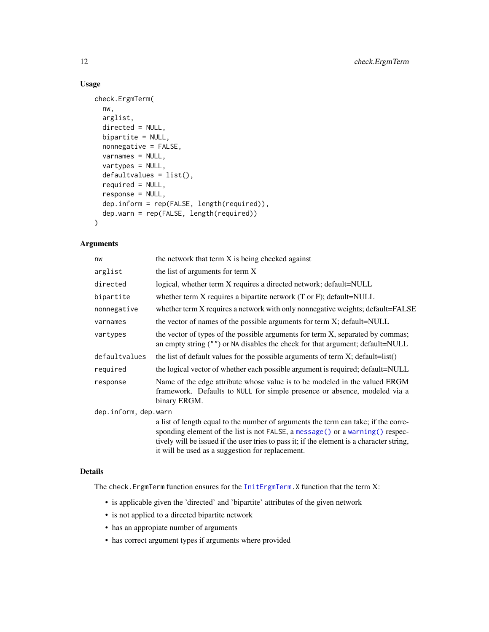### Usage

```
check.ErgmTerm(
  nw,
  arglist,
  directed = NULL,
 bipartite = NULL,
  nonnegative = FALSE,
  varnames = NULL,
  vartypes = NULL,
  defaultvalues = list(),
  required = NULL,
  response = NULL,
  dep.inform = rep(FALSE, length(required)),
  dep.warn = rep(FALSE, length(required))
)
```
### Arguments

| nw                   | the network that term X is being checked against                                                                                                                                                                                                                   |
|----------------------|--------------------------------------------------------------------------------------------------------------------------------------------------------------------------------------------------------------------------------------------------------------------|
| arglist              | the list of arguments for term X                                                                                                                                                                                                                                   |
| directed             | logical, whether term X requires a directed network; default=NULL                                                                                                                                                                                                  |
| bipartite            | whether term $X$ requires a bipartite network $(T \text{ or } F)$ ; default=NULL                                                                                                                                                                                   |
| nonnegative          | whether term X requires a network with only nonnegative weights; default=FALSE                                                                                                                                                                                     |
| varnames             | the vector of names of the possible arguments for term X; default=NULL                                                                                                                                                                                             |
| vartypes             | the vector of types of the possible arguments for term X, separated by commas;<br>an empty string ("") or NA disables the check for that argument; default=NULL                                                                                                    |
| defaultvalues        | the list of default values for the possible arguments of term $X$ ; default=list()                                                                                                                                                                                 |
| required             | the logical vector of whether each possible argument is required; default=NULL                                                                                                                                                                                     |
| response             | Name of the edge attribute whose value is to be modeled in the valued ERGM<br>framework. Defaults to NULL for simple presence or absence, modeled via a<br>binary ERGM.                                                                                            |
| dep.inform, dep.warn |                                                                                                                                                                                                                                                                    |
|                      | a list of length equal to the number of arguments the term can take; if the corre-<br>sponding element of the list is not FALSE, a message () or a warning () respec-<br>tively will be issued if the user tries to pass it; if the element is a character string, |

### Details

The check.ErgmTerm function ensures for the [InitErgmTerm.](#page-51-2)X function that the term X:

• is applicable given the 'directed' and 'bipartite' attributes of the given network

it will be used as a suggestion for replacement.

- is not applied to a directed bipartite network
- has an appropiate number of arguments
- has correct argument types if arguments where provided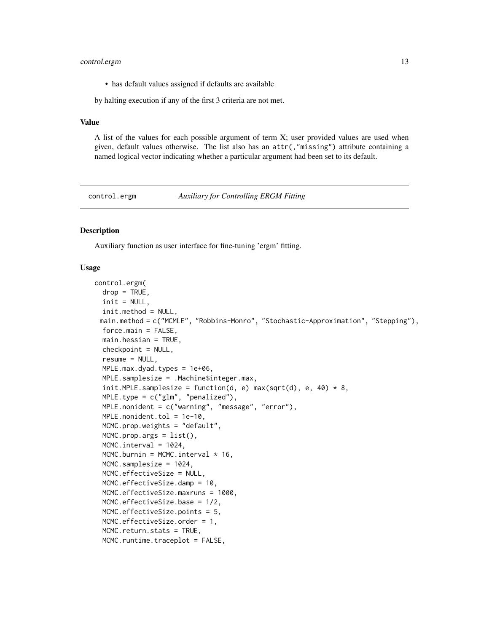### <span id="page-12-0"></span>control.ergm 13

• has default values assigned if defaults are available

by halting execution if any of the first 3 criteria are not met.

### Value

A list of the values for each possible argument of term X; user provided values are used when given, default values otherwise. The list also has an attr(,"missing") attribute containing a named logical vector indicating whether a particular argument had been set to its default.

<span id="page-12-1"></span>control.ergm *Auxiliary for Controlling ERGM Fitting*

### Description

Auxiliary function as user interface for fine-tuning 'ergm' fitting.

### Usage

```
control.ergm(
  drop = TRUE,init = NULL,init.method = NULL,
 main.method = c("MCMLE", "Robbins-Monro", "Stochastic-Approximation", "Stepping"),
  force.mainloop = FALSE,main.hessian = TRUE,
  checkpoint = NULL,
  resume = NULL,
  MPLE.max.dyad.types = 1e+06,
  MPLE.samplesize = .Machine$integer.max,
  init.MPLE.samplesize = function(d, e) max(sqrt(d), e, 40) * 8,MPLE-type = c("glm", "penalized"),MPLE.nonident = c("warning", "message", "error"),
  MPLE.nonident.tol = 1e-10,
  MCMC.prop.weights = "default",
  MCMC.prop.args = list(),
  MCMC.interval = 1024,
  MCMC.burnin = MCMC.interval * 16,
  MCMC.samplesize = 1024,
  MCMC.effectiveSize = NULL,
  MCMC.effectiveSize.damp = 10,
  MCMC.effectiveSize.maxruns = 1000,
  MCMC.effectiveSize.base = 1/2,
  MCMC.effectiveSize.points = 5,
  MCMC.effectiveSize.order = 1,
  MCMC.return.stats = TRUE,
  MCMC.runtime.traceplot = FALSE,
```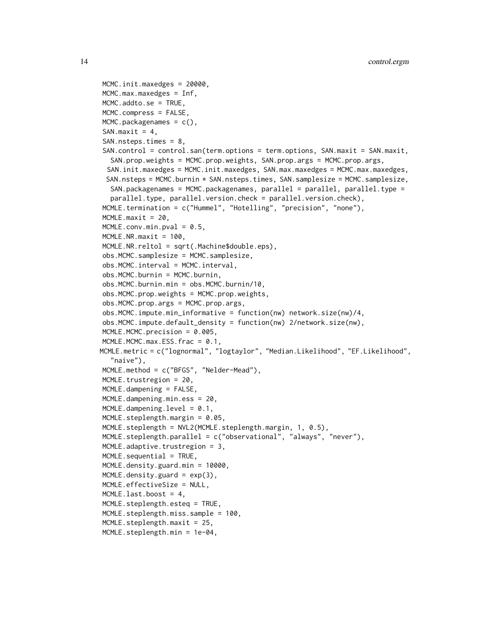```
MCMC.init.maxedges = 20000,
MCMC.max.maxedges = Inf,
MCMC.addto.se = TRUE,
MCMC.compress = FALSE,
MCMC.packagenames = c(),
SAN.maxit = 4,
SAN.nsteps.times = 8,
SAN.control = control.san(term.options = term.options, SAN.maxit = SAN.maxit,
  SAN.prop.weights = MCMC.prop.weights, SAN.prop.args = MCMC.prop.args,
 SAN.init.maxedges = MCMC.init.maxedges, SAN.max.maxedges = MCMC.max.maxedges,
 SAN.nsteps = MCMC.burnin * SAN.nsteps.times, SAN.samplesize = MCMC.samplesize,
  SAN.packagenames = MCMC.packagenames, parallel = parallel, parallel.type =
  parallel.type, parallel.version.check = parallel.version.check),
MCMLE.termination = c("Hummel", "Hotelling", "precision", "none"),
MCMLE.maxit = 20,
MCMLE.conv.min.pval = 0.5,
MCMLE.NR.maxit = 100,
MCMLE.NR.reltol = sqrt(.Machine$double.eps),
obs.MCMC.samplesize = MCMC.samplesize,
obs.MCMC.interval = MCMC.interval,
obs.MCMC.burnin = MCMC.burnin,
obs.MCMC.burnin.min = obs.MCMC.burnin/10,
obs.MCMC.prop.weights = MCMC.prop.weights,
obs.MCMC.prop.args = MCMC.prop.args,
obs.MCMC.impute.min_informative = function(nw) network.size(nw)/4,
obs.MCMC.impute.default_density = function(nw) 2/network.size(nw),
MCMLE.MCMC.precision = 0.005,
MCMLE.MCMC.max.ESS.frac = 0.1,
MCMLE.metric = c("lognormal", "logtaylor", "Median.Likelihood", "EF.Likelihood",
  "naive"),
MCMLE.method = c("BFGS", "Nelder-Mead"),
MCMLE.trustregion = 20,
MCMLE.dampening = FALSE,
MCMLE.dampening.min.ess = 20,
MCMLE.dampening. level = 0.1,
MCMLE.steplength.margin = 0.05,
MCMLE.steplength = NVL2(MCMLE.steplength.margin, 1, 0.5),
MCMLE.steplength.parallel = c("observational", "always", "never"),
MCMLE.adaptive.trustregion = 3,
MCMLE. sequential = TRUE,
MCMLE.density.guard.min = 10000,
MCMLE.density.guard = exp(3),
MCMLE.effectiveSize = NULL,
MCMLE. last. boost = 4,
MCMLE.steplength.esteq = TRUE,
MCMLE.steplength.miss.sample = 100,
MCMLE.steplength.maxit = 25,
MCMLE.steplength.min = 1e-04,
```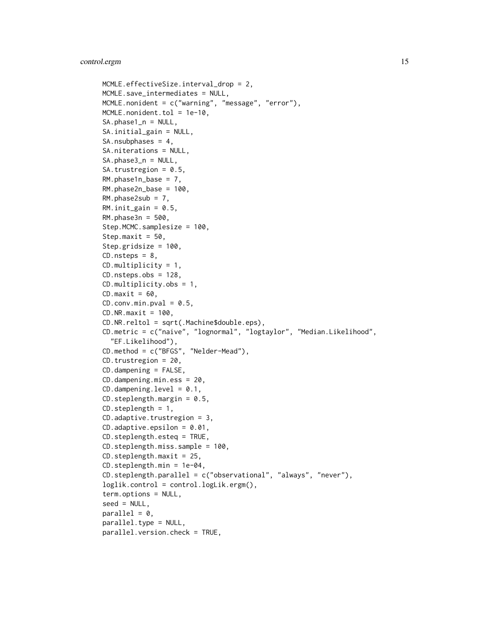```
MCMLE.effectiveSize.interval_drop = 2,
MCMLE.save_intermediates = NULL,
MCMLE.nonident = c("warning", "message", "error"),
MCMLE.nonident.tol = 1e-10,
SA.phase1_n = NULL,
SA.initial_gain = NULL,
SA.nsubphases = 4,
SA.niterations = NULL,
SA.phase3_n = NULL,
SA.trustregion = 0.5,
RM.phase1n\_base = 7,
RM.phase2n_base = 100,
RM.phase2sub = 7,
RM.init\_gain = 0.5,
RM.phase3n = 500,
Step.MCMC.samplesize = 100,
Step.maxit = 50,
Step.gridsize = 100,
CD.nsteps = 8,CD.multiplicity = 1,
CD.nsteps.obs = 128,CD.multiplicity.obs = 1,
CD.maxit = 60,CD.comv.min.pval = 0.5,
CD.NR.maxit = 100,
CD.NR.reltol = sqrt(.Machine$double.eps),
CD.metric = c("naive", "lognormal", "logtaylor", "Median.Likelihood",
  "EF.Likelihood"),
CD.method = c("BFGS", "Nelder-Mead"),
CD.trustregion = 20,
CD.dampening = FALSE,CD.dampening.min.ess = 20,
CD.dampening. level = 0.1,CD. steplength.margin = 0.5,CD.steplength = 1,
CD.adaptive.trustregion = 3,
CD.addaptive.epsilon = 0.01,
CD.steplength.esteq = TRUE,
CD.steplength.miss.sample = 100,
CD.steplength.maxit = 25,
CD.steplength.min = 1e-04,
CD.steplength.parallel = c("observational", "always", "never"),
loglik.control = control.logLik.ergm(),
term.options = NULL,
seed = NULL,
parallel = 0,
parallel.type = NULL,
parallel.version.check = TRUE,
```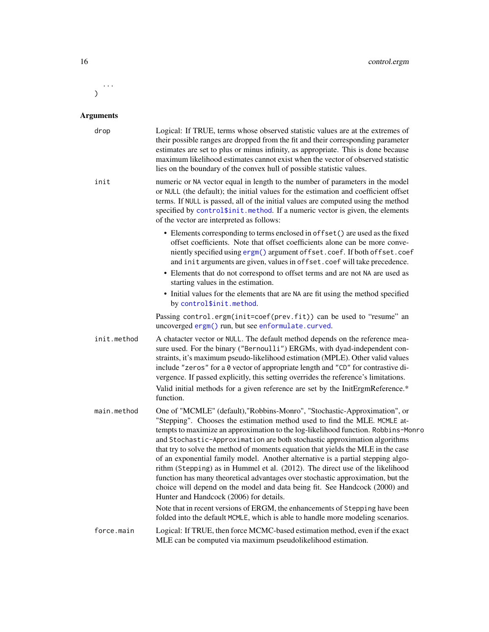...  $\mathcal{L}$ 

| drop        | Logical: If TRUE, terms whose observed statistic values are at the extremes of<br>their possible ranges are dropped from the fit and their corresponding parameter<br>estimates are set to plus or minus infinity, as appropriate. This is done because<br>maximum likelihood estimates cannot exist when the vector of observed statistic<br>lies on the boundary of the convex hull of possible statistic values.                                                                                                                                                                                                                                                                                                                                                                           |
|-------------|-----------------------------------------------------------------------------------------------------------------------------------------------------------------------------------------------------------------------------------------------------------------------------------------------------------------------------------------------------------------------------------------------------------------------------------------------------------------------------------------------------------------------------------------------------------------------------------------------------------------------------------------------------------------------------------------------------------------------------------------------------------------------------------------------|
| init        | numeric or NA vector equal in length to the number of parameters in the model<br>or NULL (the default); the initial values for the estimation and coefficient offset<br>terms. If NULL is passed, all of the initial values are computed using the method<br>specified by control\$init.method. If a numeric vector is given, the elements<br>of the vector are interpreted as follows:                                                                                                                                                                                                                                                                                                                                                                                                       |
|             | • Elements corresponding to terms enclosed in offset () are used as the fixed<br>offset coefficients. Note that offset coefficients alone can be more conve-<br>niently specified using ergm() argument of fset.coef. If both of fset.coef<br>and init arguments are given, values in offset.coef will take precedence.<br>• Elements that do not correspond to offset terms and are not NA are used as<br>starting values in the estimation.                                                                                                                                                                                                                                                                                                                                                 |
|             | • Initial values for the elements that are NA are fit using the method specified<br>by control\$init.method.                                                                                                                                                                                                                                                                                                                                                                                                                                                                                                                                                                                                                                                                                  |
|             | Passing control.ergm(init=coef(prev.fit)) can be used to "resume" an<br>uncoverged ergm() run, but see enformulate.curved.                                                                                                                                                                                                                                                                                                                                                                                                                                                                                                                                                                                                                                                                    |
| init.method | A chatacter vector or NULL. The default method depends on the reference mea-<br>sure used. For the binary ("Bernoulli") ERGMs, with dyad-independent con-<br>straints, it's maximum pseudo-likelihood estimation (MPLE). Other valid values<br>include "zeros" for a 0 vector of appropriate length and "CD" for contrastive di-<br>vergence. If passed explicitly, this setting overrides the reference's limitations.                                                                                                                                                                                                                                                                                                                                                                       |
|             | Valid initial methods for a given reference are set by the InitErgmReference.*<br>function.                                                                                                                                                                                                                                                                                                                                                                                                                                                                                                                                                                                                                                                                                                   |
| main.method | One of "MCMLE" (default), "Robbins-Monro", "Stochastic-Approximation", or<br>"Stepping". Chooses the estimation method used to find the MLE. MCMLE at-<br>tempts to maximize an approximation to the log-likelihood function. Robbins-Monro<br>and Stochastic-Approximation are both stochastic approximation algorithms<br>that try to solve the method of moments equation that yields the MLE in the case<br>of an exponential family model. Another alternative is a partial stepping algo-<br>rithm (Stepping) as in Hummel et al. (2012). The direct use of the likelihood<br>function has many theoretical advantages over stochastic approximation, but the<br>choice will depend on the model and data being fit. See Handcock (2000) and<br>Hunter and Handcock (2006) for details. |
|             | Note that in recent versions of ERGM, the enhancements of Stepping have been<br>folded into the default MCMLE, which is able to handle more modeling scenarios.                                                                                                                                                                                                                                                                                                                                                                                                                                                                                                                                                                                                                               |
| force.main  | Logical: If TRUE, then force MCMC-based estimation method, even if the exact<br>MLE can be computed via maximum pseudolikelihood estimation.                                                                                                                                                                                                                                                                                                                                                                                                                                                                                                                                                                                                                                                  |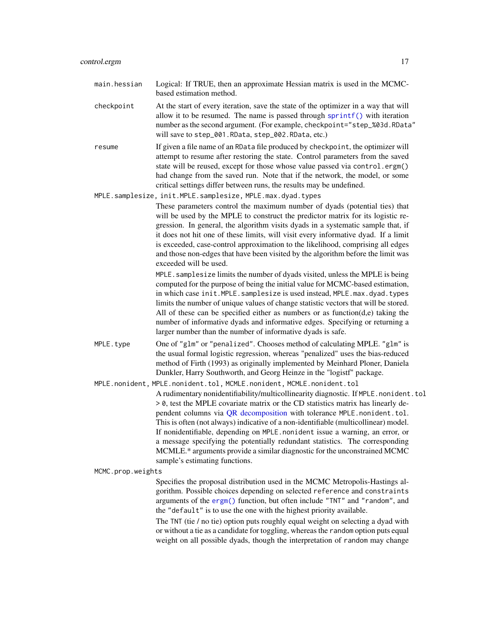- checkpoint At the start of every iteration, save the state of the optimizer in a way that will allow it to be resumed. The name is passed through [sprintf\(\)](#page-0-0) with iteration number as the second argument. (For example, checkpoint="step\_%03d.RData" will save to step\_001.RData, step\_002.RData, etc.)
- resume If given a file name of an RData file produced by checkpoint, the optimizer will attempt to resume after restoring the state. Control parameters from the saved state will be reused, except for those whose value passed via control.ergm() had change from the saved run. Note that if the network, the model, or some critical settings differ between runs, the results may be undefined.

MPLE.samplesize, init.MPLE.samplesize, MPLE.max.dyad.types

These parameters control the maximum number of dyads (potential ties) that will be used by the MPLE to construct the predictor matrix for its logistic regression. In general, the algorithm visits dyads in a systematic sample that, if it does not hit one of these limits, will visit every informative dyad. If a limit is exceeded, case-control approximation to the likelihood, comprising all edges and those non-edges that have been visited by the algorithm before the limit was exceeded will be used.

MPLE. samplesize limits the number of dyads visited, unless the MPLE is being computed for the purpose of being the initial value for MCMC-based estimation, in which case init.MPLE.samplesize is used instead, MPLE.max.dyad.types limits the number of unique values of change statistic vectors that will be stored. All of these can be specified either as numbers or as function $(d,e)$  taking the number of informative dyads and informative edges. Specifying or returning a larger number than the number of informative dyads is safe.

MPLE. type  $\qquad \qquad$  One of "glm" or "penalized". Chooses method of calculating MPLE. "glm" is the usual formal logistic regression, whereas "penalized" uses the bias-reduced method of Firth (1993) as originally implemented by Meinhard Ploner, Daniela Dunkler, Harry Southworth, and Georg Heinze in the "logistf" package.

MPLE.nonident, MPLE.nonident.tol, MCMLE.nonident, MCMLE.nonident.tol A rudimentary nonidentifiability/multicollinearity diagnostic. If MPLE.nonident.tol > 0, test the MPLE covariate matrix or the CD statistics matrix has linearly de-pendent columns via [QR decomposition](#page-0-0) with tolerance MPLE.nonident.tol. This is often (not always) indicative of a non-identifiable (multicollinear) model. If nonidentifiable, depending on MPLE.nonident issue a warning, an error, or a message specifying the potentially redundant statistics. The corresponding MCMLE.\* arguments provide a similar diagnostic for the unconstrained MCMC sample's estimating functions.

MCMC.prop.weights

Specifies the proposal distribution used in the MCMC Metropolis-Hastings algorithm. Possible choices depending on selected reference and constraints arguments of the [ergm\(\)](#page-37-1) function, but often include "TNT" and "random", and the "default" is to use the one with the highest priority available.

The TNT (tie / no tie) option puts roughly equal weight on selecting a dyad with or without a tie as a candidate for toggling, whereas the random option puts equal weight on all possible dyads, though the interpretation of random may change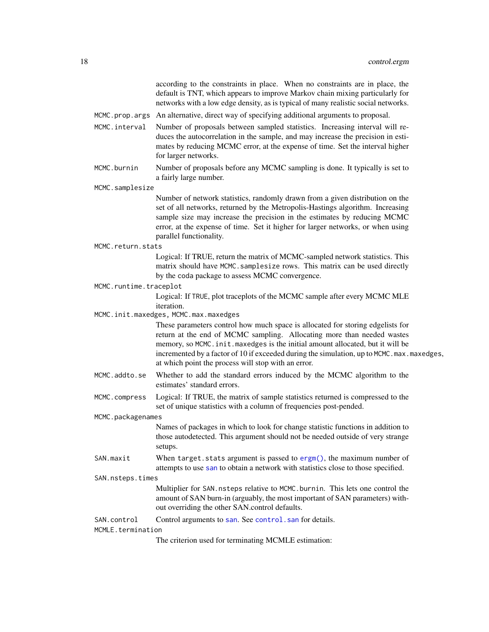|                        | according to the constraints in place. When no constraints are in place, the<br>default is TNT, which appears to improve Markov chain mixing particularly for<br>networks with a low edge density, as is typical of many realistic social networks.                                                                                                                                               |  |  |
|------------------------|---------------------------------------------------------------------------------------------------------------------------------------------------------------------------------------------------------------------------------------------------------------------------------------------------------------------------------------------------------------------------------------------------|--|--|
|                        | MCMC.prop.args An alternative, direct way of specifying additional arguments to proposal.                                                                                                                                                                                                                                                                                                         |  |  |
| MCMC.interval          | Number of proposals between sampled statistics. Increasing interval will re-<br>duces the autocorrelation in the sample, and may increase the precision in esti-<br>mates by reducing MCMC error, at the expense of time. Set the interval higher<br>for larger networks.                                                                                                                         |  |  |
| MCMC.burnin            | Number of proposals before any MCMC sampling is done. It typically is set to<br>a fairly large number.                                                                                                                                                                                                                                                                                            |  |  |
| MCMC.samplesize        |                                                                                                                                                                                                                                                                                                                                                                                                   |  |  |
|                        | Number of network statistics, randomly drawn from a given distribution on the<br>set of all networks, returned by the Metropolis-Hastings algorithm. Increasing<br>sample size may increase the precision in the estimates by reducing MCMC<br>error, at the expense of time. Set it higher for larger networks, or when using<br>parallel functionality.                                         |  |  |
| MCMC.return.stats      |                                                                                                                                                                                                                                                                                                                                                                                                   |  |  |
|                        | Logical: If TRUE, return the matrix of MCMC-sampled network statistics. This<br>matrix should have MCMC. samplesize rows. This matrix can be used directly<br>by the coda package to assess MCMC convergence.                                                                                                                                                                                     |  |  |
| MCMC.runtime.traceplot |                                                                                                                                                                                                                                                                                                                                                                                                   |  |  |
|                        | Logical: If TRUE, plot traceplots of the MCMC sample after every MCMC MLE<br>iteration.                                                                                                                                                                                                                                                                                                           |  |  |
|                        | MCMC.init.maxedges, MCMC.max.maxedges                                                                                                                                                                                                                                                                                                                                                             |  |  |
|                        | These parameters control how much space is allocated for storing edgelists for<br>return at the end of MCMC sampling. Allocating more than needed wastes<br>memory, so MCMC. init. maxedges is the initial amount allocated, but it will be<br>incremented by a factor of 10 if exceeded during the simulation, up to MCMC. max. maxedges,<br>at which point the process will stop with an error. |  |  |
| MCMC.addto.se          | Whether to add the standard errors induced by the MCMC algorithm to the<br>estimates' standard errors.                                                                                                                                                                                                                                                                                            |  |  |
| MCMC.compress          | Logical: If TRUE, the matrix of sample statistics returned is compressed to the<br>set of unique statistics with a column of frequencies post-pended.                                                                                                                                                                                                                                             |  |  |
| MCMC.packagenames      |                                                                                                                                                                                                                                                                                                                                                                                                   |  |  |
|                        | Names of packages in which to look for change statistic functions in addition to<br>those autodetected. This argument should not be needed outside of very strange<br>setups.                                                                                                                                                                                                                     |  |  |
| SAN.maxit              | When target. stats argument is passed to $\text{ergm}()$ , the maximum number of<br>attempts to use san to obtain a network with statistics close to those specified.                                                                                                                                                                                                                             |  |  |
| SAN.nsteps.times       |                                                                                                                                                                                                                                                                                                                                                                                                   |  |  |
|                        | Multiplier for SAN. nsteps relative to MCMC. burnin. This lets one control the<br>amount of SAN burn-in (arguably, the most important of SAN parameters) with-<br>out overriding the other SAN.control defaults.                                                                                                                                                                                  |  |  |
| SAN.control            | Control arguments to san. See control. san for details.                                                                                                                                                                                                                                                                                                                                           |  |  |
| MCMLE.termination      |                                                                                                                                                                                                                                                                                                                                                                                                   |  |  |
|                        | The criterion used for terminating MCMLE estimation:                                                                                                                                                                                                                                                                                                                                              |  |  |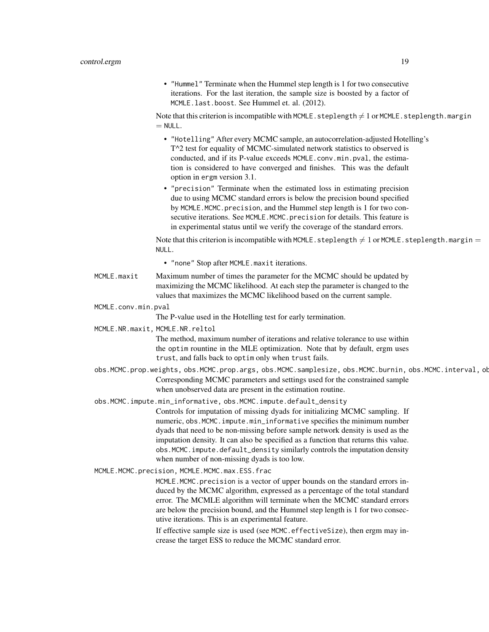• "Hummel" Terminate when the Hummel step length is 1 for two consecutive iterations. For the last iteration, the sample size is boosted by a factor of MCMLE.last.boost. See Hummel et. al. (2012).

Note that this criterion is incompatible with MCMLE. steplength  $\neq 1$  or MCMLE. steplength.margin  $=$  NULL.

- "Hotelling" After every MCMC sample, an autocorrelation-adjusted Hotelling's T^2 test for equality of MCMC-simulated network statistics to observed is conducted, and if its P-value exceeds MCMLE.conv.min.pval, the estimation is considered to have converged and finishes. This was the default option in ergm version 3.1.
- "precision" Terminate when the estimated loss in estimating precision due to using MCMC standard errors is below the precision bound specified by MCMLE.MCMC.precision, and the Hummel step length is 1 for two consecutive iterations. See MCMLE.MCMC.precision for details. This feature is in experimental status until we verify the coverage of the standard errors.

Note that this criterion is incompatible with MCMLE. steplength  $\neq 1$  or MCMLE. steplength.margin  $=$ NULL.

• "none" Stop after MCMLE.maxit iterations.

- MCMLE.maxit Maximum number of times the parameter for the MCMC should be updated by maximizing the MCMC likelihood. At each step the parameter is changed to the values that maximizes the MCMC likelihood based on the current sample.
- MCMLE.conv.min.pval

The P-value used in the Hotelling test for early termination.

MCMLE.NR.maxit, MCMLE.NR.reltol

The method, maximum number of iterations and relative tolerance to use within the optim rountine in the MLE optimization. Note that by default, ergm uses trust, and falls back to optim only when trust fails.

- obs.MCMC.prop.weights, obs.MCMC.prop.args, obs.MCMC.samplesize, obs.MCMC.burnin, obs.MCMC.interval, ob Corresponding MCMC parameters and settings used for the constrained sample when unobserved data are present in the estimation routine.
- obs.MCMC.impute.min\_informative, obs.MCMC.impute.default\_density

Controls for imputation of missing dyads for initializing MCMC sampling. If numeric, obs.MCMC.impute.min\_informative specifies the minimum number dyads that need to be non-missing before sample network density is used as the imputation density. It can also be specified as a function that returns this value. obs.MCMC.impute.default\_density similarly controls the imputation density when number of non-missing dyads is too low.

MCMLE.MCMC.precision, MCMLE.MCMC.max.ESS.frac

MCMLE.MCMC.precision is a vector of upper bounds on the standard errors induced by the MCMC algorithm, expressed as a percentage of the total standard error. The MCMLE algorithm will terminate when the MCMC standard errors are below the precision bound, and the Hummel step length is 1 for two consecutive iterations. This is an experimental feature.

If effective sample size is used (see MCMC.effectiveSize), then ergm may increase the target ESS to reduce the MCMC standard error.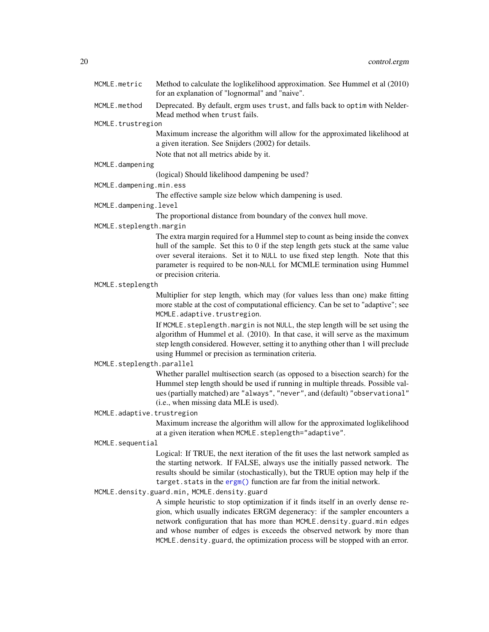| MCMLE.metric               | Method to calculate the loglikelihood approximation. See Hummel et al (2010)<br>for an explanation of "lognormal" and "naive".                                                                                                                                                                                                                                                                      |
|----------------------------|-----------------------------------------------------------------------------------------------------------------------------------------------------------------------------------------------------------------------------------------------------------------------------------------------------------------------------------------------------------------------------------------------------|
| MCMLE.method               | Deprecated. By default, ergm uses trust, and falls back to optim with Nelder-<br>Mead method when trust fails.                                                                                                                                                                                                                                                                                      |
| MCMLE.trustregion          |                                                                                                                                                                                                                                                                                                                                                                                                     |
|                            | Maximum increase the algorithm will allow for the approximated likelihood at<br>a given iteration. See Snijders (2002) for details.                                                                                                                                                                                                                                                                 |
|                            | Note that not all metrics abide by it.                                                                                                                                                                                                                                                                                                                                                              |
| MCMLE.dampening            |                                                                                                                                                                                                                                                                                                                                                                                                     |
|                            | (logical) Should likelihood dampening be used?                                                                                                                                                                                                                                                                                                                                                      |
| MCMLE.dampening.min.ess    |                                                                                                                                                                                                                                                                                                                                                                                                     |
|                            | The effective sample size below which dampening is used.                                                                                                                                                                                                                                                                                                                                            |
| MCMLE.dampening.level      |                                                                                                                                                                                                                                                                                                                                                                                                     |
|                            | The proportional distance from boundary of the convex hull move.                                                                                                                                                                                                                                                                                                                                    |
| MCMLE.steplength.margin    |                                                                                                                                                                                                                                                                                                                                                                                                     |
|                            | The extra margin required for a Hummel step to count as being inside the convex<br>hull of the sample. Set this to 0 if the step length gets stuck at the same value<br>over several iteraions. Set it to NULL to use fixed step length. Note that this<br>parameter is required to be non-NULL for MCMLE termination using Hummel<br>or precision criteria.                                        |
| MCMLE.steplength           |                                                                                                                                                                                                                                                                                                                                                                                                     |
|                            | Multiplier for step length, which may (for values less than one) make fitting                                                                                                                                                                                                                                                                                                                       |
|                            | more stable at the cost of computational efficiency. Can be set to "adaptive"; see<br>MCMLE.adaptive.trustregion.                                                                                                                                                                                                                                                                                   |
|                            | If MCMLE. steplength. margin is not NULL, the step length will be set using the<br>algorithm of Hummel et al. (2010). In that case, it will serve as the maximum<br>step length considered. However, setting it to anything other than 1 will preclude<br>using Hummel or precision as termination criteria.                                                                                        |
| MCMLE.steplength.parallel  |                                                                                                                                                                                                                                                                                                                                                                                                     |
|                            | Whether parallel multisection search (as opposed to a bisection search) for the                                                                                                                                                                                                                                                                                                                     |
|                            | Hummel step length should be used if running in multiple threads. Possible val-<br>ues (partially matched) are "always", "never", and (default) "observational"<br>(i.e., when missing data MLE is used).                                                                                                                                                                                           |
| MCMLE.adaptive.trustregion |                                                                                                                                                                                                                                                                                                                                                                                                     |
|                            | Maximum increase the algorithm will allow for the approximated loglikelihood<br>at a given iteration when MCMLE.steplength="adaptive".                                                                                                                                                                                                                                                              |
| MCMLE.sequential           |                                                                                                                                                                                                                                                                                                                                                                                                     |
|                            | Logical: If TRUE, the next iteration of the fit uses the last network sampled as                                                                                                                                                                                                                                                                                                                    |
|                            | the starting network. If FALSE, always use the initially passed network. The<br>results should be similar (stochastically), but the TRUE option may help if the<br>target.stats in the ergm() function are far from the initial network.                                                                                                                                                            |
|                            | MCMLE.density.guard.min, MCMLE.density.guard                                                                                                                                                                                                                                                                                                                                                        |
|                            |                                                                                                                                                                                                                                                                                                                                                                                                     |
|                            | A simple heuristic to stop optimization if it finds itself in an overly dense re-<br>gion, which usually indicates ERGM degeneracy: if the sampler encounters a<br>network configuration that has more than MCMLE.density.guard.min edges<br>and whose number of edges is exceeds the observed network by more than<br>MCMLE.density.guard, the optimization process will be stopped with an error. |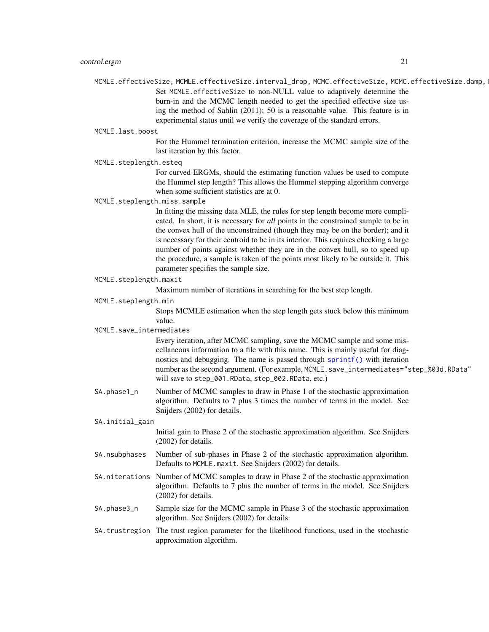- MCMLE.effectiveSize, MCMLE.effectiveSize.interval\_drop, MCMC.effectiveSize, MCMC.effectiveSize.damp, Set MCMLE.effectiveSize to non-NULL value to adaptively determine the burn-in and the MCMC length needed to get the specified effective size using the method of Sahlin (2011); 50 is a reasonable value. This feature is in experimental status until we verify the coverage of the standard errors.
- MCMLE.last.boost

For the Hummel termination criterion, increase the MCMC sample size of the last iteration by this factor.

MCMLE.steplength.esteq

For curved ERGMs, should the estimating function values be used to compute the Hummel step length? This allows the Hummel stepping algorithm converge when some sufficient statistics are at 0.

MCMLE.steplength.miss.sample

In fitting the missing data MLE, the rules for step length become more complicated. In short, it is necessary for *all* points in the constrained sample to be in the convex hull of the unconstrained (though they may be on the border); and it is necessary for their centroid to be in its interior. This requires checking a large number of points against whether they are in the convex hull, so to speed up the procedure, a sample is taken of the points most likely to be outside it. This parameter specifies the sample size.

MCMLE.steplength.maxit

Maximum number of iterations in searching for the best step length.

MCMLE.steplength.min

Stops MCMLE estimation when the step length gets stuck below this minimum value.

MCMLE.save\_intermediates

Every iteration, after MCMC sampling, save the MCMC sample and some miscellaneous information to a file with this name. This is mainly useful for diagnostics and debugging. The name is passed through [sprintf\(\)](#page-0-0) with iteration number as the second argument. (For example, MCMLE.save\_intermediates="step\_%03d.RData" will save to step\_001.RData, step\_002.RData, etc.)

SA.phase1\_n Number of MCMC samples to draw in Phase 1 of the stochastic approximation algorithm. Defaults to 7 plus 3 times the number of terms in the model. See Snijders (2002) for details.

### SA.initial\_gain

Initial gain to Phase 2 of the stochastic approximation algorithm. See Snijders (2002) for details.

- SA.nsubphases Number of sub-phases in Phase 2 of the stochastic approximation algorithm. Defaults to MCMLE.maxit. See Snijders (2002) for details.
- SA.niterations Number of MCMC samples to draw in Phase 2 of the stochastic approximation algorithm. Defaults to 7 plus the number of terms in the model. See Snijders (2002) for details.
- SA.phase3\_n Sample size for the MCMC sample in Phase 3 of the stochastic approximation algorithm. See Snijders (2002) for details.
- SA.trustregion The trust region parameter for the likelihood functions, used in the stochastic approximation algorithm.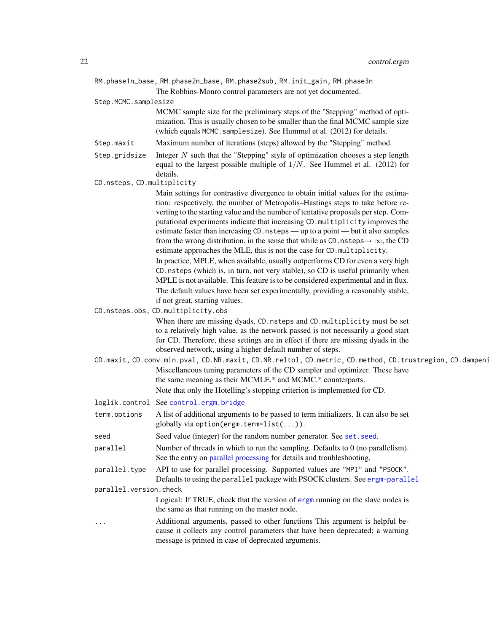| RM.phase1n_base, RM.phase2n_base, RM.phase2sub, RM.init_gain, RM.phase3n<br>The Robbins-Monro control parameters are not yet documented.<br>Step.MCMC.samplesize<br>MCMC sample size for the preliminary steps of the "Stepping" method of opti-<br>mization. This is usually chosen to be smaller than the final MCMC sample size<br>(which equals MCMC. samplesize). See Hummel et al. (2012) for details.<br>Maximum number of iterations (steps) allowed by the "Stepping" method.<br>Step.maxit<br>Integer $N$ such that the "Stepping" style of optimization chooses a step length<br>Step.gridsize<br>equal to the largest possible multiple of $1/N$ . See Hummel et al. (2012) for<br>details.<br>CD.nsteps, CD.multiplicity<br>Main settings for contrastive divergence to obtain initial values for the estima-<br>tion: respectively, the number of Metropolis-Hastings steps to take before re-<br>verting to the starting value and the number of tentative proposals per step. Com-<br>putational experiments indicate that increasing CD. multiplicity improves the<br>estimate faster than increasing CD. nsteps — up to a point — but it also samples<br>from the wrong distribution, in the sense that while as CD. nsteps $\rightarrow \infty$ , the CD<br>estimate approaches the MLE, this is not the case for CD. multiplicity.<br>In practice, MPLE, when available, usually outperforms CD for even a very high<br>CD. nsteps (which is, in turn, not very stable), so CD is useful primarily when<br>MPLE is not available. This feature is to be considered experimental and in flux.<br>The default values have been set experimentally, providing a reasonably stable, |  |
|-----------------------------------------------------------------------------------------------------------------------------------------------------------------------------------------------------------------------------------------------------------------------------------------------------------------------------------------------------------------------------------------------------------------------------------------------------------------------------------------------------------------------------------------------------------------------------------------------------------------------------------------------------------------------------------------------------------------------------------------------------------------------------------------------------------------------------------------------------------------------------------------------------------------------------------------------------------------------------------------------------------------------------------------------------------------------------------------------------------------------------------------------------------------------------------------------------------------------------------------------------------------------------------------------------------------------------------------------------------------------------------------------------------------------------------------------------------------------------------------------------------------------------------------------------------------------------------------------------------------------------------------------------------------------------------------------------|--|
|                                                                                                                                                                                                                                                                                                                                                                                                                                                                                                                                                                                                                                                                                                                                                                                                                                                                                                                                                                                                                                                                                                                                                                                                                                                                                                                                                                                                                                                                                                                                                                                                                                                                                                     |  |
|                                                                                                                                                                                                                                                                                                                                                                                                                                                                                                                                                                                                                                                                                                                                                                                                                                                                                                                                                                                                                                                                                                                                                                                                                                                                                                                                                                                                                                                                                                                                                                                                                                                                                                     |  |
|                                                                                                                                                                                                                                                                                                                                                                                                                                                                                                                                                                                                                                                                                                                                                                                                                                                                                                                                                                                                                                                                                                                                                                                                                                                                                                                                                                                                                                                                                                                                                                                                                                                                                                     |  |
|                                                                                                                                                                                                                                                                                                                                                                                                                                                                                                                                                                                                                                                                                                                                                                                                                                                                                                                                                                                                                                                                                                                                                                                                                                                                                                                                                                                                                                                                                                                                                                                                                                                                                                     |  |
|                                                                                                                                                                                                                                                                                                                                                                                                                                                                                                                                                                                                                                                                                                                                                                                                                                                                                                                                                                                                                                                                                                                                                                                                                                                                                                                                                                                                                                                                                                                                                                                                                                                                                                     |  |
|                                                                                                                                                                                                                                                                                                                                                                                                                                                                                                                                                                                                                                                                                                                                                                                                                                                                                                                                                                                                                                                                                                                                                                                                                                                                                                                                                                                                                                                                                                                                                                                                                                                                                                     |  |
|                                                                                                                                                                                                                                                                                                                                                                                                                                                                                                                                                                                                                                                                                                                                                                                                                                                                                                                                                                                                                                                                                                                                                                                                                                                                                                                                                                                                                                                                                                                                                                                                                                                                                                     |  |
|                                                                                                                                                                                                                                                                                                                                                                                                                                                                                                                                                                                                                                                                                                                                                                                                                                                                                                                                                                                                                                                                                                                                                                                                                                                                                                                                                                                                                                                                                                                                                                                                                                                                                                     |  |
|                                                                                                                                                                                                                                                                                                                                                                                                                                                                                                                                                                                                                                                                                                                                                                                                                                                                                                                                                                                                                                                                                                                                                                                                                                                                                                                                                                                                                                                                                                                                                                                                                                                                                                     |  |
|                                                                                                                                                                                                                                                                                                                                                                                                                                                                                                                                                                                                                                                                                                                                                                                                                                                                                                                                                                                                                                                                                                                                                                                                                                                                                                                                                                                                                                                                                                                                                                                                                                                                                                     |  |
|                                                                                                                                                                                                                                                                                                                                                                                                                                                                                                                                                                                                                                                                                                                                                                                                                                                                                                                                                                                                                                                                                                                                                                                                                                                                                                                                                                                                                                                                                                                                                                                                                                                                                                     |  |
|                                                                                                                                                                                                                                                                                                                                                                                                                                                                                                                                                                                                                                                                                                                                                                                                                                                                                                                                                                                                                                                                                                                                                                                                                                                                                                                                                                                                                                                                                                                                                                                                                                                                                                     |  |
|                                                                                                                                                                                                                                                                                                                                                                                                                                                                                                                                                                                                                                                                                                                                                                                                                                                                                                                                                                                                                                                                                                                                                                                                                                                                                                                                                                                                                                                                                                                                                                                                                                                                                                     |  |
|                                                                                                                                                                                                                                                                                                                                                                                                                                                                                                                                                                                                                                                                                                                                                                                                                                                                                                                                                                                                                                                                                                                                                                                                                                                                                                                                                                                                                                                                                                                                                                                                                                                                                                     |  |
|                                                                                                                                                                                                                                                                                                                                                                                                                                                                                                                                                                                                                                                                                                                                                                                                                                                                                                                                                                                                                                                                                                                                                                                                                                                                                                                                                                                                                                                                                                                                                                                                                                                                                                     |  |
|                                                                                                                                                                                                                                                                                                                                                                                                                                                                                                                                                                                                                                                                                                                                                                                                                                                                                                                                                                                                                                                                                                                                                                                                                                                                                                                                                                                                                                                                                                                                                                                                                                                                                                     |  |
|                                                                                                                                                                                                                                                                                                                                                                                                                                                                                                                                                                                                                                                                                                                                                                                                                                                                                                                                                                                                                                                                                                                                                                                                                                                                                                                                                                                                                                                                                                                                                                                                                                                                                                     |  |
|                                                                                                                                                                                                                                                                                                                                                                                                                                                                                                                                                                                                                                                                                                                                                                                                                                                                                                                                                                                                                                                                                                                                                                                                                                                                                                                                                                                                                                                                                                                                                                                                                                                                                                     |  |
|                                                                                                                                                                                                                                                                                                                                                                                                                                                                                                                                                                                                                                                                                                                                                                                                                                                                                                                                                                                                                                                                                                                                                                                                                                                                                                                                                                                                                                                                                                                                                                                                                                                                                                     |  |
| if not great, starting values.                                                                                                                                                                                                                                                                                                                                                                                                                                                                                                                                                                                                                                                                                                                                                                                                                                                                                                                                                                                                                                                                                                                                                                                                                                                                                                                                                                                                                                                                                                                                                                                                                                                                      |  |
| CD.nsteps.obs, CD.multiplicity.obs<br>When there are missing dyads, CD. nsteps and CD. multiplicity must be set                                                                                                                                                                                                                                                                                                                                                                                                                                                                                                                                                                                                                                                                                                                                                                                                                                                                                                                                                                                                                                                                                                                                                                                                                                                                                                                                                                                                                                                                                                                                                                                     |  |
| to a relatively high value, as the network passed is not necessarily a good start                                                                                                                                                                                                                                                                                                                                                                                                                                                                                                                                                                                                                                                                                                                                                                                                                                                                                                                                                                                                                                                                                                                                                                                                                                                                                                                                                                                                                                                                                                                                                                                                                   |  |
| for CD. Therefore, these settings are in effect if there are missing dyads in the                                                                                                                                                                                                                                                                                                                                                                                                                                                                                                                                                                                                                                                                                                                                                                                                                                                                                                                                                                                                                                                                                                                                                                                                                                                                                                                                                                                                                                                                                                                                                                                                                   |  |
| observed network, using a higher default number of steps.                                                                                                                                                                                                                                                                                                                                                                                                                                                                                                                                                                                                                                                                                                                                                                                                                                                                                                                                                                                                                                                                                                                                                                                                                                                                                                                                                                                                                                                                                                                                                                                                                                           |  |
| CD.maxit, CD.conv.min.pval, CD.NR.maxit, CD.NR.reltol, CD.metric, CD.method, CD.trustregion, CD.dampeni                                                                                                                                                                                                                                                                                                                                                                                                                                                                                                                                                                                                                                                                                                                                                                                                                                                                                                                                                                                                                                                                                                                                                                                                                                                                                                                                                                                                                                                                                                                                                                                             |  |
| Miscellaneous tuning parameters of the CD sampler and optimizer. These have                                                                                                                                                                                                                                                                                                                                                                                                                                                                                                                                                                                                                                                                                                                                                                                                                                                                                                                                                                                                                                                                                                                                                                                                                                                                                                                                                                                                                                                                                                                                                                                                                         |  |
| the same meaning as their MCMLE.* and MCMC.* counterparts.                                                                                                                                                                                                                                                                                                                                                                                                                                                                                                                                                                                                                                                                                                                                                                                                                                                                                                                                                                                                                                                                                                                                                                                                                                                                                                                                                                                                                                                                                                                                                                                                                                          |  |
| Note that only the Hotelling's stopping criterion is implemented for CD.                                                                                                                                                                                                                                                                                                                                                                                                                                                                                                                                                                                                                                                                                                                                                                                                                                                                                                                                                                                                                                                                                                                                                                                                                                                                                                                                                                                                                                                                                                                                                                                                                            |  |
| loglik.control See control.ergm.bridge                                                                                                                                                                                                                                                                                                                                                                                                                                                                                                                                                                                                                                                                                                                                                                                                                                                                                                                                                                                                                                                                                                                                                                                                                                                                                                                                                                                                                                                                                                                                                                                                                                                              |  |
| A list of additional arguments to be passed to term initializers. It can also be set<br>term.options<br>globally via option(ergm.term= $list())$ .                                                                                                                                                                                                                                                                                                                                                                                                                                                                                                                                                                                                                                                                                                                                                                                                                                                                                                                                                                                                                                                                                                                                                                                                                                                                                                                                                                                                                                                                                                                                                  |  |
| Seed value (integer) for the random number generator. See set. seed.<br>seed                                                                                                                                                                                                                                                                                                                                                                                                                                                                                                                                                                                                                                                                                                                                                                                                                                                                                                                                                                                                                                                                                                                                                                                                                                                                                                                                                                                                                                                                                                                                                                                                                        |  |
| Number of threads in which to run the sampling. Defaults to $0$ (no parallelism).<br>parallel                                                                                                                                                                                                                                                                                                                                                                                                                                                                                                                                                                                                                                                                                                                                                                                                                                                                                                                                                                                                                                                                                                                                                                                                                                                                                                                                                                                                                                                                                                                                                                                                       |  |
| See the entry on parallel processing for details and troubleshooting.                                                                                                                                                                                                                                                                                                                                                                                                                                                                                                                                                                                                                                                                                                                                                                                                                                                                                                                                                                                                                                                                                                                                                                                                                                                                                                                                                                                                                                                                                                                                                                                                                               |  |
| parallel.type API to use for parallel processing. Supported values are "MPI" and "PSOCK".                                                                                                                                                                                                                                                                                                                                                                                                                                                                                                                                                                                                                                                                                                                                                                                                                                                                                                                                                                                                                                                                                                                                                                                                                                                                                                                                                                                                                                                                                                                                                                                                           |  |
| Defaults to using the parallel package with PSOCK clusters. See ergm-parallel                                                                                                                                                                                                                                                                                                                                                                                                                                                                                                                                                                                                                                                                                                                                                                                                                                                                                                                                                                                                                                                                                                                                                                                                                                                                                                                                                                                                                                                                                                                                                                                                                       |  |
| parallel.version.check<br>Logical: If TRUE, check that the version of ergm running on the slave nodes is                                                                                                                                                                                                                                                                                                                                                                                                                                                                                                                                                                                                                                                                                                                                                                                                                                                                                                                                                                                                                                                                                                                                                                                                                                                                                                                                                                                                                                                                                                                                                                                            |  |
| the same as that running on the master node.                                                                                                                                                                                                                                                                                                                                                                                                                                                                                                                                                                                                                                                                                                                                                                                                                                                                                                                                                                                                                                                                                                                                                                                                                                                                                                                                                                                                                                                                                                                                                                                                                                                        |  |

... Additional arguments, passed to other functions This argument is helpful because it collects any control parameters that have been deprecated; a warning message is printed in case of deprecated arguments.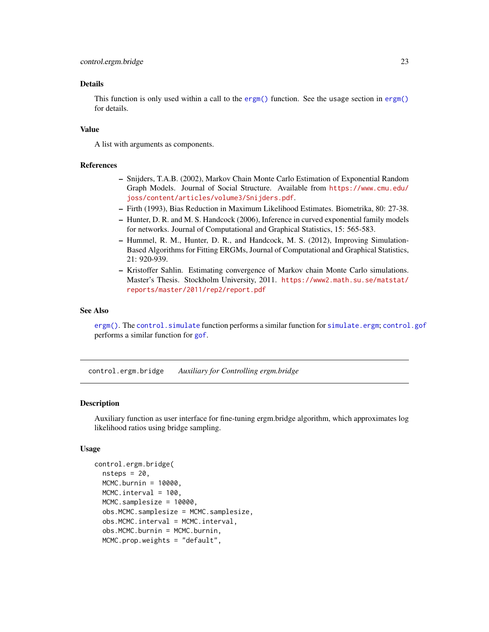### <span id="page-22-0"></span>Details

This function is only used within a call to the [ergm\(\)](#page-37-1) function. See the usage section in ergm() for details.

#### Value

A list with arguments as components.

### References

- Snijders, T.A.B. (2002), Markov Chain Monte Carlo Estimation of Exponential Random Graph Models. Journal of Social Structure. Available from [https://www.cmu.edu/](https://www.cmu.edu/joss/content/articles/volume3/Snijders.pdf) [joss/content/articles/volume3/Snijders.pdf](https://www.cmu.edu/joss/content/articles/volume3/Snijders.pdf).
- Firth (1993), Bias Reduction in Maximum Likelihood Estimates. Biometrika, 80: 27-38.
- Hunter, D. R. and M. S. Handcock (2006), Inference in curved exponential family models for networks. Journal of Computational and Graphical Statistics, 15: 565-583.
- Hummel, R. M., Hunter, D. R., and Handcock, M. S. (2012), Improving Simulation-Based Algorithms for Fitting ERGMs, Journal of Computational and Graphical Statistics, 21: 920-939.
- Kristoffer Sahlin. Estimating convergence of Markov chain Monte Carlo simulations. Master's Thesis. Stockholm University, 2011. [https://www2.math.su.se/matstat/](https://www2.math.su.se/matstat/reports/master/2011/rep2/report.pdf) [reports/master/2011/rep2/report.pdf](https://www2.math.su.se/matstat/reports/master/2011/rep2/report.pdf)

#### See Also

[ergm\(\)](#page-37-1). The [control.simulate](#page-31-1) function performs a similar function for [simulate.ergm](#page-138-1); [control.gof](#page-25-1) performs a similar function for [gof](#page-109-2).

<span id="page-22-1"></span>control.ergm.bridge *Auxiliary for Controlling ergm.bridge*

#### Description

Auxiliary function as user interface for fine-tuning ergm.bridge algorithm, which approximates log likelihood ratios using bridge sampling.

### Usage

```
control.ergm.bridge(
  nsteps = 20,
 MCMC.burnin = 10000,
 MCMC.interval = 100,
 MCMC.samplesize = 10000,
  obs.MCMC.samplesize = MCMC.samplesize,
  obs.MCMC.interval = MCMC.interval,
  obs.MCMC.burnin = MCMC.burnin,
 MCMC.prop.weights = "default",
```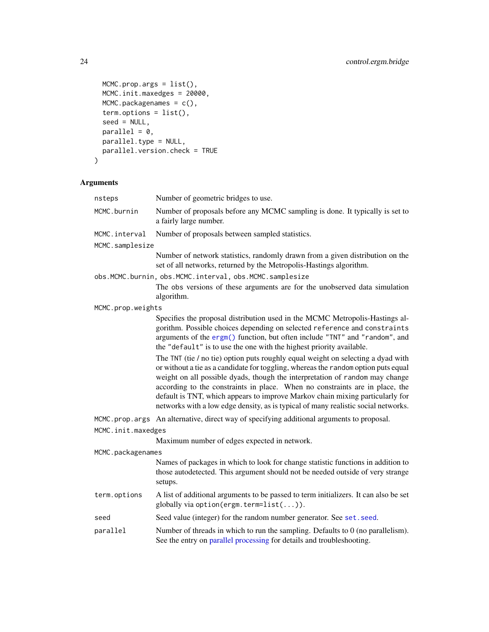```
MCMC.prop.args = list(),
 MCMC.init.maxedges = 20000,
 MCMC.packagenames = c(),
 term. options = list(),
 seed = NULL,
 parallel = 0,parallel.type = NULL,
 parallel.version.check = TRUE
)
```

| nsteps                                                  | Number of geometric bridges to use.                                                                                                                                                                                                                                                                                                                                                                                                                                                                           |  |  |
|---------------------------------------------------------|---------------------------------------------------------------------------------------------------------------------------------------------------------------------------------------------------------------------------------------------------------------------------------------------------------------------------------------------------------------------------------------------------------------------------------------------------------------------------------------------------------------|--|--|
| MCMC.burnin                                             | Number of proposals before any MCMC sampling is done. It typically is set to<br>a fairly large number.                                                                                                                                                                                                                                                                                                                                                                                                        |  |  |
| MCMC.interval                                           | Number of proposals between sampled statistics.                                                                                                                                                                                                                                                                                                                                                                                                                                                               |  |  |
| MCMC.samplesize                                         |                                                                                                                                                                                                                                                                                                                                                                                                                                                                                                               |  |  |
|                                                         | Number of network statistics, randomly drawn from a given distribution on the<br>set of all networks, returned by the Metropolis-Hastings algorithm.                                                                                                                                                                                                                                                                                                                                                          |  |  |
| obs.MCMC.burnin, obs.MCMC.interval, obs.MCMC.samplesize |                                                                                                                                                                                                                                                                                                                                                                                                                                                                                                               |  |  |
|                                                         | The obs versions of these arguments are for the unobserved data simulation<br>algorithm.                                                                                                                                                                                                                                                                                                                                                                                                                      |  |  |
| MCMC.prop.weights                                       |                                                                                                                                                                                                                                                                                                                                                                                                                                                                                                               |  |  |
|                                                         | Specifies the proposal distribution used in the MCMC Metropolis-Hastings al-<br>gorithm. Possible choices depending on selected reference and constraints<br>arguments of the ergm() function, but often include "TNT" and "random", and<br>the "default" is to use the one with the highest priority available.                                                                                                                                                                                              |  |  |
|                                                         | The TNT (tie / no tie) option puts roughly equal weight on selecting a dyad with<br>or without a tie as a candidate for toggling, whereas the random option puts equal<br>weight on all possible dyads, though the interpretation of random may change<br>according to the constraints in place. When no constraints are in place, the<br>default is TNT, which appears to improve Markov chain mixing particularly for<br>networks with a low edge density, as is typical of many realistic social networks. |  |  |
|                                                         | MCMC.prop.args An alternative, direct way of specifying additional arguments to proposal.                                                                                                                                                                                                                                                                                                                                                                                                                     |  |  |
| MCMC.init.maxedges                                      |                                                                                                                                                                                                                                                                                                                                                                                                                                                                                                               |  |  |
|                                                         | Maximum number of edges expected in network.                                                                                                                                                                                                                                                                                                                                                                                                                                                                  |  |  |
| MCMC.packagenames                                       |                                                                                                                                                                                                                                                                                                                                                                                                                                                                                                               |  |  |
|                                                         | Names of packages in which to look for change statistic functions in addition to<br>those autodetected. This argument should not be needed outside of very strange<br>setups.                                                                                                                                                                                                                                                                                                                                 |  |  |
| term.options                                            | A list of additional arguments to be passed to term initializers. It can also be set<br>globally via option(ergm.term=list()).                                                                                                                                                                                                                                                                                                                                                                                |  |  |
| seed                                                    | Seed value (integer) for the random number generator. See set. seed.                                                                                                                                                                                                                                                                                                                                                                                                                                          |  |  |
| parallel                                                | Number of threads in which to run the sampling. Defaults to $0$ (no parallelism).<br>See the entry on parallel processing for details and troubleshooting.                                                                                                                                                                                                                                                                                                                                                    |  |  |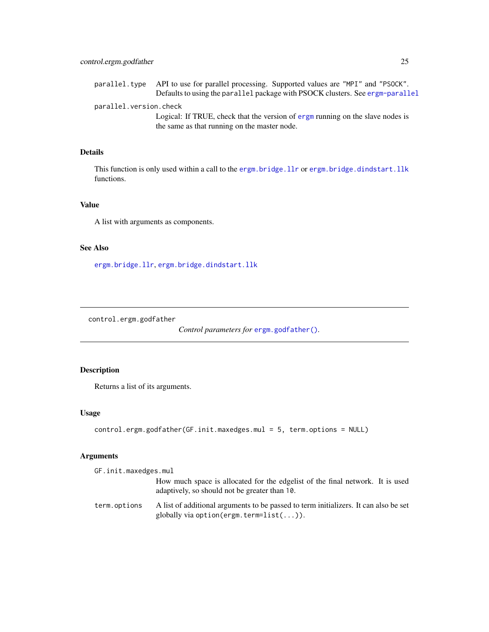<span id="page-24-0"></span>parallel.version.check

Logical: If TRUE, check that the version of [ergm](#page-3-1) running on the slave nodes is the same as that running on the master node.

### Details

This function is only used within a call to the [ergm.bridge.llr](#page-84-1) or [ergm.bridge.dindstart.llk](#page-84-2) functions.

### Value

A list with arguments as components.

### See Also

[ergm.bridge.llr](#page-84-1), [ergm.bridge.dindstart.llk](#page-84-2)

control.ergm.godfather

*Control parameters for* [ergm.godfather\(\)](#page-90-1)*.*

### Description

Returns a list of its arguments.

### Usage

```
control.ergm.godfather(GF.init.maxedges.mul = 5, term.options = NULL)
```

| GF.init.maxedges.mul |                                                                                                                                       |
|----------------------|---------------------------------------------------------------------------------------------------------------------------------------|
|                      | How much space is allocated for the edgelist of the final network. It is used<br>adaptively, so should not be greater than 10.        |
| term.options         | A list of additional arguments to be passed to term initializers. It can also be set<br>globally via option (ergm. term= $list())$ ). |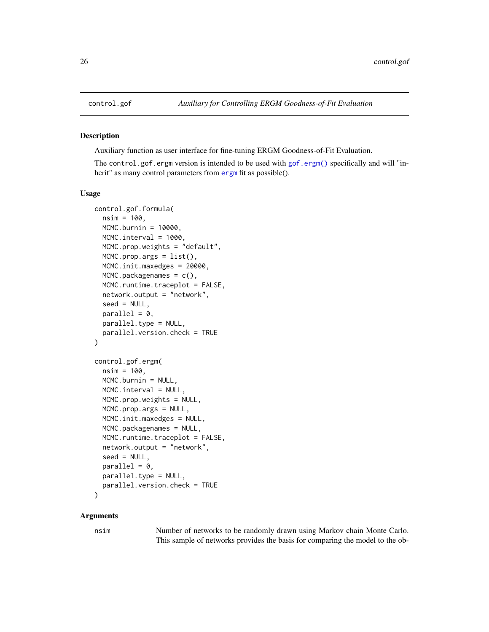<span id="page-25-1"></span><span id="page-25-0"></span>

#### Description

Auxiliary function as user interface for fine-tuning ERGM Goodness-of-Fit Evaluation.

The control.gof.ergm version is intended to be used with [gof.ergm\(\)](#page-109-1) specifically and will "inherit" as many control parameters from [ergm](#page-37-1) fit as possible().

#### Usage

```
control.gof.formula(
  nsim = 100,
  MCMC.burnin = 10000,
  MCMC.interval = 1000,
  MCMC.prop.weights = "default",
  MCMC.prop.args = list(),
  MCMC.init.maxedges = 20000,
  MCMC.packagenames = c(),
  MCMC.runtime.traceplot = FALSE,
  network.output = "network",
  seed = NULL,
  parallel = 0,
  parallel.type = NULL,
  parallel.version.check = TRUE
)
control.gof.ergm(
  nsim = 100,
  MCMC.burnin = NULL,
  MCMC.interval = NULL,
  MCMC.prop.weights = NULL,
  MCMC.prop.args = NULL,
  MCMC.init.maxedges = NULL,
  MCMC.packagenames = NULL,
  MCMC.runtime.traceplot = FALSE,
  network.output = "network",
  seed = NULL,
  parallel = 0,
  parallel.type = NULL,
  parallel.version.check = TRUE
)
```
#### Arguments

nsim Number of networks to be randomly drawn using Markov chain Monte Carlo. This sample of networks provides the basis for comparing the model to the ob-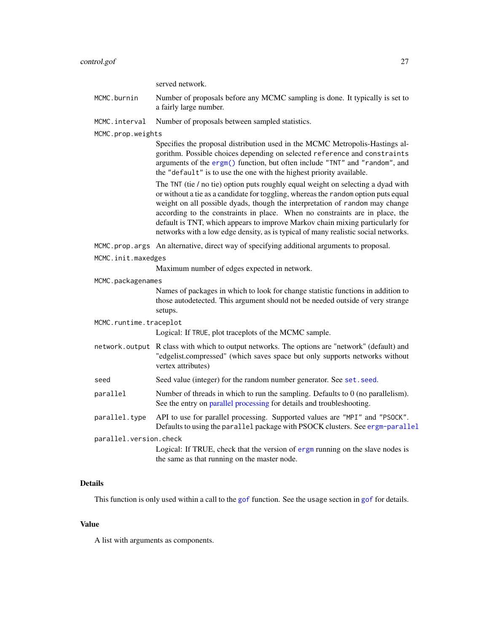#### control.gof 27

served network.

MCMC.burnin Number of proposals before any MCMC sampling is done. It typically is set to a fairly large number.

MCMC.interval Number of proposals between sampled statistics.

MCMC.prop.weights

Specifies the proposal distribution used in the MCMC Metropolis-Hastings algorithm. Possible choices depending on selected reference and constraints arguments of the [ergm\(\)](#page-37-1) function, but often include "TNT" and "random", and the "default" is to use the one with the highest priority available.

The TNT (tie / no tie) option puts roughly equal weight on selecting a dyad with or without a tie as a candidate for toggling, whereas the random option puts equal weight on all possible dyads, though the interpretation of random may change according to the constraints in place. When no constraints are in place, the default is TNT, which appears to improve Markov chain mixing particularly for networks with a low edge density, as is typical of many realistic social networks.

MCMC.prop.args An alternative, direct way of specifying additional arguments to proposal.

MCMC.init.maxedges

Maximum number of edges expected in network.

MCMC.packagenames

Names of packages in which to look for change statistic functions in addition to those autodetected. This argument should not be needed outside of very strange setups.

MCMC.runtime.traceplot

Logical: If TRUE, plot traceplots of the MCMC sample.

- network.output R class with which to output networks. The options are "network" (default) and "edgelist.compressed" (which saves space but only supports networks without vertex attributes)
- seed Seed value (integer) for the random number generator. See set. seed.
- parallel Number of threads in which to run the sampling. Defaults to 0 (no parallelism). See the entry on [parallel processing](#page-48-1) for details and troubleshooting.
- parallel.type API to use for parallel processing. Supported values are "MPI" and "PSOCK". Defaults to using the parallel package with PSOCK clusters. See [ergm-parallel](#page-48-1)

parallel.version.check

Logical: If TRUE, check that the version of [ergm](#page-3-1) running on the slave nodes is the same as that running on the master node.

#### Details

This function is only used within a call to the [gof](#page-109-2) function. See the usage section in gof for details.

#### Value

A list with arguments as components.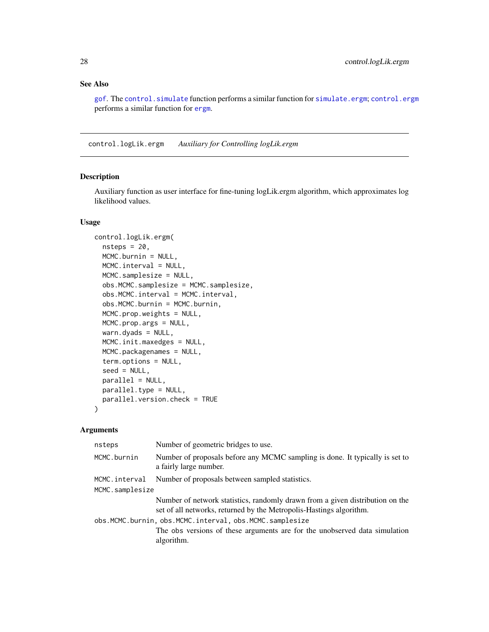### <span id="page-27-0"></span>See Also

[gof](#page-109-2). The [control.simulate](#page-31-1) function performs a similar function for [simulate.ergm](#page-138-1); [control.ergm](#page-12-1) performs a similar function for [ergm](#page-37-1).

control.logLik.ergm *Auxiliary for Controlling logLik.ergm*

### Description

Auxiliary function as user interface for fine-tuning logLik.ergm algorithm, which approximates log likelihood values.

### Usage

```
control.logLik.ergm(
  nsteps = 20,
 MCMC.burnin = NULL,
 MCMC.interval = NULL,
 MCMC.samplesize = NULL,
  obs.MCMC.samplesize = MCMC.samplesize,
  obs.MCMC.interval = MCMC.interval,
  obs.MCMC.burnin = MCMC.burnin,
 MCMC.prop.weights = NULL,
 MCMC.prop.args = NULL,
  warn.dyads = NULL,
 MCMC.init.maxedges = NULL,
 MCMC.packagenames = NULL,
  term.options = NULL,
  seed = NULL,
  parallel = NULL,
 parallel.type = NULL,
 parallel.version.check = TRUE
)
```

| nsteps          | Number of geometric bridges to use.                                                                                                                  |
|-----------------|------------------------------------------------------------------------------------------------------------------------------------------------------|
| MCMC.burnin     | Number of proposals before any MCMC sampling is done. It typically is set to<br>a fairly large number.                                               |
| MCMC.interval   | Number of proposals between sampled statistics.                                                                                                      |
| MCMC.samplesize |                                                                                                                                                      |
|                 | Number of network statistics, randomly drawn from a given distribution on the<br>set of all networks, returned by the Metropolis-Hastings algorithm. |
|                 | obs.MCMC.burnin, obs.MCMC.interval, obs.MCMC.samplesize                                                                                              |
|                 | The obs versions of these arguments are for the unobserved data simulation<br>algorithm.                                                             |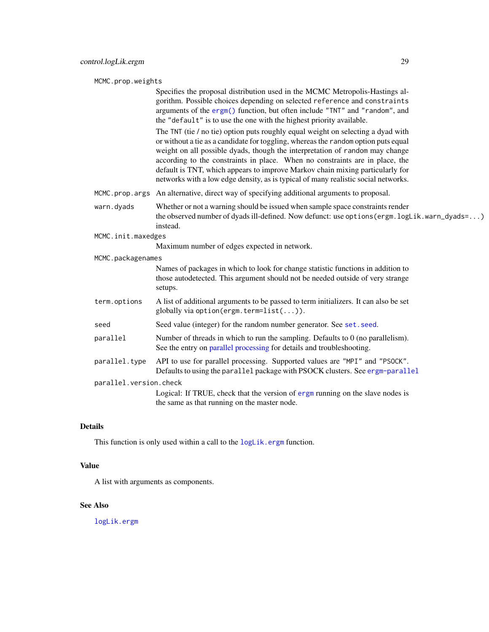MCMC.prop.weights

Specifies the proposal distribution used in the MCMC Metropolis-Hastings algorithm. Possible choices depending on selected reference and constraints arguments of the [ergm\(\)](#page-37-1) function, but often include "TNT" and "random", and the "default" is to use the one with the highest priority available.

The TNT (tie / no tie) option puts roughly equal weight on selecting a dyad with or without a tie as a candidate for toggling, whereas the random option puts equal weight on all possible dyads, though the interpretation of random may change according to the constraints in place. When no constraints are in place, the default is TNT, which appears to improve Markov chain mixing particularly for networks with a low edge density, as is typical of many realistic social networks.

- MCMC.prop.args An alternative, direct way of specifying additional arguments to proposal.
- warn.dyads Whether or not a warning should be issued when sample space constraints render the observed number of dyads ill-defined. Now defunct: use options(ergm.logLik.warn\_dyads=...) instead.
- MCMC.init.maxedges

Maximum number of edges expected in network.

MCMC.packagenames

Names of packages in which to look for change statistic functions in addition to those autodetected. This argument should not be needed outside of very strange setups.

- term.options A list of additional arguments to be passed to term initializers. It can also be set globally via option(ergm.term=list(...)).
- seed Seed value (integer) for the random number generator. See set. seed.
- parallel Number of threads in which to run the sampling. Defaults to 0 (no parallelism). See the entry on [parallel processing](#page-48-1) for details and troubleshooting.
- parallel.type API to use for parallel processing. Supported values are "MPI" and "PSOCK". Defaults to using the parallel package with PSOCK clusters. See [ergm-parallel](#page-48-1) parallel.version.check

Logical: If TRUE, check that the version of [ergm](#page-3-1) running on the slave nodes is the same as that running on the master node.

### Details

This function is only used within a call to the [logLik.ergm](#page-117-1) function.

### Value

A list with arguments as components.

#### See Also

[logLik.ergm](#page-117-1)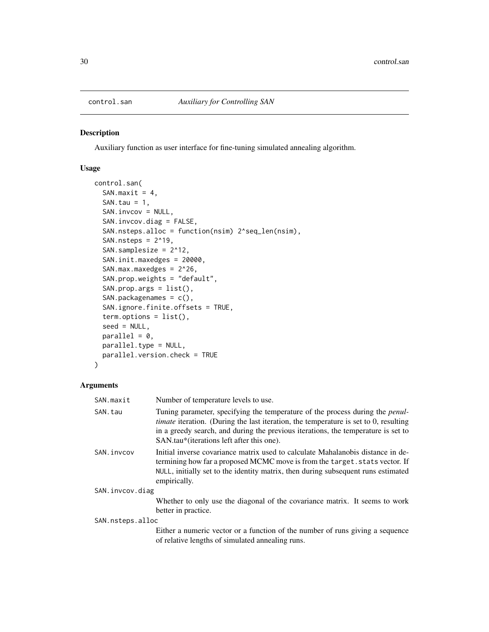<span id="page-29-1"></span><span id="page-29-0"></span>

### Description

Auxiliary function as user interface for fine-tuning simulated annealing algorithm.

### Usage

```
control.san(
  SAN.maxit = 4,
  SAN.tau = 1,
  SAN.invcov = NULL,
  SAN.invcov.diag = FALSE,
  SAN.nsteps.alloc = function(nsim) 2^seq_len(nsim),
  SAN.nsteps = 2^19,
  SAN.samplesize = 2^12,
  SAN.init.maxedges = 20000,
  SAN.max.maxedges = 2^26,
  SAN.prop.weights = "default",
  SAN.prop.args = list(),
  SAN.packagenames = c(),
  SAN.ignore.finite.offsets = TRUE,
  term.options = list(),
  seed = NULL,
 parallel = 0,
  parallel.type = NULL,
  parallel.version.check = TRUE
\mathcal{L}
```

| SAN.maxit        | Number of temperature levels to use.                                                                                                                                                                                                                                                                                   |
|------------------|------------------------------------------------------------------------------------------------------------------------------------------------------------------------------------------------------------------------------------------------------------------------------------------------------------------------|
| SAN.tau          | Tuning parameter, specifying the temperature of the process during the <i>penul</i> -<br><i>timate</i> iteration. (During the last iteration, the temperature is set to 0, resulting<br>in a greedy search, and during the previous iterations, the temperature is set to<br>SAN.tau*(iterations left after this one). |
| SAN.invcov       | Initial inverse covariance matrix used to calculate Mahalanobis distance in de-<br>termining how far a proposed MCMC move is from the target. stats vector. If<br>NULL, initially set to the identity matrix, then during subsequent runs estimated<br>empirically.                                                    |
| SAN.invcov.diag  |                                                                                                                                                                                                                                                                                                                        |
|                  | Whether to only use the diagonal of the covariance matrix. It seems to work<br>better in practice.                                                                                                                                                                                                                     |
| SAN.nsteps.alloc |                                                                                                                                                                                                                                                                                                                        |
|                  | Either a numeric vector or a function of the number of runs giving a sequence<br>of relative lengths of simulated annealing runs.                                                                                                                                                                                      |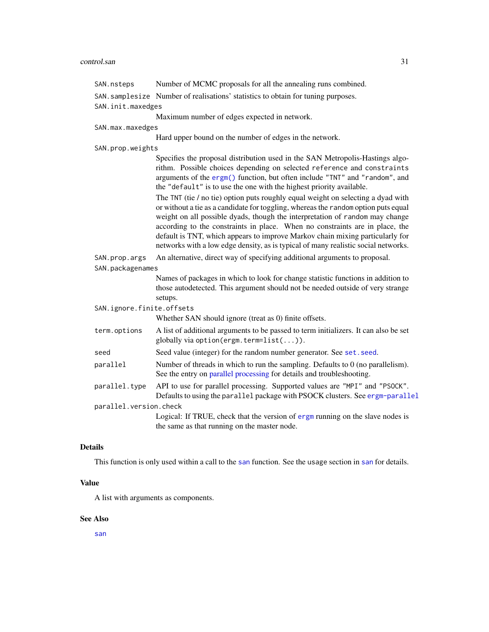### control.san 31

| SAN.nsteps                | Number of MCMC proposals for all the annealing runs combined.                                                                                                                                                                                                                                                                                                                                                                                                                                                                                                             |  |
|---------------------------|---------------------------------------------------------------------------------------------------------------------------------------------------------------------------------------------------------------------------------------------------------------------------------------------------------------------------------------------------------------------------------------------------------------------------------------------------------------------------------------------------------------------------------------------------------------------------|--|
|                           | SAN. samplesize Number of realisations' statistics to obtain for tuning purposes.                                                                                                                                                                                                                                                                                                                                                                                                                                                                                         |  |
| SAN.init.maxedges         |                                                                                                                                                                                                                                                                                                                                                                                                                                                                                                                                                                           |  |
|                           | Maximum number of edges expected in network.                                                                                                                                                                                                                                                                                                                                                                                                                                                                                                                              |  |
| SAN.max.maxedges          |                                                                                                                                                                                                                                                                                                                                                                                                                                                                                                                                                                           |  |
|                           | Hard upper bound on the number of edges in the network.                                                                                                                                                                                                                                                                                                                                                                                                                                                                                                                   |  |
| SAN.prop.weights          |                                                                                                                                                                                                                                                                                                                                                                                                                                                                                                                                                                           |  |
|                           | Specifies the proposal distribution used in the SAN Metropolis-Hastings algo-<br>rithm. Possible choices depending on selected reference and constraints<br>arguments of the ergm() function, but often include "TNT" and "random", and<br>the "default" is to use the one with the highest priority available.<br>The TNT (tie / no tie) option puts roughly equal weight on selecting a dyad with<br>or without a tie as a candidate for toggling, whereas the random option puts equal<br>weight on all possible dyads, though the interpretation of random may change |  |
|                           | according to the constraints in place. When no constraints are in place, the<br>default is TNT, which appears to improve Markov chain mixing particularly for<br>networks with a low edge density, as is typical of many realistic social networks.                                                                                                                                                                                                                                                                                                                       |  |
| SAN.prop.args             | An alternative, direct way of specifying additional arguments to proposal.                                                                                                                                                                                                                                                                                                                                                                                                                                                                                                |  |
| SAN.packagenames          |                                                                                                                                                                                                                                                                                                                                                                                                                                                                                                                                                                           |  |
|                           | Names of packages in which to look for change statistic functions in addition to<br>those autodetected. This argument should not be needed outside of very strange<br>setups.                                                                                                                                                                                                                                                                                                                                                                                             |  |
| SAN.ignore.finite.offsets |                                                                                                                                                                                                                                                                                                                                                                                                                                                                                                                                                                           |  |
|                           | Whether SAN should ignore (treat as 0) finite offsets.                                                                                                                                                                                                                                                                                                                                                                                                                                                                                                                    |  |
| term.options              | A list of additional arguments to be passed to term initializers. It can also be set<br>globally via option(ergm.term=list()).                                                                                                                                                                                                                                                                                                                                                                                                                                            |  |
| seed                      | Seed value (integer) for the random number generator. See set. seed.                                                                                                                                                                                                                                                                                                                                                                                                                                                                                                      |  |
| parallel                  | Number of threads in which to run the sampling. Defaults to 0 (no parallelism).<br>See the entry on parallel processing for details and troubleshooting.                                                                                                                                                                                                                                                                                                                                                                                                                  |  |
| parallel.type             | API to use for parallel processing. Supported values are "MPI" and "PSOCK".<br>Defaults to using the parallel package with PSOCK clusters. See ergm-parallel                                                                                                                                                                                                                                                                                                                                                                                                              |  |
| parallel.version.check    |                                                                                                                                                                                                                                                                                                                                                                                                                                                                                                                                                                           |  |
|                           | Logical: If TRUE, check that the version of ergm running on the slave nodes is<br>the same as that running on the master node.                                                                                                                                                                                                                                                                                                                                                                                                                                            |  |

### Details

This function is only used within a call to the [san](#page-133-1) function. See the usage section in [san](#page-133-1) for details.

### Value

A list with arguments as components.

### See Also

[san](#page-133-1)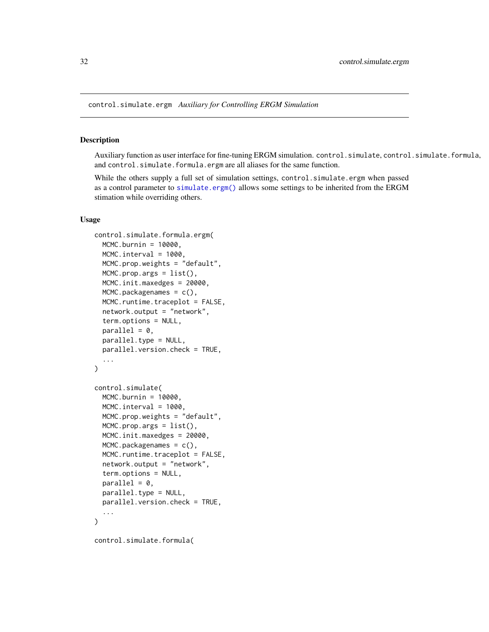<span id="page-31-0"></span>control.simulate.ergm *Auxiliary for Controlling ERGM Simulation*

### <span id="page-31-1"></span>Description

Auxiliary function as user interface for fine-tuning ERGM simulation. control.simulate, control.simulate.formula, and control.simulate.formula.ergm are all aliases for the same function.

While the others supply a full set of simulation settings, control.simulate.ergm when passed as a control parameter to [simulate.ergm\(\)](#page-138-1) allows some settings to be inherited from the ERGM stimation while overriding others.

### Usage

```
control.simulate.formula.ergm(
 MCMC.burnin = 10000,
 MCMC.interval = 1000,
 MCMC.prop.weights = "default",
 MCMC.prop.args = list(),
 MCMC.init.maxedges = 20000,
 MCMC.packagenames = c(),
 MCMC.runtime.traceplot = FALSE,
  network.output = "network",
  term.options = NULL,
 parallel = 0.
 parallel.type = NULL,
  parallel.version.check = TRUE,
  ...
)
control.simulate(
 MCMC.burnin = 10000,
 MCMC.interval = 1000,
 MCMC.prop.weights = "default",
 MCMC.prop.args = list(),
 MCMC.init.maxedges = 20000,
 MCMC.packagenames = c(),
 MCMC.runtime.traceplot = FALSE,
  network.output = "network",
  term.options = NULL,
 parallel = 0,
 parallel.type = NULL,
 parallel.version.check = TRUE,
  ...
)
control.simulate.formula(
```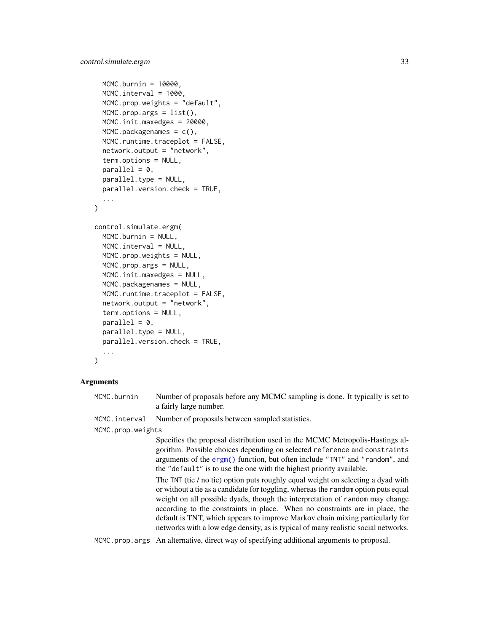```
MCMC.burnin = 10000,
 MCMC.interval = 1000.
 MCMC.prop.weights = "default",
 MCMC.prop.args = list(),
 MCMC.init.maxedges = 20000,
 MCMC.packagenames = c(),
 MCMC.runtime.traceplot = FALSE,
  network.output = "network",
  term.options = NULL,
  parallel = 0,
 parallel.type = NULL,
  parallel.version.check = TRUE,
  ...
)
control.simulate.ergm(
  MCMC.burnin = NULL,
 MCMC.interval = NULL,
 MCMC.prop.weights = NULL,
 MCMC.prop.args = NULL,
 MCMC.init.maxedges = NULL,
 MCMC.packagenames = NULL,
 MCMC.runtime.traceplot = FALSE,
  network.output = "network",
  term.options = NULL,
 parallel = 0,
 parallel.type = NULL,
  parallel.version.check = TRUE,
  ...
)
```
#### Arguments

MCMC.burnin Number of proposals before any MCMC sampling is done. It typically is set to a fairly large number.

MCMC. interval Number of proposals between sampled statistics.

MCMC.prop.weights

Specifies the proposal distribution used in the MCMC Metropolis-Hastings algorithm. Possible choices depending on selected reference and constraints arguments of the [ergm\(\)](#page-37-1) function, but often include "TNT" and "random", and the "default" is to use the one with the highest priority available.

The TNT (tie / no tie) option puts roughly equal weight on selecting a dyad with or without a tie as a candidate for toggling, whereas the random option puts equal weight on all possible dyads, though the interpretation of random may change according to the constraints in place. When no constraints are in place, the default is TNT, which appears to improve Markov chain mixing particularly for networks with a low edge density, as is typical of many realistic social networks.

MCMC.prop.args An alternative, direct way of specifying additional arguments to proposal.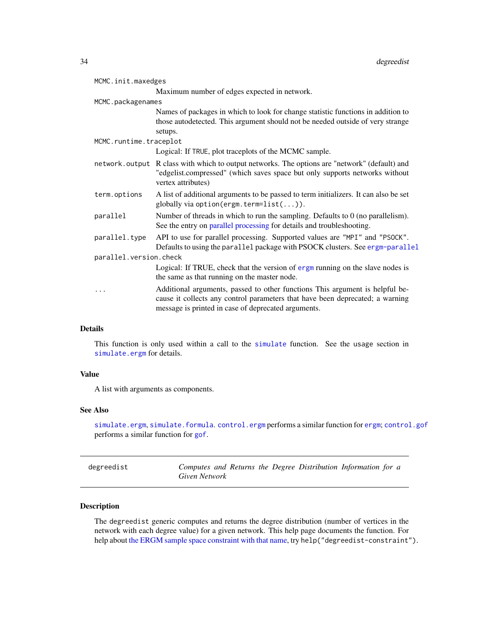<span id="page-33-0"></span>

| MCMC.init.maxedges     |                                                                                                                                                                                                                      |  |  |
|------------------------|----------------------------------------------------------------------------------------------------------------------------------------------------------------------------------------------------------------------|--|--|
|                        | Maximum number of edges expected in network.                                                                                                                                                                         |  |  |
| MCMC.packagenames      |                                                                                                                                                                                                                      |  |  |
|                        | Names of packages in which to look for change statistic functions in addition to<br>those autodetected. This argument should not be needed outside of very strange<br>setups.                                        |  |  |
| MCMC.runtime.traceplot |                                                                                                                                                                                                                      |  |  |
|                        | Logical: If TRUE, plot traceplots of the MCMC sample.                                                                                                                                                                |  |  |
|                        | network. output R class with which to output networks. The options are "network" (default) and<br>"edgelist.compressed" (which saves space but only supports networks without<br>vertex attributes)                  |  |  |
| term.options           | A list of additional arguments to be passed to term initializers. It can also be set<br>globally via option (ergm. term= $list())$ .                                                                                 |  |  |
| parallel               | Number of threads in which to run the sampling. Defaults to $0$ (no parallelism).<br>See the entry on parallel processing for details and troubleshooting.                                                           |  |  |
| parallel.type          | API to use for parallel processing. Supported values are "MPI" and "PSOCK".<br>Defaults to using the parallel package with PSOCK clusters. See ergm-parallel                                                         |  |  |
| parallel.version.check |                                                                                                                                                                                                                      |  |  |
|                        | Logical: If TRUE, check that the version of ergm running on the slave nodes is<br>the same as that running on the master node.                                                                                       |  |  |
|                        | Additional arguments, passed to other functions This argument is helpful be-<br>cause it collects any control parameters that have been deprecated; a warning<br>message is printed in case of deprecated arguments. |  |  |

### Details

This function is only used within a call to the [simulate](#page-0-0) function. See the usage section in [simulate.ergm](#page-138-1) for details.

### Value

A list with arguments as components.

### See Also

[simulate.ergm](#page-138-1), [simulate.formula](#page-143-1).[control.ergm](#page-12-1) performs a similar function for [ergm](#page-37-1); [control.gof](#page-25-1) performs a similar function for [gof](#page-109-2).

| degreedist | Computes and Returns the Degree Distribution Information for a |  |  |  |
|------------|----------------------------------------------------------------|--|--|--|
|            | Given Network                                                  |  |  |  |

### Description

The degreedist generic computes and returns the degree distribution (number of vertices in the network with each degree value) for a given network. This help page documents the function. For help about [the ERGM sample space constraint with that name,](#page-44-1) try help("degreedist-constraint").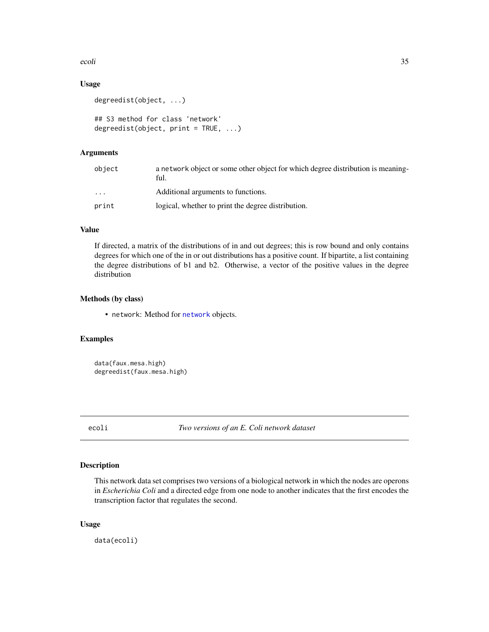<span id="page-34-0"></span>ecoli 35

### Usage

```
degreedist(object, ...)
## S3 method for class 'network'
degreedist(object, print = TRUE, ...)
```
### Arguments

| object | a network object or some other object for which degree distribution is meaning-<br>ful. |
|--------|-----------------------------------------------------------------------------------------|
| .      | Additional arguments to functions.                                                      |
| print  | logical, whether to print the degree distribution.                                      |

### Value

If directed, a matrix of the distributions of in and out degrees; this is row bound and only contains degrees for which one of the in or out distributions has a positive count. If bipartite, a list containing the degree distributions of b1 and b2. Otherwise, a vector of the positive values in the degree distribution

### Methods (by class)

• network: Method for [network](#page-0-0) objects.

### Examples

```
data(faux.mesa.high)
degreedist(faux.mesa.high)
```
ecoli *Two versions of an E. Coli network dataset*

### Description

This network data set comprises two versions of a biological network in which the nodes are operons in *Escherichia Coli* and a directed edge from one node to another indicates that the first encodes the transcription factor that regulates the second.

#### Usage

data(ecoli)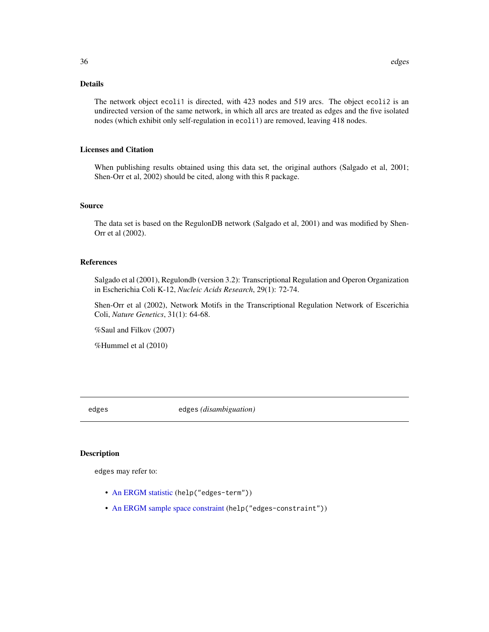### <span id="page-35-0"></span>Details

The network object ecoli1 is directed, with 423 nodes and 519 arcs. The object ecoli2 is an undirected version of the same network, in which all arcs are treated as edges and the five isolated nodes (which exhibit only self-regulation in ecoli1) are removed, leaving 418 nodes.

#### Licenses and Citation

When publishing results obtained using this data set, the original authors (Salgado et al, 2001; Shen-Orr et al, 2002) should be cited, along with this R package.

#### Source

The data set is based on the RegulonDB network (Salgado et al, 2001) and was modified by Shen-Orr et al (2002).

#### References

Salgado et al (2001), Regulondb (version 3.2): Transcriptional Regulation and Operon Organization in Escherichia Coli K-12, *Nucleic Acids Research*, 29(1): 72-74.

Shen-Orr et al (2002), Network Motifs in the Transcriptional Regulation Network of Escerichia Coli, *Nature Genetics*, 31(1): 64-68.

%Saul and Filkov (2007)

%Hummel et al (2010)

edges edges *(disambiguation)*

#### Description

edges may refer to:

- [An ERGM statistic](#page-51-2) (help("edges-term"))
- [An ERGM sample space constraint](#page-44-1) (help("edges-constraint"))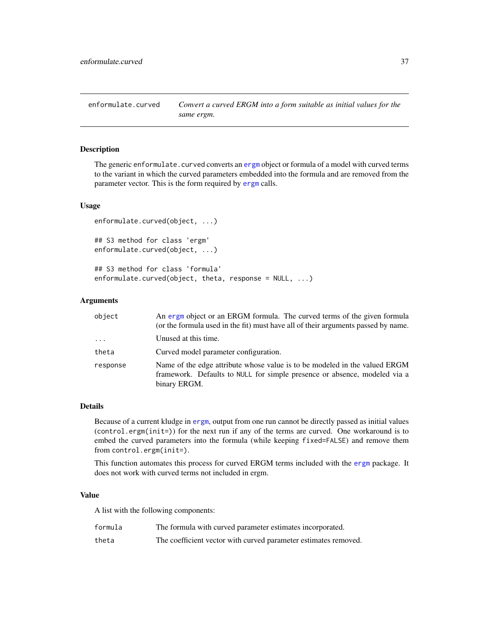enformulate.curved *Convert a curved ERGM into a form suitable as initial values for the same ergm.*

## Description

The generic enformulate.curved converts an [ergm](#page-37-0) object or formula of a model with curved terms to the variant in which the curved parameters embedded into the formula and are removed from the parameter vector. This is the form required by [ergm](#page-37-0) calls.

## Usage

```
enformulate.curved(object, ...)
## S3 method for class 'ergm'
enformulate.curved(object, ...)
## S3 method for class 'formula'
enformulate.curved(object, theta, response = NULL, ...)
```
#### Arguments

| object   | An ergm object or an ERGM formula. The curved terms of the given formula<br>(or the formula used in the fit) must have all of their arguments passed by name.           |
|----------|-------------------------------------------------------------------------------------------------------------------------------------------------------------------------|
| $\cdots$ | Unused at this time.                                                                                                                                                    |
| theta    | Curved model parameter configuration.                                                                                                                                   |
| response | Name of the edge attribute whose value is to be modeled in the valued ERGM<br>framework. Defaults to NULL for simple presence or absence, modeled via a<br>binary ERGM. |

## Details

Because of a current kludge in [ergm](#page-37-0), output from one run cannot be directly passed as initial values (control.ergm(init=)) for the next run if any of the terms are curved. One workaround is to embed the curved parameters into the formula (while keeping fixed=FALSE) and remove them from control.ergm(init=).

This function automates this process for curved ERGM terms included with the [ergm](#page-3-0) package. It does not work with curved terms not included in ergm.

## Value

A list with the following components:

| formula | The formula with curved parameter estimates incorporated.       |
|---------|-----------------------------------------------------------------|
| theta   | The coefficient vector with curved parameter estimates removed. |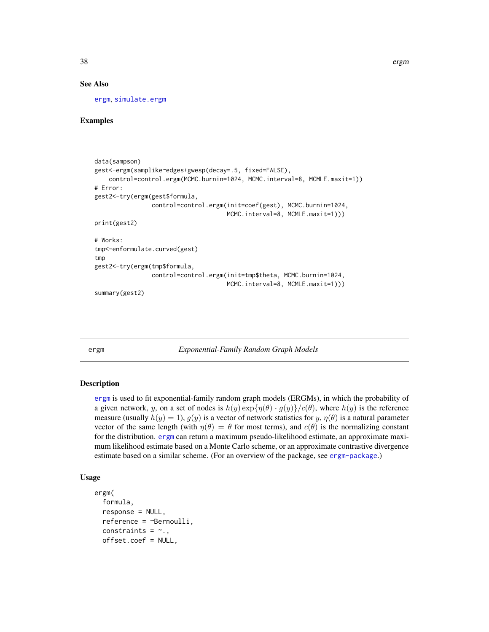## See Also

[ergm](#page-37-0), [simulate.ergm](#page-138-0)

## Examples

```
data(sampson)
gest<-ergm(samplike~edges+gwesp(decay=.5, fixed=FALSE),
    control=control.ergm(MCMC.burnin=1024, MCMC.interval=8, MCMLE.maxit=1))
# Error:
gest2<-try(ergm(gest$formula,
                control=control.ergm(init=coef(gest), MCMC.burnin=1024,
                                     MCMC.interval=8, MCMLE.maxit=1)))
print(gest2)
# Works:
tmp<-enformulate.curved(gest)
tmp
gest2<-try(ergm(tmp$formula,
                control=control.ergm(init=tmp$theta, MCMC.burnin=1024,
                                     MCMC.interval=8, MCMLE.maxit=1)))
summary(gest2)
```
<span id="page-37-0"></span>

ergm *Exponential-Family Random Graph Models*

### **Description**

[ergm](#page-37-0) is used to fit exponential-family random graph models (ERGMs), in which the probability of a given network, y, on a set of nodes is  $h(y) \exp{\{\eta(\theta) \cdot g(y)\}}/c(\theta)$ , where  $h(y)$  is the reference measure (usually  $h(y) = 1$ ),  $g(y)$  is a vector of network statistics for y,  $\eta(\theta)$  is a natural parameter vector of the same length (with  $\eta(\theta) = \theta$  for most terms), and  $c(\theta)$  is the normalizing constant for the distribution. [ergm](#page-37-0) can return a maximum pseudo-likelihood estimate, an approximate maximum likelihood estimate based on a Monte Carlo scheme, or an approximate contrastive divergence estimate based on a similar scheme. (For an overview of the package, see [ergm-package](#page-3-0).)

## Usage

```
ergm(
  formula,
  response = NULL,
  reference = ~Bernoulli,
  constraints = \sim.,
  offset.coef = NULL,
```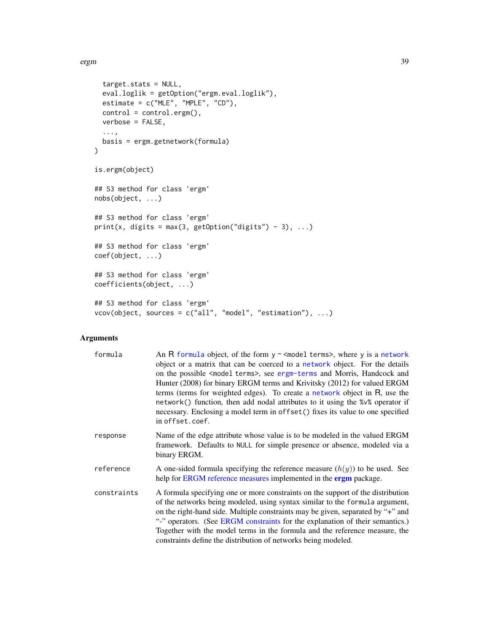```
target.stats = NULL,
 eval.loglik = getOption("ergm.eval.loglik"),
 estimate = c("MLE", "MPLE", "CD"),
 control = control.ergm(),
 verbose = FALSE,
  ...,
 basis = ergm.getnetwork(formula)
)
is.ergm(object)
## S3 method for class 'ergm'
nobs(object, ...)
## S3 method for class 'ergm'
print(x, \text{ digits} = \text{max}(3, \text{ getOption("digits") - 3), ...)## S3 method for class 'ergm'
coef(object, ...)
## S3 method for class 'ergm'
coefficients(object, ...)
## S3 method for class 'ergm'
vcov(object, sources = c("all", "model", "estimation"), ...)
```
# Arguments

| formula     | An R formula object, of the form $y \sim$ <model terms="">, where y is a network<br/>object or a matrix that can be coerced to a network object. For the details<br/>on the possible <model terms="">, see ergm-terms and Morris, Handcock and<br/>Hunter (2008) for binary ERGM terms and Krivitsky (2012) for valued ERGM<br/>terms (terms for weighted edges). To create a network object in R, use the<br/>network() function, then add nodal attributes to it using the %<math>v</math>% operator if<br/>necessary. Enclosing a model term in offset () fixes its value to one specified<br/>in offset.coef.</model></model> |
|-------------|-----------------------------------------------------------------------------------------------------------------------------------------------------------------------------------------------------------------------------------------------------------------------------------------------------------------------------------------------------------------------------------------------------------------------------------------------------------------------------------------------------------------------------------------------------------------------------------------------------------------------------------|
| response    | Name of the edge attribute whose value is to be modeled in the valued ERGM<br>framework. Defaults to NULL for simple presence or absence, modeled via a<br>binary ERGM.                                                                                                                                                                                                                                                                                                                                                                                                                                                           |
| reference   | A one-sided formula specifying the reference measure $(h(y))$ to be used. See<br>help for ERGM reference measures implemented in the <b>ergm</b> package.                                                                                                                                                                                                                                                                                                                                                                                                                                                                         |
| constraints | A formula specifying one or more constraints on the support of the distribution<br>of the networks being modeled, using syntax similar to the formula argument,<br>on the right-hand side. Multiple constraints may be given, separated by "+" and<br>"-" operators. (See ERGM constraints for the explanation of their semantics.)<br>Together with the model terms in the formula and the reference measure, the<br>constraints define the distribution of networks being modeled.                                                                                                                                              |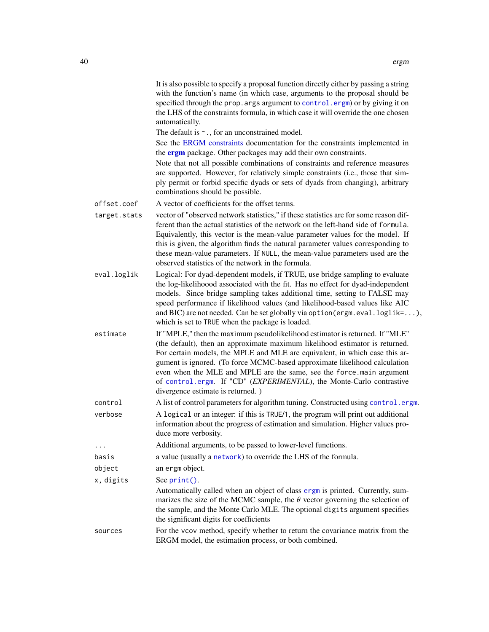|              | It is also possible to specify a proposal function directly either by passing a string<br>with the function's name (in which case, arguments to the proposal should be<br>specified through the prop. args argument to control. ergm) or by giving it on<br>the LHS of the constraints formula, in which case it will override the one chosen<br>automatically.<br>The default is $\sim$ ., for an unconstrained model.                                                                                        |
|--------------|----------------------------------------------------------------------------------------------------------------------------------------------------------------------------------------------------------------------------------------------------------------------------------------------------------------------------------------------------------------------------------------------------------------------------------------------------------------------------------------------------------------|
|              | See the ERGM constraints documentation for the constraints implemented in<br>the <b>ergm</b> package. Other packages may add their own constraints.                                                                                                                                                                                                                                                                                                                                                            |
|              | Note that not all possible combinations of constraints and reference measures<br>are supported. However, for relatively simple constraints (i.e., those that sim-<br>ply permit or forbid specific dyads or sets of dyads from changing), arbitrary<br>combinations should be possible.                                                                                                                                                                                                                        |
| offset.coef  | A vector of coefficients for the offset terms.                                                                                                                                                                                                                                                                                                                                                                                                                                                                 |
| target.stats | vector of "observed network statistics," if these statistics are for some reason dif-<br>ferent than the actual statistics of the network on the left-hand side of formula.<br>Equivalently, this vector is the mean-value parameter values for the model. If<br>this is given, the algorithm finds the natural parameter values corresponding to<br>these mean-value parameters. If NULL, the mean-value parameters used are the<br>observed statistics of the network in the formula.                        |
| eval.loglik  | Logical: For dyad-dependent models, if TRUE, use bridge sampling to evaluate<br>the log-likelihoood associated with the fit. Has no effect for dyad-independent<br>models. Since bridge sampling takes additional time, setting to FALSE may<br>speed performance if likelihood values (and likelihood-based values like AIC<br>and BIC) are not needed. Can be set globally via option (ergm. eval. loglik=),<br>which is set to TRUE when the package is loaded.                                             |
| estimate     | If "MPLE," then the maximum pseudolikelihood estimator is returned. If "MLE"<br>(the default), then an approximate maximum likelihood estimator is returned.<br>For certain models, the MPLE and MLE are equivalent, in which case this ar-<br>gument is ignored. (To force MCMC-based approximate likelihood calculation<br>even when the MLE and MPLE are the same, see the force.main argument<br>of control.ergm. If "CD" (EXPERIMENTAL), the Monte-Carlo contrastive<br>divergence estimate is returned.) |
| control      | A list of control parameters for algorithm tuning. Constructed using control.ergm.                                                                                                                                                                                                                                                                                                                                                                                                                             |
| verbose      | A logical or an integer: if this is TRUE/1, the program will print out additional<br>information about the progress of estimation and simulation. Higher values pro-<br>duce more verbosity.                                                                                                                                                                                                                                                                                                                   |
| .            | Additional arguments, to be passed to lower-level functions.                                                                                                                                                                                                                                                                                                                                                                                                                                                   |
| basis        | a value (usually a network) to override the LHS of the formula.                                                                                                                                                                                                                                                                                                                                                                                                                                                |
| object       | an ergm object.                                                                                                                                                                                                                                                                                                                                                                                                                                                                                                |
| x, digits    | See print().                                                                                                                                                                                                                                                                                                                                                                                                                                                                                                   |
|              | Automatically called when an object of class ergm is printed. Currently, sum-<br>marizes the size of the MCMC sample, the $\theta$ vector governing the selection of<br>the sample, and the Monte Carlo MLE. The optional digits argument specifies<br>the significant digits for coefficients                                                                                                                                                                                                                 |
| sources      | For the vcov method, specify whether to return the covariance matrix from the<br>ERGM model, the estimation process, or both combined.                                                                                                                                                                                                                                                                                                                                                                         |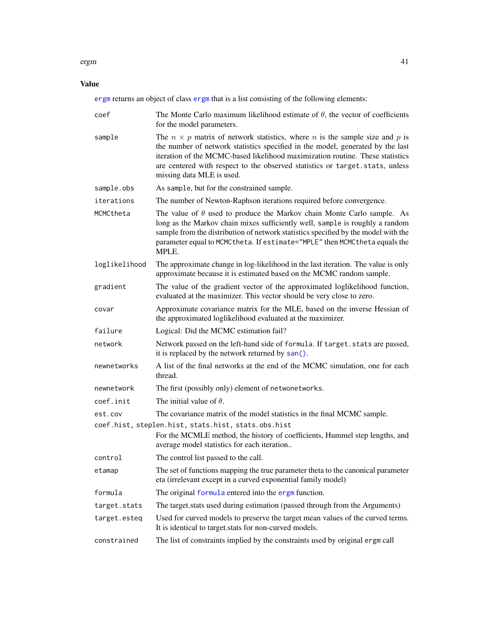## ergm 41

# Value

[ergm](#page-37-0) returns an object of class [ergm](#page-37-0) that is a list consisting of the following elements:

| coef          | The Monte Carlo maximum likelihood estimate of $\theta$ , the vector of coefficients<br>for the model parameters.                                                                                                                                                                                                                                                                |  |  |  |
|---------------|----------------------------------------------------------------------------------------------------------------------------------------------------------------------------------------------------------------------------------------------------------------------------------------------------------------------------------------------------------------------------------|--|--|--|
| sample        | The $n \times p$ matrix of network statistics, where <i>n</i> is the sample size and <i>p</i> is<br>the number of network statistics specified in the model, generated by the last<br>iteration of the MCMC-based likelihood maximization routine. These statistics<br>are centered with respect to the observed statistics or target.stats, unless<br>missing data MLE is used. |  |  |  |
| sample.obs    | As sample, but for the constrained sample.                                                                                                                                                                                                                                                                                                                                       |  |  |  |
| iterations    | The number of Newton-Raphson iterations required before convergence.                                                                                                                                                                                                                                                                                                             |  |  |  |
| MCMCtheta     | The value of $\theta$ used to produce the Markov chain Monte Carlo sample. As<br>long as the Markov chain mixes sufficiently well, sample is roughly a random<br>sample from the distribution of network statistics specified by the model with the<br>parameter equal to MCMC the ta. If estimate="MPLE" then MCMC the ta equals the<br>MPLE.                                   |  |  |  |
| loglikelihood | The approximate change in log-likelihood in the last iteration. The value is only<br>approximate because it is estimated based on the MCMC random sample.                                                                                                                                                                                                                        |  |  |  |
| gradient      | The value of the gradient vector of the approximated loglikelihood function,<br>evaluated at the maximizer. This vector should be very close to zero.                                                                                                                                                                                                                            |  |  |  |
| covar         | Approximate covariance matrix for the MLE, based on the inverse Hessian of<br>the approximated loglikelihood evaluated at the maximizer.                                                                                                                                                                                                                                         |  |  |  |
| failure       | Logical: Did the MCMC estimation fail?                                                                                                                                                                                                                                                                                                                                           |  |  |  |
| network       | Network passed on the left-hand side of formula. If target. stats are passed,<br>it is replaced by the network returned by san().                                                                                                                                                                                                                                                |  |  |  |
| newnetworks   | A list of the final networks at the end of the MCMC simulation, one for each<br>thread.                                                                                                                                                                                                                                                                                          |  |  |  |
| newnetwork    | The first (possibly only) element of netwonetworks.                                                                                                                                                                                                                                                                                                                              |  |  |  |
| coef.init     | The initial value of $\theta$ .                                                                                                                                                                                                                                                                                                                                                  |  |  |  |
| est.cov       | The covariance matrix of the model statistics in the final MCMC sample.                                                                                                                                                                                                                                                                                                          |  |  |  |
|               | coef.hist, steplen.hist, stats.hist, stats.obs.hist<br>For the MCMLE method, the history of coefficients, Hummel step lengths, and<br>average model statistics for each iteration                                                                                                                                                                                                |  |  |  |
| control       | The control list passed to the call.                                                                                                                                                                                                                                                                                                                                             |  |  |  |
| etamap        | The set of functions mapping the true parameter theta to the canonical parameter<br>eta (irrelevant except in a curved exponential family model)                                                                                                                                                                                                                                 |  |  |  |
| formula       | The original formula entered into the ergm function.                                                                                                                                                                                                                                                                                                                             |  |  |  |
| target.stats  | The target stats used during estimation (passed through from the Arguments)                                                                                                                                                                                                                                                                                                      |  |  |  |
| target.esteq  | Used for curved models to preserve the target mean values of the curved terms.<br>It is identical to target stats for non-curved models.                                                                                                                                                                                                                                         |  |  |  |
| constrained   | The list of constraints implied by the constraints used by original ergm call                                                                                                                                                                                                                                                                                                    |  |  |  |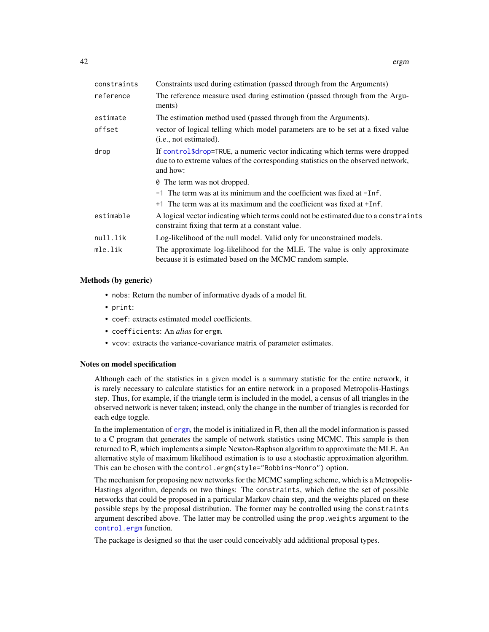| Constraints used during estimation (passed through from the Arguments)                                                                                                       |
|------------------------------------------------------------------------------------------------------------------------------------------------------------------------------|
| The reference measure used during estimation (passed through from the Argu-<br>ments)                                                                                        |
| The estimation method used (passed through from the Arguments).                                                                                                              |
| vector of logical telling which model parameters are to be set at a fixed value<br>(i.e., not estimated).                                                                    |
| If control\$drop=TRUE, a numeric vector indicating which terms were dropped<br>due to to extreme values of the corresponding statistics on the observed network,<br>and how: |
| <b><math>\theta</math></b> The term was not dropped.                                                                                                                         |
| $-1$ The term was at its minimum and the coefficient was fixed at $-1$ nf.                                                                                                   |
| +1 The term was at its maximum and the coefficient was fixed at +Inf.                                                                                                        |
| A logical vector indicating which terms could not be estimated due to a constraints<br>constraint fixing that term at a constant value.                                      |
| Log-likelihood of the null model. Valid only for unconstrained models.                                                                                                       |
| The approximate log-likelihood for the MLE. The value is only approximate<br>because it is estimated based on the MCMC random sample.                                        |
|                                                                                                                                                                              |

## Methods (by generic)

- nobs: Return the number of informative dyads of a model fit.
- print:
- coef: extracts estimated model coefficients.
- coefficients: An *alias* for ergm.
- vcov: extracts the variance-covariance matrix of parameter estimates.

### Notes on model specification

Although each of the statistics in a given model is a summary statistic for the entire network, it is rarely necessary to calculate statistics for an entire network in a proposed Metropolis-Hastings step. Thus, for example, if the triangle term is included in the model, a census of all triangles in the observed network is never taken; instead, only the change in the number of triangles is recorded for each edge toggle.

In the implementation of [ergm](#page-37-0), the model is initialized in R, then all the model information is passed to a C program that generates the sample of network statistics using MCMC. This sample is then returned to R, which implements a simple Newton-Raphson algorithm to approximate the MLE. An alternative style of maximum likelihood estimation is to use a stochastic approximation algorithm. This can be chosen with the control.ergm(style="Robbins-Monro") option.

The mechanism for proposing new networks for the MCMC sampling scheme, which is a Metropolis-Hastings algorithm, depends on two things: The constraints, which define the set of possible networks that could be proposed in a particular Markov chain step, and the weights placed on these possible steps by the proposal distribution. The former may be controlled using the constraints argument described above. The latter may be controlled using the prop.weights argument to the [control.ergm](#page-12-0) function.

The package is designed so that the user could conceivably add additional proposal types.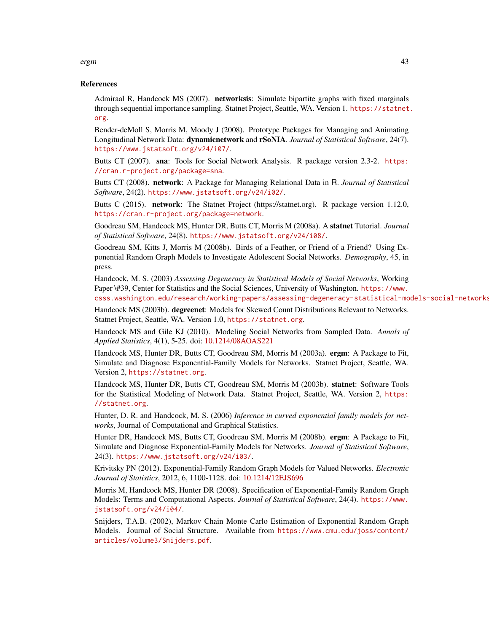## References

Admiraal R, Handcock MS (2007). networksis: Simulate bipartite graphs with fixed marginals through sequential importance sampling. Statnet Project, Seattle, WA. Version 1. [https://statnet](https://statnet.org). [org](https://statnet.org).

Bender-deMoll S, Morris M, Moody J (2008). Prototype Packages for Managing and Animating Longitudinal Network Data: dynamicnetwork and rSoNIA. *Journal of Statistical Software*, 24(7). <https://www.jstatsoft.org/v24/i07/>.

Butts CT (2007). sna: Tools for Social Network Analysis. R package version 2.3-2. [https:](https://cran.r-project.org/package=sna) [//cran.r-project.org/package=sna](https://cran.r-project.org/package=sna).

Butts CT (2008). network: A Package for Managing Relational Data in R. *Journal of Statistical Software*, 24(2). <https://www.jstatsoft.org/v24/i02/>.

Butts C (2015). network: The Statnet Project (https://statnet.org). R package version 1.12.0, <https://cran.r-project.org/package=network>.

Goodreau SM, Handcock MS, Hunter DR, Butts CT, Morris M (2008a). A statnet Tutorial. *Journal of Statistical Software*, 24(8). <https://www.jstatsoft.org/v24/i08/>.

Goodreau SM, Kitts J, Morris M (2008b). Birds of a Feather, or Friend of a Friend? Using Exponential Random Graph Models to Investigate Adolescent Social Networks. *Demography*, 45, in press.

Handcock, M. S. (2003) *Assessing Degeneracy in Statistical Models of Social Networks*, Working Paper \#39, Center for Statistics and the Social Sciences, University of Washington. [https://www.](https://www.csss.washington.edu/research/working-papers/assessing-degeneracy-statistical-models-social-networks) [csss.washington.edu/research/working-papers/assessing-degeneracy-statistical-models-social-networks](https://www.csss.washington.edu/research/working-papers/assessing-degeneracy-statistical-models-social-networks)

Handcock MS (2003b). degreenet: Models for Skewed Count Distributions Relevant to Networks. Statnet Project, Seattle, WA. Version 1.0, <https://statnet.org>.

Handcock MS and Gile KJ (2010). Modeling Social Networks from Sampled Data. *Annals of Applied Statistics*, 4(1), 5-25. doi: [10.1214/08AOAS221](https://doi.org/10.1214/08-AOAS221)

Handcock MS, Hunter DR, Butts CT, Goodreau SM, Morris M (2003a). ergm: A Package to Fit, Simulate and Diagnose Exponential-Family Models for Networks. Statnet Project, Seattle, WA. Version 2, <https://statnet.org>.

Handcock MS, Hunter DR, Butts CT, Goodreau SM, Morris M (2003b). statnet: Software Tools for the Statistical Modeling of Network Data. Statnet Project, Seattle, WA. Version 2, [https:](https://statnet.org) [//statnet.org](https://statnet.org).

Hunter, D. R. and Handcock, M. S. (2006) *Inference in curved exponential family models for networks*, Journal of Computational and Graphical Statistics.

Hunter DR, Handcock MS, Butts CT, Goodreau SM, Morris M (2008b). **ergm**: A Package to Fit, Simulate and Diagnose Exponential-Family Models for Networks. *Journal of Statistical Software*, 24(3). <https://www.jstatsoft.org/v24/i03/>.

Krivitsky PN (2012). Exponential-Family Random Graph Models for Valued Networks. *Electronic Journal of Statistics*, 2012, 6, 1100-1128. doi: [10.1214/12EJS696](https://doi.org/10.1214/12-EJS696)

Morris M, Handcock MS, Hunter DR (2008). Specification of Exponential-Family Random Graph Models: Terms and Computational Aspects. *Journal of Statistical Software*, 24(4). [https://www.](https://www.jstatsoft.org/v24/i04/) [jstatsoft.org/v24/i04/](https://www.jstatsoft.org/v24/i04/).

Snijders, T.A.B. (2002), Markov Chain Monte Carlo Estimation of Exponential Random Graph Models. Journal of Social Structure. Available from [https://www.cmu.edu/joss/content/](https://www.cmu.edu/joss/content/articles/volume3/Snijders.pdf) [articles/volume3/Snijders.pdf](https://www.cmu.edu/joss/content/articles/volume3/Snijders.pdf).

### ergm 43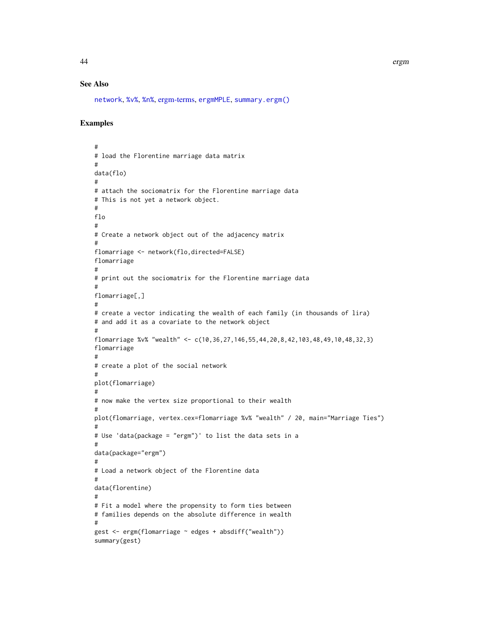# See Also

[network](#page-0-0), [%v%](#page-0-0), [%n%](#page-0-0), [ergm-terms,](#page-51-0) [ergmMPLE](#page-91-0), [summary.ergm\(\)](#page-146-0)

# Examples

```
#
# load the Florentine marriage data matrix
#
data(flo)
#
# attach the sociomatrix for the Florentine marriage data
# This is not yet a network object.
#
flo
#
# Create a network object out of the adjacency matrix
#
flomarriage <- network(flo,directed=FALSE)
flomarriage
#
# print out the sociomatrix for the Florentine marriage data
#
flomarriage[,]
#
# create a vector indicating the wealth of each family (in thousands of lira)
# and add it as a covariate to the network object
#
flomarriage %v% "wealth" <- c(10,36,27,146,55,44,20,8,42,103,48,49,10,48,32,3)
flomarriage
#
# create a plot of the social network
#
plot(flomarriage)
#
# now make the vertex size proportional to their wealth
#
plot(flomarriage, vertex.cex=flomarriage %v% "wealth" / 20, main="Marriage Ties")
#
# Use 'data(package = "ergm")' to list the data sets in a
#
data(package="ergm")
#
# Load a network object of the Florentine data
#
data(florentine)
#
# Fit a model where the propensity to form ties between
# families depends on the absolute difference in wealth
#
gest <- ergm(flomarriage ~ edges + absdiff("wealth"))
summary(gest)
```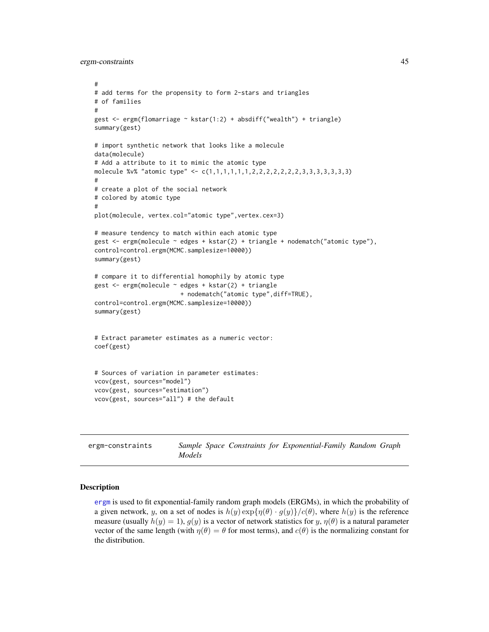ergm-constraints 45

```
#
# add terms for the propensity to form 2-stars and triangles
# of families
#
gest \leq ergm(flomarriage \sim kstar(1:2) + absdiff("wealth") + triangle)
summary(gest)
# import synthetic network that looks like a molecule
data(molecule)
# Add a attribute to it to mimic the atomic type
molecule %v% "atomic type" <- c(1,1,1,1,1,1,2,2,2,2,2,2,2,3,3,3,3,3,3,3)
#
# create a plot of the social network
# colored by atomic type
#
plot(molecule, vertex.col="atomic type",vertex.cex=3)
# measure tendency to match within each atomic type
gest <- ergm(molecule ~ edges + kstar(2) + triangle + nodematch("atomic type"),
control=control.ergm(MCMC.samplesize=10000))
summary(gest)
# compare it to differential homophily by atomic type
gest <- ergm(molecule ~ edges + kstar(2) + triangle
                        + nodematch("atomic type",diff=TRUE),
control=control.ergm(MCMC.samplesize=10000))
summary(gest)
# Extract parameter estimates as a numeric vector:
coef(gest)
# Sources of variation in parameter estimates:
vcov(gest, sources="model")
vcov(gest, sources="estimation")
vcov(gest, sources="all") # the default
```
<span id="page-44-0"></span>

| ergm-constraints |               |  | Sample Space Constraints for Exponential-Family Random Graph |  |
|------------------|---------------|--|--------------------------------------------------------------|--|
|                  | <i>Models</i> |  |                                                              |  |

## Description

[ergm](#page-37-0) is used to fit exponential-family random graph models (ERGMs), in which the probability of a given network, y, on a set of nodes is  $h(y) \exp{\{\eta(\theta) \cdot g(y)\}}/c(\theta)$ , where  $h(y)$  is the reference measure (usually  $h(y) = 1$ ),  $g(y)$  is a vector of network statistics for y,  $\eta(\theta)$  is a natural parameter vector of the same length (with  $\eta(\theta) = \theta$  for most terms), and  $c(\theta)$  is the normalizing constant for the distribution.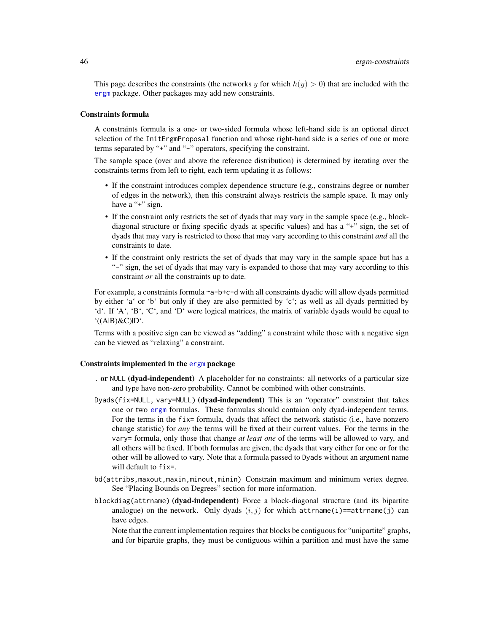This page describes the constraints (the networks y for which  $h(y) > 0$ ) that are included with the [ergm](#page-3-0) package. Other packages may add new constraints.

## Constraints formula

A constraints formula is a one- or two-sided formula whose left-hand side is an optional direct selection of the InitErgmProposal function and whose right-hand side is a series of one or more terms separated by "+" and "-" operators, specifying the constraint.

The sample space (over and above the reference distribution) is determined by iterating over the constraints terms from left to right, each term updating it as follows:

- If the constraint introduces complex dependence structure (e.g., constrains degree or number of edges in the network), then this constraint always restricts the sample space. It may only have a "+" sign.
- If the constraint only restricts the set of dyads that may vary in the sample space (e.g., blockdiagonal structure or fixing specific dyads at specific values) and has a "+" sign, the set of dyads that may vary is restricted to those that may vary according to this constraint *and* all the constraints to date.
- If the constraint only restricts the set of dyads that may vary in the sample space but has a "-" sign, the set of dyads that may vary is expanded to those that may vary according to this constraint *or* all the constraints up to date.

For example, a constraints formula ~a-b+c-d with all constraints dyadic will allow dyads permitted by either 'a' or 'b' but only if they are also permitted by 'c'; as well as all dyads permitted by 'd'. If 'A', 'B', 'C', and 'D' were logical matrices, the matrix of variable dyads would be equal to  $'(A|B)$ &C)|D $'.$ 

Terms with a positive sign can be viewed as "adding" a constraint while those with a negative sign can be viewed as "relaxing" a constraint.

### Constraints implemented in the [ergm](#page-3-0) package

- . or NULL (dyad-independent) A placeholder for no constraints: all networks of a particular size and type have non-zero probability. Cannot be combined with other constraints.
- Dyads(fix=NULL, vary=NULL) (dyad-independent) This is an "operator" constraint that takes one or two [ergm](#page-37-0) formulas. These formulas should contaion only dyad-independent terms. For the terms in the fix= formula, dyads that affect the network statistic (i.e., have nonzero change statistic) for *any* the terms will be fixed at their current values. For the terms in the vary= formula, only those that change *at least one* of the terms will be allowed to vary, and all others will be fixed. If both formulas are given, the dyads that vary either for one or for the other will be allowed to vary. Note that a formula passed to Dyads without an argument name will default to fix=.
- bd(attribs,maxout,maxin,minout,minin) Constrain maximum and minimum vertex degree. See "Placing Bounds on Degrees" section for more information.
- blockdiag(attrname) (dyad-independent) Force a block-diagonal structure (and its bipartite analogue) on the network. Only dyads  $(i, j)$  for which attrname(i)==attrname(j) can have edges.

Note that the current implementation requires that blocks be contiguous for "unipartite" graphs, and for bipartite graphs, they must be contiguous within a partition and must have the same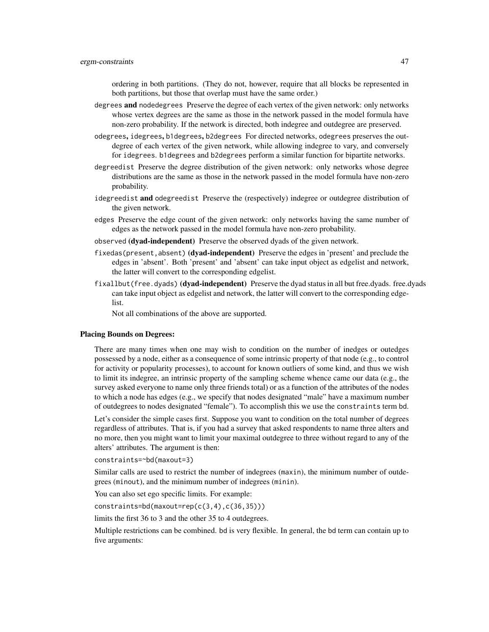ordering in both partitions. (They do not, however, require that all blocks be represented in both partitions, but those that overlap must have the same order.)

- degrees and nodedegrees Preserve the degree of each vertex of the given network: only networks whose vertex degrees are the same as those in the network passed in the model formula have non-zero probability. If the network is directed, both indegree and outdegree are preserved.
- odegrees, idegrees, b1degrees, b2degrees For directed networks, odegrees preserves the outdegree of each vertex of the given network, while allowing indegree to vary, and conversely for idegrees. b1degrees and b2degrees perform a similar function for bipartite networks.
- degreedist Preserve the degree distribution of the given network: only networks whose degree distributions are the same as those in the network passed in the model formula have non-zero probability.
- idegreedist and odegreedist Preserve the (respectively) indegree or outdegree distribution of the given network.
- edges Preserve the edge count of the given network: only networks having the same number of edges as the network passed in the model formula have non-zero probability.
- observed (dyad-independent) Preserve the observed dyads of the given network.
- fixedas(present, absent) (dyad-independent) Preserve the edges in 'present' and preclude the edges in 'absent'. Both 'present' and 'absent' can take input object as edgelist and network, the latter will convert to the corresponding edgelist.
- fixallbut (free.dyads) (dyad-independent) Preserve the dyad status in all but free.dyads. free.dyads can take input object as edgelist and network, the latter will convert to the corresponding edgelist.

Not all combinations of the above are supported.

### Placing Bounds on Degrees:

There are many times when one may wish to condition on the number of inedges or outedges possessed by a node, either as a consequence of some intrinsic property of that node (e.g., to control for activity or popularity processes), to account for known outliers of some kind, and thus we wish to limit its indegree, an intrinsic property of the sampling scheme whence came our data (e.g., the survey asked everyone to name only three friends total) or as a function of the attributes of the nodes to which a node has edges (e.g., we specify that nodes designated "male" have a maximum number of outdegrees to nodes designated "female"). To accomplish this we use the constraints term bd.

Let's consider the simple cases first. Suppose you want to condition on the total number of degrees regardless of attributes. That is, if you had a survey that asked respondents to name three alters and no more, then you might want to limit your maximal outdegree to three without regard to any of the alters' attributes. The argument is then:

constraints=~bd(maxout=3)

Similar calls are used to restrict the number of indegrees (maxin), the minimum number of outdegrees (minout), and the minimum number of indegrees (minin).

You can also set ego specific limits. For example:

 $constraints=bd(maxout=rep(c(3,4),c(36,35)))$ 

limits the first 36 to 3 and the other 35 to 4 outdegrees.

Multiple restrictions can be combined. bd is very flexible. In general, the bd term can contain up to five arguments: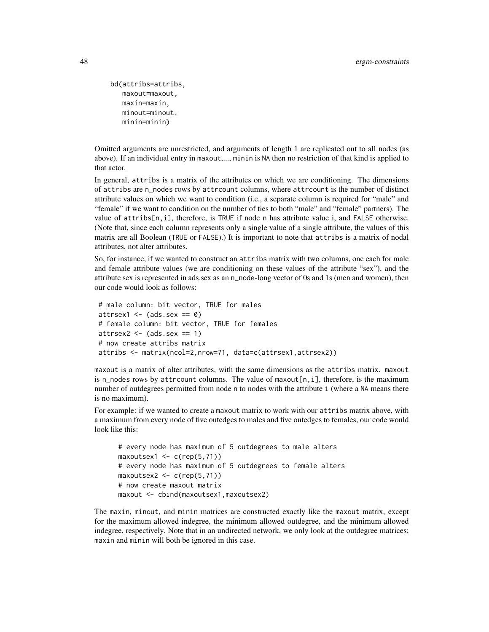```
bd(attribs=attribs,
  maxout=maxout,
  maxin=maxin,
  minout=minout,
  minin=minin)
```
Omitted arguments are unrestricted, and arguments of length 1 are replicated out to all nodes (as above). If an individual entry in maxout,..., minin is NA then no restriction of that kind is applied to that actor.

In general, attribs is a matrix of the attributes on which we are conditioning. The dimensions of attribs are n\_nodes rows by attrcount columns, where attrcount is the number of distinct attribute values on which we want to condition (i.e., a separate column is required for "male" and "female" if we want to condition on the number of ties to both "male" and "female" partners). The value of attribs[n,i], therefore, is TRUE if node n has attribute value i, and FALSE otherwise. (Note that, since each column represents only a single value of a single attribute, the values of this matrix are all Boolean (TRUE or FALSE).) It is important to note that attribs is a matrix of nodal attributes, not alter attributes.

So, for instance, if we wanted to construct an attribs matrix with two columns, one each for male and female attribute values (we are conditioning on these values of the attribute "sex"), and the attribute sex is represented in ads.sex as an n\_node-long vector of 0s and 1s (men and women), then our code would look as follows:

```
# male column: bit vector, TRUE for males
attrsex1 \leq (ads.sex == 0)
# female column: bit vector, TRUE for females
attrsex2 \leq - (ads.sex == 1)
# now create attribs matrix
attribs <- matrix(ncol=2,nrow=71, data=c(attrsex1,attrsex2))
```
maxout is a matrix of alter attributes, with the same dimensions as the attribs matrix. maxout is n\_nodes rows by attrcount columns. The value of maxout[n,i], therefore, is the maximum number of outdegrees permitted from node n to nodes with the attribute i (where a NA means there is no maximum).

For example: if we wanted to create a maxout matrix to work with our attribs matrix above, with a maximum from every node of five outedges to males and five outedges to females, our code would look like this:

```
# every node has maximum of 5 outdegrees to male alters
maxoutsex1 < -c(rep(5,71))# every node has maximum of 5 outdegrees to female alters
maxoutsex2 \leq c(rep(5,71))# now create maxout matrix
maxout <- cbind(maxoutsex1,maxoutsex2)
```
The maxin, minout, and minin matrices are constructed exactly like the maxout matrix, except for the maximum allowed indegree, the minimum allowed outdegree, and the minimum allowed indegree, respectively. Note that in an undirected network, we only look at the outdegree matrices; maxin and minin will both be ignored in this case.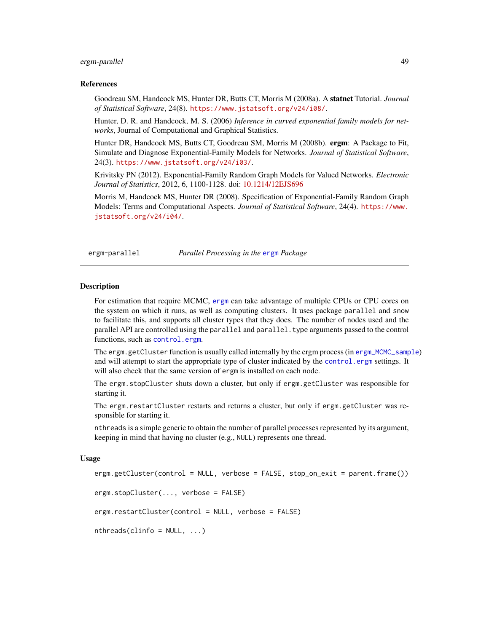## ergm-parallel 49

### References

Goodreau SM, Handcock MS, Hunter DR, Butts CT, Morris M (2008a). A statnet Tutorial. *Journal of Statistical Software*, 24(8). <https://www.jstatsoft.org/v24/i08/>.

Hunter, D. R. and Handcock, M. S. (2006) *Inference in curved exponential family models for networks*, Journal of Computational and Graphical Statistics.

Hunter DR, Handcock MS, Butts CT, Goodreau SM, Morris M (2008b). ergm: A Package to Fit, Simulate and Diagnose Exponential-Family Models for Networks. *Journal of Statistical Software*, 24(3). <https://www.jstatsoft.org/v24/i03/>.

Krivitsky PN (2012). Exponential-Family Random Graph Models for Valued Networks. *Electronic Journal of Statistics*, 2012, 6, 1100-1128. doi: [10.1214/12EJS696](https://doi.org/10.1214/12-EJS696)

Morris M, Handcock MS, Hunter DR (2008). Specification of Exponential-Family Random Graph Models: Terms and Computational Aspects. *Journal of Statistical Software*, 24(4). [https://www.](https://www.jstatsoft.org/v24/i04/) [jstatsoft.org/v24/i04/](https://www.jstatsoft.org/v24/i04/).

ergm-parallel *Parallel Processing in the* [ergm](#page-3-0) *Package*

### Description

For estimation that require MCMC, [ergm](#page-3-0) can take advantage of multiple CPUs or CPU cores on the system on which it runs, as well as computing clusters. It uses package parallel and snow to facilitate this, and supports all cluster types that they does. The number of nodes used and the parallel API are controlled using the parallel and parallel. type arguments passed to the control functions, such as [control.ergm](#page-12-0).

The ergm.getCluster function is usually called internally by the ergm process (in [ergm\\_MCMC\\_sample](#page-93-0)) and will attempt to start the appropriate type of cluster indicated by the [control.ergm](#page-12-0) settings. It will also check that the same version of ergm is installed on each node.

The ergm.stopCluster shuts down a cluster, but only if ergm.getCluster was responsible for starting it.

The ergm.restartCluster restarts and returns a cluster, but only if ergm.getCluster was responsible for starting it.

nthreads is a simple generic to obtain the number of parallel processes represented by its argument, keeping in mind that having no cluster (e.g., NULL) represents one thread.

#### Usage

```
ergm.getCluster(control = NULL, verbose = FALSE, stop_on_exit = parent.frame())
```

```
ergm.stopCluster(..., verbose = FALSE)
```
ergm.restartCluster(control = NULL, verbose = FALSE)

```
nthreads(clinfo = NULL, ...)
```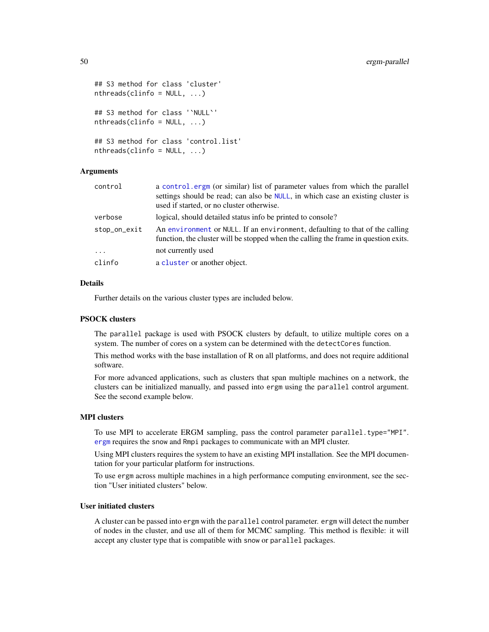```
## S3 method for class 'cluster'
nthreads(clinfo = NULL, ...)## S3 method for class '`NULL`'
nthreads(clinfo = NULL, ...)
## S3 method for class 'control.list'
nthreads(clinfo = NULL, ...)
```
# Arguments

| control      | a control ergm (or similar) list of parameter values from which the parallel<br>settings should be read; can also be NULL, in which case an existing cluster is<br>used if started, or no cluster otherwise. |
|--------------|--------------------------------------------------------------------------------------------------------------------------------------------------------------------------------------------------------------|
| verbose      | logical, should detailed status info be printed to console?                                                                                                                                                  |
| stop_on_exit | An environment or NULL. If an environment, defaulting to that of the calling<br>function, the cluster will be stopped when the calling the frame in question exits.                                          |
| $\cdots$     | not currently used                                                                                                                                                                                           |
| clinfo       | a cluster or another object.                                                                                                                                                                                 |

### Details

Further details on the various cluster types are included below.

## PSOCK clusters

The parallel package is used with PSOCK clusters by default, to utilize multiple cores on a system. The number of cores on a system can be determined with the detectCores function.

This method works with the base installation of R on all platforms, and does not require additional software.

For more advanced applications, such as clusters that span multiple machines on a network, the clusters can be initialized manually, and passed into ergm using the parallel control argument. See the second example below.

## MPI clusters

To use MPI to accelerate ERGM sampling, pass the control parameter parallel.type="MPI". [ergm](#page-3-0) requires the snow and Rmpi packages to communicate with an MPI cluster.

Using MPI clusters requires the system to have an existing MPI installation. See the MPI documentation for your particular platform for instructions.

To use ergm across multiple machines in a high performance computing environment, see the section "User initiated clusters" below.

# User initiated clusters

A cluster can be passed into ergm with the parallel control parameter. ergm will detect the number of nodes in the cluster, and use all of them for MCMC sampling. This method is flexible: it will accept any cluster type that is compatible with snow or parallel packages.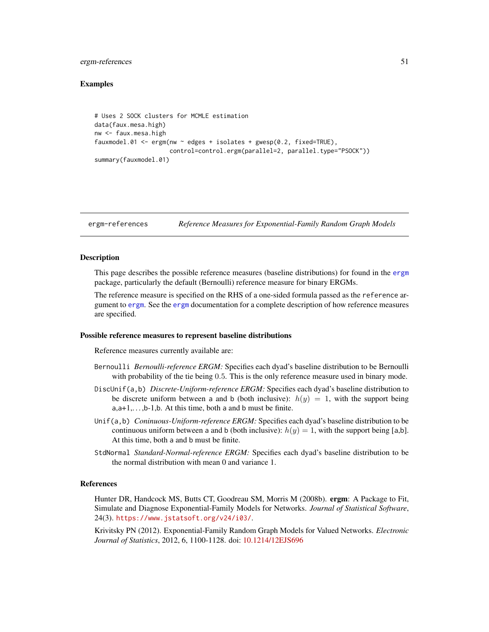### ergm-references 51

## Examples

```
# Uses 2 SOCK clusters for MCMLE estimation
data(faux.mesa.high)
nw <- faux.mesa.high
fauxmodel.01 <- ergm(nw ~ edges + isolates + gwesp(0.2, fixed=TRUE),
                     control=control.ergm(parallel=2, parallel.type="PSOCK"))
summary(fauxmodel.01)
```
<span id="page-50-0"></span>

### ergm-references *Reference Measures for Exponential-Family Random Graph Models*

## Description

This page describes the possible reference measures (baseline distributions) for found in the [ergm](#page-3-0) package, particularly the default (Bernoulli) reference measure for binary ERGMs.

The reference measure is specified on the RHS of a one-sided formula passed as the reference argument to [ergm](#page-37-0). See the [ergm](#page-37-0) documentation for a complete description of how reference measures are specified.

### Possible reference measures to represent baseline distributions

Reference measures currently available are:

- Bernoulli *Bernoulli-reference ERGM:* Specifies each dyad's baseline distribution to be Bernoulli with probability of the tie being 0.5. This is the only reference measure used in binary mode.
- DiscUnif(a,b) *Discrete-Uniform-reference ERGM:* Specifies each dyad's baseline distribution to be discrete uniform between a and b (both inclusive):  $h(y) = 1$ , with the support being  $a, a+1, \ldots, b-1, b$ . At this time, both a and b must be finite.
- Unif(a,b) *Coninuous-Uniform-reference ERGM:* Specifies each dyad's baseline distribution to be continuous uniform between a and b (both inclusive):  $h(y) = 1$ , with the support being [a,b]. At this time, both a and b must be finite.
- StdNormal *Standard-Normal-reference ERGM:* Specifies each dyad's baseline distribution to be the normal distribution with mean 0 and variance 1.

#### References

Hunter DR, Handcock MS, Butts CT, Goodreau SM, Morris M (2008b). ergm: A Package to Fit, Simulate and Diagnose Exponential-Family Models for Networks. *Journal of Statistical Software*, 24(3). <https://www.jstatsoft.org/v24/i03/>.

Krivitsky PN (2012). Exponential-Family Random Graph Models for Valued Networks. *Electronic Journal of Statistics*, 2012, 6, 1100-1128. doi: [10.1214/12EJS696](https://doi.org/10.1214/12-EJS696)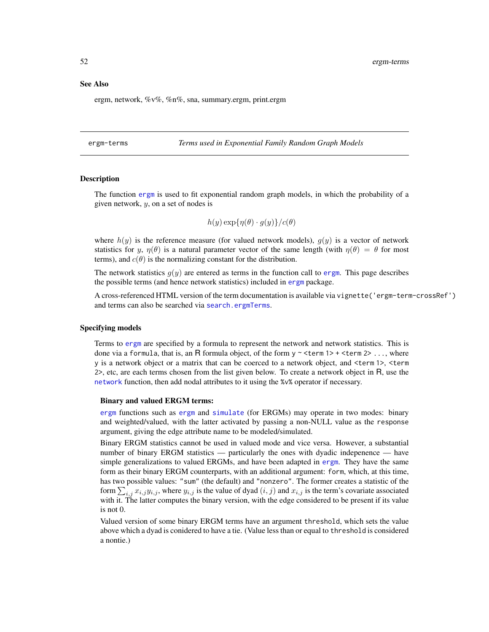### See Also

ergm, network, %v%, %n%, sna, summary.ergm, print.ergm

<span id="page-51-0"></span>ergm-terms *Terms used in Exponential Family Random Graph Models*

## **Description**

The function [ergm](#page-37-0) is used to fit exponential random graph models, in which the probability of a given network, y, on a set of nodes is

$$
h(y) \exp{\{\eta(\theta) \cdot g(y)\}} / c(\theta)
$$

where  $h(y)$  is the reference measure (for valued network models),  $g(y)$  is a vector of network statistics for y,  $\eta(\theta)$  is a natural parameter vector of the same length (with  $\eta(\theta) = \theta$  for most terms), and  $c(\theta)$  is the normalizing constant for the distribution.

The network statistics  $g(y)$  are entered as terms in the function call to [ergm](#page-37-0). This page describes the possible terms (and hence network statistics) included in [ergm](#page-3-0) package.

A cross-referenced HTML version of the term documentation is available via vignette('ergm-term-crossRef') and terms can also be searched via [search.ergmTerms](#page-136-0).

#### Specifying models

Terms to [ergm](#page-37-0) are specified by a formula to represent the network and network statistics. This is done via a formula, that is, an R formula object, of the form  $y \sim$  <term 1> + <term 2> ..., where y is a network object or a matrix that can be coerced to a network object, and <term 1>, <term 2>, etc, are each terms chosen from the list given below. To create a network object in R, use the [network](#page-0-0) function, then add nodal attributes to it using the %v% operator if necessary.

### Binary and valued ERGM terms:

[ergm](#page-3-0) functions such as [ergm](#page-37-0) and [simulate](#page-143-0) (for ERGMs) may operate in two modes: binary and weighted/valued, with the latter activated by passing a non-NULL value as the response argument, giving the edge attribute name to be modeled/simulated.

Binary ERGM statistics cannot be used in valued mode and vice versa. However, a substantial number of binary ERGM statistics — particularly the ones with dyadic indepenence — have simple generalizations to valued ERGMs, and have been adapted in [ergm](#page-3-0). They have the same form as their binary ERGM counterparts, with an additional argument: form, which, at this time, has two possible values: "sum" (the default) and "nonzero". The former creates a statistic of the form  $\sum_{i,j} x_{i,j} y_{i,j}$ , where  $y_{i,j}$  is the value of dyad  $(i, j)$  and  $x_{i,j}$  is the term's covariate associated with it. The latter computes the binary version, with the edge considered to be present if its value is not 0.

Valued version of some binary ERGM terms have an argument threshold, which sets the value above which a dyad is conidered to have a tie. (Value less than or equal to threshold is considered a nontie.)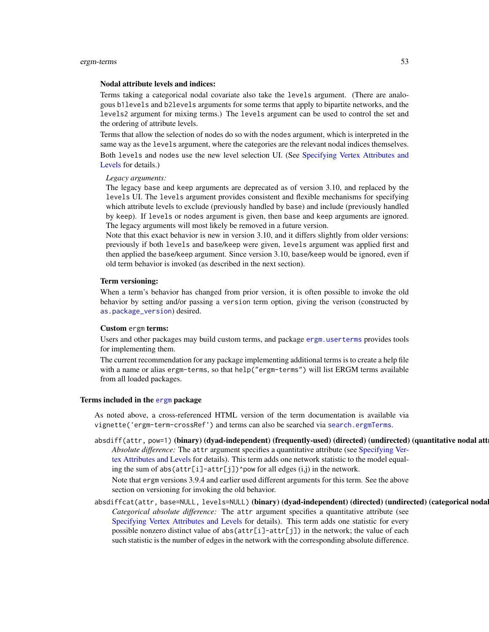### Nodal attribute levels and indices:

Terms taking a categorical nodal covariate also take the levels argument. (There are analogous b1levels and b2levels arguments for some terms that apply to bipartite networks, and the levels2 argument for mixing terms.) The levels argument can be used to control the set and the ordering of attribute levels.

Terms that allow the selection of nodes do so with the nodes argument, which is interpreted in the same way as the levels argument, where the categories are the relevant nodal indices themselves. Both levels and nodes use the new level selection UI. (See [Specifying Vertex Attributes and](#page-124-0) [Levels](#page-124-0) for details.)

#### *Legacy arguments:*

The legacy base and keep arguments are deprecated as of version 3.10, and replaced by the levels UI. The levels argument provides consistent and flexible mechanisms for specifying which attribute levels to exclude (previously handled by base) and include (previously handled by keep). If levels or nodes argument is given, then base and keep arguments are ignored. The legacy arguments will most likely be removed in a future version.

Note that this exact behavior is new in version 3.10, and it differs slightly from older versions: previously if both levels and base/keep were given, levels argument was applied first and then applied the base/keep argument. Since version 3.10, base/keep would be ignored, even if old term behavior is invoked (as described in the next section).

## Term versioning:

When a term's behavior has changed from prior version, it is often possible to invoke the old behavior by setting and/or passing a version term option, giving the verison (constructed by [as.package\\_version](#page-0-0)) desired.

## Custom ergm terms:

Users and other packages may build custom terms, and package [ergm.userterms](#page-0-0) provides tools for implementing them.

The current recommendation for any package implementing additional terms is to create a help file with a name or alias ergm-terms, so that help("ergm-terms") will list ERGM terms available from all loaded packages.

## Terms included in the [ergm](#page-3-0) package

As noted above, a cross-referenced HTML version of the term documentation is available via vignette('ergm-term-crossRef') and terms can also be searched via [search.ergmTerms](#page-136-0).

- absdiff(attr, pow=1) (binary) (dyad-independent) (frequently-used) (directed) (undirected) (quantitative nodal att *Absolute difference:* The attr argument specifies a quantitative attribute (see [Specifying Ver](#page-124-0)[tex Attributes and Levels](#page-124-0) for details). This term adds one network statistic to the model equaling the sum of abs( $attr[i]-attr[j])$ ^pow for all edges  $(i,j)$  in the network. Note that ergm versions 3.9.4 and earlier used different arguments for this term. See the above section on versioning for invoking the old behavior.
- absdiffcat(attr, base=NULL, levels=NULL) (binary) (dyad-independent) (directed) (undirected) (categorical noda *Categorical absolute difference:* The attr argument specifies a quantitative attribute (see [Specifying Vertex Attributes and Levels](#page-124-0) for details). This term adds one statistic for every possible nonzero distinct value of abs(attr[i]-attr[j]) in the network; the value of each such statistic is the number of edges in the network with the corresponding absolute difference.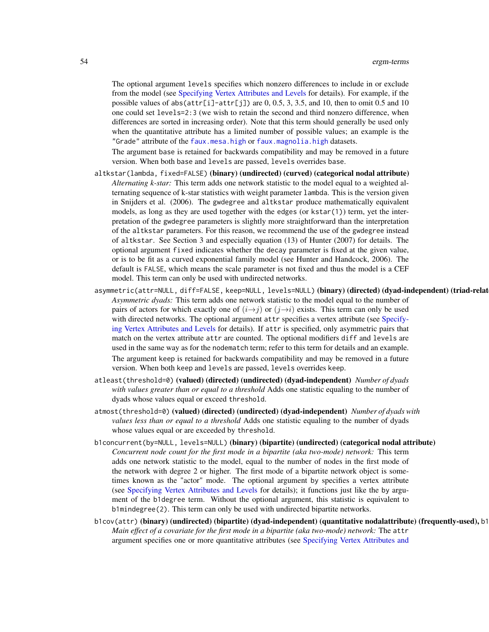The optional argument levels specifies which nonzero differences to include in or exclude from the model (see [Specifying Vertex Attributes and Levels](#page-124-0) for details). For example, if the possible values of abs(attr[i]-attr[j]) are  $0, 0.5, 3, 3.5$ , and 10, then to omit 0.5 and 10 one could set levels=2:3 (we wish to retain the second and third nonzero difference, when differences are sorted in increasing order). Note that this term should generally be used only when the quantitative attribute has a limited number of possible values; an example is the "Grade" attribute of the [faux.mesa.high](#page-101-0) or [faux.magnolia.high](#page-100-0) datasets.

The argument base is retained for backwards compatibility and may be removed in a future version. When both base and levels are passed, levels overrides base.

- altkstar(lambda, fixed=FALSE) (binary) (undirected) (curved) (categorical nodal attribute) *Alternating k-star:* This term adds one network statistic to the model equal to a weighted alternating sequence of k-star statistics with weight parameter lambda. This is the version given in Snijders et al. (2006). The gwdegree and altkstar produce mathematically equivalent models, as long as they are used together with the edges (or kstar(1)) term, yet the interpretation of the gwdegree parameters is slightly more straightforward than the interpretation of the altkstar parameters. For this reason, we recommend the use of the gwdegree instead of altkstar. See Section 3 and especially equation (13) of Hunter (2007) for details. The optional argument fixed indicates whether the decay parameter is fixed at the given value, or is to be fit as a curved exponential family model (see Hunter and Handcock, 2006). The default is FALSE, which means the scale parameter is not fixed and thus the model is a CEF model. This term can only be used with undirected networks.
- asymmetric(attr=NULL, diff=FALSE, keep=NULL, levels=NULL) (binary) (directed) (dyad-independent) (triad-relat *Asymmetric dyads:* This term adds one network statistic to the model equal to the number of pairs of actors for which exactly one of  $(i \rightarrow j)$  or  $(j \rightarrow i)$  exists. This term can only be used with directed networks. The optional argument attr specifies a vertex attribute (see [Specify](#page-124-0)[ing Vertex Attributes and Levels](#page-124-0) for details). If attr is specified, only asymmetric pairs that match on the vertex attribute attr are counted. The optional modifiers diff and levels are used in the same way as for the nodematch term; refer to this term for details and an example. The argument keep is retained for backwards compatibility and may be removed in a future version. When both keep and levels are passed, levels overrides keep.
- atleast(threshold=0) (valued) (directed) (undirected) (dyad-independent) *Number of dyads with values greater than or equal to a threshold* Adds one statistic equaling to the number of dyads whose values equal or exceed threshold.
- atmost(threshold=0) (valued) (directed) (undirected) (dyad-independent) *Number of dyads with values less than or equal to a threshold* Adds one statistic equaling to the number of dyads whose values equal or are exceeded by threshold.
- b1concurrent(by=NULL, levels=NULL) (binary) (bipartite) (undirected) (categorical nodal attribute) *Concurrent node count for the first mode in a bipartite (aka two-mode) network:* This term adds one network statistic to the model, equal to the number of nodes in the first mode of the network with degree 2 or higher. The first mode of a bipartite network object is sometimes known as the "actor" mode. The optional argument by specifies a vertex attribute (see [Specifying Vertex Attributes and Levels](#page-124-0) for details); it functions just like the by argument of the b1degree term. Without the optional argument, this statistic is equivalent to b1mindegree(2). This term can only be used with undirected bipartite networks.
- b1cov(attr) (binary) (undirected) (bipartite) (dyad-independent) (quantitative nodalattribute) (frequently-used), b1 *Main effect of a covariate for the first mode in a bipartite (aka two-mode) network:* The attr argument specifies one or more quantitative attributes (see [Specifying Vertex Attributes and](#page-124-0)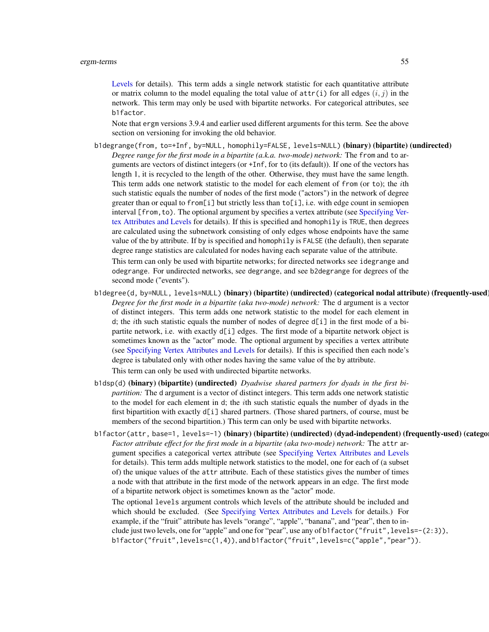[Levels](#page-124-0) for details). This term adds a single network statistic for each quantitative attribute or matrix column to the model equaling the total value of  $\text{attr}(i)$  for all edges  $(i, j)$  in the network. This term may only be used with bipartite networks. For categorical attributes, see b1factor.

Note that ergm versions 3.9.4 and earlier used different arguments for this term. See the above section on versioning for invoking the old behavior.

- b1degrange(from, to=+Inf, by=NULL, homophily=FALSE, levels=NULL) (binary) (bipartite) (undirected) *Degree range for the first mode in a bipartite (a.k.a. two-mode) network:* The from and to arguments are vectors of distinct integers (or +Inf, for to (its default)). If one of the vectors has length 1, it is recycled to the length of the other. Otherwise, they must have the same length. This term adds one network statistic to the model for each element of from (or to); the ith such statistic equals the number of nodes of the first mode ("actors") in the network of degree greater than or equal to from [i] but strictly less than  $to$  [i], i.e. with edge count in semiopen interval [from, to). The optional argument by specifies a vertex attribute (see [Specifying Ver](#page-124-0)[tex Attributes and Levels](#page-124-0) for details). If this is specified and homophily is TRUE, then degrees are calculated using the subnetwork consisting of only edges whose endpoints have the same value of the by attribute. If by is specified and homophily is FALSE (the default), then separate degree range statistics are calculated for nodes having each separate value of the attribute. This term can only be used with bipartite networks; for directed networks see idegrange and odegrange. For undirected networks, see degrange, and see b2degrange for degrees of the second mode ("events").
- b1degree(d, by=NULL, levels=NULL) (binary) (bipartite) (undirected) (categorical nodal attribute) (frequently-used) *Degree for the first mode in a bipartite (aka two-mode) network:* The d argument is a vector of distinct integers. This term adds one network statistic to the model for each element in d; the *i*th such statistic equals the number of nodes of degree  $d[i]$  in the first mode of a bipartite network, i.e. with exactly d[i] edges. The first mode of a bipartite network object is sometimes known as the "actor" mode. The optional argument by specifies a vertex attribute (see [Specifying Vertex Attributes and Levels](#page-124-0) for details). If this is specified then each node's degree is tabulated only with other nodes having the same value of the by attribute.

This term can only be used with undirected bipartite networks.

- b1dsp(d) (binary) (bipartite) (undirected) *Dyadwise shared partners for dyads in the first bipartition:* The d argument is a vector of distinct integers. This term adds one network statistic to the model for each element in d; the ith such statistic equals the number of dyads in the first bipartition with exactly d[i] shared partners. (Those shared partners, of course, must be members of the second bipartition.) This term can only be used with bipartite networks.
- b1factor(attr, base=1, levels=-1) (binary) (bipartite) (undirected) (dyad-independent) (frequently-used) (catego *Factor attribute effect for the first mode in a bipartite (aka two-mode) network:* The attr argument specifies a categorical vertex attribute (see [Specifying Vertex Attributes and Levels](#page-124-0) for details). This term adds multiple network statistics to the model, one for each of (a subset of) the unique values of the attr attribute. Each of these statistics gives the number of times a node with that attribute in the first mode of the network appears in an edge. The first mode of a bipartite network object is sometimes known as the "actor" mode.

The optional levels argument controls which levels of the attribute should be included and which should be excluded. (See [Specifying Vertex Attributes and Levels](#page-124-0) for details.) For example, if the "fruit" attribute has levels "orange", "apple", "banana", and "pear", then to include just two levels, one for "apple" and one for "pear", use any of b1factor("fruit",levels=-(2:3)), b1factor("fruit",levels=c(1,4)), and b1factor("fruit",levels=c("apple","pear")).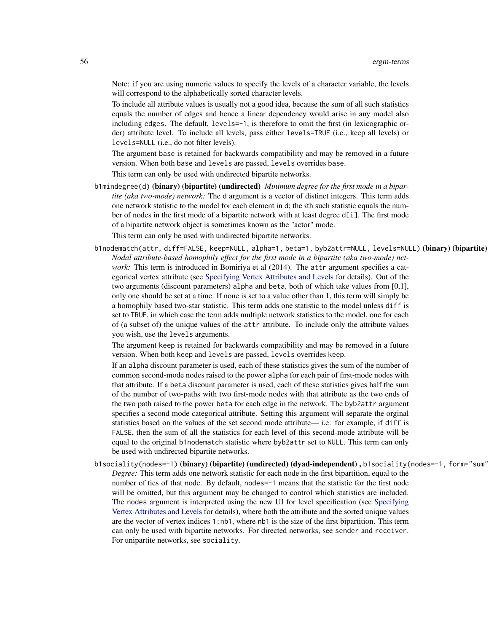Note: if you are using numeric values to specify the levels of a character variable, the levels will correspond to the alphabetically sorted character levels.

To include all attribute values is usually not a good idea, because the sum of all such statistics equals the number of edges and hence a linear dependency would arise in any model also including edges. The default, levels=-1, is therefore to omit the first (in lexicographic order) attribute level. To include all levels, pass either levels=TRUE (i.e., keep all levels) or levels=NULL (i.e., do not filter levels).

The argument base is retained for backwards compatibility and may be removed in a future version. When both base and levels are passed, levels overrides base.

This term can only be used with undirected bipartite networks.

b1mindegree(d) (binary) (bipartite) (undirected) *Minimum degree for the first mode in a bipartite (aka two-mode) network:* The d argument is a vector of distinct integers. This term adds one network statistic to the model for each element in d; the ith such statistic equals the number of nodes in the first mode of a bipartite network with at least degree d[i]. The first mode of a bipartite network object is sometimes known as the "actor" mode. This term can only be used with undirected bipartite networks.

b1nodematch(attr, diff=FALSE, keep=NULL, alpha=1, beta=1, byb2attr=NULL, levels=NULL) (binary) (bipartite) *Nodal attribute-based homophily effect for the first mode in a bipartite (aka two-mode) network:* This term is introduced in Bomiriya et al (2014). The attr argument specifies a categorical vertex attribute (see [Specifying Vertex Attributes and Levels](#page-124-0) for details). Out of the two arguments (discount parameters) alpha and beta, both of which take values from [0,1], only one should be set at a time. If none is set to a value other than 1, this term will simply be a homophily based two-star statistic. This term adds one statistic to the model unless diff is set to TRUE, in which case the term adds multiple network statistics to the model, one for each of (a subset of) the unique values of the attr attribute. To include only the attribute values you wish, use the levels arguments.

The argument keep is retained for backwards compatibility and may be removed in a future version. When both keep and levels are passed, levels overrides keep.

If an alpha discount parameter is used, each of these statistics gives the sum of the number of common second-mode nodes raised to the power alpha for each pair of first-mode nodes with that attribute. If a beta discount parameter is used, each of these statistics gives half the sum of the number of two-paths with two first-mode nodes with that attribute as the two ends of the two path raised to the power beta for each edge in the network. The byb2attr argument specifies a second mode categorical attribute. Setting this argument will separate the orginal statistics based on the values of the set second mode attribute— i.e. for example, if diff is FALSE, then the sum of all the statistics for each level of this second-mode attribute will be equal to the original b1nodematch statistic where byb2attr set to NULL. This term can only be used with undirected bipartite networks.

b1sociality(nodes=-1) (binary) (bipartite) (undirected) (dyad-independent), b1sociality(nodes=-1, form="sum" *Degree:* This term adds one network statistic for each node in the first bipartition, equal to the number of ties of that node. By default, nodes=-1 means that the statistic for the first node will be omitted, but this argument may be changed to control which statistics are included. The nodes argument is interpreted using the new UI for level specification (see [Specifying](#page-124-0) [Vertex Attributes and Levels](#page-124-0) for details), where both the attribute and the sorted unique values are the vector of vertex indices 1:nb1, where nb1 is the size of the first bipartition. This term can only be used with bipartite networks. For directed networks, see sender and receiver. For unipartite networks, see sociality.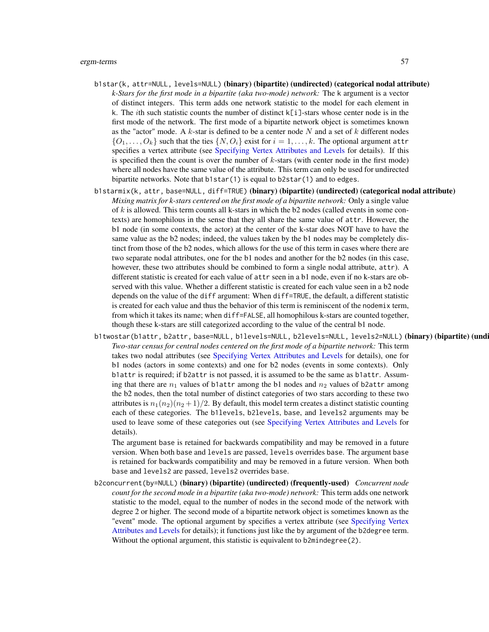### ergm-terms 57

- b1star(k, attr=NULL, levels=NULL) (binary) (bipartite) (undirected) (categorical nodal attribute) *k-Stars for the first mode in a bipartite (aka two-mode) network:* The k argument is a vector of distinct integers. This term adds one network statistic to the model for each element in k. The *i*th such statistic counts the number of distinct  $k[i]$ -stars whose center node is in the first mode of the network. The first mode of a bipartite network object is sometimes known as the "actor" mode. A  $k$ -star is defined to be a center node N and a set of  $k$  different nodes  $\{O_1, \ldots, O_k\}$  such that the ties  $\{N, O_i\}$  exist for  $i = 1, \ldots, k$ . The optional argument attr specifies a vertex attribute (see [Specifying Vertex Attributes and Levels](#page-124-0) for details). If this is specified then the count is over the number of  $k$ -stars (with center node in the first mode) where all nodes have the same value of the attribute. This term can only be used for undirected bipartite networks. Note that b1star(1) is equal to b2star(1) and to edges.
- b1starmix(k, attr, base=NULL, diff=TRUE) (binary) (bipartite) (undirected) (categorical nodal attribute) *Mixing matrix for k-stars centered on the first mode of a bipartite network:* Only a single value of  $k$  is allowed. This term counts all k-stars in which the b2 nodes (called events in some contexts) are homophilous in the sense that they all share the same value of attr. However, the b1 node (in some contexts, the actor) at the center of the k-star does NOT have to have the same value as the b2 nodes; indeed, the values taken by the b1 nodes may be completely distinct from those of the b2 nodes, which allows for the use of this term in cases where there are two separate nodal attributes, one for the b1 nodes and another for the b2 nodes (in this case, however, these two attributes should be combined to form a single nodal attribute, attr). A different statistic is created for each value of attr seen in a b1 node, even if no k-stars are observed with this value. Whether a different statistic is created for each value seen in a b2 node depends on the value of the diff argument: When diff=TRUE, the default, a different statistic is created for each value and thus the behavior of this term is reminiscent of the nodemix term, from which it takes its name; when diff=FALSE, all homophilous k-stars are counted together, though these k-stars are still categorized according to the value of the central b1 node.
- b1twostar(b1attr, b2attr, base=NULL, b1levels=NULL, b2levels=NULL, levels2=NULL) (binary) (bipartite) (undi *Two-star census for central nodes centered on the first mode of a bipartite network:* This term takes two nodal attributes (see [Specifying Vertex Attributes and Levels](#page-124-0) for details), one for b1 nodes (actors in some contexts) and one for b2 nodes (events in some contexts). Only b1attr is required; if b2attr is not passed, it is assumed to be the same as b1attr. Assuming that there are  $n_1$  values of b1attr among the b1 nodes and  $n_2$  values of b2attr among the b2 nodes, then the total number of distinct categories of two stars according to these two attributes is  $n_1(n_2)(n_2+1)/2$ . By default, this model term creates a distinct statistic counting each of these categories. The b1levels, b2levels, base, and levels2 arguments may be used to leave some of these categories out (see [Specifying Vertex Attributes and Levels](#page-124-0) for details).

The argument base is retained for backwards compatibility and may be removed in a future version. When both base and levels are passed, levels overrides base. The argument base is retained for backwards compatibility and may be removed in a future version. When both base and levels2 are passed, levels2 overrides base.

b2concurrent(by=NULL) (binary) (bipartite) (undirected) (frequently-used) *Concurrent node count for the second mode in a bipartite (aka two-mode) network:* This term adds one network statistic to the model, equal to the number of nodes in the second mode of the network with degree 2 or higher. The second mode of a bipartite network object is sometimes known as the "event" mode. The optional argument by specifies a vertex attribute (see [Specifying Vertex](#page-124-0) [Attributes and Levels](#page-124-0) for details); it functions just like the by argument of the b2degree term. Without the optional argument, this statistic is equivalent to b2mindegree(2).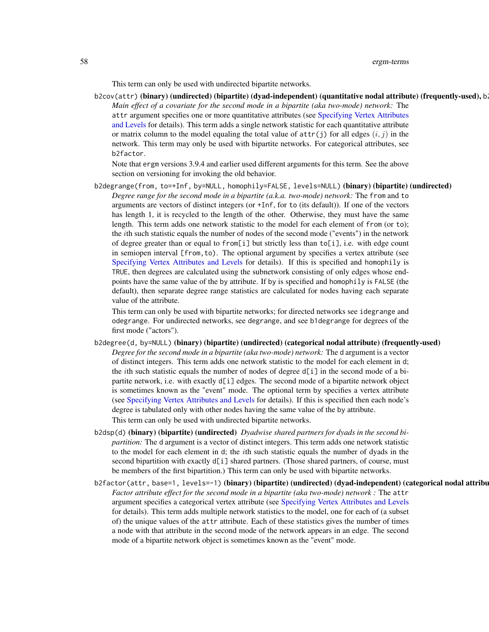58 ergm-terms

This term can only be used with undirected bipartite networks.

b2cov(attr) (binary) (undirected) (bipartite) (dyad-independent) (quantitative nodal attribute) (frequently-used), b *Main effect of a covariate for the second mode in a bipartite (aka two-mode) network:* The attr argument specifies one or more quantitative attributes (see [Specifying Vertex Attributes](#page-124-0) [and Levels](#page-124-0) for details). This term adds a single network statistic for each quantitative attribute or matrix column to the model equaling the total value of  $attr(j)$  for all edges  $(i, j)$  in the network. This term may only be used with bipartite networks. For categorical attributes, see b2factor.

Note that ergm versions 3.9.4 and earlier used different arguments for this term. See the above section on versioning for invoking the old behavior.

b2degrange(from, to=+Inf, by=NULL, homophily=FALSE, levels=NULL) (binary) (bipartite) (undirected) *Degree range for the second mode in a bipartite (a.k.a. two-mode) network:* The from and to arguments are vectors of distinct integers (or +Inf, for to (its default)). If one of the vectors has length 1, it is recycled to the length of the other. Otherwise, they must have the same length. This term adds one network statistic to the model for each element of from (or to); the ith such statistic equals the number of nodes of the second mode ("events") in the network of degree greater than or equal to from[i] but strictly less than  $to$ [i], i.e. with edge count in semiopen interval [from,to). The optional argument by specifies a vertex attribute (see [Specifying Vertex Attributes and Levels](#page-124-0) for details). If this is specified and homophily is TRUE, then degrees are calculated using the subnetwork consisting of only edges whose endpoints have the same value of the by attribute. If by is specified and homophily is FALSE (the default), then separate degree range statistics are calculated for nodes having each separate value of the attribute.

This term can only be used with bipartite networks; for directed networks see idegrange and odegrange. For undirected networks, see degrange, and see b1degrange for degrees of the first mode ("actors").

- b2degree(d, by=NULL) (binary) (bipartite) (undirected) (categorical nodal attribute) (frequently-used) *Degree for the second mode in a bipartite (aka two-mode) network:* The d argument is a vector of distinct integers. This term adds one network statistic to the model for each element in d; the *i*th such statistic equals the number of nodes of degree  $d[i]$  in the second mode of a bipartite network, i.e. with exactly d[i] edges. The second mode of a bipartite network object is sometimes known as the "event" mode. The optional term by specifies a vertex attribute (see [Specifying Vertex Attributes and Levels](#page-124-0) for details). If this is specified then each node's degree is tabulated only with other nodes having the same value of the by attribute. This term can only be used with undirected bipartite networks.
- b2dsp(d) (binary) (bipartite) (undirected) *Dyadwise shared partners for dyads in the second bipartition:* The d argument is a vector of distinct integers. This term adds one network statistic to the model for each element in d; the ith such statistic equals the number of dyads in the second bipartition with exactly d[i] shared partners. (Those shared partners, of course, must be members of the first bipartition.) This term can only be used with bipartite networks.
- b2factor(attr, base=1, levels=-1) (binary) (bipartite) (undirected) (dyad-independent) (categorical nodal attribu *Factor attribute effect for the second mode in a bipartite (aka two-mode) network :* The attr argument specifies a categorical vertex attribute (see [Specifying Vertex Attributes and Levels](#page-124-0) for details). This term adds multiple network statistics to the model, one for each of (a subset of) the unique values of the attr attribute. Each of these statistics gives the number of times a node with that attribute in the second mode of the network appears in an edge. The second mode of a bipartite network object is sometimes known as the "event" mode.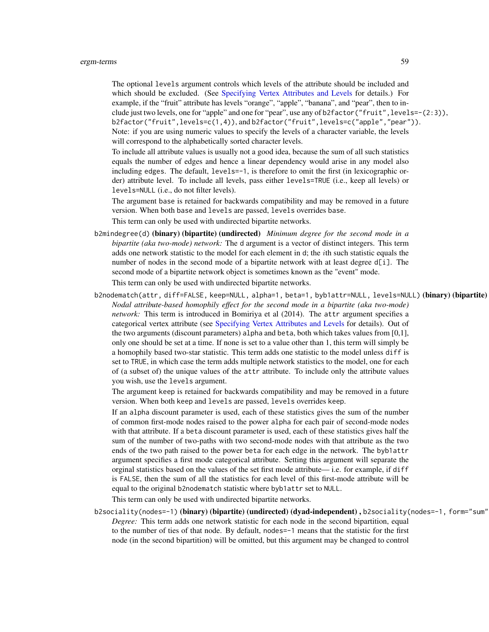### ergm-terms 59

The optional levels argument controls which levels of the attribute should be included and which should be excluded. (See [Specifying Vertex Attributes and Levels](#page-124-0) for details.) For example, if the "fruit" attribute has levels "orange", "apple", "banana", and "pear", then to include just two levels, one for "apple" and one for "pear", use any of b2factor("fruit",levels=-(2:3)), b2factor("fruit",levels=c(1,4)), and b2factor("fruit",levels=c("apple","pear")). Note: if you are using numeric values to specify the levels of a character variable, the levels will correspond to the alphabetically sorted character levels.

To include all attribute values is usually not a good idea, because the sum of all such statistics equals the number of edges and hence a linear dependency would arise in any model also including edges. The default, levels=-1, is therefore to omit the first (in lexicographic order) attribute level. To include all levels, pass either levels=TRUE (i.e., keep all levels) or levels=NULL (i.e., do not filter levels).

The argument base is retained for backwards compatibility and may be removed in a future version. When both base and levels are passed, levels overrides base.

This term can only be used with undirected bipartite networks.

b2mindegree(d) (binary) (bipartite) (undirected) *Minimum degree for the second mode in a bipartite (aka two-mode) network:* The d argument is a vector of distinct integers. This term adds one network statistic to the model for each element in d; the *i*th such statistic equals the number of nodes in the second mode of a bipartite network with at least degree d[i]. The second mode of a bipartite network object is sometimes known as the "event" mode.

This term can only be used with undirected bipartite networks.

b2nodematch(attr, diff=FALSE, keep=NULL, alpha=1, beta=1, byb1attr=NULL, levels=NULL) (binary) (bipartite) *Nodal attribute-based homophily effect for the second mode in a bipartite (aka two-mode) network:* This term is introduced in Bomiriya et al (2014). The attr argument specifies a categorical vertex attribute (see [Specifying Vertex Attributes and Levels](#page-124-0) for details). Out of the two arguments (discount parameters) alpha and beta, both which takes values from [0,1], only one should be set at a time. If none is set to a value other than 1, this term will simply be a homophily based two-star statistic. This term adds one statistic to the model unless diff is set to TRUE, in which case the term adds multiple network statistics to the model, one for each of (a subset of) the unique values of the attr attribute. To include only the attribute values you wish, use the levels argument.

The argument keep is retained for backwards compatibility and may be removed in a future version. When both keep and levels are passed, levels overrides keep.

If an alpha discount parameter is used, each of these statistics gives the sum of the number of common first-mode nodes raised to the power alpha for each pair of second-mode nodes with that attribute. If a beta discount parameter is used, each of these statistics gives half the sum of the number of two-paths with two second-mode nodes with that attribute as the two ends of the two path raised to the power beta for each edge in the network. The byb1attr argument specifies a first mode categorical attribute. Setting this argument will separate the orginal statistics based on the values of the set first mode attribute— i.e. for example, if diff is FALSE, then the sum of all the statistics for each level of this first-mode attribute will be equal to the original b2nodematch statistic where byb1attr set to NULL.

This term can only be used with undirected bipartite networks.

b2sociality(nodes=-1) (binary) (bipartite) (undirected) (dyad-independent), b2sociality(nodes=-1, form="sum" *Degree:* This term adds one network statistic for each node in the second bipartition, equal to the number of ties of that node. By default, nodes=-1 means that the statistic for the first node (in the second bipartition) will be omitted, but this argument may be changed to control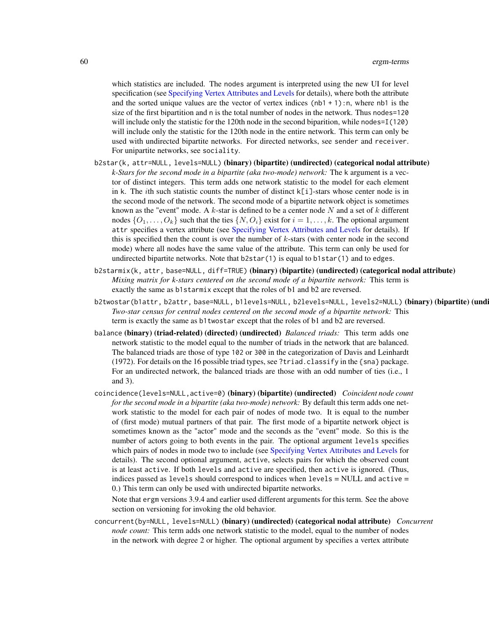which statistics are included. The nodes argument is interpreted using the new UI for level specification (see [Specifying Vertex Attributes and Levels](#page-124-0) for details), where both the attribute and the sorted unique values are the vector of vertex indices  $(nb1 + 1)$ :n, where nb1 is the size of the first bipartition and n is the total number of nodes in the network. Thus nodes=120 will include only the statistic for the 120th node in the second biparition, while nodes=I(120) will include only the statistic for the 120th node in the entire network. This term can only be used with undirected bipartite networks. For directed networks, see sender and receiver. For unipartite networks, see sociality.

- b2star(k, attr=NULL, levels=NULL) (binary) (bipartite) (undirected) (categorical nodal attribute) *k-Stars for the second mode in a bipartite (aka two-mode) network:* The k argument is a vector of distinct integers. This term adds one network statistic to the model for each element in k. The *i*th such statistic counts the number of distinct  $k[i]$ -stars whose center node is in the second mode of the network. The second mode of a bipartite network object is sometimes known as the "event" mode. A  $k$ -star is defined to be a center node N and a set of  $k$  different nodes  $\{O_1, \ldots, O_k\}$  such that the ties  $\{N, O_i\}$  exist for  $i = 1, \ldots, k$ . The optional argument attr specifies a vertex attribute (see [Specifying Vertex Attributes and Levels](#page-124-0) for details). If this is specified then the count is over the number of k-stars (with center node in the second mode) where all nodes have the same value of the attribute. This term can only be used for undirected bipartite networks. Note that  $b2star(1)$  is equal to  $b1star(1)$  and to edges.
- b2starmix(k, attr, base=NULL, diff=TRUE) (binary) (bipartite) (undirected) (categorical nodal attribute) *Mixing matrix for k-stars centered on the second mode of a bipartite network:* This term is exactly the same as b1starmix except that the roles of b1 and b2 are reversed.
- b2twostar(b1attr, b2attr, base=NULL, b1levels=NULL, b2levels=NULL, levels2=NULL) (binary) (bipartite) (undi *Two-star census for central nodes centered on the second mode of a bipartite network:* This term is exactly the same as b1twostar except that the roles of b1 and b2 are reversed.
- balance (binary) (triad-related) (directed) (undirected) *Balanced triads:* This term adds one network statistic to the model equal to the number of triads in the network that are balanced. The balanced triads are those of type 102 or 300 in the categorization of Davis and Leinhardt (1972). For details on the 16 possible triad types, see ?triad.classify in the {sna} package. For an undirected network, the balanced triads are those with an odd number of ties (i.e., 1 and 3).
- coincidence(levels=NULL,active=0) (binary) (bipartite) (undirected) *Coincident node count for the second mode in a bipartite (aka two-mode) network:* By default this term adds one network statistic to the model for each pair of nodes of mode two. It is equal to the number of (first mode) mutual partners of that pair. The first mode of a bipartite network object is sometimes known as the "actor" mode and the seconds as the "event" mode. So this is the number of actors going to both events in the pair. The optional argument levels specifies which pairs of nodes in mode two to include (see [Specifying Vertex Attributes and Levels](#page-124-0) for details). The second optional argument, active, selects pairs for which the observed count is at least active. If both levels and active are specified, then active is ignored. (Thus, indices passed as levels should correspond to indices when levels = NULL and active = 0.) This term can only be used with undirected bipartite networks.

Note that ergm versions 3.9.4 and earlier used different arguments for this term. See the above section on versioning for invoking the old behavior.

concurrent(by=NULL, levels=NULL) (binary) (undirected) (categorical nodal attribute) *Concurrent node count:* This term adds one network statistic to the model, equal to the number of nodes in the network with degree 2 or higher. The optional argument by specifies a vertex attribute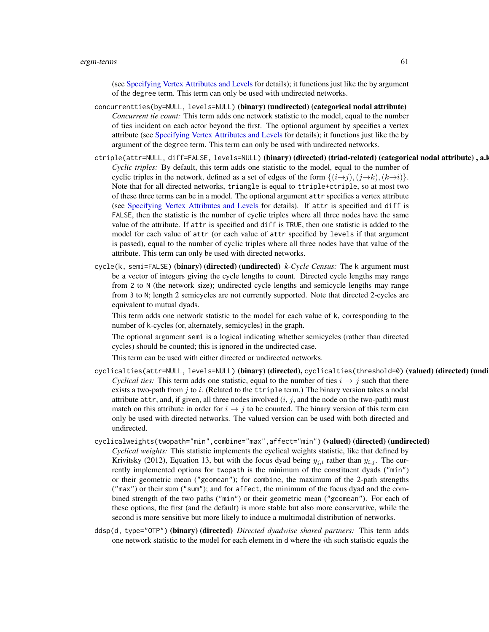(see [Specifying Vertex Attributes and Levels](#page-124-0) for details); it functions just like the by argument of the degree term. This term can only be used with undirected networks.

- concurrentties(by=NULL, levels=NULL) (binary) (undirected) (categorical nodal attribute) *Concurrent tie count:* This term adds one network statistic to the model, equal to the number of ties incident on each actor beyond the first. The optional argument by specifies a vertex attribute (see [Specifying Vertex Attributes and Levels](#page-124-0) for details); it functions just like the by argument of the degree term. This term can only be used with undirected networks.
- ctriple(attr=NULL, diff=FALSE, levels=NULL) (binary) (directed) (triad-related) (categorical nodal attribute), a.l *Cyclic triples:* By default, this term adds one statistic to the model, equal to the number of cyclic triples in the network, defined as a set of edges of the form  $\{(i \rightarrow j), (i \rightarrow k), (k \rightarrow i)\}.$ Note that for all directed networks, triangle is equal to ttriple+ctriple, so at most two of these three terms can be in a model. The optional argument attr specifies a vertex attribute (see [Specifying Vertex Attributes and Levels](#page-124-0) for details). If attr is specified and diff is FALSE, then the statistic is the number of cyclic triples where all three nodes have the same value of the attribute. If attr is specified and diff is TRUE, then one statistic is added to the model for each value of attr (or each value of attr specified by levels if that argument is passed), equal to the number of cyclic triples where all three nodes have that value of the attribute. This term can only be used with directed networks.
- cycle(k, semi=FALSE) (binary) (directed) (undirected) *k-Cycle Census:* The k argument must be a vector of integers giving the cycle lengths to count. Directed cycle lengths may range from 2 to N (the network size); undirected cycle lengths and semicycle lengths may range from 3 to N; length 2 semicycles are not currently supported. Note that directed 2-cycles are equivalent to mutual dyads.

This term adds one network statistic to the model for each value of k, corresponding to the number of k-cycles (or, alternately, semicycles) in the graph.

The optional argument semi is a logical indicating whether semicycles (rather than directed cycles) should be counted; this is ignored in the undirected case.

This term can be used with either directed or undirected networks.

- cyclicalties(attr=NULL, levels=NULL) (binary) (directed), cyclicalties(threshold=0) (valued) (directed) (undi *Cyclical ties:* This term adds one statistic, equal to the number of ties  $i \rightarrow j$  such that there exists a two-path from  $j$  to  $i$ . (Related to the ttriple term.) The binary version takes a nodal attribute  $attr$ , and, if given, all three nodes involved  $(i, j)$ , and the node on the two-path) must match on this attribute in order for  $i \rightarrow j$  to be counted. The binary version of this term can only be used with directed networks. The valued version can be used with both directed and undirected.
- cyclicalweights(twopath="min", combine="max", affect="min") (valued) (directed) (undirected) *Cyclical weights:* This statistic implements the cyclical weights statistic, like that defined by Krivitsky (2012), Equation 13, but with the focus dyad being  $y_{j,i}$  rather than  $y_{i,j}$ . The currently implemented options for twopath is the minimum of the constituent dyads ("min") or their geometric mean ("geomean"); for combine, the maximum of the 2-path strengths ("max") or their sum ("sum"); and for affect, the minimum of the focus dyad and the combined strength of the two paths ("min") or their geometric mean ("geomean"). For each of these options, the first (and the default) is more stable but also more conservative, while the second is more sensitive but more likely to induce a multimodal distribution of networks.
- ddsp(d, type="OTP") (binary) (directed) *Directed dyadwise shared partners:* This term adds one network statistic to the model for each element in d where the ith such statistic equals the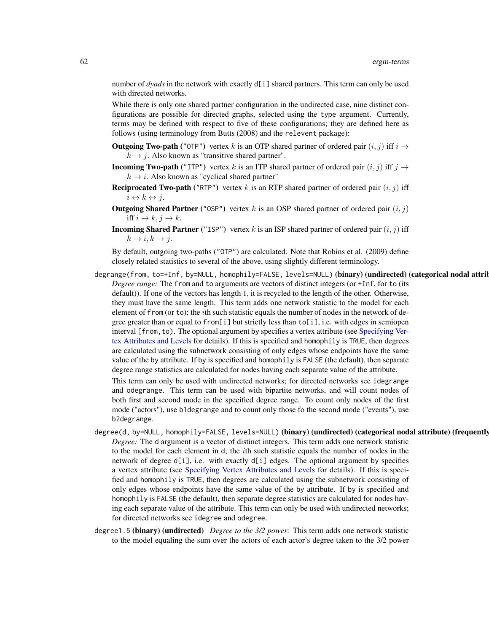number of *dyads* in the network with exactly d[i] shared partners. This term can only be used with directed networks.

While there is only one shared partner configuration in the undirected case, nine distinct configurations are possible for directed graphs, selected using the type argument. Currently, terms may be defined with respect to five of these configurations; they are defined here as follows (using terminology from Butts (2008) and the relevent package):

- **Outgoing Two-path** ("OTP") vertex k is an OTP shared partner of ordered pair  $(i, j)$  iff  $i \rightarrow$  $k \rightarrow j$ . Also known as "transitive shared partner".
- **Incoming Two-path** ("ITP") vertex k is an ITP shared partner of ordered pair  $(i, j)$  iff  $j \rightarrow$  $k \rightarrow i$ . Also known as "cyclical shared partner"
- **Reciprocated Two-path** ("RTP") vertex k is an RTP shared partner of ordered pair  $(i, j)$  iff  $i \leftrightarrow k \leftrightarrow j.$
- **Outgoing Shared Partner** ("OSP") vertex k is an OSP shared partner of ordered pair  $(i, j)$ iff  $i \to k, j \to k$ .
- **Incoming Shared Partner** ("ISP") vertex k is an ISP shared partner of ordered pair  $(i, j)$  iff  $k \rightarrow i, k \rightarrow j.$

By default, outgoing two-paths ("OTP") are calculated. Note that Robins et al. (2009) define closely related statistics to several of the above, using slightly different terminology.

degrange(from, to=+Inf, by=NULL, homophily=FALSE, levels=NULL) (binary) (undirected) (categorical nodal attril *Degree range:* The from and to arguments are vectors of distinct integers (or +Inf, for to (its default)). If one of the vectors has length 1, it is recycled to the length of the other. Otherwise, they must have the same length. This term adds one network statistic to the model for each element of from (or to); the ith such statistic equals the number of nodes in the network of degree greater than or equal to from [i] but strictly less than  $\text{to}$  [i], i.e. with edges in semiopen interval [from, to). The optional argument by specifies a vertex attribute (see [Specifying Ver](#page-124-0)[tex Attributes and Levels](#page-124-0) for details). If this is specified and homophily is TRUE, then degrees are calculated using the subnetwork consisting of only edges whose endpoints have the same value of the by attribute. If by is specified and homophily is FALSE (the default), then separate degree range statistics are calculated for nodes having each separate value of the attribute.

This term can only be used with undirected networks; for directed networks see idegrange and odegrange. This term can be used with bipartite networks, and will count nodes of both first and second mode in the specified degree range. To count only nodes of the first mode ("actors"), use b1degrange and to count only those fo the second mode ("events"), use b2degrange.

- degree(d, by=NULL, homophily=FALSE, levels=NULL) (binary) (undirected) (categorical nodal attribute) (frequently *Degree:* The d argument is a vector of distinct integers. This term adds one network statistic to the model for each element in d; the ith such statistic equals the number of nodes in the network of degree  $d[i]$ , i.e. with exactly  $d[i]$  edges. The optional argument by specifies a vertex attribute (see [Specifying Vertex Attributes and Levels](#page-124-0) for details). If this is specified and homophily is TRUE, then degrees are calculated using the subnetwork consisting of only edges whose endpoints have the same value of the by attribute. If by is specified and homophily is FALSE (the default), then separate degree statistics are calculated for nodes having each separate value of the attribute. This term can only be used with undirected networks; for directed networks see idegree and odegree.
- degree1.5 (binary) (undirected) *Degree to the 3/2 power:* This term adds one network statistic to the model equaling the sum over the actors of each actor's degree taken to the 3/2 power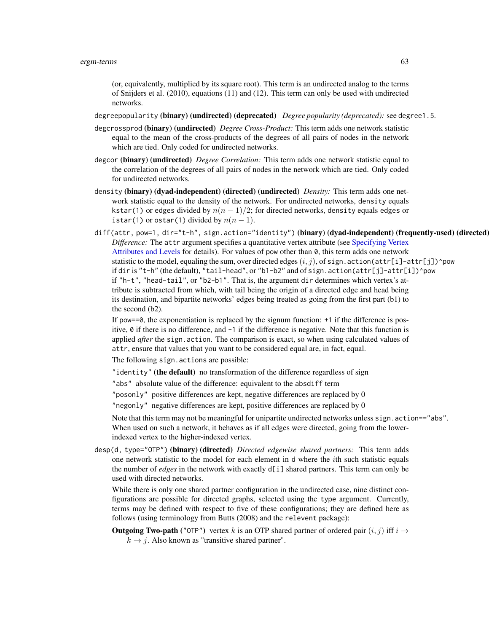(or, equivalently, multiplied by its square root). This term is an undirected analog to the terms of Snijders et al. (2010), equations (11) and (12). This term can only be used with undirected networks.

degreepopularity (binary) (undirected) (deprecated) *Degree popularity (deprecated):* see degree1.5.

- degcrossprod (binary) (undirected) *Degree Cross-Product:* This term adds one network statistic equal to the mean of the cross-products of the degrees of all pairs of nodes in the network which are tied. Only coded for undirected networks.
- degcor (binary) (undirected) *Degree Correlation:* This term adds one network statistic equal to the correlation of the degrees of all pairs of nodes in the network which are tied. Only coded for undirected networks.
- density (binary) (dyad-independent) (directed) (undirected) *Density:* This term adds one network statistic equal to the density of the network. For undirected networks, density equals kstar(1) or edges divided by  $n(n - 1)/2$ ; for directed networks, density equals edges or istar(1) or ostar(1) divided by  $n(n - 1)$ .
- diff(attr, pow=1, dir="t-h", sign.action="identity") (binary) (dyad-independent) (frequently-used) (directed) *Difference:* The attr argument specifies a quantitative vertex attribute (see [Specifying Vertex](#page-124-0) [Attributes and Levels](#page-124-0) for details). For values of pow other than  $\theta$ , this term adds one network statistic to the model, equaling the sum, over directed edges  $(i, j)$ , of sign.action(attr[i]-attr[j])^pow if dir is "t-h" (the default), "tail-head", or "b1-b2" and of sign.action(attr[j]-attr[i])^pow if "h-t", "head-tail", or "b2-b1". That is, the argument dir determines which vertex's attribute is subtracted from which, with tail being the origin of a directed edge and head being its destination, and bipartite networks' edges being treated as going from the first part (b1) to the second (b2).

If pow==0, the exponentiation is replaced by the signum function: +1 if the difference is positive, 0 if there is no difference, and -1 if the difference is negative. Note that this function is applied *after* the sign.action. The comparison is exact, so when using calculated values of attr, ensure that values that you want to be considered equal are, in fact, equal. The following sign.actions are possible:

"identity" (the default) no transformation of the difference regardless of sign

"abs" absolute value of the difference: equivalent to the absdiff term

"posonly" positive differences are kept, negative differences are replaced by 0

"negonly" negative differences are kept, positive differences are replaced by 0

Note that this term may not be meaningful for unipartite undirected networks unless sign. action=="abs". When used on such a network, it behaves as if all edges were directed, going from the lowerindexed vertex to the higher-indexed vertex.

desp(d, type="OTP") (binary) (directed) *Directed edgewise shared partners:* This term adds one network statistic to the model for each element in d where the ith such statistic equals the number of *edges* in the network with exactly d[i] shared partners. This term can only be used with directed networks.

While there is only one shared partner configuration in the undirected case, nine distinct configurations are possible for directed graphs, selected using the type argument. Currently, terms may be defined with respect to five of these configurations; they are defined here as follows (using terminology from Butts (2008) and the relevent package):

**Outgoing Two-path** ("OTP") vertex k is an OTP shared partner of ordered pair  $(i, j)$  iff  $i \rightarrow$  $k \rightarrow j$ . Also known as "transitive shared partner".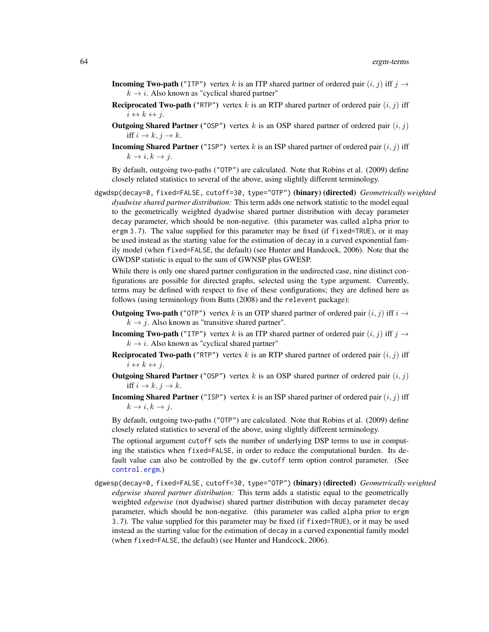- **Incoming Two-path** ("ITP") vertex k is an ITP shared partner of ordered pair  $(i, j)$  iff  $j \rightarrow$  $k \rightarrow i$ . Also known as "cyclical shared partner"
- **Reciprocated Two-path** ("RTP") vertex k is an RTP shared partner of ordered pair  $(i, j)$  iff  $i \leftrightarrow k \leftrightarrow j.$
- **Outgoing Shared Partner** ("OSP") vertex k is an OSP shared partner of ordered pair  $(i, j)$ iff  $i \to k, j \to k$ .
- **Incoming Shared Partner** ("ISP") vertex k is an ISP shared partner of ordered pair  $(i, j)$  iff  $k \rightarrow i, k \rightarrow j.$

By default, outgoing two-paths ("OTP") are calculated. Note that Robins et al. (2009) define closely related statistics to several of the above, using slightly different terminology.

dgwdsp(decay=0, fixed=FALSE, cutoff=30, type="OTP") (binary) (directed) *Geometrically weighted dyadwise shared partner distribution:* This term adds one network statistic to the model equal to the geometrically weighted dyadwise shared partner distribution with decay parameter decay parameter, which should be non-negative. (this parameter was called alpha prior to ergm 3.7). The value supplied for this parameter may be fixed (if fixed=TRUE), or it may be used instead as the starting value for the estimation of decay in a curved exponential family model (when fixed=FALSE, the default) (see Hunter and Handcock, 2006). Note that the GWDSP statistic is equal to the sum of GWNSP plus GWESP.

While there is only one shared partner configuration in the undirected case, nine distinct configurations are possible for directed graphs, selected using the type argument. Currently, terms may be defined with respect to five of these configurations; they are defined here as follows (using terminology from Butts (2008) and the relevent package):

- **Outgoing Two-path** ("OTP") vertex k is an OTP shared partner of ordered pair  $(i, j)$  iff  $i \rightarrow$  $k \rightarrow j$ . Also known as "transitive shared partner".
- **Incoming Two-path** ("ITP") vertex k is an ITP shared partner of ordered pair  $(i, j)$  iff  $j \rightarrow$  $k \rightarrow i$ . Also known as "cyclical shared partner"
- **Reciprocated Two-path** ("RTP") vertex k is an RTP shared partner of ordered pair  $(i, j)$  iff  $i \leftrightarrow k \leftrightarrow j.$
- Outgoing Shared Partner ("OSP") vertex  $k$  is an OSP shared partner of ordered pair  $(i, j)$ iff  $i \to k, j \to k$ .
- **Incoming Shared Partner** ("ISP") vertex k is an ISP shared partner of ordered pair  $(i, j)$  iff  $k \rightarrow i, k \rightarrow j.$

By default, outgoing two-paths ("OTP") are calculated. Note that Robins et al. (2009) define closely related statistics to several of the above, using slightly different terminology.

The optional argument cutoff sets the number of underlying DSP terms to use in computing the statistics when fixed=FALSE, in order to reduce the computational burden. Its default value can also be controlled by the gw.cutoff term option control parameter. (See [control.ergm](#page-12-0).)

dgwesp(decay=0, fixed=FALSE, cutoff=30, type="OTP") (binary) (directed) *Geometrically weighted edgewise shared partner distribution:* This term adds a statistic equal to the geometrically weighted *edgewise* (not dyadwise) shared partner distribution with decay parameter decay parameter, which should be non-negative. (this parameter was called alpha prior to ergm 3.7). The value supplied for this parameter may be fixed (if fixed=TRUE), or it may be used instead as the starting value for the estimation of decay in a curved exponential family model (when fixed=FALSE, the default) (see Hunter and Handcock, 2006).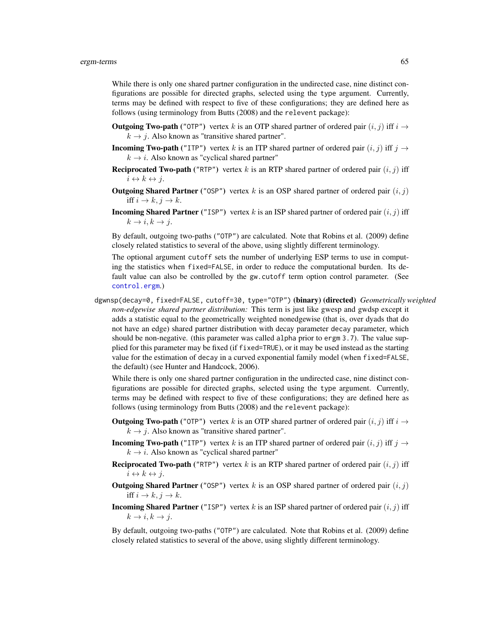While there is only one shared partner configuration in the undirected case, nine distinct configurations are possible for directed graphs, selected using the type argument. Currently, terms may be defined with respect to five of these configurations; they are defined here as follows (using terminology from Butts (2008) and the relevent package):

- **Outgoing Two-path** ("OTP") vertex k is an OTP shared partner of ordered pair  $(i, j)$  iff  $i \rightarrow$  $k \rightarrow j$ . Also known as "transitive shared partner".
- **Incoming Two-path** ("ITP") vertex k is an ITP shared partner of ordered pair  $(i, j)$  iff  $j \rightarrow$  $k \rightarrow i$ . Also known as "cyclical shared partner"
- **Reciprocated Two-path** ("RTP") vertex k is an RTP shared partner of ordered pair  $(i, j)$  iff  $i \leftrightarrow k \leftrightarrow j$ .
- **Outgoing Shared Partner** ("OSP") vertex k is an OSP shared partner of ordered pair  $(i, j)$ iff  $i \to k$ ,  $j \to k$ .
- **Incoming Shared Partner** ("ISP") vertex k is an ISP shared partner of ordered pair  $(i, j)$  iff  $k \rightarrow i, k \rightarrow j.$

By default, outgoing two-paths ("OTP") are calculated. Note that Robins et al. (2009) define closely related statistics to several of the above, using slightly different terminology.

The optional argument cutoff sets the number of underlying ESP terms to use in computing the statistics when fixed=FALSE, in order to reduce the computational burden. Its default value can also be controlled by the gw.cutoff term option control parameter. (See [control.ergm](#page-12-0).)

dgwnsp(decay=0, fixed=FALSE, cutoff=30, type="OTP") (binary) (directed) *Geometrically weighted non-edgewise shared partner distribution:* This term is just like gwesp and gwdsp except it adds a statistic equal to the geometrically weighted nonedgewise (that is, over dyads that do not have an edge) shared partner distribution with decay parameter decay parameter, which should be non-negative. (this parameter was called alpha prior to ergm 3.7). The value supplied for this parameter may be fixed (if fixed=TRUE), or it may be used instead as the starting value for the estimation of decay in a curved exponential family model (when fixed=FALSE, the default) (see Hunter and Handcock, 2006).

While there is only one shared partner configuration in the undirected case, nine distinct configurations are possible for directed graphs, selected using the type argument. Currently, terms may be defined with respect to five of these configurations; they are defined here as follows (using terminology from Butts (2008) and the relevent package):

- **Outgoing Two-path** ("OTP") vertex k is an OTP shared partner of ordered pair  $(i, j)$  iff  $i \rightarrow$  $k \rightarrow j$ . Also known as "transitive shared partner".
- **Incoming Two-path** ("ITP") vertex k is an ITP shared partner of ordered pair  $(i, j)$  iff  $j \rightarrow$  $k \rightarrow i$ . Also known as "cyclical shared partner"
- **Reciprocated Two-path** ("RTP") vertex k is an RTP shared partner of ordered pair  $(i, j)$  iff  $i \leftrightarrow k \leftrightarrow j.$
- Outgoing Shared Partner ("OSP") vertex  $k$  is an OSP shared partner of ordered pair  $(i, j)$ iff  $i \to k$ ,  $j \to k$ .
- **Incoming Shared Partner** ("ISP") vertex k is an ISP shared partner of ordered pair  $(i, j)$  iff  $k \to i, k \to i$ .

By default, outgoing two-paths ("OTP") are calculated. Note that Robins et al. (2009) define closely related statistics to several of the above, using slightly different terminology.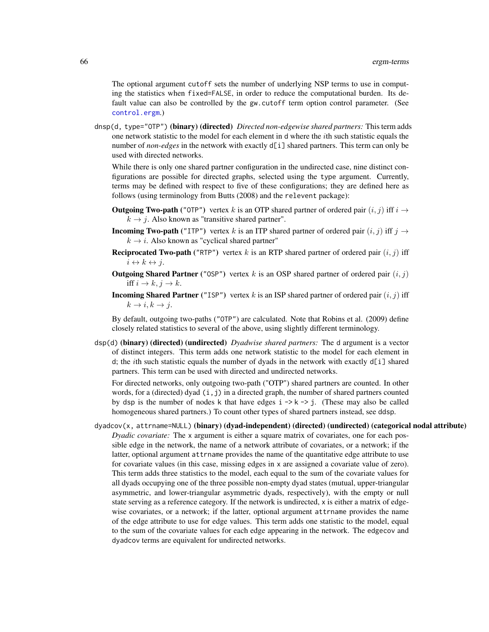The optional argument cutoff sets the number of underlying NSP terms to use in computing the statistics when fixed=FALSE, in order to reduce the computational burden. Its default value can also be controlled by the gw.cutoff term option control parameter. (See [control.ergm](#page-12-0).)

dnsp(d, type="OTP") (binary) (directed) *Directed non-edgewise shared partners:* This term adds one network statistic to the model for each element in d where the ith such statistic equals the number of *non-edges* in the network with exactly d[i] shared partners. This term can only be used with directed networks.

While there is only one shared partner configuration in the undirected case, nine distinct configurations are possible for directed graphs, selected using the type argument. Currently, terms may be defined with respect to five of these configurations; they are defined here as follows (using terminology from Butts (2008) and the relevent package):

- **Outgoing Two-path** ("OTP") vertex k is an OTP shared partner of ordered pair  $(i, j)$  iff  $i \rightarrow$  $k \rightarrow j$ . Also known as "transitive shared partner".
- **Incoming Two-path** ("ITP") vertex k is an ITP shared partner of ordered pair  $(i, j)$  iff  $j \rightarrow$  $k \rightarrow i$ . Also known as "cyclical shared partner"
- **Reciprocated Two-path** ("RTP") vertex k is an RTP shared partner of ordered pair  $(i, j)$  iff  $i \leftrightarrow k \leftrightarrow j$ .
- **Outgoing Shared Partner** ("OSP") vertex k is an OSP shared partner of ordered pair  $(i, j)$ iff  $i \to k$ ,  $j \to k$ .
- **Incoming Shared Partner** ("ISP") vertex k is an ISP shared partner of ordered pair  $(i, j)$  iff  $k \to i, k \to j.$

By default, outgoing two-paths ("OTP") are calculated. Note that Robins et al. (2009) define closely related statistics to several of the above, using slightly different terminology.

dsp(d) (binary) (directed) (undirected) *Dyadwise shared partners:* The d argument is a vector of distinct integers. This term adds one network statistic to the model for each element in d; the *i*th such statistic equals the number of dyads in the network with exactly  $d[i]$  shared partners. This term can be used with directed and undirected networks.

For directed networks, only outgoing two-path ("OTP") shared partners are counted. In other words, for a (directed) dyad  $(i, j)$  in a directed graph, the number of shared partners counted by dsp is the number of nodes k that have edges  $i \rightarrow k \rightarrow j$ . (These may also be called homogeneous shared partners.) To count other types of shared partners instead, see ddsp.

dyadcov(x, attrname=NULL) (binary) (dyad-independent) (directed) (undirected) (categorical nodal attribute) *Dyadic covariate:* The x argument is either a square matrix of covariates, one for each possible edge in the network, the name of a network attribute of covariates, or a network; if the latter, optional argument attrname provides the name of the quantitative edge attribute to use for covariate values (in this case, missing edges in x are assigned a covariate value of zero). This term adds three statistics to the model, each equal to the sum of the covariate values for all dyads occupying one of the three possible non-empty dyad states (mutual, upper-triangular asymmetric, and lower-triangular asymmetric dyads, respectively), with the empty or null state serving as a reference category. If the network is undirected, x is either a matrix of edgewise covariates, or a network; if the latter, optional argument attrname provides the name of the edge attribute to use for edge values. This term adds one statistic to the model, equal to the sum of the covariate values for each edge appearing in the network. The edgecov and dyadcov terms are equivalent for undirected networks.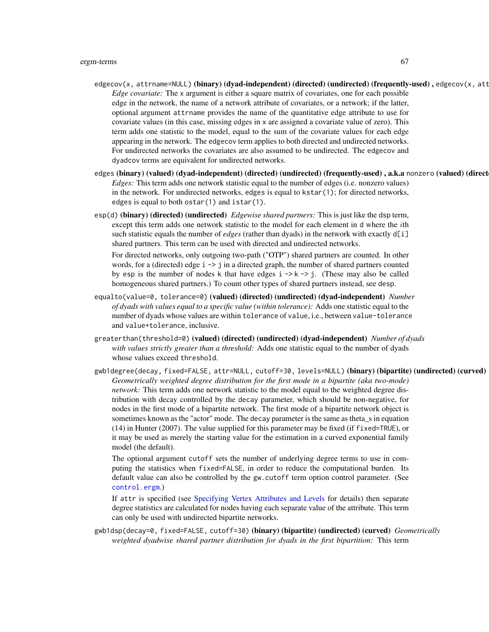- edgecov(x, attrname=NULL) (binary) (dyad-independent) (directed) (undirected) (frequently-used), edgecov(x, att *Edge covariate:* The x argument is either a square matrix of covariates, one for each possible edge in the network, the name of a network attribute of covariates, or a network; if the latter, optional argument attrname provides the name of the quantitative edge attribute to use for covariate values (in this case, missing edges in x are assigned a covariate value of zero). This term adds one statistic to the model, equal to the sum of the covariate values for each edge appearing in the network. The edgecov term applies to both directed and undirected networks. For undirected networks the covariates are also assumed to be undirected. The edgecov and dyadcov terms are equivalent for undirected networks.
- edges (binary) (valued) (dyad-independent) (directed) (undirected) (frequently-used), a.k.a nonzero (valued) (direct *Edges:* This term adds one network statistic equal to the number of edges (i.e. nonzero values) in the network. For undirected networks, edges is equal to kstar(1); for directed networks, edges is equal to both ostar(1) and istar(1).
- esp(d) (binary) (directed) (undirected) *Edgewise shared partners:* This is just like the dsp term, except this term adds one network statistic to the model for each element in d where the *i*th such statistic equals the number of *edges* (rather than dyads) in the network with exactly d[i] shared partners. This term can be used with directed and undirected networks.

For directed networks, only outgoing two-path ("OTP") shared partners are counted. In other words, for a (directed) edge  $i \rightarrow j$  in a directed graph, the number of shared partners counted by esp is the number of nodes k that have edges  $i \rightarrow k \rightarrow j$ . (These may also be called homogeneous shared partners.) To count other types of shared partners instead, see desp.

- equalto(value=0, tolerance=0) (valued) (directed) (undirected) (dyad-independent) *Number of dyads with values equal to a specific value (within tolerance):* Adds one statistic equal to the number of dyads whose values are within tolerance of value, i.e., between value-tolerance and value+tolerance, inclusive.
- greaterthan(threshold=0) (valued) (directed) (undirected) (dyad-independent) *Number of dyads with values strictly greater than a threshold:* Adds one statistic equal to the number of dyads whose values exceed threshold.
- gwb1degree(decay, fixed=FALSE, attr=NULL, cutoff=30, levels=NULL) (binary) (bipartite) (undirected) (curved) *Geometrically weighted degree distribution for the first mode in a bipartite (aka two-mode) network:* This term adds one network statistic to the model equal to the weighted degree distribution with decay controlled by the decay parameter, which should be non-negative, for nodes in the first mode of a bipartite network. The first mode of a bipartite network object is sometimes known as the "actor" mode. The decay parameter is the same as theta\_s in equation (14) in Hunter (2007). The value supplied for this parameter may be fixed (if fixed=TRUE), or it may be used as merely the starting value for the estimation in a curved exponential family model (the default).

The optional argument cutoff sets the number of underlying degree terms to use in computing the statistics when fixed=FALSE, in order to reduce the computational burden. Its default value can also be controlled by the gw.cutoff term option control parameter. (See [control.ergm](#page-12-0).)

If attr is specified (see [Specifying Vertex Attributes and Levels](#page-124-0) for details) then separate degree statistics are calculated for nodes having each separate value of the attribute. This term can only be used with undirected bipartite networks.

gwb1dsp(decay=0, fixed=FALSE, cutoff=30) (binary) (bipartite) (undirected) (curved) *Geometrically weighted dyadwise shared partner distribution for dyads in the first bipartition:* This term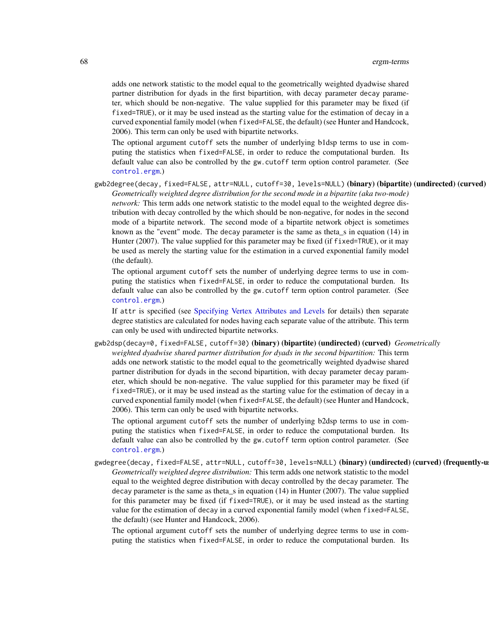adds one network statistic to the model equal to the geometrically weighted dyadwise shared partner distribution for dyads in the first bipartition, with decay parameter decay parameter, which should be non-negative. The value supplied for this parameter may be fixed (if fixed=TRUE), or it may be used instead as the starting value for the estimation of decay in a curved exponential family model (when fixed=FALSE, the default) (see Hunter and Handcock, 2006). This term can only be used with bipartite networks.

The optional argument cutoff sets the number of underlying b1dsp terms to use in computing the statistics when fixed=FALSE, in order to reduce the computational burden. Its default value can also be controlled by the gw.cutoff term option control parameter. (See [control.ergm](#page-12-0).)

gwb2degree(decay, fixed=FALSE, attr=NULL, cutoff=30, levels=NULL) (binary) (bipartite) (undirected) (curved) *Geometrically weighted degree distribution for the second mode in a bipartite (aka two-mode) network:* This term adds one network statistic to the model equal to the weighted degree distribution with decay controlled by the which should be non-negative, for nodes in the second mode of a bipartite network. The second mode of a bipartite network object is sometimes known as the "event" mode. The decay parameter is the same as theta\_s in equation (14) in Hunter (2007). The value supplied for this parameter may be fixed (if fixed=TRUE), or it may be used as merely the starting value for the estimation in a curved exponential family model (the default).

The optional argument cutoff sets the number of underlying degree terms to use in computing the statistics when fixed=FALSE, in order to reduce the computational burden. Its default value can also be controlled by the gw.cutoff term option control parameter. (See [control.ergm](#page-12-0).)

If attr is specified (see [Specifying Vertex Attributes and Levels](#page-124-0) for details) then separate degree statistics are calculated for nodes having each separate value of the attribute. This term can only be used with undirected bipartite networks.

gwb2dsp(decay=0, fixed=FALSE, cutoff=30) (binary) (bipartite) (undirected) (curved) *Geometrically weighted dyadwise shared partner distribution for dyads in the second bipartition:* This term adds one network statistic to the model equal to the geometrically weighted dyadwise shared partner distribution for dyads in the second bipartition, with decay parameter decay parameter, which should be non-negative. The value supplied for this parameter may be fixed (if fixed=TRUE), or it may be used instead as the starting value for the estimation of decay in a curved exponential family model (when fixed=FALSE, the default) (see Hunter and Handcock, 2006). This term can only be used with bipartite networks.

The optional argument cutoff sets the number of underlying b2dsp terms to use in computing the statistics when fixed=FALSE, in order to reduce the computational burden. Its default value can also be controlled by the gw.cutoff term option control parameter. (See [control.ergm](#page-12-0).)

gwdegree(decay, fixed=FALSE, attr=NULL, cutoff=30, levels=NULL) (binary) (undirected) (curved) (frequently-u *Geometrically weighted degree distribution:* This term adds one network statistic to the model equal to the weighted degree distribution with decay controlled by the decay parameter. The decay parameter is the same as theta\_s in equation (14) in Hunter (2007). The value supplied for this parameter may be fixed (if fixed=TRUE), or it may be used instead as the starting value for the estimation of decay in a curved exponential family model (when fixed=FALSE, the default) (see Hunter and Handcock, 2006).

The optional argument cutoff sets the number of underlying degree terms to use in computing the statistics when fixed=FALSE, in order to reduce the computational burden. Its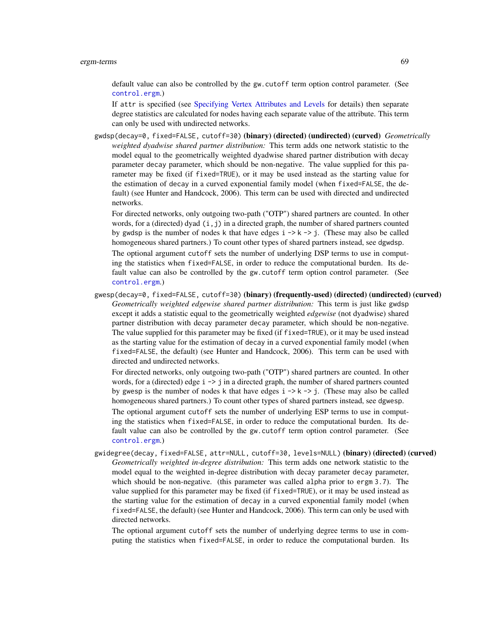default value can also be controlled by the gw.cutoff term option control parameter. (See [control.ergm](#page-12-0).)

If attr is specified (see [Specifying Vertex Attributes and Levels](#page-124-0) for details) then separate degree statistics are calculated for nodes having each separate value of the attribute. This term can only be used with undirected networks.

gwdsp(decay=0, fixed=FALSE, cutoff=30) (binary) (directed) (undirected) (curved) *Geometrically weighted dyadwise shared partner distribution:* This term adds one network statistic to the model equal to the geometrically weighted dyadwise shared partner distribution with decay parameter decay parameter, which should be non-negative. The value supplied for this parameter may be fixed (if fixed=TRUE), or it may be used instead as the starting value for the estimation of decay in a curved exponential family model (when fixed=FALSE, the default) (see Hunter and Handcock, 2006). This term can be used with directed and undirected networks.

For directed networks, only outgoing two-path ("OTP") shared partners are counted. In other words, for a (directed) dyad  $(i, j)$  in a directed graph, the number of shared partners counted by gwdsp is the number of nodes k that have edges  $i \rightarrow k \rightarrow j$ . (These may also be called homogeneous shared partners.) To count other types of shared partners instead, see dgwdsp.

The optional argument cutoff sets the number of underlying DSP terms to use in computing the statistics when fixed=FALSE, in order to reduce the computational burden. Its default value can also be controlled by the gw.cutoff term option control parameter. (See [control.ergm](#page-12-0).)

gwesp(decay=0, fixed=FALSE, cutoff=30) (binary) (frequently-used) (directed) (undirected) (curved) *Geometrically weighted edgewise shared partner distribution:* This term is just like gwdsp except it adds a statistic equal to the geometrically weighted *edgewise* (not dyadwise) shared partner distribution with decay parameter decay parameter, which should be non-negative. The value supplied for this parameter may be fixed (if fixed=TRUE), or it may be used instead as the starting value for the estimation of decay in a curved exponential family model (when fixed=FALSE, the default) (see Hunter and Handcock, 2006). This term can be used with directed and undirected networks.

For directed networks, only outgoing two-path ("OTP") shared partners are counted. In other words, for a (directed) edge  $i \rightarrow j$  in a directed graph, the number of shared partners counted by gwesp is the number of nodes k that have edges  $i \rightarrow k \rightarrow j$ . (These may also be called homogeneous shared partners.) To count other types of shared partners instead, see dgwesp.

The optional argument cutoff sets the number of underlying ESP terms to use in computing the statistics when fixed=FALSE, in order to reduce the computational burden. Its default value can also be controlled by the gw.cutoff term option control parameter. (See [control.ergm](#page-12-0).)

gwidegree(decay, fixed=FALSE, attr=NULL, cutoff=30, levels=NULL) (binary) (directed) (curved) *Geometrically weighted in-degree distribution:* This term adds one network statistic to the model equal to the weighted in-degree distribution with decay parameter decay parameter, which should be non-negative. (this parameter was called alpha prior to ergm 3.7). The value supplied for this parameter may be fixed (if fixed=TRUE), or it may be used instead as the starting value for the estimation of decay in a curved exponential family model (when fixed=FALSE, the default) (see Hunter and Handcock, 2006). This term can only be used with directed networks.

The optional argument cutoff sets the number of underlying degree terms to use in computing the statistics when fixed=FALSE, in order to reduce the computational burden. Its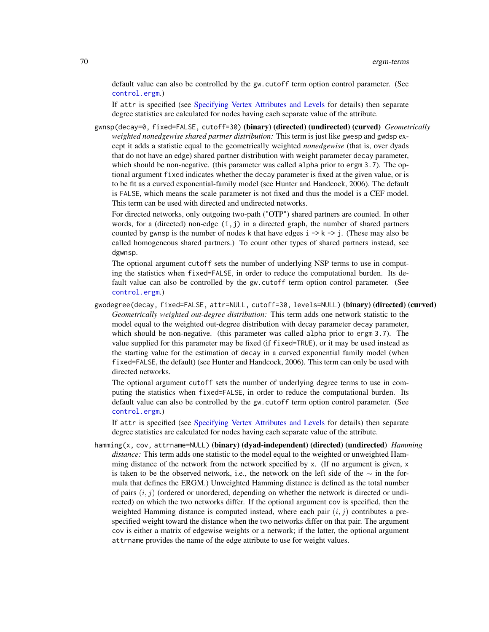default value can also be controlled by the gw.cutoff term option control parameter. (See [control.ergm](#page-12-0).)

If attr is specified (see [Specifying Vertex Attributes and Levels](#page-124-0) for details) then separate degree statistics are calculated for nodes having each separate value of the attribute.

gwnsp(decay=0, fixed=FALSE, cutoff=30) (binary) (directed) (undirected) (curved) *Geometrically weighted nonedgewise shared partner distribution:* This term is just like gwesp and gwdsp except it adds a statistic equal to the geometrically weighted *nonedgewise* (that is, over dyads that do not have an edge) shared partner distribution with weight parameter decay parameter, which should be non-negative. (this parameter was called alpha prior to ergm 3.7). The optional argument fixed indicates whether the decay parameter is fixed at the given value, or is to be fit as a curved exponential-family model (see Hunter and Handcock, 2006). The default is FALSE, which means the scale parameter is not fixed and thus the model is a CEF model. This term can be used with directed and undirected networks.

For directed networks, only outgoing two-path ("OTP") shared partners are counted. In other words, for a (directed) non-edge (i,j) in a directed graph, the number of shared partners counted by gwnsp is the number of nodes k that have edges  $i \rightarrow k \rightarrow j$ . (These may also be called homogeneous shared partners.) To count other types of shared partners instead, see dgwnsp.

The optional argument cutoff sets the number of underlying NSP terms to use in computing the statistics when fixed=FALSE, in order to reduce the computational burden. Its default value can also be controlled by the gw.cutoff term option control parameter. (See [control.ergm](#page-12-0).)

gwodegree(decay, fixed=FALSE, attr=NULL, cutoff=30, levels=NULL) (binary) (directed) (curved) *Geometrically weighted out-degree distribution:* This term adds one network statistic to the model equal to the weighted out-degree distribution with decay parameter decay parameter, which should be non-negative. (this parameter was called alpha prior to ergm 3.7). The value supplied for this parameter may be fixed (if fixed=TRUE), or it may be used instead as the starting value for the estimation of decay in a curved exponential family model (when fixed=FALSE, the default) (see Hunter and Handcock, 2006). This term can only be used with directed networks.

The optional argument cutoff sets the number of underlying degree terms to use in computing the statistics when fixed=FALSE, in order to reduce the computational burden. Its default value can also be controlled by the gw.cutoff term option control parameter. (See [control.ergm](#page-12-0).)

If attr is specified (see [Specifying Vertex Attributes and Levels](#page-124-0) for details) then separate degree statistics are calculated for nodes having each separate value of the attribute.

hamming(x, cov, attrname=NULL) (binary) (dyad-independent) (directed) (undirected) *Hamming distance:* This term adds one statistic to the model equal to the weighted or unweighted Hamming distance of the network from the network specified by x. (If no argument is given, x is taken to be the observed network, i.e., the network on the left side of the  $\sim$  in the formula that defines the ERGM.) Unweighted Hamming distance is defined as the total number of pairs  $(i, j)$  (ordered or unordered, depending on whether the network is directed or undirected) on which the two networks differ. If the optional argument cov is specified, then the weighted Hamming distance is computed instead, where each pair  $(i, j)$  contributes a prespecified weight toward the distance when the two networks differ on that pair. The argument cov is either a matrix of edgewise weights or a network; if the latter, the optional argument attrname provides the name of the edge attribute to use for weight values.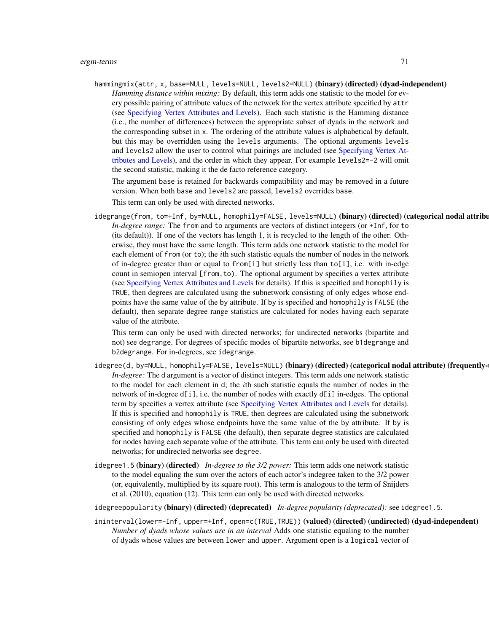hammingmix(attr, x, base=NULL, levels=NULL, levels2=NULL) (binary) (directed) (dyad-independent) *Hamming distance within mixing:* By default, this term adds one statistic to the model for every possible pairing of attribute values of the network for the vertex attribute specified by attr (see [Specifying Vertex Attributes and Levels\)](#page-124-0). Each such statistic is the Hamming distance (i.e., the number of differences) between the appropriate subset of dyads in the network and the corresponding subset in x. The ordering of the attribute values is alphabetical by default, but this may be overridden using the levels arguments. The optional arguments levels and levels2 allow the user to control what pairings are included (see [Specifying Vertex At](#page-124-0)[tributes and Levels\)](#page-124-0), and the order in which they appear. For example levels2=-2 will omit the second statistic, making it the de facto reference category.

The argument base is retained for backwards compatibility and may be removed in a future version. When both base and levels2 are passed, levels2 overrides base.

This term can only be used with directed networks.

idegrange(from, to=+Inf, by=NULL, homophily=FALSE, levels=NULL) (binary) (directed) (categorical nodal attribu *In-degree range:* The from and to arguments are vectors of distinct integers (or +Inf, for to (its default)). If one of the vectors has length 1, it is recycled to the length of the other. Otherwise, they must have the same length. This term adds one network statistic to the model for each element of from (or to); the *i*th such statistic equals the number of nodes in the network of in-degree greater than or equal to from[i] but strictly less than to[i], i.e. with in-edge count in semiopen interval [from,to). The optional argument by specifies a vertex attribute (see [Specifying Vertex Attributes and Levels](#page-124-0) for details). If this is specified and homophily is TRUE, then degrees are calculated using the subnetwork consisting of only edges whose endpoints have the same value of the by attribute. If by is specified and homophily is FALSE (the default), then separate degree range statistics are calculated for nodes having each separate value of the attribute.

This term can only be used with directed networks; for undirected networks (bipartite and not) see degrange. For degrees of specific modes of bipartite networks, see b1degrange and b2degrange. For in-degrees, see idegrange.

- idegree(d, by=NULL, homophily=FALSE, levels=NULL) (binary) (directed) (categorical nodal attribute) (frequently-*In-degree:* The d argument is a vector of distinct integers. This term adds one network statistic to the model for each element in d; the ith such statistic equals the number of nodes in the network of in-degree  $d[i]$ , i.e. the number of nodes with exactly  $d[i]$  in-edges. The optional term by specifies a vertex attribute (see [Specifying Vertex Attributes and Levels](#page-124-0) for details). If this is specified and homophily is TRUE, then degrees are calculated using the subnetwork consisting of only edges whose endpoints have the same value of the by attribute. If by is specified and homophily is FALSE (the default), then separate degree statistics are calculated for nodes having each separate value of the attribute. This term can only be used with directed networks; for undirected networks see degree.
- idegree1.5 (binary) (directed) *In-degree to the 3/2 power:* This term adds one network statistic to the model equaling the sum over the actors of each actor's indegree taken to the 3/2 power (or, equivalently, multiplied by its square root). This term is analogous to the term of Snijders et al. (2010), equation (12). This term can only be used with directed networks.

idegreepopularity (binary) (directed) (deprecated) *In-degree popularity (deprecated):* see idegree1.5.

ininterval(lower=-Inf, upper=+Inf, open=c(TRUE,TRUE)) (valued) (directed) (undirected) (dyad-independent) *Number of dyads whose values are in an interval* Adds one statistic equaling to the number of dyads whose values are between lower and upper. Argument open is a logical vector of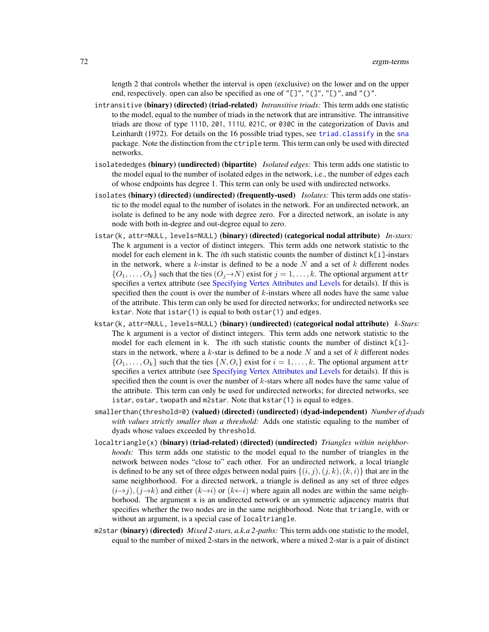length 2 that controls whether the interval is open (exclusive) on the lower and on the upper end, respectively. open can also be specified as one of "[]", "(]", "[)", and "()".

- intransitive (binary) (directed) (triad-related) *Intransitive triads:* This term adds one statistic to the model, equal to the number of triads in the network that are intransitive. The intransitive triads are those of type 111D, 201, 111U, 021C, or 030C in the categorization of Davis and Leinhardt (1972). For details on the 16 possible triad types, see [triad.classify](#page-0-0) in the [sna](#page-0-0) package. Note the distinction from the ctriple term. This term can only be used with directed networks.
- isolatededges (binary) (undirected) (bipartite) *Isolated edges:* This term adds one statistic to the model equal to the number of isolated edges in the network, i.e., the number of edges each of whose endpoints has degree 1. This term can only be used with undirected networks.
- isolates (binary) (directed) (undirected) (frequently-used) *Isolates:* This term adds one statistic to the model equal to the number of isolates in the network. For an undirected network, an isolate is defined to be any node with degree zero. For a directed network, an isolate is any node with both in-degree and out-degree equal to zero.
- istar(k, attr=NULL, levels=NULL) (binary) (directed) (categorical nodal attribute) *In-stars:* The k argument is a vector of distinct integers. This term adds one network statistic to the model for each element in k. The *i*th such statistic counts the number of distinct  $k[i]$ -instars in the network, where a k-instar is defined to be a node  $N$  and a set of  $k$  different nodes  $\{O_1, \ldots, O_k\}$  such that the ties  $(O_j \rightarrow N)$  exist for  $j = 1, \ldots, k$ . The optional argument attr specifies a vertex attribute (see [Specifying Vertex Attributes and Levels](#page-124-0) for details). If this is specified then the count is over the number of  $k$ -instars where all nodes have the same value of the attribute. This term can only be used for directed networks; for undirected networks see kstar. Note that istar(1) is equal to both ostar(1) and edges.
- kstar(k, attr=NULL, levels=NULL) (binary) (undirected) (categorical nodal attribute) *k-Stars:* The k argument is a vector of distinct integers. This term adds one network statistic to the model for each element in k. The *i*th such statistic counts the number of distinct  $k[i]$ stars in the network, where a  $k$ -star is defined to be a node N and a set of  $k$  different nodes  $\{O_1, \ldots, O_k\}$  such that the ties  $\{N, O_i\}$  exist for  $i = 1, \ldots, k$ . The optional argument attr specifies a vertex attribute (see [Specifying Vertex Attributes and Levels](#page-124-0) for details). If this is specified then the count is over the number of  $k$ -stars where all nodes have the same value of the attribute. This term can only be used for undirected networks; for directed networks, see istar, ostar, twopath and m2star. Note that kstar(1) is equal to edges.
- smallerthan(threshold=0) (valued) (directed) (undirected) (dyad-independent) *Number of dyads with values strictly smaller than a threshold:* Adds one statistic equaling to the number of dyads whose values exceeded by threshold.
- localtriangle(x) (binary) (triad-related) (directed) (undirected) *Triangles within neighborhoods:* This term adds one statistic to the model equal to the number of triangles in the network between nodes "close to" each other. For an undirected network, a local triangle is defined to be any set of three edges between nodal pairs  $\{(i, j), (j, k), (k, i)\}\)$  that are in the same neighborhood. For a directed network, a triangle is defined as any set of three edges  $(i\rightarrow j)$ ,  $(j\rightarrow k)$  and either  $(k\rightarrow i)$  or  $(k\leftarrow i)$  where again all nodes are within the same neighborhood. The argument x is an undirected network or an symmetric adjacency matrix that specifies whether the two nodes are in the same neighborhood. Note that triangle, with or without an argument, is a special case of localtriangle.
- m2star (binary) (directed) *Mixed 2-stars, a.k.a 2-paths:* This term adds one statistic to the model, equal to the number of mixed 2-stars in the network, where a mixed 2-star is a pair of distinct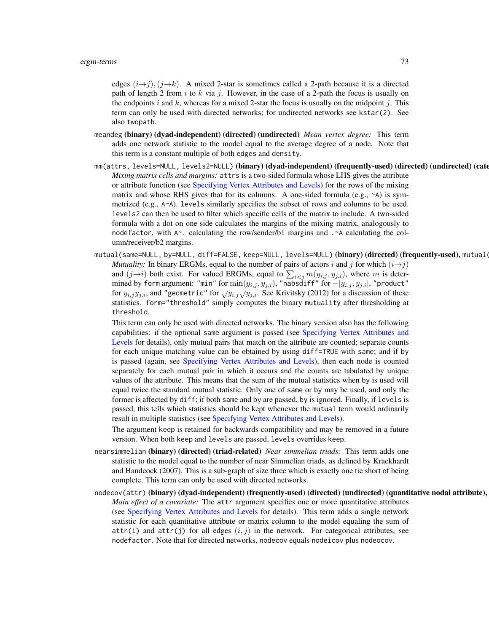edges  $(i\rightarrow j)$ ,  $(j\rightarrow k)$ . A mixed 2-star is sometimes called a 2-path because it is a directed path of length 2 from i to k via j. However, in the case of a 2-path the focus is usually on the endpoints i and k, whereas for a mixed 2-star the focus is usually on the midpoint j. This term can only be used with directed networks; for undirected networks see kstar(2). See also twopath.

- meandeg (binary) (dyad-independent) (directed) (undirected) *Mean vertex degree:* This term adds one network statistic to the model equal to the average degree of a node. Note that this term is a constant multiple of both edges and density.
- mm(attrs, levels=NULL, levels2=NULL)(binary)(dyad-independent)(frequently-used)(directed)(undirected)(cate *Mixing matrix cells and margins:* attrs is a two-sided formula whose LHS gives the attribute or attribute function (see [Specifying Vertex Attributes and Levels\)](#page-124-0) for the rows of the mixing matrix and whose RHS gives that for its columns. A one-sided formula (e.g.,  $\sim$ A) is symmetrized (e.g., A~A). levels similarly specifies the subset of rows and columns to be used. levels2 can then be used to filter which specific cells of the matrix to include. A two-sided formula with a dot on one side calculates the margins of the mixing matrix, analogously to nodefactor, with A~. calculating the row/sender/b1 margins and .~A calculating the column/receiver/b2 margins.
- mutual(same=NULL, by=NULL, diff=FALSE, keep=NULL, levels=NULL) ( $\bf binary)$  (directed) (frequently-used), mutual( *Mutuality:* In binary ERGMs, equal to the number of pairs of actors i and j for which  $(i \rightarrow j)$ and  $(j \rightarrow i)$  both exist. For valued ERGMs, equal to  $\sum_{i < j} m(y_{i,j}, y_{j,i})$ , where m is determined by form argument: "min" for  $\min(y_{i,j}, y_{j,i})$ , "nabsdiff" for  $-|y_{i,j}, y_{j,i}|$ , "product" for  $y_{i,j}y_{j,i}$ , and "geometric" for  $\sqrt{y_{i,j}}\sqrt{y_{j,i}}$ . See Krivitsky (2012) for a discussion of these statistics. form="threshold" simply computes the binary mutuality after thresholding at threshold.

This term can only be used with directed networks. The binary version also has the following capabilities: if the optional same argument is passed (see [Specifying Vertex Attributes and](#page-124-0) [Levels](#page-124-0) for details), only mutual pairs that match on the attribute are counted; separate counts for each unique matching value can be obtained by using diff=TRUE with same; and if by is passed (again, see [Specifying Vertex Attributes and Levels\)](#page-124-0), then each node is counted separately for each mutual pair in which it occurs and the counts are tabulated by unique values of the attribute. This means that the sum of the mutual statistics when by is used will equal twice the standard mutual statistic. Only one of same or by may be used, and only the former is affected by diff; if both same and by are passed, by is ignored. Finally, if levels is passed, this tells which statistics should be kept whenever the mutual term would ordinarily result in multiple statistics (see [Specifying Vertex Attributes and Levels\)](#page-124-0).

The argument keep is retained for backwards compatibility and may be removed in a future version. When both keep and levels are passed, levels overrides keep.

- nearsimmelian (binary) (directed) (triad-related) *Near simmelian triads:* This term adds one statistic to the model equal to the number of near Simmelian triads, as defined by Krackhardt and Handcock (2007). This is a sub-graph of size three which is exactly one tie short of being complete. This term can only be used with directed networks.
- nodecov(attr) (binary) (dyad-independent) (frequently-used) (directed) (undirected) (quantitative nodal attribute), *Main effect of a covariate:* The attr argument specifies one or more quantitative attributes (see [Specifying Vertex Attributes and Levels](#page-124-0) for details). This term adds a single network statistic for each quantitative attribute or matrix column to the model equaling the sum of attr(i) and attr(j) for all edges  $(i, j)$  in the network. For categorical attributes, see nodefactor. Note that for directed networks, nodecov equals nodeicov plus nodeocov.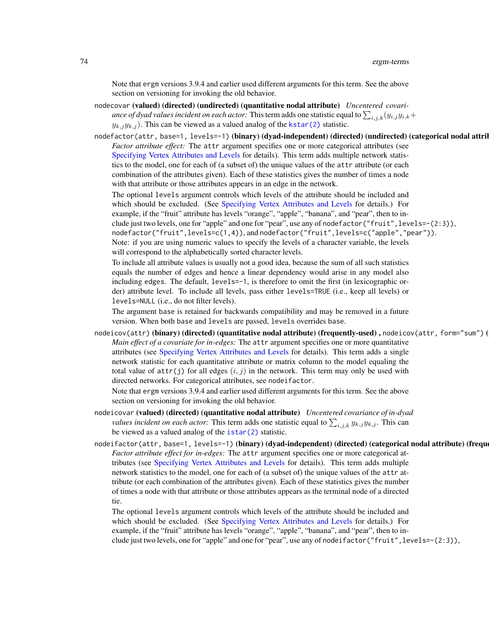Note that ergm versions 3.9.4 and earlier used different arguments for this term. See the above section on versioning for invoking the old behavior.

- nodecovar (valued) (directed) (undirected) (quantitative nodal attribute) *Uncentered covariance of dyad values incident on each actor:* This term adds one statistic equal to  $\sum_{i,j,k}(y_{i,j}y_{i,k}+$  $y_{k,j}y_{k,j}$ ). This can be viewed as a valued analog of the [kstar\(2\)](#page-51-0) statistic.
- nodefactor(attr, base=1, levels=-1) (binary) (dyad-independent) (directed) (undirected) (categorical nodal attril *Factor attribute effect:* The attr argument specifies one or more categorical attributes (see [Specifying Vertex Attributes and Levels](#page-124-0) for details). This term adds multiple network statistics to the model, one for each of (a subset of) the unique values of the attr attribute (or each combination of the attributes given). Each of these statistics gives the number of times a node with that attribute or those attributes appears in an edge in the network.

The optional levels argument controls which levels of the attribute should be included and which should be excluded. (See [Specifying Vertex Attributes and Levels](#page-124-0) for details.) For example, if the "fruit" attribute has levels "orange", "apple", "banana", and "pear", then to include just two levels, one for "apple" and one for "pear", use any of nodefactor ("fruit", levels=-(2:3)), nodefactor("fruit",levels=c(1,4)), and nodefactor("fruit",levels=c("apple","pear")). Note: if you are using numeric values to specify the levels of a character variable, the levels will correspond to the alphabetically sorted character levels.

To include all attribute values is usually not a good idea, because the sum of all such statistics equals the number of edges and hence a linear dependency would arise in any model also including edges. The default, levels=-1, is therefore to omit the first (in lexicographic order) attribute level. To include all levels, pass either levels=TRUE (i.e., keep all levels) or levels=NULL (i.e., do not filter levels).

The argument base is retained for backwards compatibility and may be removed in a future version. When both base and levels are passed, levels overrides base.

nodeicov(attr) (binary) (directed) (quantitative nodal attribute) (frequently-used), nodeicov(attr, form="sum") ( *Main effect of a covariate for in-edges:* The attr argument specifies one or more quantitative attributes (see [Specifying Vertex Attributes and Levels](#page-124-0) for details). This term adds a single network statistic for each quantitative attribute or matrix column to the model equaling the total value of  $attr(j)$  for all edges  $(i, j)$  in the network. This term may only be used with directed networks. For categorical attributes, see nodeifactor.

Note that ergm versions 3.9.4 and earlier used different arguments for this term. See the above section on versioning for invoking the old behavior.

- nodeicovar (valued) (directed) (quantitative nodal attribute) *Uncentered covariance of in-dyad values incident on each actor:* This term adds one statistic equal to  $\sum_{i,j,k} y_{k,j} y_{k,j}$ . This can be viewed as a valued analog of the [istar\(2\)](#page-51-0) statistic.
- nodeifactor(attr, base=1, levels=-1) (binary) (dyad-independent) (directed) (categorical nodal attribute) (frequ *Factor attribute effect for in-edges:* The attr argument specifies one or more categorical attributes (see [Specifying Vertex Attributes and Levels](#page-124-0) for details). This term adds multiple network statistics to the model, one for each of (a subset of) the unique values of the attr attribute (or each combination of the attributes given). Each of these statistics gives the number of times a node with that attribute or those attributes appears as the terminal node of a directed tie.

The optional levels argument controls which levels of the attribute should be included and which should be excluded. (See [Specifying Vertex Attributes and Levels](#page-124-0) for details.) For example, if the "fruit" attribute has levels "orange", "apple", "banana", and "pear", then to include just two levels, one for "apple" and one for "pear", use any of nodeifactor("fruit",levels=-(2:3)),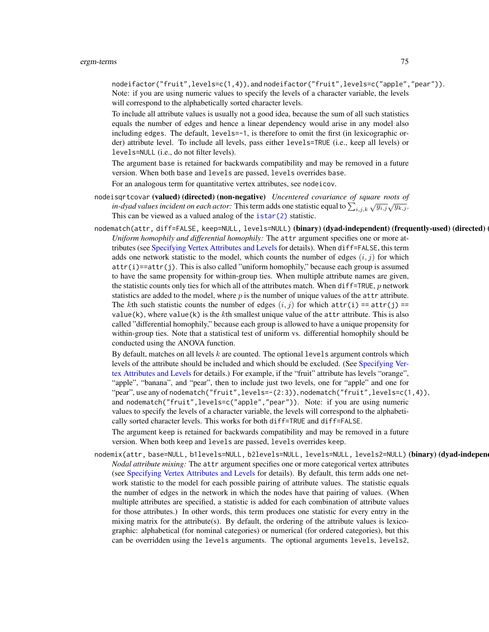nodeifactor("fruit",levels=c(1,4)), and nodeifactor("fruit",levels=c("apple","pear")). Note: if you are using numeric values to specify the levels of a character variable, the levels will correspond to the alphabetically sorted character levels.

To include all attribute values is usually not a good idea, because the sum of all such statistics equals the number of edges and hence a linear dependency would arise in any model also including edges. The default, levels=-1, is therefore to omit the first (in lexicographic order) attribute level. To include all levels, pass either levels=TRUE (i.e., keep all levels) or levels=NULL (i.e., do not filter levels).

The argument base is retained for backwards compatibility and may be removed in a future version. When both base and levels are passed, levels overrides base.

For an analogous term for quantitative vertex attributes, see nodeicov.

- nodeisqrtcovar (valued) (directed) (non-negative) *Uncentered covariance of square roots of in-dyad values incident on each actor:* This term adds one statistic equal to  $\sum_{i,j,k} \sqrt{y_{i,j}} \sqrt{y_{k,j}}$ . This can be viewed as a valued analog of the [istar\(2\)](#page-51-0) statistic.
- nodematch(attr, diff=FALSE, keep=NULL, levels=NULL) (binary) (dyad-independent) (frequently-used) (directed) *Uniform homophily and differential homophily:* The attr argument specifies one or more attributes (see [Specifying Vertex Attributes and Levels](#page-124-0) for details). When diff=FALSE, this term adds one network statistic to the model, which counts the number of edges  $(i, j)$  for which  $attr(i) == attr(j)$ . This is also called "uniform homophily," because each group is assumed to have the same propensity for within-group ties. When multiple attribute names are given, the statistic counts only ties for which all of the attributes match. When diff=TRUE,  $p$  network statistics are added to the model, where  $p$  is the number of unique values of the attr attribute. The kth such statistic counts the number of edges  $(i, j)$  for which attr(i) == attr(j) == value(k), where value(k) is the kth smallest unique value of the attr attribute. This is also called "differential homophily," because each group is allowed to have a unique propensity for within-group ties. Note that a statistical test of uniform vs. differential homophily should be conducted using the ANOVA function.

By default, matches on all levels  $k$  are counted. The optional levels argument controls which levels of the attribute should be included and which should be excluded. (See [Specifying Ver](#page-124-0)[tex Attributes and Levels](#page-124-0) for details.) For example, if the "fruit" attribute has levels "orange", "apple", "banana", and "pear", then to include just two levels, one for "apple" and one for "pear", use any of nodematch("fruit",levels=-(2:3)), nodematch("fruit",levels=c(1,4)), and nodematch("fruit", levels=c("apple", "pear")). Note: if you are using numeric values to specify the levels of a character variable, the levels will correspond to the alphabetically sorted character levels. This works for both diff=TRUE and diff=FALSE.

The argument keep is retained for backwards compatibility and may be removed in a future version. When both keep and levels are passed, levels overrides keep.

nodemix(attr, base=NULL, b1levels=NULL, b2levels=NULL, levels=NULL, levels2=NULL) (binary) (dyad-indepen *Nodal attribute mixing:* The attr argument specifies one or more categorical vertex attributes (see [Specifying Vertex Attributes and Levels](#page-124-0) for details). By default, this term adds one network statistic to the model for each possible pairing of attribute values. The statistic equals the number of edges in the network in which the nodes have that pairing of values. (When multiple attributes are specified, a statistic is added for each combination of attribute values for those attributes.) In other words, this term produces one statistic for every entry in the mixing matrix for the attribute(s). By default, the ordering of the attribute values is lexicographic: alphabetical (for nominal categories) or numerical (for ordered categories), but this can be overridden using the levels arguments. The optional arguments levels, levels2,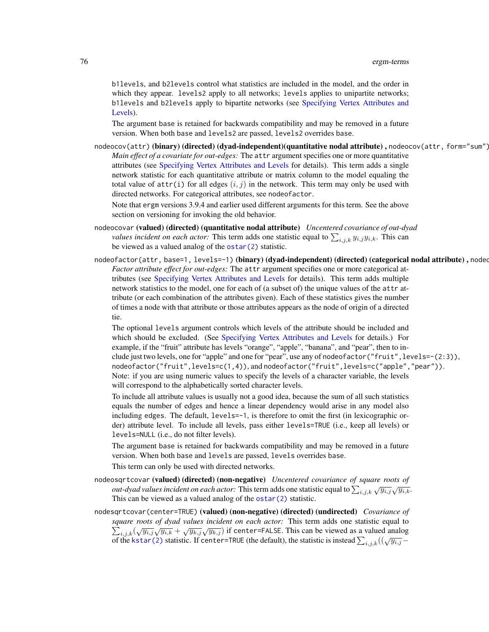b1levels, and b2levels control what statistics are included in the model, and the order in which they appear. levels2 apply to all networks; levels applies to unipartite networks; b1levels and b2levels apply to bipartite networks (see [Specifying Vertex Attributes and](#page-124-0) [Levels\)](#page-124-0).

The argument base is retained for backwards compatibility and may be removed in a future version. When both base and levels2 are passed, levels2 overrides base.

 $nodeocov(attr)$  (binary) (directed) (dyad-independent) (quantitative nodal attribute),  $nodeocov(attr, form="sum")$ *Main effect of a covariate for out-edges:* The attr argument specifies one or more quantitative attributes (see [Specifying Vertex Attributes and Levels](#page-124-0) for details). This term adds a single network statistic for each quantitative attribute or matrix column to the model equaling the total value of  $attr(i)$  for all edges  $(i, j)$  in the network. This term may only be used with directed networks. For categorical attributes, see nodeofactor.

Note that ergm versions 3.9.4 and earlier used different arguments for this term. See the above section on versioning for invoking the old behavior.

- nodeocovar (valued) (directed) (quantitative nodal attribute) *Uncentered covariance of out-dyad values incident on each actor:* This term adds one statistic equal to  $\sum_{i,j,k} y_{i,j} y_{i,k}$ . This can be viewed as a valued analog of the [ostar\(2\)](#page-51-0) statistic.
- nodeofactor(attr, base=1, levels=-1) (binary) (dyad-independent) (directed) (categorical nodal attribute), nodeo *Factor attribute effect for out-edges:* The attr argument specifies one or more categorical attributes (see [Specifying Vertex Attributes and Levels](#page-124-0) for details). This term adds multiple network statistics to the model, one for each of (a subset of) the unique values of the attr attribute (or each combination of the attributes given). Each of these statistics gives the number of times a node with that attribute or those attributes appears as the node of origin of a directed tie.

The optional levels argument controls which levels of the attribute should be included and which should be excluded. (See [Specifying Vertex Attributes and Levels](#page-124-0) for details.) For example, if the "fruit" attribute has levels "orange", "apple", "banana", and "pear", then to include just two levels, one for "apple" and one for "pear", use any of nodeofactor("fruit",levels=-(2:3)), nodeofactor("fruit",levels=c(1,4)), and nodeofactor("fruit",levels=c("apple","pear")). Note: if you are using numeric values to specify the levels of a character variable, the levels will correspond to the alphabetically sorted character levels.

To include all attribute values is usually not a good idea, because the sum of all such statistics equals the number of edges and hence a linear dependency would arise in any model also including edges. The default, levels=-1, is therefore to omit the first (in lexicographic order) attribute level. To include all levels, pass either levels=TRUE (i.e., keep all levels) or levels=NULL (i.e., do not filter levels).

The argument base is retained for backwards compatibility and may be removed in a future version. When both base and levels are passed, levels overrides base.

This term can only be used with directed networks.

- nodeosqrtcovar (valued) (directed) (non-negative) *Uncentered covariance of square roots of out-dyad values incident on each actor:* This term adds one statistic equal to  $\sum_{i,j,k} \sqrt{y_{i,j}} \sqrt{y_{i,k}}$ . This can be viewed as a valued analog of the [ostar\(2\)](#page-51-0) statistic.
- nodesqrtcovar(center=TRUE) (valued) (non-negative) (directed) (undirected) *Covariance of square roots of dyad values incident on each actor:* This term adds one statistic equal to  $\sum_{i,j,k} (\sqrt{y_{i,j}}\sqrt{y_{i,k}} + \sqrt{y_{k,j}}\sqrt{y_{k,j}})$  if center=FALSE. This can be viewed as a valued analog  $\sum_{i,j,k} (\sqrt{y_i}, \sqrt{y_i}, k + \sqrt{y_k}, \sqrt{y_k}, j)$  if center-TRUE. This can be viewed as a valued analog of the [kstar\(2\)](#page-51-0) statistic. If center=TRUE (the default), the statistic is instead  $\sum_{i,j,k} ((\sqrt{y_i}, j - \sqrt{y_i})$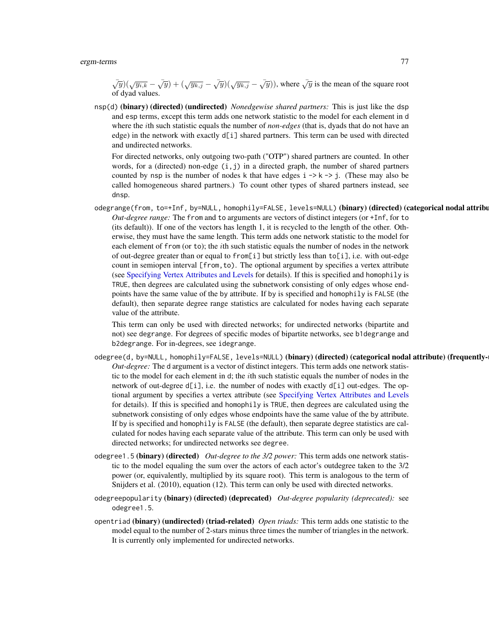$\sqrt{y}$ ) $(\sqrt{y_{i,k}} - \sqrt{y}) + (\sqrt{y_{k,j}} - \sqrt{y})(\sqrt{y_{k,j}} - \sqrt{y}))$ , where  $\sqrt{y}$  is the mean of the square root of dyad values.

nsp(d) (binary) (directed) (undirected) *Nonedgewise shared partners:* This is just like the dsp and esp terms, except this term adds one network statistic to the model for each element in d where the ith such statistic equals the number of *non-edges* (that is, dyads that do not have an edge) in the network with exactly d[i] shared partners. This term can be used with directed and undirected networks.

For directed networks, only outgoing two-path ("OTP") shared partners are counted. In other words, for a (directed) non-edge  $(i, j)$  in a directed graph, the number of shared partners counted by nsp is the number of nodes k that have edges  $i \rightarrow k \rightarrow j$ . (These may also be called homogeneous shared partners.) To count other types of shared partners instead, see dnsp.

odegrange(from, to=+Inf, by=NULL, homophily=FALSE, levels=NULL) (binary) (directed) (categorical nodal attribu *Out-degree range:* The from and to arguments are vectors of distinct integers (or +Inf, for to (its default)). If one of the vectors has length 1, it is recycled to the length of the other. Otherwise, they must have the same length. This term adds one network statistic to the model for each element of from (or to); the ith such statistic equals the number of nodes in the network of out-degree greater than or equal to from[i] but strictly less than to[i], i.e. with out-edge count in semiopen interval [from,to). The optional argument by specifies a vertex attribute (see [Specifying Vertex Attributes and Levels](#page-124-0) for details). If this is specified and homophily is TRUE, then degrees are calculated using the subnetwork consisting of only edges whose endpoints have the same value of the by attribute. If by is specified and homophily is FALSE (the default), then separate degree range statistics are calculated for nodes having each separate value of the attribute.

This term can only be used with directed networks; for undirected networks (bipartite and not) see degrange. For degrees of specific modes of bipartite networks, see b1degrange and b2degrange. For in-degrees, see idegrange.

- odegree(d, by=NULL, homophily=FALSE, levels=NULL) (binary) (directed) (categorical nodal attribute) (frequently-*Out-degree:* The d argument is a vector of distinct integers. This term adds one network statistic to the model for each element in d; the ith such statistic equals the number of nodes in the network of out-degree  $d[i]$ , i.e. the number of nodes with exactly  $d[i]$  out-edges. The optional argument by specifies a vertex attribute (see [Specifying Vertex Attributes and Levels](#page-124-0) for details). If this is specified and homophily is TRUE, then degrees are calculated using the subnetwork consisting of only edges whose endpoints have the same value of the by attribute. If by is specified and homophily is FALSE (the default), then separate degree statistics are calculated for nodes having each separate value of the attribute. This term can only be used with directed networks; for undirected networks see degree.
- odegree1.5 (binary) (directed) *Out-degree to the 3/2 power:* This term adds one network statistic to the model equaling the sum over the actors of each actor's outdegree taken to the 3/2 power (or, equivalently, multiplied by its square root). This term is analogous to the term of Snijders et al. (2010), equation (12). This term can only be used with directed networks.
- odegreepopularity (binary) (directed) (deprecated) *Out-degree popularity (deprecated):* see odegree1.5.
- opentriad (binary) (undirected) (triad-related) *Open triads:* This term adds one statistic to the model equal to the number of 2-stars minus three times the number of triangles in the network. It is currently only implemented for undirected networks.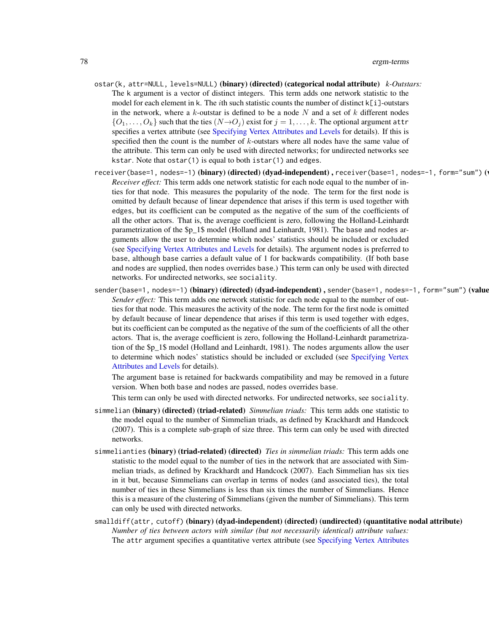- ostar(k, attr=NULL, levels=NULL) (binary) (directed) (categorical nodal attribute) *k-Outstars:* The k argument is a vector of distinct integers. This term adds one network statistic to the model for each element in k. The *i*th such statistic counts the number of distinct  $k[i]$ -outstars in the network, where a  $k$ -outstar is defined to be a node  $N$  and a set of  $k$  different nodes  $\{O_1, \ldots, O_k\}$  such that the ties  $(N \rightarrow O_j)$  exist for  $j = 1, \ldots, k$ . The optional argument attr specifies a vertex attribute (see [Specifying Vertex Attributes and Levels](#page-124-0) for details). If this is specified then the count is the number of k-outstars where all nodes have the same value of the attribute. This term can only be used with directed networks; for undirected networks see kstar. Note that ostar(1) is equal to both istar(1) and edges.
- receiver(base=1, nodes=-1) (binary) (directed) (dyad-independent), receiver(base=1, nodes=-1, form="sum") ( *Receiver effect:* This term adds one network statistic for each node equal to the number of inties for that node. This measures the popularity of the node. The term for the first node is omitted by default because of linear dependence that arises if this term is used together with edges, but its coefficient can be computed as the negative of the sum of the coefficients of all the other actors. That is, the average coefficient is zero, following the Holland-Leinhardt parametrization of the \$p\_1\$ model (Holland and Leinhardt, 1981). The base and nodes arguments allow the user to determine which nodes' statistics should be included or excluded (see [Specifying Vertex Attributes and Levels](#page-124-0) for details). The argument nodes is preferred to base, although base carries a default value of 1 for backwards compatibility. (If both base and nodes are supplied, then nodes overrides base.) This term can only be used with directed networks. For undirected networks, see sociality.
- sender(base=1, nodes=-1) (binary) (directed) (dyad-independent), sender(base=1, nodes=-1, form="sum") (value *Sender effect:* This term adds one network statistic for each node equal to the number of outties for that node. This measures the activity of the node. The term for the first node is omitted by default because of linear dependence that arises if this term is used together with edges, but its coefficient can be computed as the negative of the sum of the coefficients of all the other actors. That is, the average coefficient is zero, following the Holland-Leinhardt parametrization of the \$p\_1\$ model (Holland and Leinhardt, 1981). The nodes arguments allow the user to determine which nodes' statistics should be included or excluded (see [Specifying Vertex](#page-124-0) [Attributes and Levels](#page-124-0) for details).

The argument base is retained for backwards compatibility and may be removed in a future version. When both base and nodes are passed, nodes overrides base.

This term can only be used with directed networks. For undirected networks, see sociality.

- simmelian (binary) (directed) (triad-related) *Simmelian triads:* This term adds one statistic to the model equal to the number of Simmelian triads, as defined by Krackhardt and Handcock (2007). This is a complete sub-graph of size three. This term can only be used with directed networks.
- simmelianties (binary) (triad-related) (directed) *Ties in simmelian triads:* This term adds one statistic to the model equal to the number of ties in the network that are associated with Simmelian triads, as defined by Krackhardt and Handcock (2007). Each Simmelian has six ties in it but, because Simmelians can overlap in terms of nodes (and associated ties), the total number of ties in these Simmelians is less than six times the number of Simmelians. Hence this is a measure of the clustering of Simmelians (given the number of Simmelians). This term can only be used with directed networks.
- smalldiff(attr, cutoff) (binary) (dyad-independent) (directed) (undirected) (quantitative nodal attribute) *Number of ties between actors with similar (but not necessarily identical) attribute values:* The attr argument specifies a quantitative vertex attribute (see [Specifying Vertex Attributes](#page-124-0)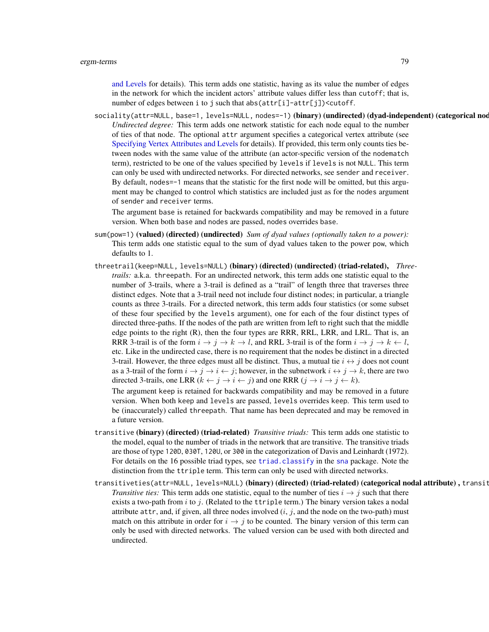[and Levels](#page-124-0) for details). This term adds one statistic, having as its value the number of edges in the network for which the incident actors' attribute values differ less than cutoff; that is, number of edges between i to j such that abs( $attr[i]$ -attr[j])<cutoff.

sociality(attr=NULL, base=1, levels=NULL, nodes=-1) (binary) (undirected) (dyad-independent) (categorical nod *Undirected degree:* This term adds one network statistic for each node equal to the number of ties of that node. The optional attr argument specifies a categorical vertex attribute (see [Specifying Vertex Attributes and Levels](#page-124-0) for details). If provided, this term only counts ties between nodes with the same value of the attribute (an actor-specific version of the nodematch term), restricted to be one of the values specified by levels if levels is not NULL. This term can only be used with undirected networks. For directed networks, see sender and receiver. By default, nodes=-1 means that the statistic for the first node will be omitted, but this argument may be changed to control which statistics are included just as for the nodes argument of sender and receiver terms.

The argument base is retained for backwards compatibility and may be removed in a future version. When both base and nodes are passed, nodes overrides base.

- sum(pow=1) (valued) (directed) (undirected) *Sum of dyad values (optionally taken to a power)*: This term adds one statistic equal to the sum of dyad values taken to the power pow, which defaults to 1.
- threetrail(keep=NULL, levels=NULL) (binary) (directed) (undirected) (triad-related), *Threetrails:* a.k.a. threepath. For an undirected network, this term adds one statistic equal to the number of 3-trails, where a 3-trail is defined as a "trail" of length three that traverses three distinct edges. Note that a 3-trail need not include four distinct nodes; in particular, a triangle counts as three 3-trails. For a directed network, this term adds four statistics (or some subset of these four specified by the levels argument), one for each of the four distinct types of directed three-paths. If the nodes of the path are written from left to right such that the middle edge points to the right (R), then the four types are RRR, RRL, LRR, and LRL. That is, an RRR 3-trail is of the form  $i \to j \to k \to l$ , and RRL 3-trail is of the form  $i \to j \to k \leftarrow l$ , etc. Like in the undirected case, there is no requirement that the nodes be distinct in a directed 3-trail. However, the three edges must all be distinct. Thus, a mutual tie  $i \leftrightarrow j$  does not count as a 3-trail of the form  $i \rightarrow j \rightarrow i \leftarrow j$ ; however, in the subnetwork  $i \leftrightarrow j \rightarrow k$ , there are two directed 3-trails, one LRR  $(k \leftarrow j \rightarrow i \leftarrow j)$  and one RRR  $(j \rightarrow i \rightarrow j \leftarrow k)$ .

The argument keep is retained for backwards compatibility and may be removed in a future version. When both keep and levels are passed, levels overrides keep. This term used to be (inaccurately) called threepath. That name has been deprecated and may be removed in a future version.

- transitive (binary) (directed) (triad-related) *Transitive triads:* This term adds one statistic to the model, equal to the number of triads in the network that are transitive. The transitive triads are those of type 120D, 030T, 120U, or 300 in the categorization of Davis and Leinhardt (1972). For details on the 16 possible triad types, see [triad.classify](#page-0-0) in the [sna](#page-0-0) package. Note the distinction from the ttriple term. This term can only be used with directed networks.
- transitiveties(attr=NULL, levels=NULL) (binary) (directed) (triad-related) (categorical nodal attribute), transit *Transitive ties:* This term adds one statistic, equal to the number of ties  $i \rightarrow j$  such that there exists a two-path from i to j. (Related to the ttriple term.) The binary version takes a nodal attribute attr, and, if given, all three nodes involved  $(i, j)$ , and the node on the two-path) must match on this attribute in order for  $i \rightarrow j$  to be counted. The binary version of this term can only be used with directed networks. The valued version can be used with both directed and undirected.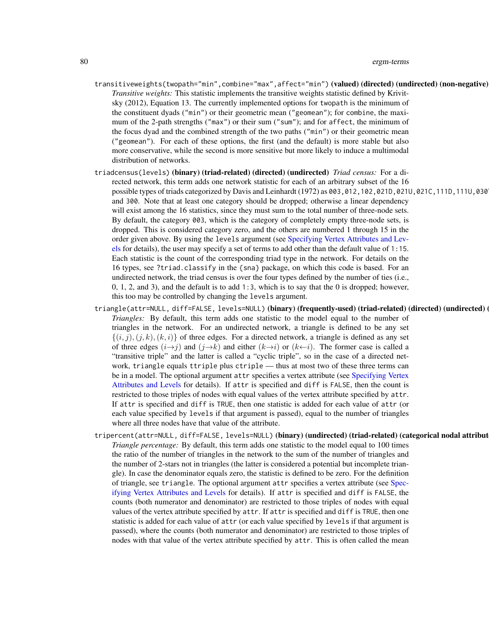- transitiveweights(twopath="min",combine="max",affect="min") (valued) (directed) (undirected) (non-negative) *Transitive weights:* This statistic implements the transitive weights statistic defined by Krivitsky (2012), Equation 13. The currently implemented options for twopath is the minimum of the constituent dyads ("min") or their geometric mean ("geomean"); for combine, the maximum of the 2-path strengths ("max") or their sum ("sum"); and for affect, the minimum of the focus dyad and the combined strength of the two paths ("min") or their geometric mean ("geomean"). For each of these options, the first (and the default) is more stable but also more conservative, while the second is more sensitive but more likely to induce a multimodal distribution of networks.
- triadcensus(levels) (binary) (triad-related) (directed) (undirected) *Triad census:* For a directed network, this term adds one network statistic for each of an arbitrary subset of the 16 possible types of triads categorized by Davis and Leinhardt (1972) as  $\theta$ 03, 012, 102, 0210, 0210, 0210, 0210, 1110, 1110, 030 and 300. Note that at least one category should be dropped; otherwise a linear dependency will exist among the 16 statistics, since they must sum to the total number of three-node sets. By default, the category 003, which is the category of completely empty three-node sets, is dropped. This is considered category zero, and the others are numbered 1 through 15 in the order given above. By using the levels argument (see [Specifying Vertex Attributes and Lev](#page-124-0)[els](#page-124-0) for details), the user may specify a set of terms to add other than the default value of 1:15. Each statistic is the count of the corresponding triad type in the network. For details on the 16 types, see ?triad.classify in the {sna} package, on which this code is based. For an undirected network, the triad census is over the four types defined by the number of ties (i.e., 0, 1, 2, and 3), and the default is to add 1:3, which is to say that the 0 is dropped; however, this too may be controlled by changing the levels argument.
- triangle(attr=NULL, diff=FALSE, levels=NULL) (binary) (frequently-used) (triad-related) (directed) (undirected) *Triangles:* By default, this term adds one statistic to the model equal to the number of triangles in the network. For an undirected network, a triangle is defined to be any set  $\{(i, j), (j, k), (k, i)\}\$  of three edges. For a directed network, a triangle is defined as any set of three edges  $(i\rightarrow j)$  and  $(j\rightarrow k)$  and either  $(k\rightarrow i)$  or  $(k\leftarrow i)$ . The former case is called a "transitive triple" and the latter is called a "cyclic triple", so in the case of a directed network, triangle equals ttriple plus ctriple — thus at most two of these three terms can be in a model. The optional argument attr specifies a vertex attribute (see [Specifying Vertex](#page-124-0) [Attributes and Levels](#page-124-0) for details). If attr is specified and diff is FALSE, then the count is restricted to those triples of nodes with equal values of the vertex attribute specified by attr. If attr is specified and diff is TRUE, then one statistic is added for each value of attr (or each value specified by levels if that argument is passed), equal to the number of triangles where all three nodes have that value of the attribute.
- tripercent(attr=NULL, diff=FALSE, levels=NULL) (binary) (undirected) (triad-related) (categorical nodal attribute) *Triangle percentage:* By default, this term adds one statistic to the model equal to 100 times the ratio of the number of triangles in the network to the sum of the number of triangles and the number of 2-stars not in triangles (the latter is considered a potential but incomplete triangle). In case the denominator equals zero, the statistic is defined to be zero. For the definition of triangle, see triangle. The optional argument attr specifies a vertex attribute (see [Spec](#page-124-0)[ifying Vertex Attributes and Levels](#page-124-0) for details). If attr is specified and diff is FALSE, the counts (both numerator and denominator) are restricted to those triples of nodes with equal values of the vertex attribute specified by attr. If attr is specified and diff is TRUE, then one statistic is added for each value of attr (or each value specified by levels if that argument is passed), where the counts (both numerator and denominator) are restricted to those triples of nodes with that value of the vertex attribute specified by attr. This is often called the mean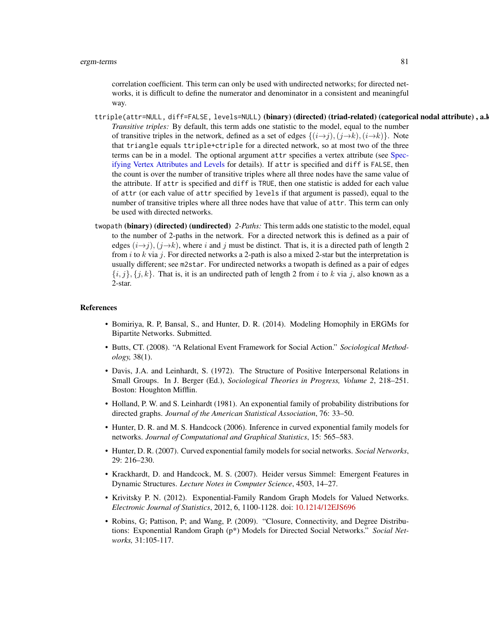correlation coefficient. This term can only be used with undirected networks; for directed networks, it is difficult to define the numerator and denominator in a consistent and meaningful way.

- ttriple(attr=NULL, diff=FALSE, levels=NULL) (binary) (directed) (triad-related) (categorical nodal attribute), a.l *Transitive triples:* By default, this term adds one statistic to the model, equal to the number of transitive triples in the network, defined as a set of edges  $\{(i\rightarrow j), (j\rightarrow k), (i\rightarrow k)\}$ . Note that triangle equals ttriple+ctriple for a directed network, so at most two of the three terms can be in a model. The optional argument attr specifies a vertex attribute (see [Spec](#page-124-0)[ifying Vertex Attributes and Levels](#page-124-0) for details). If attr is specified and diff is FALSE, then the count is over the number of transitive triples where all three nodes have the same value of the attribute. If attr is specified and diff is TRUE, then one statistic is added for each value of attr (or each value of attr specified by levels if that argument is passed), equal to the number of transitive triples where all three nodes have that value of attr. This term can only be used with directed networks.
- twopath (binary) (directed) (undirected) *2-Paths:* This term adds one statistic to the model, equal to the number of 2-paths in the network. For a directed network this is defined as a pair of edges  $(i\rightarrow j)$ ,  $(j\rightarrow k)$ , where i and j must be distinct. That is, it is a directed path of length 2 from i to k via j. For directed networks a 2-path is also a mixed 2-star but the interpretation is usually different; see m2star. For undirected networks a twopath is defined as a pair of edges  ${i, j}, {j, k}$ . That is, it is an undirected path of length 2 from i to k via j, also known as a 2-star.

#### References

- Bomiriya, R. P, Bansal, S., and Hunter, D. R. (2014). Modeling Homophily in ERGMs for Bipartite Networks. Submitted.
- Butts, CT. (2008). "A Relational Event Framework for Social Action." *Sociological Methodology,* 38(1).
- Davis, J.A. and Leinhardt, S. (1972). The Structure of Positive Interpersonal Relations in Small Groups. In J. Berger (Ed.), *Sociological Theories in Progress, Volume 2*, 218–251. Boston: Houghton Mifflin.
- Holland, P. W. and S. Leinhardt (1981). An exponential family of probability distributions for directed graphs. *Journal of the American Statistical Association*, 76: 33–50.
- Hunter, D. R. and M. S. Handcock (2006). Inference in curved exponential family models for networks. *Journal of Computational and Graphical Statistics*, 15: 565–583.
- Hunter, D. R. (2007). Curved exponential family models for social networks. *Social Networks*, 29: 216–230.
- Krackhardt, D. and Handcock, M. S. (2007). Heider versus Simmel: Emergent Features in Dynamic Structures. *Lecture Notes in Computer Science*, 4503, 14–27.
- Krivitsky P. N. (2012). Exponential-Family Random Graph Models for Valued Networks. *Electronic Journal of Statistics*, 2012, 6, 1100-1128. doi: [10.1214/12EJS696](https://doi.org/10.1214/12-EJS696)
- Robins, G; Pattison, P; and Wang, P. (2009). "Closure, Connectivity, and Degree Distributions: Exponential Random Graph (p\*) Models for Directed Social Networks." *Social Networks,* 31:105-117.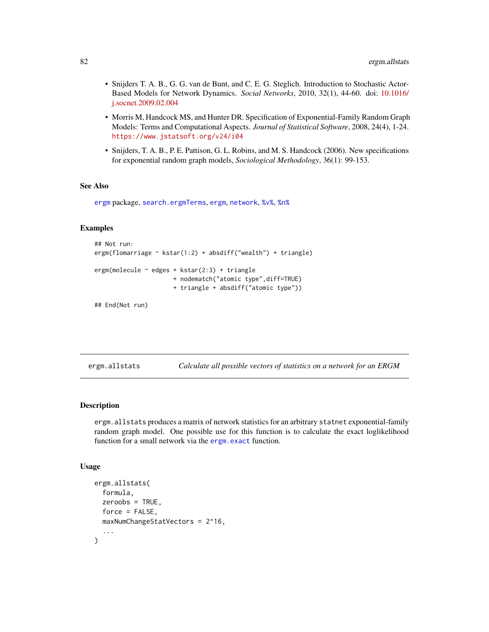- Snijders T. A. B., G. G. van de Bunt, and C. E. G. Steglich. Introduction to Stochastic Actor-Based Models for Network Dynamics. *Social Networks*, 2010, 32(1), 44-60. doi: [10.1016/](https://doi.org/10.1016/j.socnet.2009.02.004) [j.socnet.2009.02.004](https://doi.org/10.1016/j.socnet.2009.02.004)
- Morris M, Handcock MS, and Hunter DR. Specification of Exponential-Family Random Graph Models: Terms and Computational Aspects. *Journal of Statistical Software*, 2008, 24(4), 1-24. <https://www.jstatsoft.org/v24/i04>
- Snijders, T. A. B., P. E. Pattison, G. L. Robins, and M. S. Handcock (2006). New specifications for exponential random graph models, *Sociological Methodology*, 36(1): 99-153.

#### See Also

[ergm](#page-3-0) package, [search.ergmTerms](#page-136-0), [ergm](#page-37-0), [network](#page-0-0), [%v%](#page-0-0), [%n%](#page-0-0)

# Examples

```
## Not run:
ergm(flomarriage ~ kstar(1:2) + absdiff("wealth") + triangle)
ergm(molecule ~ edges + kstar(2:3) + triangle
                     + nodematch("atomic type",diff=TRUE)
                     + triangle + absdiff("atomic type"))
```
## End(Not run)

<span id="page-81-0"></span>ergm.allstats *Calculate all possible vectors of statistics on a network for an ERGM*

#### Description

ergm.allstats produces a matrix of network statistics for an arbitrary statnet exponential-family random graph model. One possible use for this function is to calculate the exact loglikelihood function for a small network via the [ergm.exact](#page-87-0) function.

#### Usage

```
ergm.allstats(
  formula,
  zeroobs = TRUE,
  force = FALSE,
 maxNumChangeStatVectors = 2^16,
  ...
)
```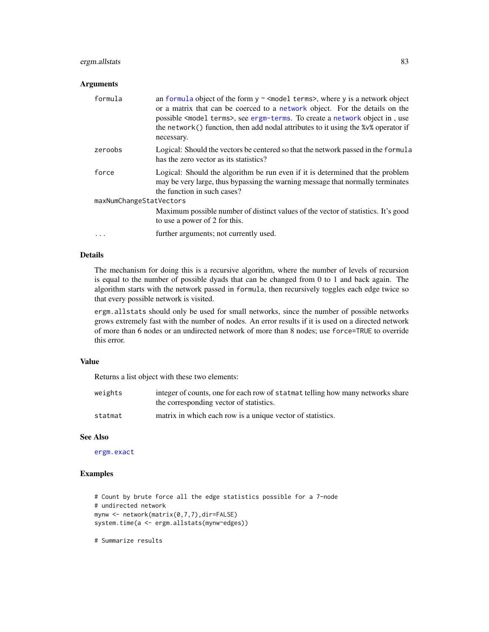# ergm.allstats 83

## Arguments

| formula                 | an formula object of the form $y \sim$ <model terms="">, where y is a network object<br/>or a matrix that can be coerced to a network object. For the details on the<br/>possible <model terms="">, see ergm-terms. To create a network object in, use<br/>the network() function, then add nodal attributes to it using the %<math>\vee\%</math> operator if<br/>necessary.</model></model> |  |
|-------------------------|----------------------------------------------------------------------------------------------------------------------------------------------------------------------------------------------------------------------------------------------------------------------------------------------------------------------------------------------------------------------------------------------|--|
| zeroobs                 | Logical: Should the vectors be centered so that the network passed in the formula<br>has the zero vector as its statistics?                                                                                                                                                                                                                                                                  |  |
| force                   | Logical: Should the algorithm be run even if it is determined that the problem<br>may be very large, thus bypassing the warning message that normally terminates<br>the function in such cases?                                                                                                                                                                                              |  |
| maxNumChangeStatVectors |                                                                                                                                                                                                                                                                                                                                                                                              |  |
|                         | Maximum possible number of distinct values of the vector of statistics. It's good<br>to use a power of 2 for this.                                                                                                                                                                                                                                                                           |  |
| $\ddots$ .              | further arguments; not currently used.                                                                                                                                                                                                                                                                                                                                                       |  |

# Details

The mechanism for doing this is a recursive algorithm, where the number of levels of recursion is equal to the number of possible dyads that can be changed from 0 to 1 and back again. The algorithm starts with the network passed in formula, then recursively toggles each edge twice so that every possible network is visited.

ergm.allstats should only be used for small networks, since the number of possible networks grows extremely fast with the number of nodes. An error results if it is used on a directed network of more than 6 nodes or an undirected network of more than 8 nodes; use force=TRUE to override this error.

# Value

Returns a list object with these two elements:

| weights | integer of counts, one for each row of statmat telling how many networks share |
|---------|--------------------------------------------------------------------------------|
|         | the corresponding vector of statistics.                                        |
| statmat | matrix in which each row is a unique vector of statistics.                     |

## See Also

[ergm.exact](#page-87-0)

# Examples

```
# Count by brute force all the edge statistics possible for a 7-node
# undirected network
mynw <- network(matrix(0,7,7),dir=FALSE)
system.time(a <- ergm.allstats(mynw~edges))
```
# Summarize results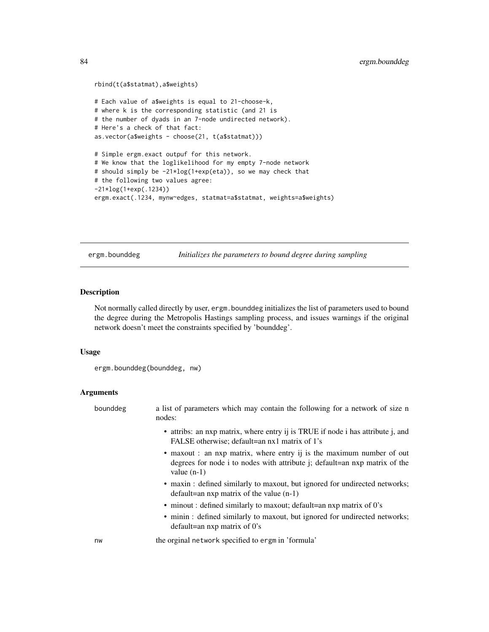```
rbind(t(a$statmat),a$weights)
# Each value of a$weights is equal to 21-choose-k,
# where k is the corresponding statistic (and 21 is
# the number of dyads in an 7-node undirected network).
# Here's a check of that fact:
as.vector(a$weights - choose(21, t(a$statmat)))
# Simple ergm.exact outpuf for this network.
# We know that the loglikelihood for my empty 7-node network
# should simply be -21*log(1+exp(eta)), so we may check that
# the following two values agree:
-21*log(1+exp(.1234))
ergm.exact(.1234, mynw~edges, statmat=a$statmat, weights=a$weights)
```
ergm.bounddeg *Initializes the parameters to bound degree during sampling*

#### Description

Not normally called directly by user, ergm.bounddeg initializes the list of parameters used to bound the degree during the Metropolis Hastings sampling process, and issues warnings if the original network doesn't meet the constraints specified by 'bounddeg'.

#### Usage

```
ergm.bounddeg(bounddeg, nw)
```
# Arguments

| bounddeg | a list of parameters which may contain the following for a network of size n<br>nodes:                                                                               |
|----------|----------------------------------------------------------------------------------------------------------------------------------------------------------------------|
|          | • attribs: an nxp matrix, where entry ij is TRUE if node i has attribute j, and<br>FALSE otherwise; default=an nx1 matrix of 1's                                     |
|          | • maxout : an nxp matrix, where entry ij is the maximum number of out<br>degrees for node i to nodes with attribute j; default=an nxp matrix of the<br>value $(n-1)$ |
|          | • maxin : defined similarly to maxout, but ignored for undirected networks;<br>$default = an nxp matrix of the value (n-1)$                                          |
|          | • minout : defined similarly to maxout; default=an nxp matrix of 0's                                                                                                 |
|          | • minin : defined similarly to maxout, but ignored for undirected networks;<br>default=an $nxp$ matrix of 0's                                                        |
| nw       | the orginal network specified to ergm in 'formula'                                                                                                                   |
|          |                                                                                                                                                                      |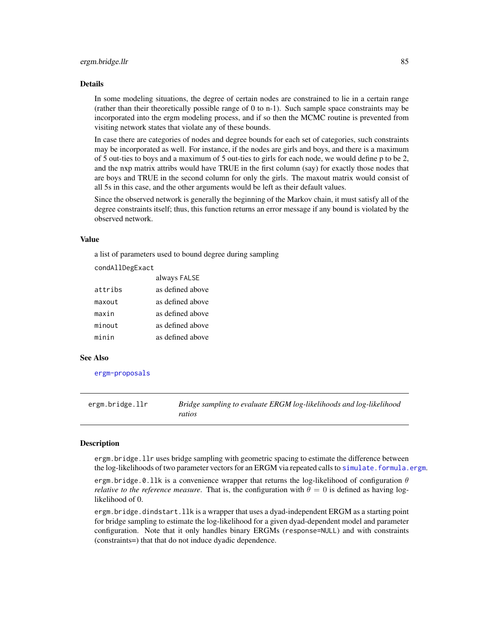#### Details

In some modeling situations, the degree of certain nodes are constrained to lie in a certain range (rather than their theoretically possible range of 0 to n-1). Such sample space constraints may be incorporated into the ergm modeling process, and if so then the MCMC routine is prevented from visiting network states that violate any of these bounds.

In case there are categories of nodes and degree bounds for each set of categories, such constraints may be incorporated as well. For instance, if the nodes are girls and boys, and there is a maximum of 5 out-ties to boys and a maximum of 5 out-ties to girls for each node, we would define p to be 2, and the nxp matrix attribs would have TRUE in the first column (say) for exactly those nodes that are boys and TRUE in the second column for only the girls. The maxout matrix would consist of all 5s in this case, and the other arguments would be left as their default values.

Since the observed network is generally the beginning of the Markov chain, it must satisfy all of the degree constraints itself; thus, this function returns an error message if any bound is violated by the observed network.

#### Value

a list of parameters used to bound degree during sampling

 $-11.8$ 

condAllDegExact

|         | always FALSE     |
|---------|------------------|
| attribs | as defined above |
| maxout  | as defined above |
| maxin   | as defined above |
| minout  | as defined above |
| minin   | as defined above |

#### See Also

[ergm-proposals](#page-0-0)

ergm.bridge.llr *Bridge sampling to evaluate ERGM log-likelihoods and log-likelihood ratios*

## Description

ergm.bridge.llr uses bridge sampling with geometric spacing to estimate the difference between the log-likelihoods of two parameter vectors for an ERGM via repeated calls to simulate. formula.ergm.

ergm.bridge.0.11k is a convenience wrapper that returns the log-likelihood of configuration  $\theta$ *relative to the reference measure.* That is, the configuration with  $\theta = 0$  is defined as having loglikelihood of 0.

ergm.bridge.dindstart.llk is a wrapper that uses a dyad-independent ERGM as a starting point for bridge sampling to estimate the log-likelihood for a given dyad-dependent model and parameter configuration. Note that it only handles binary ERGMs (response=NULL) and with constraints (constraints=) that that do not induce dyadic dependence.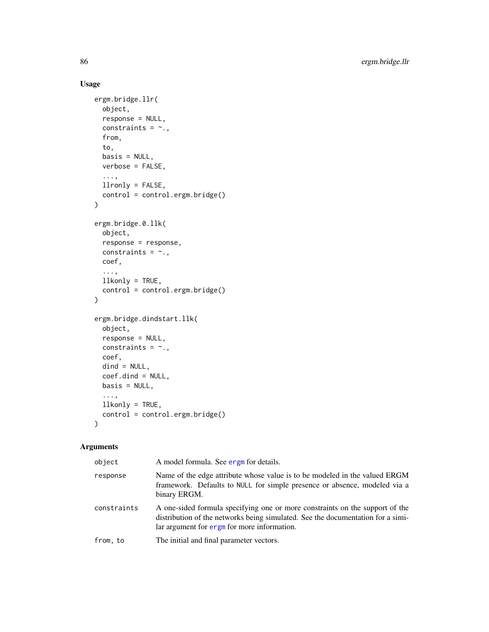# Usage

```
ergm.bridge.llr(
 object,
  response = NULL,
 constraints = \sim.,
 from,
  to,
 basis = NULL,
 verbose = FALSE,
  ...,
 llronly = FALSE,
 control = control.ergm.bridge()
)
ergm.bridge.0.llk(
 object,
 response = response,
 constraints = \sim.,
 coef,
  ...,
 llkonly = TRUE,
  control = control.ergm.bridge()
\mathcal{L}ergm.bridge.dindstart.llk(
  object,
  response = NULL,
 constraints = \sim.,
 coef,
 dind = NULL,coef.dind = NULL,
 basis = NULL,
  ...,
 llkonly = TRUE,
 control = control.ergm.bridge()
\mathcal{L}
```
# Arguments

| object      | A model formula. See ergm for details.                                                                                                                                                                         |
|-------------|----------------------------------------------------------------------------------------------------------------------------------------------------------------------------------------------------------------|
| response    | Name of the edge attribute whose value is to be modeled in the valued ERGM<br>framework. Defaults to NULL for simple presence or absence, modeled via a<br>binary ERGM.                                        |
| constraints | A one-sided formula specifying one or more constraints on the support of the<br>distribution of the networks being simulated. See the documentation for a simi-<br>lar argument for ergm for more information. |
| from, to    | The initial and final parameter vectors.                                                                                                                                                                       |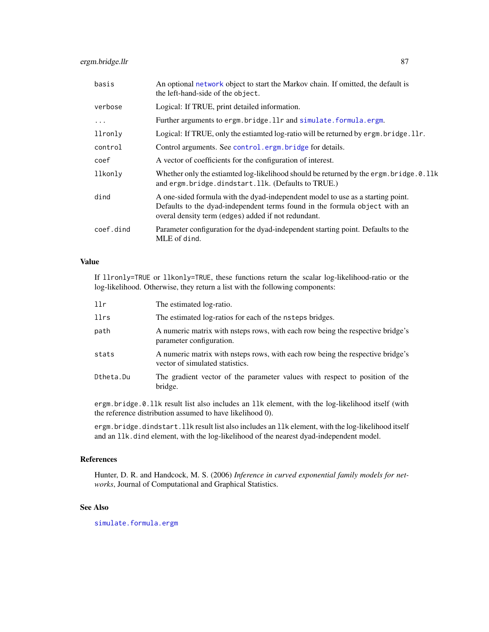# ergm.bridge.llr 87

| basis     | An optional network object to start the Markov chain. If omitted, the default is<br>the left-hand-side of the object.                                                                                                |
|-----------|----------------------------------------------------------------------------------------------------------------------------------------------------------------------------------------------------------------------|
| verbose   | Logical: If TRUE, print detailed information.                                                                                                                                                                        |
| $\ddots$  | Further arguments to ergm.bridge.llr and simulate.formula.ergm.                                                                                                                                                      |
| llronly   | Logical: If TRUE, only the estiamted log-ratio will be returned by ergm. bridge. 11r.                                                                                                                                |
| control   | Control arguments. See control.ergm.bridge for details.                                                                                                                                                              |
| coef      | A vector of coefficients for the configuration of interest.                                                                                                                                                          |
| llkonly   | Whether only the estiamted log-likelihood should be returned by the ergm. bridge. 0.11k<br>and ergm. bridge. dindstart. 11k. (Defaults to TRUE.)                                                                     |
| dind      | A one-sided formula with the dyad-independent model to use as a starting point.<br>Defaults to the dyad-independent terms found in the formula object with an<br>overal density term (edges) added if not redundant. |
| coef.dind | Parameter configuration for the dyad-independent starting point. Defaults to the<br>MLE of dind.                                                                                                                     |

# Value

If llronly=TRUE or llkonly=TRUE, these functions return the scalar log-likelihood-ratio or the log-likelihood. Otherwise, they return a list with the following components:

| 11r       | The estimated log-ratio.                                                                                          |
|-----------|-------------------------------------------------------------------------------------------------------------------|
| llrs      | The estimated log-ratios for each of the nsteps bridges.                                                          |
| path      | A numeric matrix with nsteps rows, with each row being the respective bridge's<br>parameter configuration.        |
| stats     | A numeric matrix with nsteps rows, with each row being the respective bridge's<br>vector of simulated statistics. |
| Dtheta.Du | The gradient vector of the parameter values with respect to position of the<br>bridge.                            |

ergm.bridge.0.llk result list also includes an llk element, with the log-likelihood itself (with the reference distribution assumed to have likelihood 0).

ergm.bridge.dindstart.llk result list also includes an llk element, with the log-likelihood itself and an llk.dind element, with the log-likelihood of the nearest dyad-independent model.

## References

Hunter, D. R. and Handcock, M. S. (2006) *Inference in curved exponential family models for networks*, Journal of Computational and Graphical Statistics.

## See Also

[simulate.formula.ergm](#page-138-0)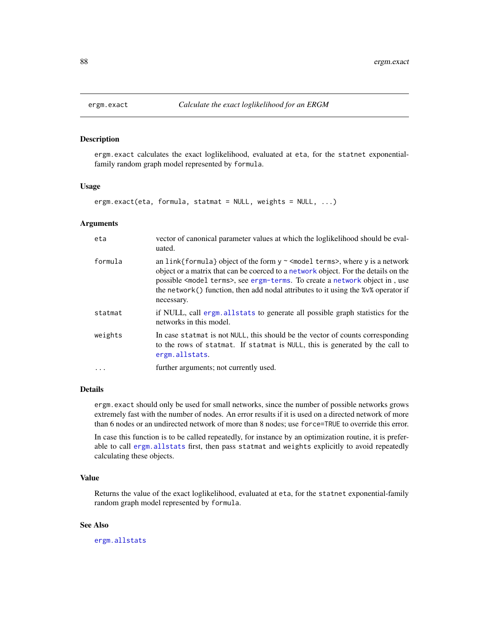<span id="page-87-0"></span>

## Description

ergm.exact calculates the exact loglikelihood, evaluated at eta, for the statnet exponentialfamily random graph model represented by formula.

#### Usage

ergm.exact(eta, formula, statmat = NULL, weights = NULL, ...)

# Arguments

| eta      | vector of canonical parameter values at which the loglikelihood should be eval-<br>uated.                                                                                                                                                                                                                                                                                          |
|----------|------------------------------------------------------------------------------------------------------------------------------------------------------------------------------------------------------------------------------------------------------------------------------------------------------------------------------------------------------------------------------------|
| formula  | an link{formula} object of the form $y \sim$ <model terms="">, where y is a network<br/>object or a matrix that can be coerced to a network object. For the details on the<br/>possible <model terms="">, see ergm-terms. To create a network object in, use<br/>the network () function, then add nodal attributes to it using the %v% operator if<br/>necessary.</model></model> |
| statmat  | if NULL, call ergm. all stats to generate all possible graph statistics for the<br>networks in this model.                                                                                                                                                                                                                                                                         |
| weights  | In case statmat is not NULL, this should be the vector of counts corresponding<br>to the rows of statmat. If statmat is NULL, this is generated by the call to<br>ergm.allstats.                                                                                                                                                                                                   |
| $\cdots$ | further arguments; not currently used.                                                                                                                                                                                                                                                                                                                                             |

#### Details

ergm.exact should only be used for small networks, since the number of possible networks grows extremely fast with the number of nodes. An error results if it is used on a directed network of more than 6 nodes or an undirected network of more than 8 nodes; use force=TRUE to override this error.

In case this function is to be called repeatedly, for instance by an optimization routine, it is preferable to call [ergm.allstats](#page-81-0) first, then pass statmat and weights explicitly to avoid repeatedly calculating these objects.

# Value

Returns the value of the exact loglikelihood, evaluated at eta, for the statnet exponential-family random graph model represented by formula.

# See Also

[ergm.allstats](#page-81-0)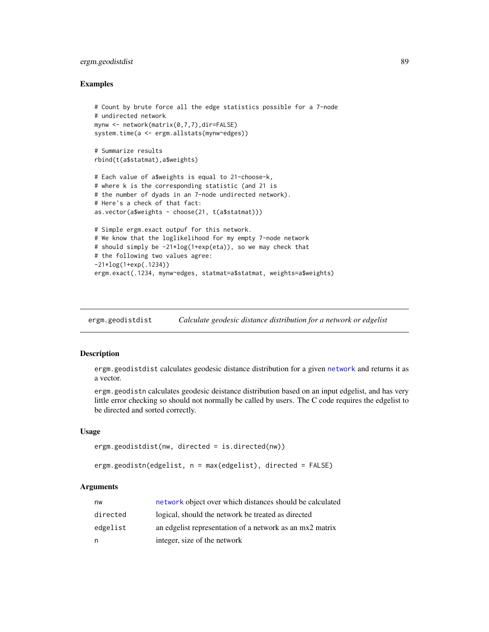# ergm.geodistdist 89

## Examples

```
# Count by brute force all the edge statistics possible for a 7-node
# undirected network
mynw <- network(matrix(0,7,7),dir=FALSE)
system.time(a <- ergm.allstats(mynw~edges))
# Summarize results
rbind(t(a$statmat),a$weights)
# Each value of a$weights is equal to 21-choose-k,
# where k is the corresponding statistic (and 21 is
# the number of dyads in an 7-node undirected network).
# Here's a check of that fact:
as.vector(a$weights - choose(21, t(a$statmat)))
# Simple ergm.exact outpuf for this network.
# We know that the loglikelihood for my empty 7-node network
# should simply be -21*log(1+exp(eta)), so we may check that
# the following two values agree:
-21*log(1+exp(.1234))
ergm.exact(.1234, mynw~edges, statmat=a$statmat, weights=a$weights)
```
ergm.geodistdist *Calculate geodesic distance distribution for a network or edgelist*

# Description

ergm.geodistdist calculates geodesic distance distribution for a given [network](#page-0-0) and returns it as a vector.

ergm.geodistn calculates geodesic deistance distribution based on an input edgelist, and has very little error checking so should not normally be called by users. The C code requires the edgelist to be directed and sorted correctly.

#### Usage

```
ergm.geodistdist(nw, directed = is.directed(nw))
```

```
ergm.geodistn(edgelist, n = max(edgelist), directed = FALSE)
```
# Arguments

| nw       | network object over which distances should be calculated |
|----------|----------------------------------------------------------|
| directed | logical, should the network be treated as directed       |
| edgelist | an edgelist representation of a network as an mx2 matrix |
| n        | integer, size of the network                             |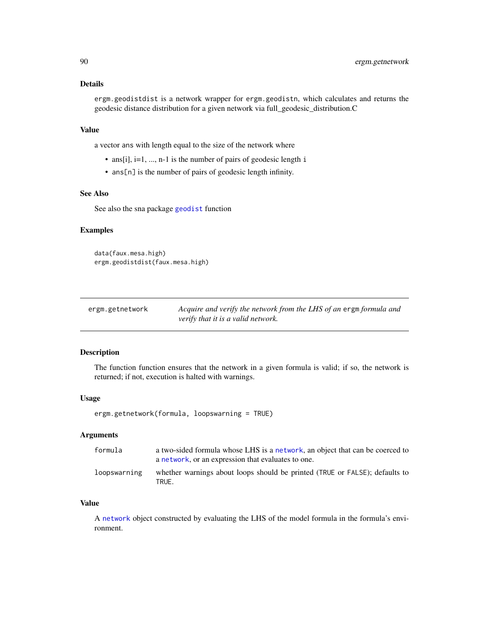## Details

ergm.geodistdist is a network wrapper for ergm.geodistn, which calculates and returns the geodesic distance distribution for a given network via full\_geodesic\_distribution.C

## Value

a vector ans with length equal to the size of the network where

- ans[i], i=1, ..., n-1 is the number of pairs of geodesic length i
- ans[n] is the number of pairs of geodesic length infinity.

# See Also

See also the sna package [geodist](#page-0-0) function

# Examples

data(faux.mesa.high) ergm.geodistdist(faux.mesa.high)

| ergm.getnetwork | Acquire and verify the network from the LHS of an ergm formula and |
|-----------------|--------------------------------------------------------------------|
|                 | verify that it is a valid network.                                 |

## Description

The function function ensures that the network in a given formula is valid; if so, the network is returned; if not, execution is halted with warnings.

## Usage

ergm.getnetwork(formula, loopswarning = TRUE)

# Arguments

| formula      | a two-sided formula whose LHS is a network, an object that can be coerced to<br>a network, or an expression that evaluates to one. |
|--------------|------------------------------------------------------------------------------------------------------------------------------------|
| loopswarning | whether warnings about loops should be printed (TRUE or FALSE); defaults to<br>TRUF.                                               |

## Value

A [network](#page-0-0) object constructed by evaluating the LHS of the model formula in the formula's environment.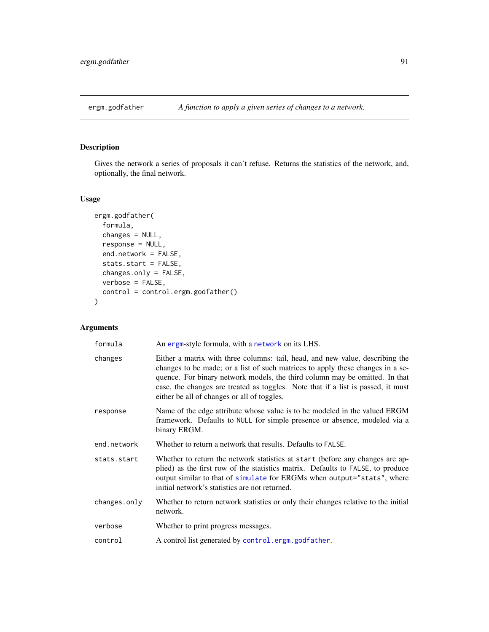# Description

Gives the network a series of proposals it can't refuse. Returns the statistics of the network, and, optionally, the final network.

# Usage

```
ergm.godfather(
 formula,
 changes = NULL,
  response = NULL,
 end.network = FALSE,
 stats.start = FALSE,
 changes.only = FALSE,
 verbose = FALSE,
 control = control.ergm.godfather()
)
```
# Arguments

| formula      | An ergm-style formula, with a network on its LHS.                                                                                                                                                                                                                                                                                                                                 |
|--------------|-----------------------------------------------------------------------------------------------------------------------------------------------------------------------------------------------------------------------------------------------------------------------------------------------------------------------------------------------------------------------------------|
| changes      | Either a matrix with three columns: tail, head, and new value, describing the<br>changes to be made; or a list of such matrices to apply these changes in a se-<br>quence. For binary network models, the third column may be omitted. In that<br>case, the changes are treated as toggles. Note that if a list is passed, it must<br>either be all of changes or all of toggles. |
| response     | Name of the edge attribute whose value is to be modeled in the valued ERGM<br>framework. Defaults to NULL for simple presence or absence, modeled via a<br>binary ERGM.                                                                                                                                                                                                           |
| end.network  | Whether to return a network that results. Defaults to FALSE.                                                                                                                                                                                                                                                                                                                      |
| stats.start  | Whether to return the network statistics at start (before any changes are ap-<br>plied) as the first row of the statistics matrix. Defaults to FALSE, to produce<br>output similar to that of simulate for ERGMs when output="stats", where<br>initial network's statistics are not returned.                                                                                     |
| changes.only | Whether to return network statistics or only their changes relative to the initial<br>network.                                                                                                                                                                                                                                                                                    |
| verbose      | Whether to print progress messages.                                                                                                                                                                                                                                                                                                                                               |
| control      | A control list generated by control.ergm.godfather.                                                                                                                                                                                                                                                                                                                               |
|              |                                                                                                                                                                                                                                                                                                                                                                                   |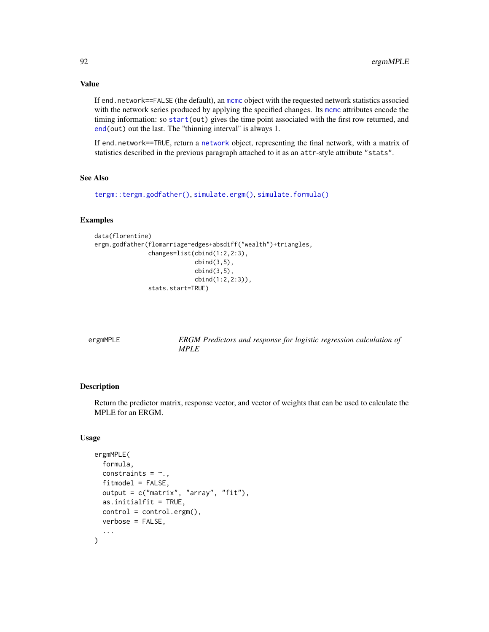If end.network==FALSE (the default), an [mcmc](#page-0-0) object with the requested network statistics associed with the network series produced by applying the specified changes. Its [mcmc](#page-0-0) attributes encode the timing information: so [start\(](#page-0-0)out) gives the time point associated with the first row returned, and [end\(](#page-0-0)out) out the last. The "thinning interval" is always 1.

If end.network==TRUE, return a [network](#page-0-0) object, representing the final network, with a matrix of statistics described in the previous paragraph attached to it as an attr-style attribute "stats".

#### See Also

```
tergm::tergm.godfather(), simulate.ergm(), simulate.formula()
```
# Examples

```
data(florentine)
ergm.godfather(flomarriage~edges+absdiff("wealth")+triangles,
               changes=list(cbind(1:2,2:3),
                            cbind(3,5),
                            cbind(3,5),
                            cbind(1:2,2:3)),
               stats.start=TRUE)
```

| ergmMPLE | <b>ERGM</b> Predictors and response for logistic regression calculation of |
|----------|----------------------------------------------------------------------------|
|          | <i>MPLE</i>                                                                |

# Description

Return the predictor matrix, response vector, and vector of weights that can be used to calculate the MPLE for an ERGM.

## Usage

```
ergmMPLE(
  formula,
  constraints = \sim.,
  fitmodel = FALSE,
  output = c("matrix", "array", "fit"),
  as.initialfit = TRUE,
  control = control.ergm(),verbose = FALSE,
  ...
)
```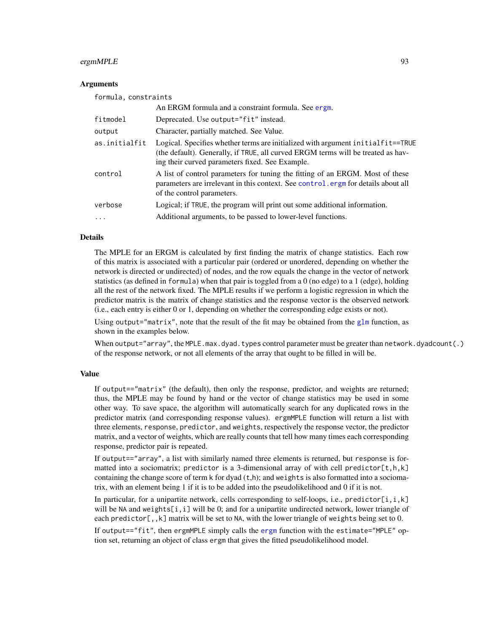# ergmMPLE 93

# Arguments

| formula, constraints |                                                                                                                                                                                                                         |
|----------------------|-------------------------------------------------------------------------------------------------------------------------------------------------------------------------------------------------------------------------|
|                      | An ERGM formula and a constraint formula. See ergm.                                                                                                                                                                     |
| fitmodel             | Deprecated. Use output="fit" instead.                                                                                                                                                                                   |
| output               | Character, partially matched. See Value.                                                                                                                                                                                |
| as.initialfit        | Logical. Specifies whether terms are initialized with argument initial fit==TRUE<br>(the default). Generally, if TRUE, all curved ERGM terms will be treated as hav-<br>ing their curved parameters fixed. See Example. |
| control              | A list of control parameters for tuning the fitting of an ERGM. Most of these<br>parameters are irrelevant in this context. See control ergm for details about all<br>of the control parameters.                        |
| verbose              | Logical; if TRUE, the program will print out some additional information.                                                                                                                                               |
| $\cdots$             | Additional arguments, to be passed to lower-level functions.                                                                                                                                                            |

#### Details

The MPLE for an ERGM is calculated by first finding the matrix of change statistics. Each row of this matrix is associated with a particular pair (ordered or unordered, depending on whether the network is directed or undirected) of nodes, and the row equals the change in the vector of network statistics (as defined in formula) when that pair is toggled from a 0 (no edge) to a 1 (edge), holding all the rest of the network fixed. The MPLE results if we perform a logistic regression in which the predictor matrix is the matrix of change statistics and the response vector is the observed network (i.e., each entry is either 0 or 1, depending on whether the corresponding edge exists or not).

Using output="matrix", note that the result of the fit may be obtained from the [glm](#page-0-0) function, as shown in the examples below.

When output="array", the MPLE.max.dyad.types control parameter must be greater than network.dyadcount(.) of the response network, or not all elements of the array that ought to be filled in will be.

## Value

If output=="matrix" (the default), then only the response, predictor, and weights are returned; thus, the MPLE may be found by hand or the vector of change statistics may be used in some other way. To save space, the algorithm will automatically search for any duplicated rows in the predictor matrix (and corresponding response values). ergmMPLE function will return a list with three elements, response, predictor, and weights, respectively the response vector, the predictor matrix, and a vector of weights, which are really counts that tell how many times each corresponding response, predictor pair is repeated.

If output=="array", a list with similarly named three elements is returned, but response is formatted into a sociomatrix; predictor is a 3-dimensional array of with cell predictor $[t, h, k]$ containing the change score of term  $k$  for dyad  $(t,h)$ ; and weights is also formatted into a sociomatrix, with an element being 1 if it is to be added into the pseudolikelihood and 0 if it is not.

In particular, for a unipartite network, cells corresponding to self-loops, i.e., predictor $[i, i, k]$ will be NA and weights[i, i] will be 0; and for a unipartite undirected network, lower triangle of each predictor[,, $k$ ] matrix will be set to NA, with the lower triangle of weights being set to 0.

If output=="fit", then ergmMPLE simply calls the [ergm](#page-37-0) function with the estimate="MPLE" option set, returning an object of class ergm that gives the fitted pseudolikelihood model.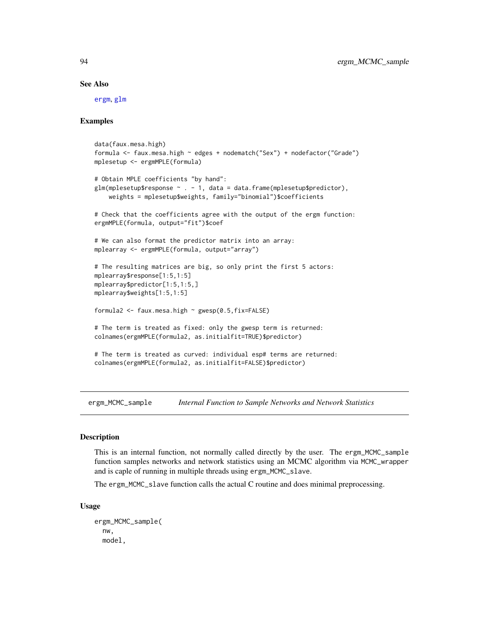#### See Also

[ergm](#page-37-0), [glm](#page-0-0)

## Examples

```
data(faux.mesa.high)
formula <- faux.mesa.high ~ edges + nodematch("Sex") + nodefactor("Grade")
mplesetup <- ergmMPLE(formula)
# Obtain MPLE coefficients "by hand":
glm(mple setup $response ~ . - 1, data = data frame(mple setup $predictor),weights = mplesetup$weights, family="binomial")$coefficients
# Check that the coefficients agree with the output of the ergm function:
ergmMPLE(formula, output="fit")$coef
# We can also format the predictor matrix into an array:
mplearray <- ergmMPLE(formula, output="array")
# The resulting matrices are big, so only print the first 5 actors:
mplearray$response[1:5,1:5]
mplearray$predictor[1:5,1:5,]
mplearray$weights[1:5,1:5]
formula2 <- faux.mesa.high \sim gwesp(0.5,fix=FALSE)
# The term is treated as fixed: only the gwesp term is returned:
colnames(ergmMPLE(formula2, as.initialfit=TRUE)$predictor)
# The term is treated as curved: individual esp# terms are returned:
colnames(ergmMPLE(formula2, as.initialfit=FALSE)$predictor)
```
ergm\_MCMC\_sample *Internal Function to Sample Networks and Network Statistics*

## Description

This is an internal function, not normally called directly by the user. The ergm\_MCMC\_sample function samples networks and network statistics using an MCMC algorithm via MCMC\_wrapper and is caple of running in multiple threads using ergm\_MCMC\_slave.

The ergm\_MCMC\_slave function calls the actual C routine and does minimal preprocessing.

#### Usage

ergm\_MCMC\_sample( nw, model,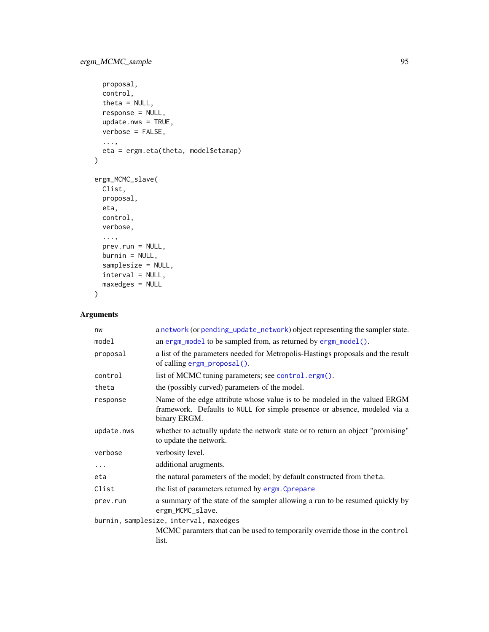```
proposal,
 control,
 theta = NULL,response = NULL,
 update.nws = TRUE,
 verbose = FALSE,
  ...,
 eta = ergm.eta(theta, model$etamap)
\mathcal{L}ergm_MCMC_slave(
 Clist,
 proposal,
 eta,
 control,
 verbose,
  ...,
 prev.run = NULL,
 burnin = NULL,
  samplesize = NULL,
 interval = NULL,
 maxedges = NULL
```

```
\mathcal{L}
```
# Arguments

| nw                                     | a network (or pending_update_network) object representing the sampler state.                                                                                            |
|----------------------------------------|-------------------------------------------------------------------------------------------------------------------------------------------------------------------------|
| model                                  | an ergm_mode1 to be sampled from, as returned by ergm_mode1().                                                                                                          |
| proposal                               | a list of the parameters needed for Metropolis-Hastings proposals and the result<br>of calling $ergm\_proposal()$ .                                                     |
| control                                | list of MCMC tuning parameters; see control.ergm().                                                                                                                     |
| theta                                  | the (possibly curved) parameters of the model.                                                                                                                          |
| response                               | Name of the edge attribute whose value is to be modeled in the valued ERGM<br>framework. Defaults to NULL for simple presence or absence, modeled via a<br>binary ERGM. |
| update.nws                             | whether to actually update the network state or to return an object "promising"<br>to update the network.                                                               |
| verbose                                | verbosity level.                                                                                                                                                        |
| $\cdots$                               | additional arugments.                                                                                                                                                   |
| eta                                    | the natural parameters of the model; by default constructed from theta.                                                                                                 |
| Clist                                  | the list of parameters returned by ergm. Cprepare                                                                                                                       |
| prev.run                               | a summary of the state of the sampler allowing a run to be resumed quickly by<br>ergm_MCMC_slave.                                                                       |
| burnin, samplesize, interval, maxedges |                                                                                                                                                                         |
|                                        | MCMC paramters that can be used to temporarily override those in the control<br>list.                                                                                   |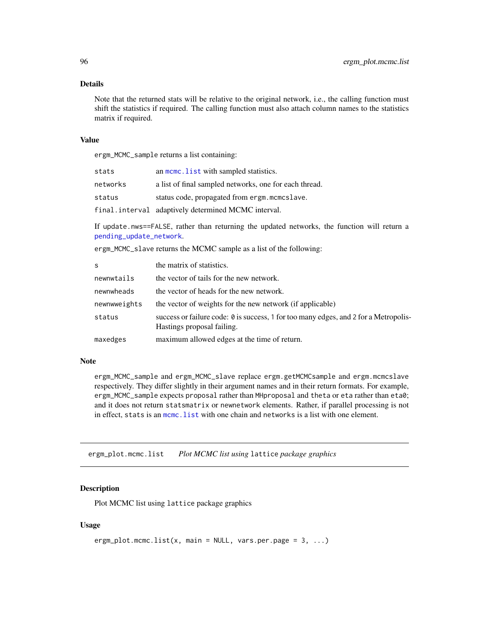## Details

Note that the returned stats will be relative to the original network, i.e., the calling function must shift the statistics if required. The calling function must also attach column names to the statistics matrix if required.

## Value

ergm\_MCMC\_sample returns a list containing:

| stats    | an mome. List with sampled statistics.                 |
|----------|--------------------------------------------------------|
| networks | a list of final sampled networks, one for each thread. |
| status   | status code, propagated from ergm. mcmcslave.          |
|          | final.interval adaptively determined MCMC interval.    |

If update.nws==FALSE, rather than returning the updated networks, the function will return a [pending\\_update\\_network](#page-0-0).

ergm\_MCMC\_slave returns the MCMC sample as a list of the following:

| S            | the matrix of statistics.                                                                                          |
|--------------|--------------------------------------------------------------------------------------------------------------------|
| newnwtails   | the vector of tails for the new network.                                                                           |
| newnwheads   | the vector of heads for the new network.                                                                           |
| newnwweights | the vector of weights for the new network (if applicable)                                                          |
| status       | success or failure code: 0 is success, 1 for too many edges, and 2 for a Metropolis-<br>Hastings proposal failing. |
| maxedges     | maximum allowed edges at the time of return.                                                                       |
|              |                                                                                                                    |

# Note

ergm\_MCMC\_sample and ergm\_MCMC\_slave replace ergm.getMCMCsample and ergm.mcmcslave respectively. They differ slightly in their argument names and in their return formats. For example, ergm\_MCMC\_sample expects proposal rather than MHproposal and theta or eta rather than eta0; and it does not return statsmatrix or newnetwork elements. Rather, if parallel processing is not in effect, stats is an [mcmc.list](#page-0-0) with one chain and networks is a list with one element.

ergm\_plot.mcmc.list *Plot MCMC list using* lattice *package graphics*

## Description

Plot MCMC list using lattice package graphics

## Usage

```
ergm_plot.mcmc.list(x, main = NULL, vars.per.page = 3, ...)
```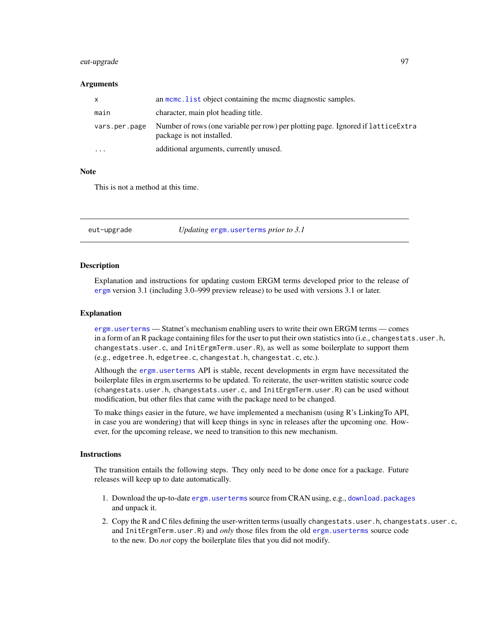## eut-upgrade 97

#### Arguments

| X             | an meme. List object containing the meme diagnostic samples.                                                   |
|---------------|----------------------------------------------------------------------------------------------------------------|
| main          | character, main plot heading title.                                                                            |
| vars.per.page | Number of rows (one variable per row) per plotting page. Ignored if lattice Extra<br>package is not installed. |
| $\cdots$      | additional arguments, currently unused.                                                                        |

## Note

This is not a method at this time.

eut-upgrade *Updating* [ergm.userterms](#page-0-0) *prior to 3.1*

#### **Description**

Explanation and instructions for updating custom ERGM terms developed prior to the release of [ergm](#page-3-0) version 3.1 (including 3.0–999 preview release) to be used with versions 3.1 or later.

#### Explanation

[ergm.userterms](#page-0-0) — Statnet's mechanism enabling users to write their own ERGM terms — comes in a form of an R package containing files for the user to put their own statistics into (i.e., changestats.user.h, changestats.user.c, and InitErgmTerm.user.R), as well as some boilerplate to support them (e.g., edgetree.h, edgetree.c, changestat.h, changestat.c, etc.).

Although the [ergm.userterms](#page-0-0) API is stable, recent developments in ergm have necessitated the boilerplate files in ergm.userterms to be updated. To reiterate, the user-written statistic source code (changestats.user.h, changestats.user.c, and InitErgmTerm.user.R) can be used without modification, but other files that came with the package need to be changed.

To make things easier in the future, we have implemented a mechanism (using R's LinkingTo API, in case you are wondering) that will keep things in sync in releases after the upcoming one. However, for the upcoming release, we need to transition to this new mechanism.

## **Instructions**

The transition entails the following steps. They only need to be done once for a package. Future releases will keep up to date automatically.

- 1. Download the up-to-date [ergm.userterms](#page-0-0) source from CRAN using, e.g., [download.packages](#page-0-0) and unpack it.
- 2. Copy the R and C files defining the user-written terms (usually changestats.user.h, changestats.user.c, and InitErgmTerm.user.R) and *only* those files from the old [ergm.userterms](#page-0-0) source code to the new. Do *not* copy the boilerplate files that you did not modify.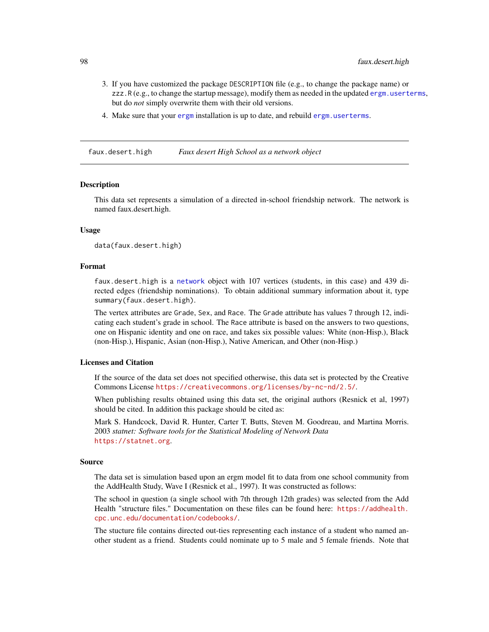- 3. If you have customized the package DESCRIPTION file (e.g., to change the package name) or zzz.R (e.g., to change the startup message), modify them as needed in the updated [ergm.userterms](#page-0-0), but do *not* simply overwrite them with their old versions.
- 4. Make sure that your [ergm](#page-3-0) installation is up to date, and rebuild [ergm.userterms](#page-0-0).

<span id="page-97-0"></span>faux.desert.high *Faux desert High School as a network object*

#### Description

This data set represents a simulation of a directed in-school friendship network. The network is named faux.desert.high.

## Usage

data(faux.desert.high)

## Format

faux.desert.high is a [network](#page-0-0) object with 107 vertices (students, in this case) and 439 directed edges (friendship nominations). To obtain additional summary information about it, type summary(faux.desert.high).

The vertex attributes are Grade, Sex, and Race. The Grade attribute has values 7 through 12, indicating each student's grade in school. The Race attribute is based on the answers to two questions, one on Hispanic identity and one on race, and takes six possible values: White (non-Hisp.), Black (non-Hisp.), Hispanic, Asian (non-Hisp.), Native American, and Other (non-Hisp.)

## Licenses and Citation

If the source of the data set does not specified otherwise, this data set is protected by the Creative Commons License <https://creativecommons.org/licenses/by-nc-nd/2.5/>.

When publishing results obtained using this data set, the original authors (Resnick et al, 1997) should be cited. In addition this package should be cited as:

Mark S. Handcock, David R. Hunter, Carter T. Butts, Steven M. Goodreau, and Martina Morris. 2003 *statnet: Software tools for the Statistical Modeling of Network Data* <https://statnet.org>.

## Source

The data set is simulation based upon an ergm model fit to data from one school community from the AddHealth Study, Wave I (Resnick et al., 1997). It was constructed as follows:

The school in question (a single school with 7th through 12th grades) was selected from the Add Health "structure files." Documentation on these files can be found here: [https://addhealth.](https://addhealth.cpc.unc.edu/documentation/codebooks/) [cpc.unc.edu/documentation/codebooks/](https://addhealth.cpc.unc.edu/documentation/codebooks/).

The stucture file contains directed out-ties representing each instance of a student who named another student as a friend. Students could nominate up to 5 male and 5 female friends. Note that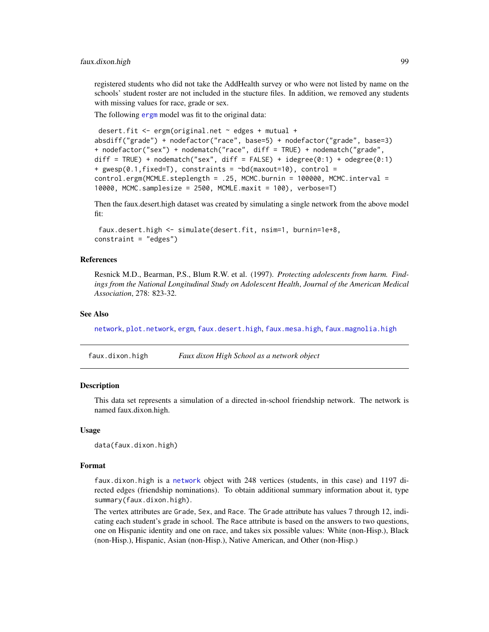registered students who did not take the AddHealth survey or who were not listed by name on the schools' student roster are not included in the stucture files. In addition, we removed any students with missing values for race, grade or sex.

The following [ergm](#page-37-0) model was fit to the original data:

```
desert.fit <- ergm(original.net ~ edges + mutual +
absdiff("grade") + nodefactor("race", base=5) + nodefactor("grade", base=3)
+ nodefactor("sex") + nodematch("race", diff = TRUE) + nodematch("grade",
diff = TRUE) + nodematch("sex", diff = FALSE) + idegree(0:1) + odegree(0:1)
+ gwesp(0.1,fixed=T), constraints = ~bd(maxout=10), control =
control.ergm(MCMLE.steplength = .25, MCMC.burnin = 100000, MCMC.interval =
10000, MCMC.samplesize = 2500, MCMLE.maxit = 100), verbose=T)
```
Then the faux.desert.high dataset was created by simulating a single network from the above model fit:

```
faux.desert.high <- simulate(desert.fit, nsim=1, burnin=1e+8,
constraint = "edges")
```
## References

Resnick M.D., Bearman, P.S., Blum R.W. et al. (1997). *Protecting adolescents from harm. Findings from the National Longitudinal Study on Adolescent Health*, *Journal of the American Medical Association*, 278: 823-32.

#### See Also

[network](#page-0-0), [plot.network](#page-0-0), [ergm](#page-37-0), [faux.desert.high](#page-97-0), [faux.mesa.high](#page-101-0), [faux.magnolia.high](#page-100-0)

faux.dixon.high *Faux dixon High School as a network object*

## **Description**

This data set represents a simulation of a directed in-school friendship network. The network is named faux.dixon.high.

#### Usage

```
data(faux.dixon.high)
```
## Format

faux.dixon.high is a [network](#page-0-0) object with 248 vertices (students, in this case) and 1197 directed edges (friendship nominations). To obtain additional summary information about it, type summary(faux.dixon.high).

The vertex attributes are Grade, Sex, and Race. The Grade attribute has values 7 through 12, indicating each student's grade in school. The Race attribute is based on the answers to two questions, one on Hispanic identity and one on race, and takes six possible values: White (non-Hisp.), Black (non-Hisp.), Hispanic, Asian (non-Hisp.), Native American, and Other (non-Hisp.)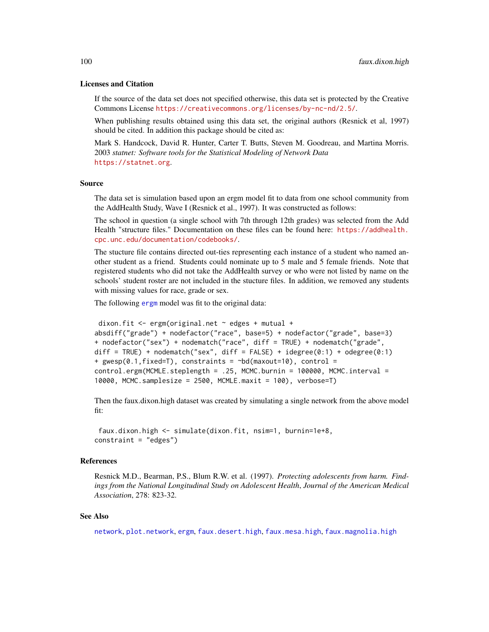## Licenses and Citation

If the source of the data set does not specified otherwise, this data set is protected by the Creative Commons License <https://creativecommons.org/licenses/by-nc-nd/2.5/>.

When publishing results obtained using this data set, the original authors (Resnick et al, 1997) should be cited. In addition this package should be cited as:

Mark S. Handcock, David R. Hunter, Carter T. Butts, Steven M. Goodreau, and Martina Morris. 2003 *statnet: Software tools for the Statistical Modeling of Network Data* <https://statnet.org>.

#### Source

The data set is simulation based upon an ergm model fit to data from one school community from the AddHealth Study, Wave I (Resnick et al., 1997). It was constructed as follows:

The school in question (a single school with 7th through 12th grades) was selected from the Add Health "structure files." Documentation on these files can be found here: [https://addhealth.](https://addhealth.cpc.unc.edu/documentation/codebooks/) [cpc.unc.edu/documentation/codebooks/](https://addhealth.cpc.unc.edu/documentation/codebooks/).

The stucture file contains directed out-ties representing each instance of a student who named another student as a friend. Students could nominate up to 5 male and 5 female friends. Note that registered students who did not take the AddHealth survey or who were not listed by name on the schools' student roster are not included in the stucture files. In addition, we removed any students with missing values for race, grade or sex.

The following [ergm](#page-37-0) model was fit to the original data:

```
dixon.fit <- ergm(original.net ~ edges + mutual +
absdiff("grade") + nodefactor("race", base=5) + nodefactor("grade", base=3)
+ nodefactor("sex") + nodematch("race", diff = TRUE) + nodematch("grade",
diff = TRUE) + nodematch("sex", diff = FALSE) + idegree(0:1) + odegree(0:1)
+ gwesp(0.1, fixed=T), constraints = \simbd(maxout=10), control =
control.ergm(MCMLE.steplength = .25, MCMC.burnin = 100000, MCMC.interval =
10000, MCMC.samplesize = 2500, MCMLE.maxit = 100), verbose=T)
```
Then the faux.dixon.high dataset was created by simulating a single network from the above model fit:

```
faux.dixon.high <- simulate(dixon.fit, nsim=1, burnin=1e+8,
constraint = "edges")
```
#### References

Resnick M.D., Bearman, P.S., Blum R.W. et al. (1997). *Protecting adolescents from harm. Findings from the National Longitudinal Study on Adolescent Health*, *Journal of the American Medical Association*, 278: 823-32.

#### See Also

[network](#page-0-0), [plot.network](#page-0-0), [ergm](#page-37-0), [faux.desert.high](#page-97-0), [faux.mesa.high](#page-101-0), [faux.magnolia.high](#page-100-0)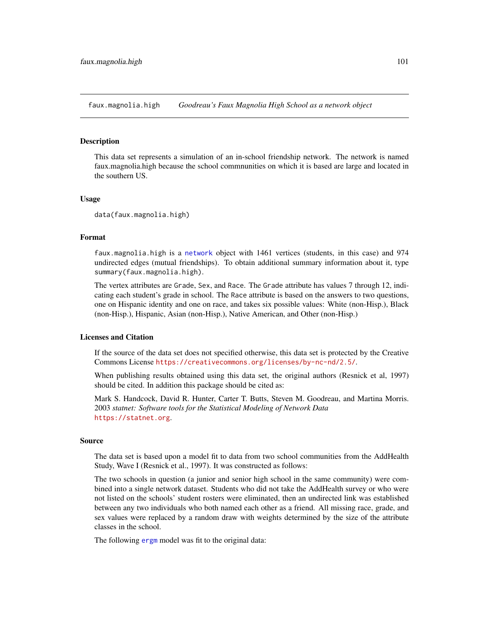<span id="page-100-0"></span>faux.magnolia.high *Goodreau's Faux Magnolia High School as a network object*

#### Description

This data set represents a simulation of an in-school friendship network. The network is named faux.magnolia.high because the school commnunities on which it is based are large and located in the southern US.

#### Usage

data(faux.magnolia.high)

#### Format

faux.magnolia.high is a [network](#page-0-0) object with 1461 vertices (students, in this case) and 974 undirected edges (mutual friendships). To obtain additional summary information about it, type summary(faux.magnolia.high).

The vertex attributes are Grade, Sex, and Race. The Grade attribute has values 7 through 12, indicating each student's grade in school. The Race attribute is based on the answers to two questions, one on Hispanic identity and one on race, and takes six possible values: White (non-Hisp.), Black (non-Hisp.), Hispanic, Asian (non-Hisp.), Native American, and Other (non-Hisp.)

# Licenses and Citation

If the source of the data set does not specified otherwise, this data set is protected by the Creative Commons License <https://creativecommons.org/licenses/by-nc-nd/2.5/>.

When publishing results obtained using this data set, the original authors (Resnick et al, 1997) should be cited. In addition this package should be cited as:

Mark S. Handcock, David R. Hunter, Carter T. Butts, Steven M. Goodreau, and Martina Morris. 2003 *statnet: Software tools for the Statistical Modeling of Network Data* <https://statnet.org>.

#### Source

The data set is based upon a model fit to data from two school communities from the AddHealth Study, Wave I (Resnick et al., 1997). It was constructed as follows:

The two schools in question (a junior and senior high school in the same community) were combined into a single network dataset. Students who did not take the AddHealth survey or who were not listed on the schools' student rosters were eliminated, then an undirected link was established between any two individuals who both named each other as a friend. All missing race, grade, and sex values were replaced by a random draw with weights determined by the size of the attribute classes in the school.

The following [ergm](#page-37-0) model was fit to the original data: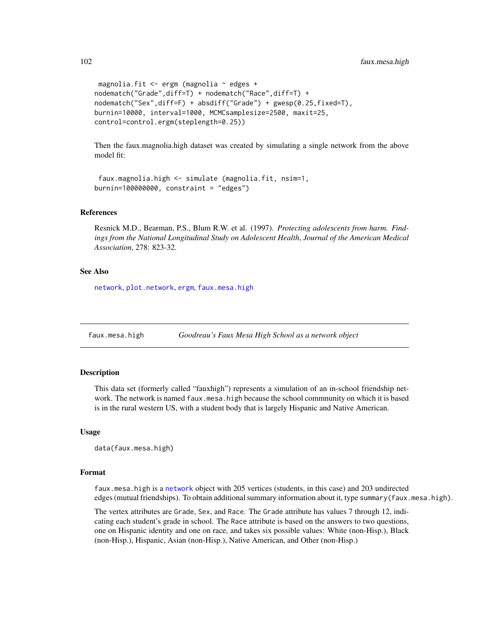```
magnolia.fit <- ergm (magnolia ~ edges +
nodematch("Grade",diff=T) + nodematch("Race",diff=T) +
nodematch("Sex",diff=F) + absdiff("Grade") + gwesp(0.25,fixed=T),
burnin=10000, interval=1000, MCMCsamplesize=2500, maxit=25,
control=control.ergm(steplength=0.25))
```
Then the faux.magnolia.high dataset was created by simulating a single network from the above model fit:

```
faux.magnolia.high <- simulate (magnolia.fit, nsim=1,
burnin=100000000, constraint = "edges")
```
#### References

Resnick M.D., Bearman, P.S., Blum R.W. et al. (1997). *Protecting adolescents from harm. Findings from the National Longitudinal Study on Adolescent Health*, *Journal of the American Medical Association*, 278: 823-32.

## See Also

[network](#page-0-0), [plot.network](#page-0-0), [ergm](#page-37-0), [faux.mesa.high](#page-101-0)

<span id="page-101-0"></span>faux.mesa.high *Goodreau's Faux Mesa High School as a network object*

## **Description**

This data set (formerly called "fauxhigh") represents a simulation of an in-school friendship network. The network is named faux.mesa.high because the school commnunity on which it is based is in the rural western US, with a student body that is largely Hispanic and Native American.

## Usage

```
data(faux.mesa.high)
```
## Format

faux.mesa.high is a [network](#page-0-0) object with 205 vertices (students, in this case) and 203 undirected edges (mutual friendships). To obtain additional summary information about it, type summary(faux.mesa.high).

The vertex attributes are Grade, Sex, and Race. The Grade attribute has values 7 through 12, indicating each student's grade in school. The Race attribute is based on the answers to two questions, one on Hispanic identity and one on race, and takes six possible values: White (non-Hisp.), Black (non-Hisp.), Hispanic, Asian (non-Hisp.), Native American, and Other (non-Hisp.)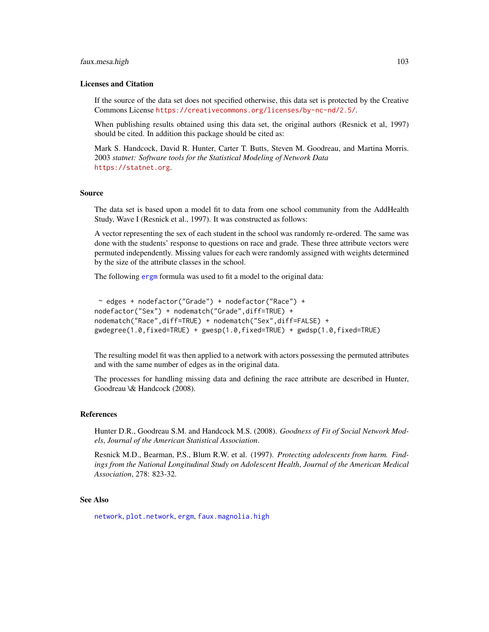#### faux.mesa.high 103

#### Licenses and Citation

If the source of the data set does not specified otherwise, this data set is protected by the Creative Commons License <https://creativecommons.org/licenses/by-nc-nd/2.5/>.

When publishing results obtained using this data set, the original authors (Resnick et al, 1997) should be cited. In addition this package should be cited as:

Mark S. Handcock, David R. Hunter, Carter T. Butts, Steven M. Goodreau, and Martina Morris. 2003 *statnet: Software tools for the Statistical Modeling of Network Data* <https://statnet.org>.

#### Source

The data set is based upon a model fit to data from one school community from the AddHealth Study, Wave I (Resnick et al., 1997). It was constructed as follows:

A vector representing the sex of each student in the school was randomly re-ordered. The same was done with the students' response to questions on race and grade. These three attribute vectors were permuted independently. Missing values for each were randomly assigned with weights determined by the size of the attribute classes in the school.

The following [ergm](#page-37-0) formula was used to fit a model to the original data:

```
~ edges + nodefactor("Grade") + nodefactor("Race") +
nodefactor("Sex") + nodematch("Grade",diff=TRUE) +
nodematch("Race",diff=TRUE) + nodematch("Sex",diff=FALSE) +
gwdegree(1.0,fixed=TRUE) + gwesp(1.0,fixed=TRUE) + gwdsp(1.0,fixed=TRUE)
```
The resulting model fit was then applied to a network with actors possessing the permuted attributes and with the same number of edges as in the original data.

The processes for handling missing data and defining the race attribute are described in Hunter, Goodreau \& Handcock (2008).

#### References

Hunter D.R., Goodreau S.M. and Handcock M.S. (2008). *Goodness of Fit of Social Network Models*, *Journal of the American Statistical Association*.

Resnick M.D., Bearman, P.S., Blum R.W. et al. (1997). *Protecting adolescents from harm. Findings from the National Longitudinal Study on Adolescent Health*, *Journal of the American Medical Association*, 278: 823-32.

# See Also

[network](#page-0-0), [plot.network](#page-0-0), [ergm](#page-37-0), [faux.magnolia.high](#page-100-0)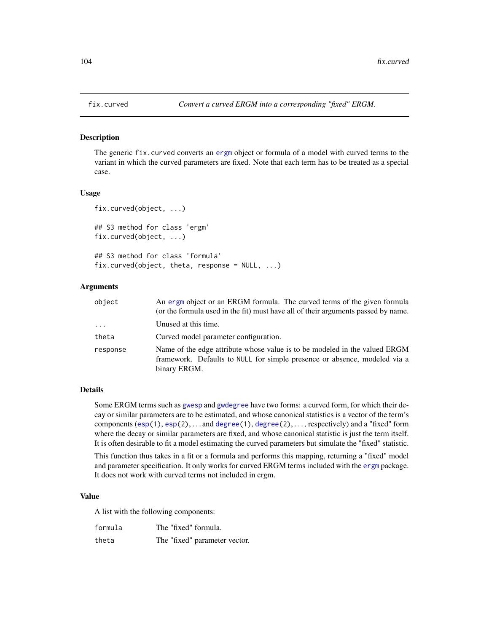#### Description

The generic fix.curved converts an [ergm](#page-37-0) object or formula of a model with curved terms to the variant in which the curved parameters are fixed. Note that each term has to be treated as a special case.

#### Usage

```
fix.curved(object, ...)
## S3 method for class 'ergm'
fix.curved(object, ...)
## S3 method for class 'formula'
fix.curved(object, theta, response = NULL, ...)
```
## Arguments

| object   | An ergm object or an ERGM formula. The curved terms of the given formula<br>(or the formula used in the fit) must have all of their arguments passed by name.           |
|----------|-------------------------------------------------------------------------------------------------------------------------------------------------------------------------|
| $\cdots$ | Unused at this time.                                                                                                                                                    |
| theta    | Curved model parameter configuration.                                                                                                                                   |
| response | Name of the edge attribute whose value is to be modeled in the valued ERGM<br>framework. Defaults to NULL for simple presence or absence, modeled via a<br>binary ERGM. |

## Details

Some ERGM terms such as [gwesp](#page-51-1) and [gwdegree](#page-51-1) have two forms: a curved form, for which their decay or similar parameters are to be estimated, and whose canonical statistics is a vector of the term's components  $(\exp(1), \exp(2), \ldots)$  and  $\deg(\exp(1), \deg(\exp(2), \ldots)$ , respectively) and a "fixed" form where the decay or similar parameters are fixed, and whose canonical statistic is just the term itself. It is often desirable to fit a model estimating the curved parameters but simulate the "fixed" statistic.

This function thus takes in a fit or a formula and performs this mapping, returning a "fixed" model and parameter specification. It only works for curved ERGM terms included with the [ergm](#page-3-0) package. It does not work with curved terms not included in ergm.

## Value

A list with the following components:

| formula | The "fixed" formula.          |
|---------|-------------------------------|
| theta   | The "fixed" parameter vector. |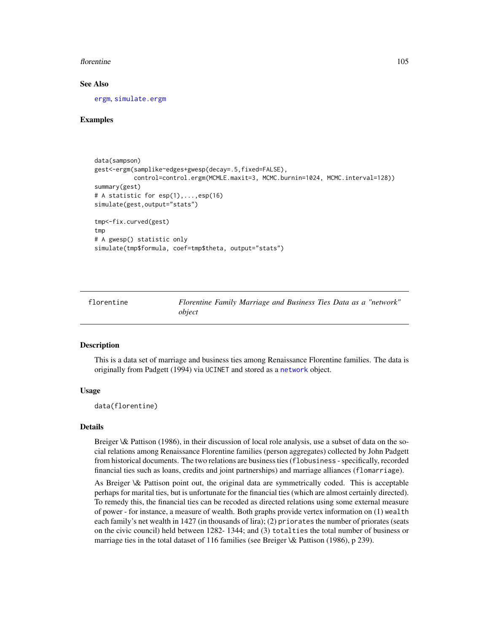#### florentine the 105

#### See Also

[ergm](#page-37-0), [simulate.ergm](#page-138-1)

## Examples

```
data(sampson)
gest<-ergm(samplike~edges+gwesp(decay=.5,fixed=FALSE),
           control=control.ergm(MCMLE.maxit=3, MCMC.burnin=1024, MCMC.interval=128))
summary(gest)
# A statistic for esp(1),...,esp(16)
simulate(gest,output="stats")
tmp<-fix.curved(gest)
tmp
# A gwesp() statistic only
simulate(tmp$formula, coef=tmp$theta, output="stats")
```
florentine *Florentine Family Marriage and Business Ties Data as a "network" object*

#### **Description**

This is a data set of marriage and business ties among Renaissance Florentine families. The data is originally from Padgett (1994) via UCINET and stored as a [network](#page-0-0) object.

## Usage

data(florentine)

#### Details

Breiger \& Pattison (1986), in their discussion of local role analysis, use a subset of data on the social relations among Renaissance Florentine families (person aggregates) collected by John Padgett from historical documents. The two relations are business ties (flobusiness - specifically, recorded financial ties such as loans, credits and joint partnerships) and marriage alliances (flomarriage).

As Breiger \& Pattison point out, the original data are symmetrically coded. This is acceptable perhaps for marital ties, but is unfortunate for the financial ties (which are almost certainly directed). To remedy this, the financial ties can be recoded as directed relations using some external measure of power - for instance, a measure of wealth. Both graphs provide vertex information on (1) wealth each family's net wealth in 1427 (in thousands of lira); (2) priorates the number of priorates (seats on the civic council) held between 1282- 1344; and (3) totalties the total number of business or marriage ties in the total dataset of 116 families (see Breiger \& Pattison (1986), p 239).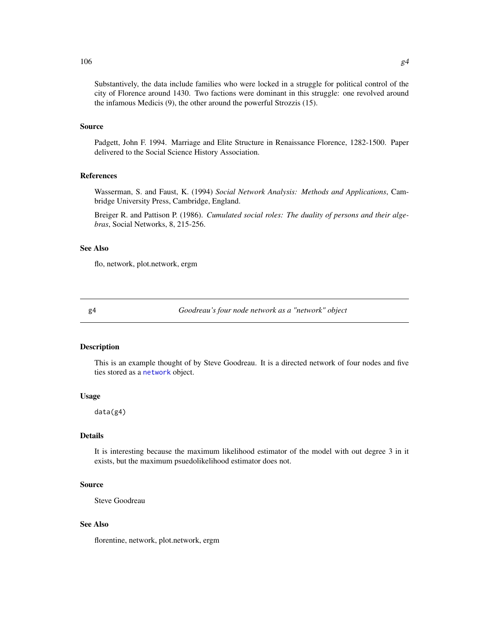Substantively, the data include families who were locked in a struggle for political control of the city of Florence around 1430. Two factions were dominant in this struggle: one revolved around the infamous Medicis (9), the other around the powerful Strozzis (15).

# Source

Padgett, John F. 1994. Marriage and Elite Structure in Renaissance Florence, 1282-1500. Paper delivered to the Social Science History Association.

# References

Wasserman, S. and Faust, K. (1994) *Social Network Analysis: Methods and Applications*, Cambridge University Press, Cambridge, England.

Breiger R. and Pattison P. (1986). *Cumulated social roles: The duality of persons and their algebras*, Social Networks, 8, 215-256.

#### See Also

flo, network, plot.network, ergm

g4 *Goodreau's four node network as a "network" object*

#### Description

This is an example thought of by Steve Goodreau. It is a directed network of four nodes and five ties stored as a [network](#page-0-0) object.

#### Usage

data(g4)

## Details

It is interesting because the maximum likelihood estimator of the model with out degree 3 in it exists, but the maximum psuedolikelihood estimator does not.

## Source

Steve Goodreau

## See Also

florentine, network, plot.network, ergm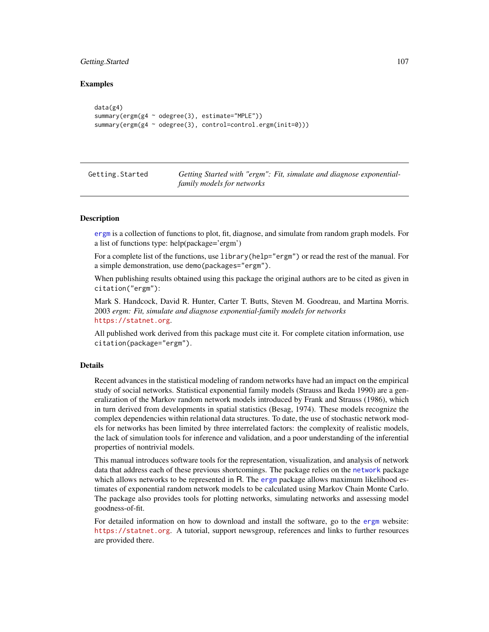# Getting.Started 107

# Examples

```
data(g4)
summary(ergm(g4 ~ odegree(3), estimate="MPLE"))
summary(ergm(g4 ~ odegree(3), control=control.ergm(init=0)))
```

| Getting.Started | Getting Started with "ergm": Fit, simulate and diagnose exponential- |
|-----------------|----------------------------------------------------------------------|
|                 | family models for networks                                           |

## Description

[ergm](#page-37-0) is a collection of functions to plot, fit, diagnose, and simulate from random graph models. For a list of functions type: help(package='ergm')

For a complete list of the functions, use library(help="ergm") or read the rest of the manual. For a simple demonstration, use demo(packages="ergm").

When publishing results obtained using this package the original authors are to be cited as given in citation("ergm"):

Mark S. Handcock, David R. Hunter, Carter T. Butts, Steven M. Goodreau, and Martina Morris. 2003 *ergm: Fit, simulate and diagnose exponential-family models for networks* <https://statnet.org>.

All published work derived from this package must cite it. For complete citation information, use citation(package="ergm").

## Details

Recent advances in the statistical modeling of random networks have had an impact on the empirical study of social networks. Statistical exponential family models (Strauss and Ikeda 1990) are a generalization of the Markov random network models introduced by Frank and Strauss (1986), which in turn derived from developments in spatial statistics (Besag, 1974). These models recognize the complex dependencies within relational data structures. To date, the use of stochastic network models for networks has been limited by three interrelated factors: the complexity of realistic models, the lack of simulation tools for inference and validation, and a poor understanding of the inferential properties of nontrivial models.

This manual introduces software tools for the representation, visualization, and analysis of network data that address each of these previous shortcomings. The package relies on the [network](#page-0-0) package which allows networks to be represented in R. The [ergm](#page-37-0) package allows maximum likelihood estimates of exponential random network models to be calculated using Markov Chain Monte Carlo. The package also provides tools for plotting networks, simulating networks and assessing model goodness-of-fit.

For detailed information on how to download and install the software, go to the [ergm](#page-37-0) website: <https://statnet.org>. A tutorial, support newsgroup, references and links to further resources are provided there.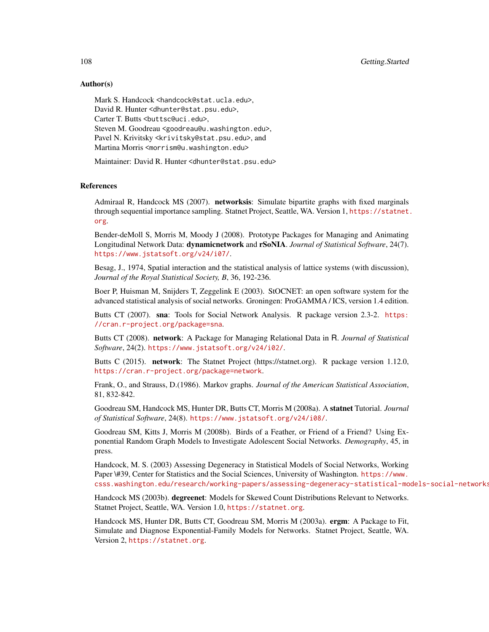108 Getting.Started

## Author(s)

Mark S. Handcock <handcock@stat.ucla.edu>, David R. Hunter <dhunter@stat.psu.edu>, Carter T. Butts <br/>buttsc@uci.edu>, Steven M. Goodreau <goodreau@u.washington.edu>, Pavel N. Krivitsky <krivitsky@stat.psu.edu>, and Martina Morris <morrism@u.washington.edu>

Maintainer: David R. Hunter <dhunter@stat.psu.edu>

## References

Admiraal R, Handcock MS (2007). networksis: Simulate bipartite graphs with fixed marginals through sequential importance sampling. Statnet Project, Seattle, WA. Version 1, [https://statnet.](https://statnet.org) [org](https://statnet.org).

Bender-deMoll S, Morris M, Moody J (2008). Prototype Packages for Managing and Animating Longitudinal Network Data: dynamicnetwork and rSoNIA. *Journal of Statistical Software*, 24(7). <https://www.jstatsoft.org/v24/i07/>.

Besag, J., 1974, Spatial interaction and the statistical analysis of lattice systems (with discussion), *Journal of the Royal Statistical Society, B*, 36, 192-236.

Boer P, Huisman M, Snijders T, Zeggelink E (2003). StOCNET: an open software system for the advanced statistical analysis of social networks. Groningen: ProGAMMA / ICS, version 1.4 edition.

Butts CT (2007). sna: Tools for Social Network Analysis. R package version 2.3-2. [https:](https://cran.r-project.org/package=sna) [//cran.r-project.org/package=sna](https://cran.r-project.org/package=sna).

Butts CT (2008). network: A Package for Managing Relational Data in R. *Journal of Statistical Software*, 24(2). <https://www.jstatsoft.org/v24/i02/>.

Butts C (2015). network: The Statnet Project (https://statnet.org). R package version 1.12.0, <https://cran.r-project.org/package=network>.

Frank, O., and Strauss, D.(1986). Markov graphs. *Journal of the American Statistical Association*, 81, 832-842.

Goodreau SM, Handcock MS, Hunter DR, Butts CT, Morris M (2008a). A statnet Tutorial. *Journal of Statistical Software*, 24(8). <https://www.jstatsoft.org/v24/i08/>.

Goodreau SM, Kitts J, Morris M (2008b). Birds of a Feather, or Friend of a Friend? Using Exponential Random Graph Models to Investigate Adolescent Social Networks. *Demography*, 45, in press.

Handcock, M. S. (2003) Assessing Degeneracy in Statistical Models of Social Networks, Working Paper \#39, Center for Statistics and the Social Sciences, University of Washington. [https://www.](https://www.csss.washington.edu/research/working-papers/assessing-degeneracy-statistical-models-social-networks) [csss.washington.edu/research/working-papers/assessing-degeneracy-statistical-models-social-networks](https://www.csss.washington.edu/research/working-papers/assessing-degeneracy-statistical-models-social-networks)

Handcock MS (2003b). degreenet: Models for Skewed Count Distributions Relevant to Networks. Statnet Project, Seattle, WA. Version 1.0, <https://statnet.org>.

Handcock MS, Hunter DR, Butts CT, Goodreau SM, Morris M (2003a). ergm: A Package to Fit, Simulate and Diagnose Exponential-Family Models for Networks. Statnet Project, Seattle, WA. Version 2, <https://statnet.org>.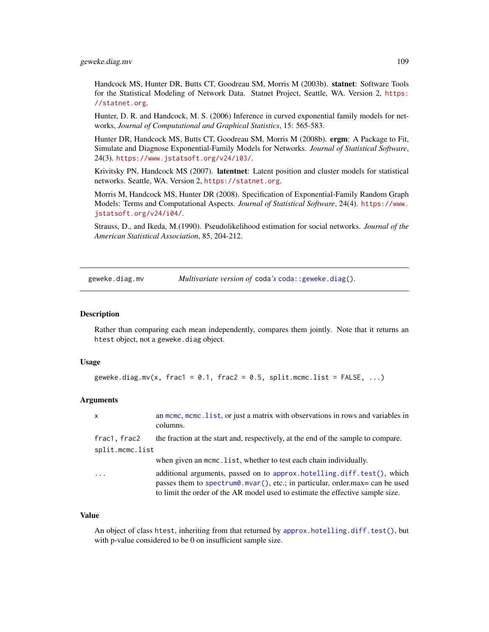Handcock MS, Hunter DR, Butts CT, Goodreau SM, Morris M (2003b). statnet: Software Tools for the Statistical Modeling of Network Data. Statnet Project, Seattle, WA. Version 2, [https:](https://statnet.org) [//statnet.org](https://statnet.org).

Hunter, D. R. and Handcock, M. S. (2006) Inference in curved exponential family models for networks, *Journal of Computational and Graphical Statistics*, 15: 565-583.

Hunter DR, Handcock MS, Butts CT, Goodreau SM, Morris M (2008b). ergm: A Package to Fit, Simulate and Diagnose Exponential-Family Models for Networks. *Journal of Statistical Software*, 24(3). <https://www.jstatsoft.org/v24/i03/>.

Krivitsky PN, Handcock MS (2007). latentnet: Latent position and cluster models for statistical networks. Seattle, WA. Version 2, <https://statnet.org>.

Morris M, Handcock MS, Hunter DR (2008). Specification of Exponential-Family Random Graph Models: Terms and Computational Aspects. *Journal of Statistical Software*, 24(4). [https://www.](https://www.jstatsoft.org/v24/i04/) [jstatsoft.org/v24/i04/](https://www.jstatsoft.org/v24/i04/).

Strauss, D., and Ikeda, M.(1990). Pseudolikelihood estimation for social networks. *Journal of the American Statistical Association*, 85, 204-212.

geweke.diag.mv *Multivariate version of* coda*'s* [coda::geweke.diag\(\)](#page-0-0)*.*

#### **Description**

Rather than comparing each mean independently, compares them jointly. Note that it returns an htest object, not a geweke.diag object.

#### Usage

geweke.diag.mv(x, frac1 = 0.1, frac2 = 0.5, split.mcmc.list = FALSE, ...)

#### Arguments

| X               | an meme, meme. list, or just a matrix with observations in rows and variables in<br>columns.                                                                                                                                             |  |
|-----------------|------------------------------------------------------------------------------------------------------------------------------------------------------------------------------------------------------------------------------------------|--|
| frac1, frac2    | the fraction at the start and, respectively, at the end of the sample to compare.                                                                                                                                                        |  |
| split.mcmc.list |                                                                                                                                                                                                                                          |  |
|                 | when given an mome. list, whether to test each chain individually.                                                                                                                                                                       |  |
| .               | additional arguments, passed on to approx.hotelling.diff.test(), which<br>passes them to spectrum0.mvar(), etc.; in particular, order.max= can be used<br>to limit the order of the AR model used to estimate the effective sample size. |  |

#### Value

An object of class htest, inheriting from that returned by [approx.hotelling.diff.test\(\)](#page-7-0), but with p-value considered to be 0 on insufficient sample size.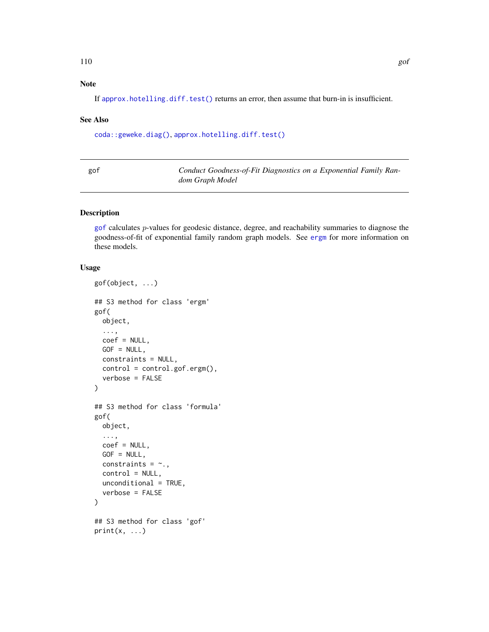# Note

If [approx.hotelling.diff.test\(\)](#page-7-0) returns an error, then assume that burn-in is insufficient.

#### See Also

[coda::geweke.diag\(\)](#page-0-0), [approx.hotelling.diff.test\(\)](#page-7-0)

<span id="page-109-0"></span>

| gof | Conduct Goodness-of-Fit Diagnostics on a Exponential Family Ran- |
|-----|------------------------------------------------------------------|
|     | dom Graph Model                                                  |

#### <span id="page-109-1"></span>Description

[gof](#page-109-0) calculates p-values for geodesic distance, degree, and reachability summaries to diagnose the goodness-of-fit of exponential family random graph models. See [ergm](#page-37-0) for more information on these models.

# Usage

```
gof(object, ...)
## S3 method for class 'ergm'
gof(
 object,
  ...,
 coef = NULL,
  GOF = NULL,constraints = NULL,
  control = control.gof.ergm(),
  verbose = FALSE
)
## S3 method for class 'formula'
gof(
 object,
  ...,
 coef = NULL,
  GOF = NULL,constraints = \sim.,
  control = NULL,unconditional = TRUE,
  verbose = FALSE
)
## S3 method for class 'gof'
print(x, \ldots)
```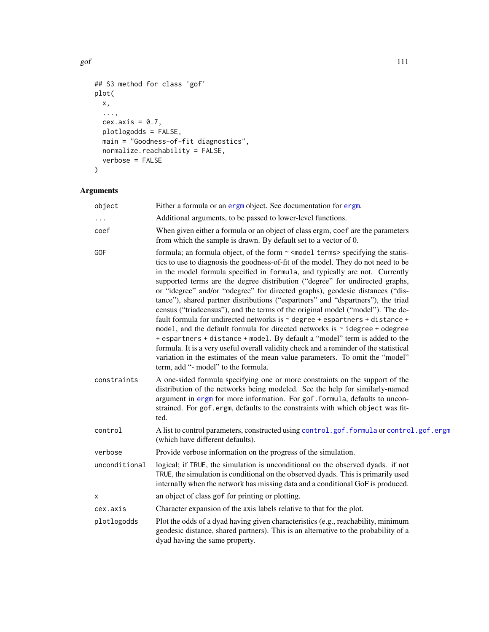```
## S3 method for class 'gof'
plot(
 x,
 ...,
 cex. axis = 0.7,plotlogodds = FALSE,
 main = "Goodness-of-fit diagnostics",
 normalize.reachability = FALSE,
 verbose = FALSE
)
```
# Arguments

| object        | Either a formula or an ergm object. See documentation for ergm.                                                                                                                                                                                                                                                                                                                                                                                                                                                                                                                                                                                                                                                                                                                                                                                                                                                                                                                                                                                             |
|---------------|-------------------------------------------------------------------------------------------------------------------------------------------------------------------------------------------------------------------------------------------------------------------------------------------------------------------------------------------------------------------------------------------------------------------------------------------------------------------------------------------------------------------------------------------------------------------------------------------------------------------------------------------------------------------------------------------------------------------------------------------------------------------------------------------------------------------------------------------------------------------------------------------------------------------------------------------------------------------------------------------------------------------------------------------------------------|
|               | Additional arguments, to be passed to lower-level functions.                                                                                                                                                                                                                                                                                                                                                                                                                                                                                                                                                                                                                                                                                                                                                                                                                                                                                                                                                                                                |
| coef          | When given either a formula or an object of class ergm, coef are the parameters<br>from which the sample is drawn. By default set to a vector of 0.                                                                                                                                                                                                                                                                                                                                                                                                                                                                                                                                                                                                                                                                                                                                                                                                                                                                                                         |
| GOF           | formula; an formula object, of the form ~ < model terms> specifying the statis-<br>tics to use to diagnosis the goodness-of-fit of the model. They do not need to be<br>in the model formula specified in formula, and typically are not. Currently<br>supported terms are the degree distribution ("degree" for undirected graphs,<br>or "idegree" and/or "odegree" for directed graphs), geodesic distances ("dis-<br>tance"), shared partner distributions ("espartners" and "dspartners"), the triad<br>census ("triadcensus"), and the terms of the original model ("model"). The de-<br>fault formula for undirected networks is ~ degree + espartners + distance +<br>model, and the default formula for directed networks is $\sim$ idegree + odegree<br>+ espartners + distance + model. By default a "model" term is added to the<br>formula. It is a very useful overall validity check and a reminder of the statistical<br>variation in the estimates of the mean value parameters. To omit the "model"<br>term, add "- model" to the formula. |
| constraints   | A one-sided formula specifying one or more constraints on the support of the<br>distribution of the networks being modeled. See the help for similarly-named<br>argument in ergm for more information. For gof. formula, defaults to uncon-<br>strained. For gof.ergm, defaults to the constraints with which object was fit-<br>ted.                                                                                                                                                                                                                                                                                                                                                                                                                                                                                                                                                                                                                                                                                                                       |
| control       | A list to control parameters, constructed using control.gof.formula or control.gof.ergm<br>(which have different defaults).                                                                                                                                                                                                                                                                                                                                                                                                                                                                                                                                                                                                                                                                                                                                                                                                                                                                                                                                 |
| verbose       | Provide verbose information on the progress of the simulation.                                                                                                                                                                                                                                                                                                                                                                                                                                                                                                                                                                                                                                                                                                                                                                                                                                                                                                                                                                                              |
| unconditional | logical; if TRUE, the simulation is unconditional on the observed dyads. if not<br>TRUE, the simulation is conditional on the observed dyads. This is primarily used<br>internally when the network has missing data and a conditional GoF is produced.                                                                                                                                                                                                                                                                                                                                                                                                                                                                                                                                                                                                                                                                                                                                                                                                     |
| x             | an object of class gof for printing or plotting.                                                                                                                                                                                                                                                                                                                                                                                                                                                                                                                                                                                                                                                                                                                                                                                                                                                                                                                                                                                                            |
| cex.axis      | Character expansion of the axis labels relative to that for the plot.                                                                                                                                                                                                                                                                                                                                                                                                                                                                                                                                                                                                                                                                                                                                                                                                                                                                                                                                                                                       |
| plotlogodds   | Plot the odds of a dyad having given characteristics (e.g., reachability, minimum<br>geodesic distance, shared partners). This is an alternative to the probability of a<br>dyad having the same property.                                                                                                                                                                                                                                                                                                                                                                                                                                                                                                                                                                                                                                                                                                                                                                                                                                                  |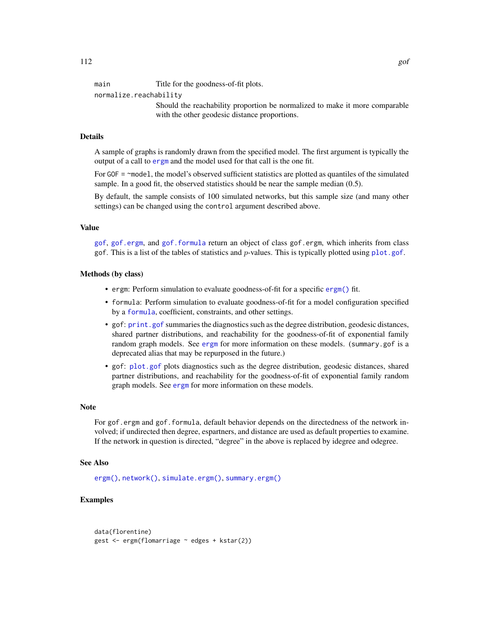main Title for the goodness-of-fit plots.

normalize.reachability

Should the reachability proportion be normalized to make it more comparable with the other geodesic distance proportions.

## Details

A sample of graphs is randomly drawn from the specified model. The first argument is typically the output of a call to [ergm](#page-37-0) and the model used for that call is the one fit.

For GOF = ~model, the model's observed sufficient statistics are plotted as quantiles of the simulated sample. In a good fit, the observed statistics should be near the sample median (0.5).

By default, the sample consists of 100 simulated networks, but this sample size (and many other settings) can be changed using the control argument described above.

# Value

[gof](#page-109-0), [gof.ergm](#page-109-1), and [gof.formula](#page-109-1) return an object of class gof.ergm, which inherits from class gof. This is a list of the tables of statistics and p-values. This is typically plotted using [plot.gof](#page-109-1).

#### Methods (by class)

- ergm: Perform simulation to evaluate goodness-of-fit for a specific [ergm\(\)](#page-37-0) fit.
- formula: Perform simulation to evaluate goodness-of-fit for a model configuration specified by a [formula](#page-0-0), coefficient, constraints, and other settings.
- gof: [print.gof](#page-109-1) summaries the diagnostics such as the degree distribution, geodesic distances, shared partner distributions, and reachability for the goodness-of-fit of exponential family random graph models. See [ergm](#page-37-0) for more information on these models. (summary.gof is a deprecated alias that may be repurposed in the future.)
- gof: [plot.gof](#page-109-1) plots diagnostics such as the degree distribution, geodesic distances, shared partner distributions, and reachability for the goodness-of-fit of exponential family random graph models. See [ergm](#page-37-0) for more information on these models.

#### **Note**

For gof.ergm and gof.formula, default behavior depends on the directedness of the network involved; if undirected then degree, espartners, and distance are used as default properties to examine. If the network in question is directed, "degree" in the above is replaced by idegree and odegree.

#### See Also

[ergm\(\)](#page-37-0), [network\(\)](#page-0-0), [simulate.ergm\(\)](#page-138-0), [summary.ergm\(\)](#page-146-0)

```
data(florentine)
gest <- ergm(flomarriage ~ edges + kstar(2))
```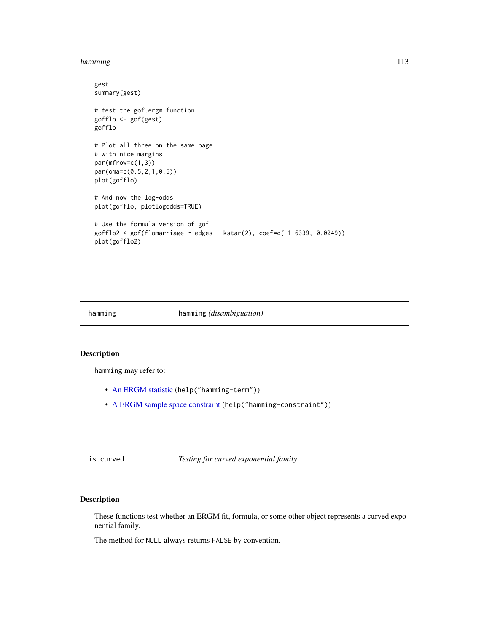#### hamming 113

```
gest
summary(gest)
# test the gof.ergm function
gofflo <- gof(gest)
gofflo
# Plot all three on the same page
# with nice margins
par(mfrow=c(1,3))
par(oma=c(0.5,2,1,0.5))
plot(gofflo)
# And now the log-odds
plot(gofflo, plotlogodds=TRUE)
# Use the formula version of gof
gofflo2 <-gof(flomarriage ~ edges + kstar(2), coef=c(-1.6339, 0.0049))
plot(gofflo2)
```
#### hamming hamming *(disambiguation)*

## Description

hamming may refer to:

- [An ERGM statistic](#page-51-0) (help("hamming-term"))
- [A ERGM sample space constraint](#page-44-0) (help("hamming-constraint"))

is.curved *Testing for curved exponential family*

# Description

These functions test whether an ERGM fit, formula, or some other object represents a curved exponential family.

The method for NULL always returns FALSE by convention.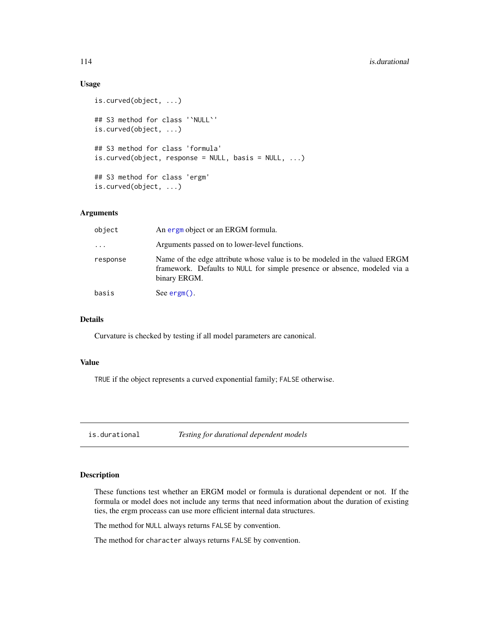# Usage

```
is.curved(object, ...)
## S3 method for class '`NULL`'
is.curved(object, ...)
## S3 method for class 'formula'
is.curved(object, response = NULL, basis = NULL, ...)
## S3 method for class 'ergm'
is.curved(object, ...)
```
# Arguments

| object   | An ergn object or an ERGM formula.                                                                                                                                      |  |
|----------|-------------------------------------------------------------------------------------------------------------------------------------------------------------------------|--|
| $\cdots$ | Arguments passed on to lower-level functions.                                                                                                                           |  |
| response | Name of the edge attribute whose value is to be modeled in the valued ERGM<br>framework. Defaults to NULL for simple presence or absence, modeled via a<br>binary ERGM. |  |
| basis    | See $\text{ergm}()$ .                                                                                                                                                   |  |

# Details

Curvature is checked by testing if all model parameters are canonical.

#### Value

TRUE if the object represents a curved exponential family; FALSE otherwise.

is.durational *Testing for durational dependent models*

## Description

These functions test whether an ERGM model or formula is durational dependent or not. If the formula or model does not include any terms that need information about the duration of existing ties, the ergm proceass can use more efficient internal data structures.

The method for NULL always returns FALSE by convention.

The method for character always returns FALSE by convention.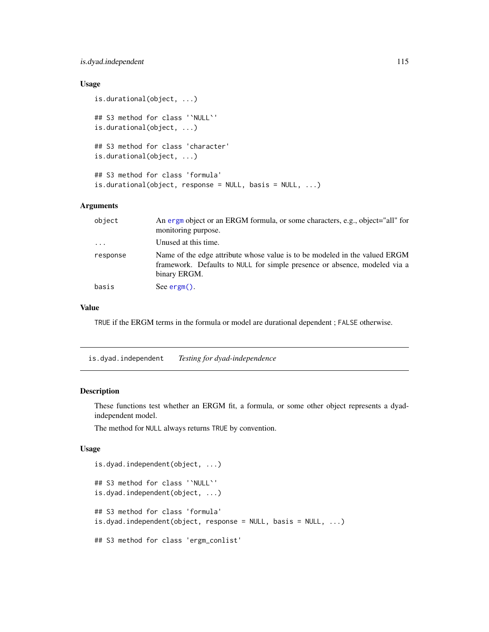# is.dyad.independent 115

# Usage

```
is.durational(object, ...)
## S3 method for class '`NULL`'
is.durational(object, ...)
## S3 method for class 'character'
is.durational(object, ...)
## S3 method for class 'formula'
is.durational(object, response = NULL, basis = NULL, ...)
```
# Arguments

| object                  | An ergn object or an ERGM formula, or some characters, e.g., object="all" for<br>monitoring purpose.                                                                    |
|-------------------------|-------------------------------------------------------------------------------------------------------------------------------------------------------------------------|
| $\cdot$ $\cdot$ $\cdot$ | Unused at this time.                                                                                                                                                    |
| response                | Name of the edge attribute whose value is to be modeled in the valued ERGM<br>framework. Defaults to NULL for simple presence or absence, modeled via a<br>binary ERGM. |
| basis                   | See $\text{ergm}()$ .                                                                                                                                                   |

# Value

TRUE if the ERGM terms in the formula or model are durational dependent ; FALSE otherwise.

is.dyad.independent *Testing for dyad-independence*

# Description

These functions test whether an ERGM fit, a formula, or some other object represents a dyadindependent model.

The method for NULL always returns TRUE by convention.

#### Usage

```
is.dyad.independent(object, ...)
## S3 method for class '`NULL`'
is.dyad.independent(object, ...)
## S3 method for class 'formula'
is.dyad.independent(object, response = NULL, basis = NULL, ...)
## S3 method for class 'ergm_conlist'
```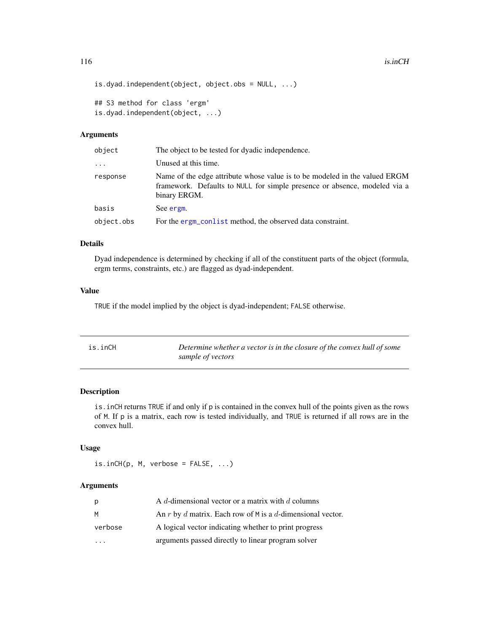```
is.dyad.independent(object, object.obs = NULL, ...)
```

```
## S3 method for class 'ergm'
is.dyad.independent(object, ...)
```
# Arguments

| object     | The object to be tested for dyadic independence.                                                                                                                        |  |
|------------|-------------------------------------------------------------------------------------------------------------------------------------------------------------------------|--|
| $\cdots$   | Unused at this time.                                                                                                                                                    |  |
| response   | Name of the edge attribute whose value is to be modeled in the valued ERGM<br>framework. Defaults to NULL for simple presence or absence, modeled via a<br>binary ERGM. |  |
| basis      | See ergm.                                                                                                                                                               |  |
| object.obs | For the ergm_conlist method, the observed data constraint.                                                                                                              |  |

# Details

Dyad independence is determined by checking if all of the constituent parts of the object (formula, ergm terms, constraints, etc.) are flagged as dyad-independent.

# Value

TRUE if the model implied by the object is dyad-independent; FALSE otherwise.

| is.inCH | Determine whether a vector is in the closure of the convex hull of some |
|---------|-------------------------------------------------------------------------|
|         | sample of vectors                                                       |

# Description

is.inCH returns TRUE if and only if p is contained in the convex hull of the points given as the rows of M. If p is a matrix, each row is tested individually, and TRUE is returned if all rows are in the convex hull.

# Usage

```
is.inCH(p, M, verbose = FALSE, ...)
```
# Arguments

| p                       | A d-dimensional vector or a matrix with $d$ columns        |
|-------------------------|------------------------------------------------------------|
| М                       | An r by d matrix. Each row of M is a d-dimensional vector. |
| verbose                 | A logical vector indicating whether to print progress      |
| $\cdot$ $\cdot$ $\cdot$ | arguments passed directly to linear program solver         |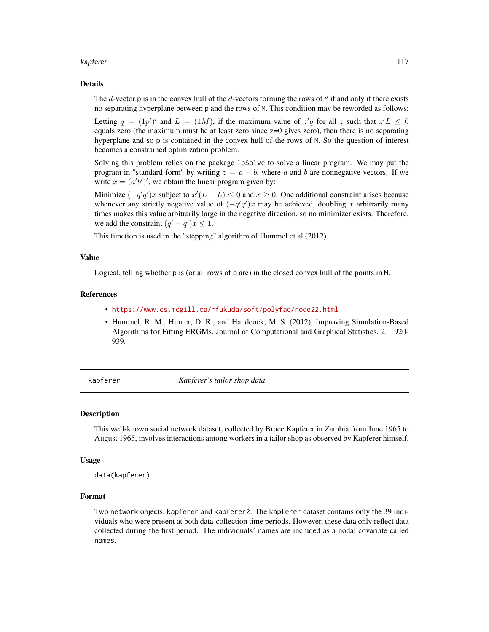#### kapferer til 117

#### Details

The  $d$ -vector p is in the convex hull of the  $d$ -vectors forming the rows of M if and only if there exists no separating hyperplane between p and the rows of M. This condition may be reworded as follows:

Letting  $q = (1p')'$  and  $L = (1M)$ , if the maximum value of  $z'q$  for all z such that  $z'L \leq 0$ equals zero (the maximum must be at least zero since z=0 gives zero), then there is no separating hyperplane and so p is contained in the convex hull of the rows of M. So the question of interest becomes a constrained optimization problem.

Solving this problem relies on the package lpSolve to solve a linear program. We may put the program in "standard form" by writing  $z = a - b$ , where a and b are nonnegative vectors. If we write  $x = (a'b')'$ , we obtain the linear program given by:

Minimize  $(-q'q')x$  subject to  $x'(L - L) \leq 0$  and  $x \geq 0$ . One additional constraint arises because whenever any strictly negative value of  $(-q'q')x$  may be achieved, doubling x arbitrarily many times makes this value arbitrarily large in the negative direction, so no minimizer exists. Therefore, we add the constraint  $(q' - q')x \leq 1$ .

This function is used in the "stepping" algorithm of Hummel et al (2012).

#### Value

Logical, telling whether p is (or all rows of p are) in the closed convex hull of the points in M.

#### References

- <https://www.cs.mcgill.ca/~fukuda/soft/polyfaq/node22.html>
- Hummel, R. M., Hunter, D. R., and Handcock, M. S. (2012), Improving Simulation-Based Algorithms for Fitting ERGMs, Journal of Computational and Graphical Statistics, 21: 920- 939.

kapferer *Kapferer's tailor shop data*

#### **Description**

This well-known social network dataset, collected by Bruce Kapferer in Zambia from June 1965 to August 1965, involves interactions among workers in a tailor shop as observed by Kapferer himself.

#### Usage

```
data(kapferer)
```
#### Format

Two network objects, kapferer and kapferer2. The kapferer dataset contains only the 39 individuals who were present at both data-collection time periods. However, these data only reflect data collected during the first period. The individuals' names are included as a nodal covariate called names.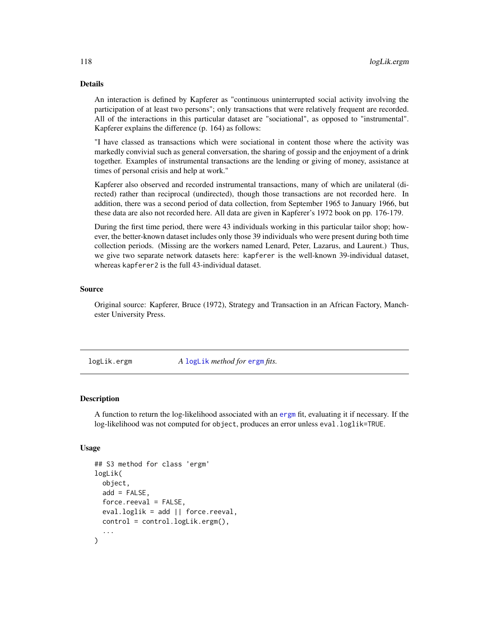# Details

An interaction is defined by Kapferer as "continuous uninterrupted social activity involving the participation of at least two persons"; only transactions that were relatively frequent are recorded. All of the interactions in this particular dataset are "sociational", as opposed to "instrumental". Kapferer explains the difference (p. 164) as follows:

"I have classed as transactions which were sociational in content those where the activity was markedly convivial such as general conversation, the sharing of gossip and the enjoyment of a drink together. Examples of instrumental transactions are the lending or giving of money, assistance at times of personal crisis and help at work."

Kapferer also observed and recorded instrumental transactions, many of which are unilateral (directed) rather than reciprocal (undirected), though those transactions are not recorded here. In addition, there was a second period of data collection, from September 1965 to January 1966, but these data are also not recorded here. All data are given in Kapferer's 1972 book on pp. 176-179.

During the first time period, there were 43 individuals working in this particular tailor shop; however, the better-known dataset includes only those 39 individuals who were present during both time collection periods. (Missing are the workers named Lenard, Peter, Lazarus, and Laurent.) Thus, we give two separate network datasets here: kapferer is the well-known 39-individual dataset, whereas kapferer2 is the full 43-individual dataset.

# Source

Original source: Kapferer, Bruce (1972), Strategy and Transaction in an African Factory, Manchester University Press.

logLik.ergm *A* [logLik](#page-0-0) *method for* [ergm](#page-37-0) *fits.*

#### **Description**

A function to return the log-likelihood associated with an [ergm](#page-37-1) fit, evaluating it if necessary. If the log-likelihood was not computed for object, produces an error unless eval.loglik=TRUE.

#### Usage

```
## S3 method for class 'ergm'
logLik(
  object,
  add = FALSE,
  force.read = FALSE,eval.loglik = add || force.reeval,
  control = control.logLik.ergm(),
  ...
)
```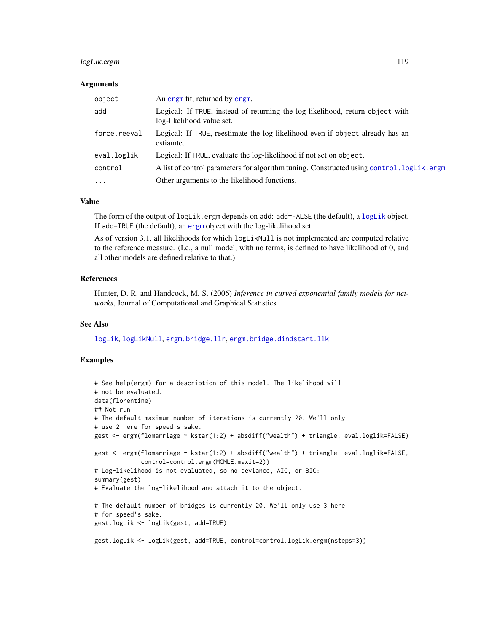# logLik.ergm 119

#### **Arguments**

| object       | An ergm fit, returned by ergm.                                                                             |
|--------------|------------------------------------------------------------------------------------------------------------|
| add          | Logical: If TRUE, instead of returning the log-likelihood, return object with<br>log-likelihood value set. |
| force.reeval | Logical: If TRUE, reestimate the log-likelihood even if object already has an<br>estiamte.                 |
| eval.loglik  | Logical: If TRUE, evaluate the log-likelihood if not set on object.                                        |
| control      | A list of control parameters for algorithm tuning. Constructed using control. logLik.ergm.                 |
| $\ddotsc$    | Other arguments to the likelihood functions.                                                               |

# Value

The form of the output of [logLik](#page-0-0).ergm depends on add: add=FALSE (the default), a logLik object. If add=TRUE (the default), an [ergm](#page-37-1) object with the log-likelihood set.

As of version 3.1, all likelihoods for which logLikNull is not implemented are computed relative to the reference measure. (I.e., a null model, with no terms, is defined to have likelihood of 0, and all other models are defined relative to that.)

# References

Hunter, D. R. and Handcock, M. S. (2006) *Inference in curved exponential family models for networks*, Journal of Computational and Graphical Statistics.

#### See Also

[logLik](#page-0-0), [logLikNull](#page-119-0), [ergm.bridge.llr](#page-84-0), [ergm.bridge.dindstart.llk](#page-84-1)

```
# See help(ergm) for a description of this model. The likelihood will
# not be evaluated.
data(florentine)
## Not run:
# The default maximum number of iterations is currently 20. We'll only
# use 2 here for speed's sake.
gest <- ergm(flomarriage ~ kstar(1:2) + absdiff("wealth") + triangle, eval.loglik=FALSE)
gest <- ergm(flomarriage ~ kstar(1:2) + absdiff("wealth") + triangle, eval.loglik=FALSE,
             control=control.ergm(MCMLE.maxit=2))
# Log-likelihood is not evaluated, so no deviance, AIC, or BIC:
summary(gest)
# Evaluate the log-likelihood and attach it to the object.
# The default number of bridges is currently 20. We'll only use 3 here
# for speed's sake.
gest.logLik <- logLik(gest, add=TRUE)
gest.logLik <- logLik(gest, add=TRUE, control=control.logLik.ergm(nsteps=3))
```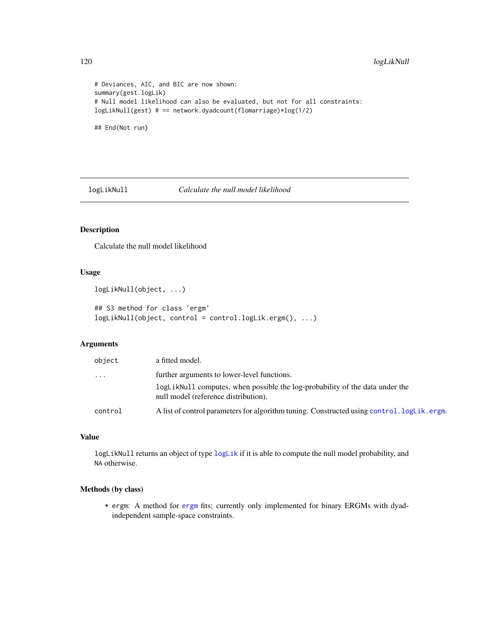```
# Deviances, AIC, and BIC are now shown:
summary(gest.logLik)
# Null model likelihood can also be evaluated, but not for all constraints:
logLikNull(gest) # == network.dyadcount(flomarriage)*log(1/2)
## End(Not run)
```
<span id="page-119-0"></span>logLikNull *Calculate the null model likelihood*

# Description

Calculate the null model likelihood

# Usage

```
logLikNull(object, ...)
```

```
## S3 method for class 'ergm'
logLikNull(object, control = control.logLik.ergm(), ...)
```
# Arguments

| object   | a fitted model.                                                                                                      |
|----------|----------------------------------------------------------------------------------------------------------------------|
| $\cdots$ | further arguments to lower-level functions.                                                                          |
|          | logLikNull computes, when possible the log-probability of the data under the<br>null model (reference distribution). |
| control  | A list of control parameters for algorithm tuning. Constructed using control. logLik.ergm.                           |

# Value

logLikNull returns an object of type [logLik](#page-0-0) if it is able to compute the null model probability, and NA otherwise.

# Methods (by class)

• ergm: A method for [ergm](#page-37-0) fits; currently only implemented for binary ERGMs with dyadindependent sample-space constraints.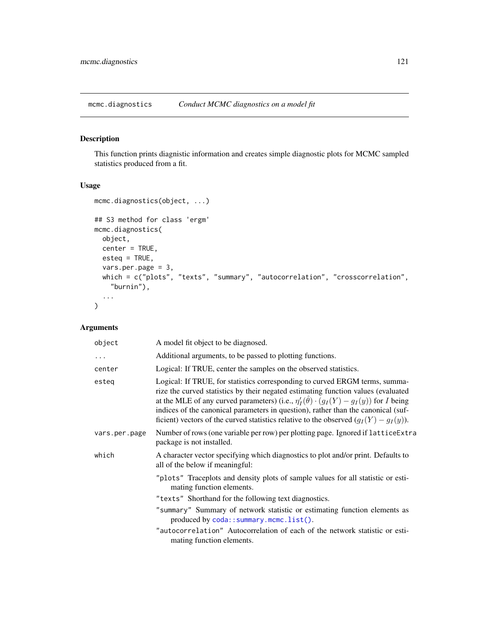mcmc.diagnostics *Conduct MCMC diagnostics on a model fit*

# Description

This function prints diagnistic information and creates simple diagnostic plots for MCMC sampled statistics produced from a fit.

# Usage

```
mcmc.diagnostics(object, ...)
## S3 method for class 'ergm'
mcmc.diagnostics(
 object,
 center = TRUE,
 esteq = TRUE,
 vars.per.page = 3,
 which = c("plots", "texts", "summary", "autocorrelation", "crosscorrelation",
    "burnin"),
  ...
)
```
# Arguments

| object        | A model fit object to be diagnosed.                                                                                                                                                                                                                                                                                                                                                                                                                          |  |
|---------------|--------------------------------------------------------------------------------------------------------------------------------------------------------------------------------------------------------------------------------------------------------------------------------------------------------------------------------------------------------------------------------------------------------------------------------------------------------------|--|
| $\cdots$      | Additional arguments, to be passed to plotting functions.                                                                                                                                                                                                                                                                                                                                                                                                    |  |
| center        | Logical: If TRUE, center the samples on the observed statistics.                                                                                                                                                                                                                                                                                                                                                                                             |  |
| esteg         | Logical: If TRUE, for statistics corresponding to curved ERGM terms, summa-<br>rize the curved statistics by their negated estimating function values (evaluated<br>at the MLE of any curved parameters) (i.e., $\eta'_I(\hat{\theta}) \cdot (g_I(Y) - g_I(y))$ for I being<br>indices of the canonical parameters in question), rather than the canonical (suf-<br>ficient) vectors of the curved statistics relative to the observed $(g_I(Y) - g_I(y))$ . |  |
| vars.per.page | Number of rows (one variable per row) per plotting page. Ignored if latticeExtra<br>package is not installed.                                                                                                                                                                                                                                                                                                                                                |  |
| which         | A character vector specifying which diagnostics to plot and/or print. Defaults to<br>all of the below if meaningful:                                                                                                                                                                                                                                                                                                                                         |  |
|               | "plots" Traceplots and density plots of sample values for all statistic or esti-<br>mating function elements.                                                                                                                                                                                                                                                                                                                                                |  |
|               | "texts" Shorthand for the following text diagnostics.                                                                                                                                                                                                                                                                                                                                                                                                        |  |
|               | "summary" Summary of network statistic or estimating function elements as<br>produced by coda::summary.mcmc.list().                                                                                                                                                                                                                                                                                                                                          |  |
|               | "autocorrelation" Autocorrelation of each of the network statistic or esti-<br>mating function elements.                                                                                                                                                                                                                                                                                                                                                     |  |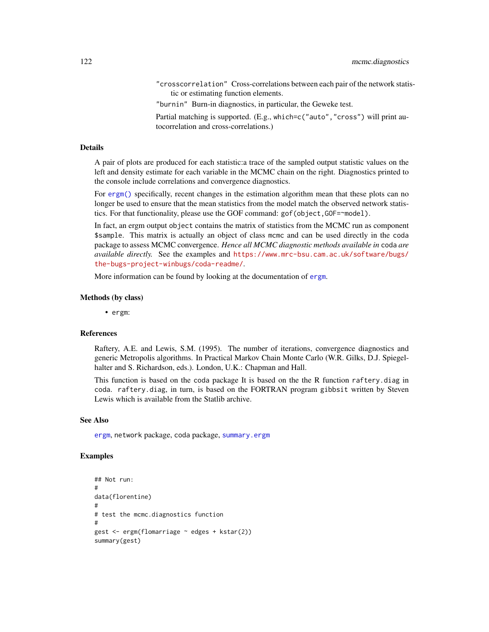"crosscorrelation" Cross-correlations between each pair of the network statistic or estimating function elements.

"burnin" Burn-in diagnostics, in particular, the Geweke test.

Partial matching is supported. (E.g., which=c("auto", "cross") will print autocorrelation and cross-correlations.)

#### Details

A pair of plots are produced for each statistic:a trace of the sampled output statistic values on the left and density estimate for each variable in the MCMC chain on the right. Diagnostics printed to the console include correlations and convergence diagnostics.

For [ergm\(\)](#page-37-0) specifically, recent changes in the estimation algorithm mean that these plots can no longer be used to ensure that the mean statistics from the model match the observed network statistics. For that functionality, please use the GOF command: gof(object,GOF=~model).

In fact, an ergm output object contains the matrix of statistics from the MCMC run as component \$sample. This matrix is actually an object of class mcmc and can be used directly in the coda package to assess MCMC convergence. *Hence all MCMC diagnostic methods available in* coda *are available directly.* See the examples and [https://www.mrc-bsu.cam.ac.uk/software/bugs/](https://www.mrc-bsu.cam.ac.uk/software/bugs/the-bugs-project-winbugs/coda-readme/) [the-bugs-project-winbugs/coda-readme/](https://www.mrc-bsu.cam.ac.uk/software/bugs/the-bugs-project-winbugs/coda-readme/).

More information can be found by looking at the documentation of [ergm](#page-37-0).

#### Methods (by class)

• ergm:

## References

Raftery, A.E. and Lewis, S.M. (1995). The number of iterations, convergence diagnostics and generic Metropolis algorithms. In Practical Markov Chain Monte Carlo (W.R. Gilks, D.J. Spiegelhalter and S. Richardson, eds.). London, U.K.: Chapman and Hall.

This function is based on the coda package It is based on the the R function raftery.diag in coda. raftery.diag, in turn, is based on the FORTRAN program gibbsit written by Steven Lewis which is available from the Statlib archive.

# See Also

[ergm](#page-37-0), network package, coda package, [summary.ergm](#page-146-0)

```
## Not run:
#
data(florentine)
#
# test the mcmc.diagnostics function
#
gest <- ergm(flomarriage ~ edges + kstar(2))
summary(gest)
```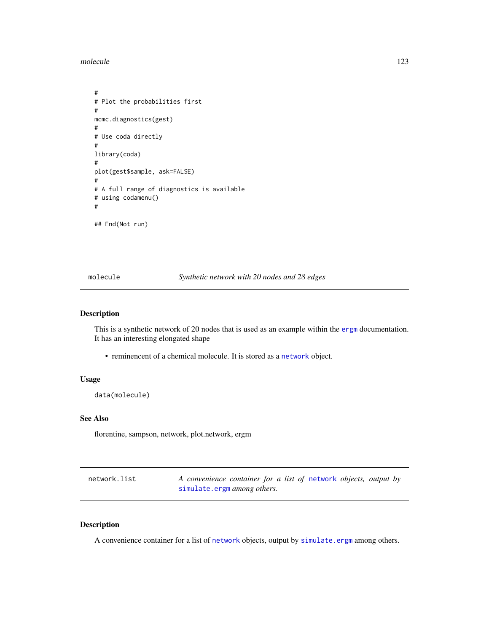molecule 123

```
#
# Plot the probabilities first
#
mcmc.diagnostics(gest)
#
# Use coda directly
#
library(coda)
#
plot(gest$sample, ask=FALSE)
#
# A full range of diagnostics is available
# using codamenu()
#
## End(Not run)
```
molecule *Synthetic network with 20 nodes and 28 edges*

## Description

This is a synthetic network of 20 nodes that is used as an example within the [ergm](#page-37-0) documentation. It has an interesting elongated shape

• reminencent of a chemical molecule. It is stored as a [network](#page-0-0) object.

# Usage

data(molecule)

# See Also

florentine, sampson, network, plot.network, ergm

<span id="page-122-0"></span>

| network.list | A convenience container for a list of network objects, output by |
|--------------|------------------------------------------------------------------|
|              | simulate.ergm among others.                                      |

# Description

A convenience container for a list of [network](#page-0-0) objects, output by [simulate.ergm](#page-138-0) among others.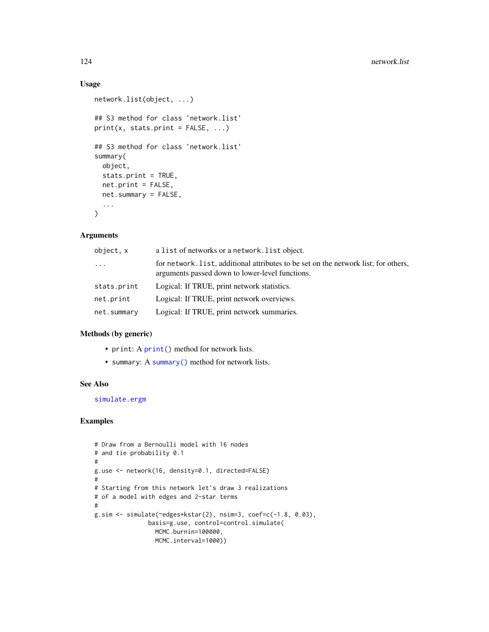# Usage

```
network.list(object, ...)
## S3 method for class 'network.list'
print(x, stats.print = FALSE, ...)## S3 method for class 'network.list'
summary(
 object,
  stats.print = TRUE,
 net.print = FALSE,
 net.summary = FALSE,
  ...
\mathcal{L}
```
# Arguments

| object, x   | a list of networks or a network. list object.                                                                                          |
|-------------|----------------------------------------------------------------------------------------------------------------------------------------|
| $\cdots$    | for network. list, additional attributes to be set on the network list; for others,<br>arguments passed down to lower-level functions. |
| stats.print | Logical: If TRUE, print network statistics.                                                                                            |
| net.print   | Logical: If TRUE, print network overviews.                                                                                             |
| net.summary | Logical: If TRUE, print network summaries.                                                                                             |

## Methods (by generic)

- print: A [print\(\)](#page-0-0) method for network lists.
- summary: A [summary\(\)](#page-148-0) method for network lists.

# See Also

[simulate.ergm](#page-138-0)

```
# Draw from a Bernoulli model with 16 nodes
# and tie probability 0.1
#
g.use <- network(16, density=0.1, directed=FALSE)
#
# Starting from this network let's draw 3 realizations
# of a model with edges and 2-star terms
#
g.sim \le simulate(\leedges+kstar(2), nsim=3, coef=c(-1.8, 0.03),
               basis=g.use, control=control.simulate(
                MCMC.burnin=100000,
                MCMC.interval=1000))
```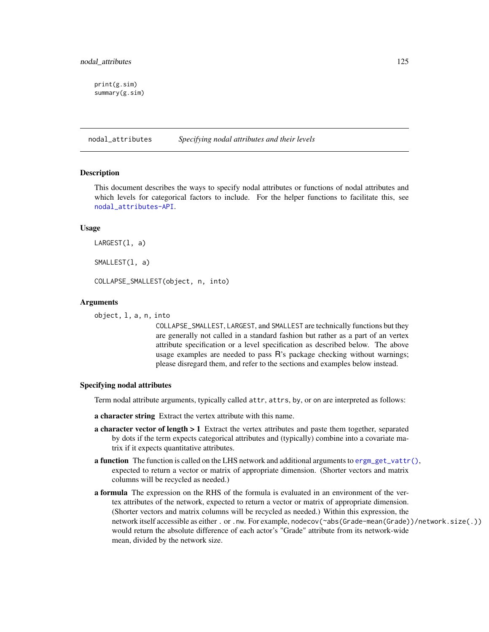print(g.sim) summary(g.sim)

nodal\_attributes *Specifying nodal attributes and their levels*

#### <span id="page-124-0"></span>**Description**

This document describes the ways to specify nodal attributes or functions of nodal attributes and which levels for categorical factors to include. For the helper functions to facilitate this, see [nodal\\_attributes-API](#page-0-0).

## Usage

LARGEST(l, a)

SMALLEST(l, a)

COLLAPSE\_SMALLEST(object, n, into)

# Arguments

object, l, a, n, into

COLLAPSE\_SMALLEST, LARGEST, and SMALLEST are technically functions but they are generally not called in a standard fashion but rather as a part of an vertex attribute specification or a level specification as described below. The above usage examples are needed to pass R's package checking without warnings; please disregard them, and refer to the sections and examples below instead.

## Specifying nodal attributes

Term nodal attribute arguments, typically called attr, attrs, by, or on are interpreted as follows:

a character string Extract the vertex attribute with this name.

- **a character vector of length**  $> 1$  Extract the vertex attributes and paste them together, separated by dots if the term expects categorical attributes and (typically) combine into a covariate matrix if it expects quantitative attributes.
- **a function** The function is called on the LHS network and additional arguments to  $\text{ergm}_g e t_v \text{attr}(),$ expected to return a vector or matrix of appropriate dimension. (Shorter vectors and matrix columns will be recycled as needed.)
- a formula The expression on the RHS of the formula is evaluated in an environment of the vertex attributes of the network, expected to return a vector or matrix of appropriate dimension. (Shorter vectors and matrix columns will be recycled as needed.) Within this expression, the network itself accessible as either . or .nw. For example, nodecov(~abs(Grade-mean(Grade))/network.size(.)) would return the absolute difference of each actor's "Grade" attribute from its network-wide mean, divided by the network size.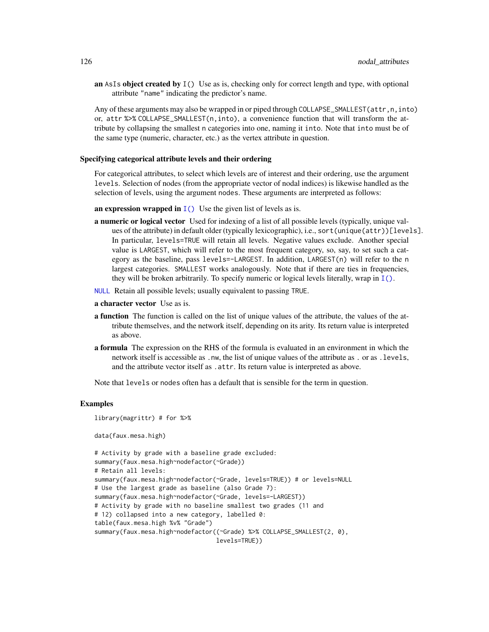an AsIs object created by  $I()$  Use as is, checking only for correct length and type, with optional attribute "name" indicating the predictor's name.

Any of these arguments may also be wrapped in or piped through COLLAPSE\_SMALLEST(attr, n, into) or, attr %>% COLLAPSE\_SMALLEST(n,into), a convenience function that will transform the attribute by collapsing the smallest n categories into one, naming it into. Note that into must be of the same type (numeric, character, etc.) as the vertex attribute in question.

#### Specifying categorical attribute levels and their ordering

For categorical attributes, to select which levels are of interest and their ordering, use the argument levels. Selection of nodes (from the appropriate vector of nodal indices) is likewise handled as the selection of levels, using the argument nodes. These arguments are interpreted as follows:

an expression wrapped in  $I()$  Use the given list of levels as is.

- **a numeric or logical vector** Used for indexing of a list of all possible levels (typically, unique values of the attribute) in default older (typically lexicographic), i.e., sort(unique(attr))[levels]. In particular, levels=TRUE will retain all levels. Negative values exclude. Another special value is LARGEST, which will refer to the most frequent category, so, say, to set such a category as the baseline, pass levels=-LARGEST. In addition, LARGEST(n) will refer to the n largest categories. SMALLEST works analogously. Note that if there are ties in frequencies, they will be broken arbitrarily. To specify numeric or logical levels literally, wrap in  $I(.)$ .
- [NULL](#page-0-0) Retain all possible levels; usually equivalent to passing TRUE.
- a character vector Use as is.
- a function The function is called on the list of unique values of the attribute, the values of the attribute themselves, and the network itself, depending on its arity. Its return value is interpreted as above.
- a formula The expression on the RHS of the formula is evaluated in an environment in which the network itself is accessible as .nw, the list of unique values of the attribute as . or as .levels, and the attribute vector itself as .attr. Its return value is interpreted as above.

Note that levels or nodes often has a default that is sensible for the term in question.

#### Examples

library(magrittr) # for %>% data(faux.mesa.high) # Activity by grade with a baseline grade excluded: summary(faux.mesa.high~nodefactor(~Grade)) # Retain all levels: summary(faux.mesa.high~nodefactor(~Grade, levels=TRUE)) # or levels=NULL # Use the largest grade as baseline (also Grade 7): summary(faux.mesa.high~nodefactor(~Grade, levels=-LARGEST)) # Activity by grade with no baseline smallest two grades (11 and # 12) collapsed into a new category, labelled 0: table(faux.mesa.high %v% "Grade") summary(faux.mesa.high~nodefactor((~Grade) %>% COLLAPSE\_SMALLEST(2, 0), levels=TRUE))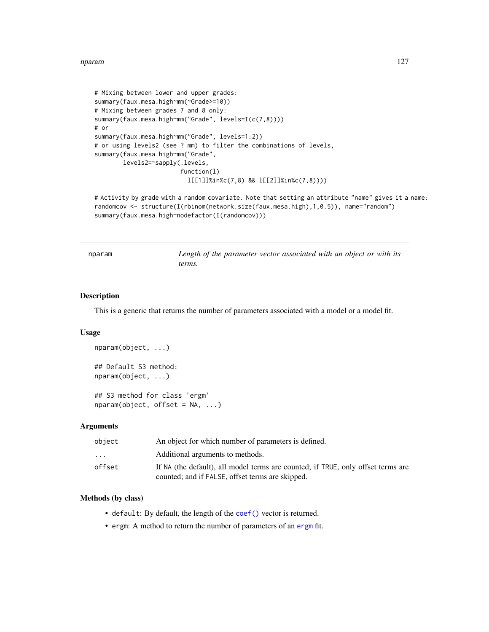#### nparam and the contract of the contract of the contract of the contract of the contract of the contract of the contract of the contract of the contract of the contract of the contract of the contract of the contract of the

```
# Mixing between lower and upper grades:
summary(faux.mesa.high~mm(~Grade>=10))
# Mixing between grades 7 and 8 only:
summary(faux.mesa.high~mm("Grade", levels=I(c(7,8))))
# or
summary(faux.mesa.high~mm("Grade", levels=1:2))
# or using levels2 (see ? mm) to filter the combinations of levels,
summary(faux.mesa.high~mm("Grade",
        levels2=~sapply(.levels,
                        function(l)
                          l[[1]]%in%c(7,8) && l[[2]]%in%c(7,8))))
```
# Activity by grade with a random covariate. Note that setting an attribute "name" gives it a name: randomcov <- structure(I(rbinom(network.size(faux.mesa.high),1,0.5)), name="random") summary(faux.mesa.high~nodefactor(I(randomcov)))

| п<br>ı<br>ı<br>n |
|------------------|
|                  |

n *Length of the parameter vector associated with an object or with its terms.*

# Description

This is a generic that returns the number of parameters associated with a model or a model fit.

#### Usage

```
nparam(object, ...)
## Default S3 method:
nparam(object, ...)
```
## S3 method for class 'ergm'  $nparam(object, offset = NA, ...)$ 

#### Arguments

| object                  | An object for which number of parameters is defined.                             |
|-------------------------|----------------------------------------------------------------------------------|
| $\cdot$ $\cdot$ $\cdot$ | Additional arguments to methods.                                                 |
| offset                  | If NA (the default), all model terms are counted; if TRUE, only offset terms are |
|                         | counted; and if FALSE, offset terms are skipped.                                 |

#### Methods (by class)

- default: By default, the length of the [coef\(\)](#page-0-0) vector is returned.
- ergm: A method to return the number of parameters of an [ergm](#page-37-0) fit.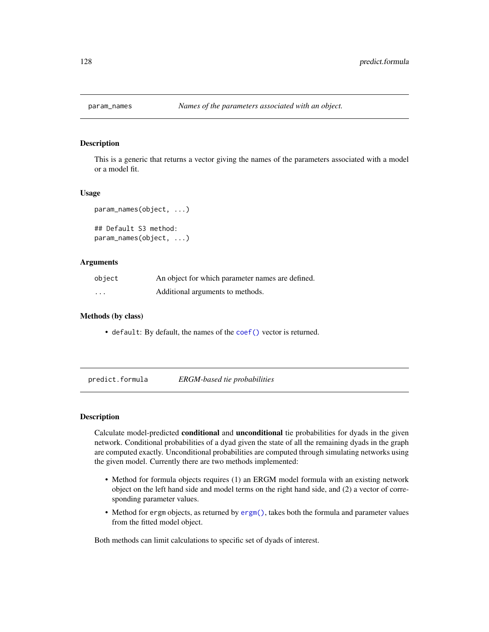## Description

This is a generic that returns a vector giving the names of the parameters associated with a model or a model fit.

#### Usage

```
param_names(object, ...)
## Default S3 method:
param_names(object, ...)
```
#### Arguments

| object            | An object for which parameter names are defined. |
|-------------------|--------------------------------------------------|
| $\cdot\cdot\cdot$ | Additional arguments to methods.                 |

#### Methods (by class)

• default: By default, the names of the [coef\(\)](#page-0-0) vector is returned.

predict.formula *ERGM-based tie probabilities*

# **Description**

Calculate model-predicted conditional and unconditional tie probabilities for dyads in the given network. Conditional probabilities of a dyad given the state of all the remaining dyads in the graph are computed exactly. Unconditional probabilities are computed through simulating networks using the given model. Currently there are two methods implemented:

- Method for formula objects requires (1) an ERGM model formula with an existing network object on the left hand side and model terms on the right hand side, and (2) a vector of corresponding parameter values.
- Method for ergm objects, as returned by [ergm\(\)](#page-37-0), takes both the formula and parameter values from the fitted model object.

Both methods can limit calculations to specific set of dyads of interest.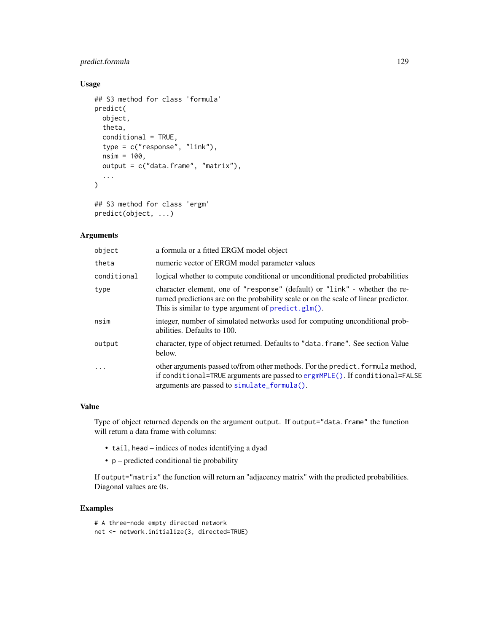# predict.formula 129

# Usage

```
## S3 method for class 'formula'
predict(
 object,
  theta,
  conditional = TRUE,
  type = c("response", "link"),
  nsim = 100,
  output = c("data.frame", "matrix"),
  ...
\mathcal{L}## S3 method for class 'ergm'
```
predict(object, ...)

# Arguments

| object      | a formula or a fitted ERGM model object                                                                                                                                                                                  |
|-------------|--------------------------------------------------------------------------------------------------------------------------------------------------------------------------------------------------------------------------|
| theta       | numeric vector of ERGM model parameter values                                                                                                                                                                            |
| conditional | logical whether to compute conditional or unconditional predicted probabilities                                                                                                                                          |
| type        | character element, one of "response" (default) or "link" - whether the re-<br>turned predictions are on the probability scale or on the scale of linear predictor.<br>This is similar to type argument of predict.glm(). |
| nsim        | integer, number of simulated networks used for computing unconditional prob-<br>abilities. Defaults to 100.                                                                                                              |
| output      | character, type of object returned. Defaults to "data. frame". See section Value<br>below.                                                                                                                               |
| .           | other arguments passed to/from other methods. For the predict. formula method,<br>if conditional=TRUE arguments are passed to ergmMPLE(). If conditional=FALSE<br>arguments are passed to simulate_formula().            |

#### Value

Type of object returned depends on the argument output. If output="data.frame" the function will return a data frame with columns:

- tail, head indices of nodes identifying a dyad
- p predicted conditional tie probability

If output="matrix" the function will return an "adjacency matrix" with the predicted probabilities. Diagonal values are 0s.

# Examples

# A three-node empty directed network net <- network.initialize(3, directed=TRUE)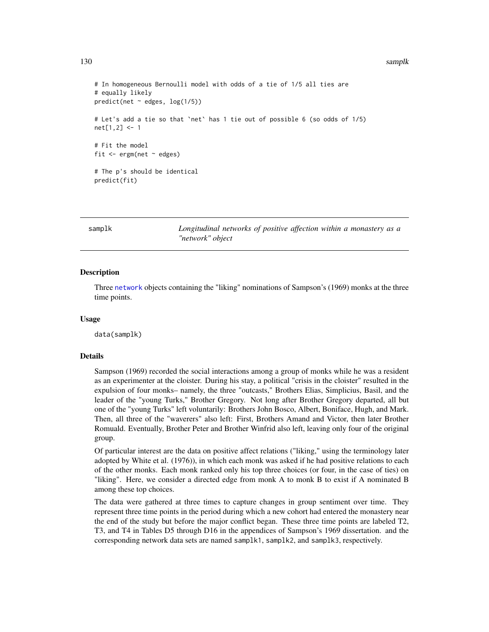#### 130 samplk

```
# In homogeneous Bernoulli model with odds of a tie of 1/5 all ties are
# equally likely
predict(net ~ & edges, log(1/5))# Let's add a tie so that `net` has 1 tie out of possible 6 (so odds of 1/5)
net[1,2] <- 1
# Fit the model
fit \leq ergm(net \sim edges)
# The p's should be identical
predict(fit)
```
samplk *Longitudinal networks of positive affection within a monastery as a "network" object*

## <span id="page-129-0"></span>Description

Three [network](#page-0-0) objects containing the "liking" nominations of Sampson's (1969) monks at the three time points.

#### Usage

data(samplk)

#### Details

Sampson (1969) recorded the social interactions among a group of monks while he was a resident as an experimenter at the cloister. During his stay, a political "crisis in the cloister" resulted in the expulsion of four monks– namely, the three "outcasts," Brothers Elias, Simplicius, Basil, and the leader of the "young Turks," Brother Gregory. Not long after Brother Gregory departed, all but one of the "young Turks" left voluntarily: Brothers John Bosco, Albert, Boniface, Hugh, and Mark. Then, all three of the "waverers" also left: First, Brothers Amand and Victor, then later Brother Romuald. Eventually, Brother Peter and Brother Winfrid also left, leaving only four of the original group.

Of particular interest are the data on positive affect relations ("liking," using the terminology later adopted by White et al. (1976)), in which each monk was asked if he had positive relations to each of the other monks. Each monk ranked only his top three choices (or four, in the case of ties) on "liking". Here, we consider a directed edge from monk A to monk B to exist if A nominated B among these top choices.

The data were gathered at three times to capture changes in group sentiment over time. They represent three time points in the period during which a new cohort had entered the monastery near the end of the study but before the major conflict began. These three time points are labeled T2, T3, and T4 in Tables D5 through D16 in the appendices of Sampson's 1969 dissertation. and the corresponding network data sets are named samplk1, samplk2, and samplk3, respectively.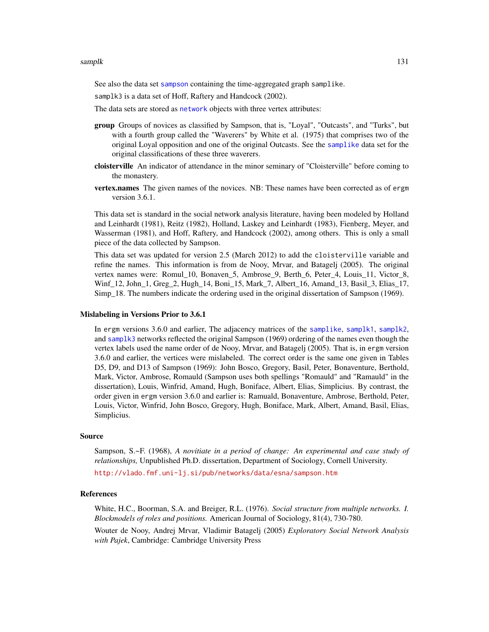#### samplk that is a sample of the state of the state of the state of the state of the state of the state of the state of the state of the state of the state of the state of the state of the state of the state of the state of

See also the data set [sampson](#page-131-0) containing the time-aggregated graph samplike.

samplk3 is a data set of Hoff, Raftery and Handcock (2002).

The data sets are stored as [network](#page-0-0) objects with three vertex attributes:

- group Groups of novices as classified by Sampson, that is, "Loyal", "Outcasts", and "Turks", but with a fourth group called the "Waverers" by White et al. (1975) that comprises two of the original Loyal opposition and one of the original Outcasts. See the [samplike](#page-131-1) data set for the original classifications of these three waverers.
- cloisterville An indicator of attendance in the minor seminary of "Cloisterville" before coming to the monastery.
- vertex.names The given names of the novices. NB: These names have been corrected as of ergm version 3.6.1.

This data set is standard in the social network analysis literature, having been modeled by Holland and Leinhardt (1981), Reitz (1982), Holland, Laskey and Leinhardt (1983), Fienberg, Meyer, and Wasserman (1981), and Hoff, Raftery, and Handcock (2002), among others. This is only a small piece of the data collected by Sampson.

This data set was updated for version 2.5 (March 2012) to add the cloisterville variable and refine the names. This information is from de Nooy, Mrvar, and Batagelj (2005). The original vertex names were: Romul\_10, Bonaven\_5, Ambrose\_9, Berth\_6, Peter\_4, Louis\_11, Victor\_8, Winf\_12, John\_1, Greg\_2, Hugh\_14, Boni\_15, Mark\_7, Albert\_16, Amand\_13, Basil\_3, Elias\_17, Simp\_18. The numbers indicate the ordering used in the original dissertation of Sampson (1969).

## Mislabeling in Versions Prior to 3.6.1

In ergm versions 3.6.0 and earlier, The adjacency matrices of the [samplike](#page-131-1), [samplk1](#page-129-0), [samplk2](#page-129-0), and [samplk3](#page-129-0) networks reflected the original Sampson (1969) ordering of the names even though the vertex labels used the name order of de Nooy, Mrvar, and Batagelj (2005). That is, in ergm version 3.6.0 and earlier, the vertices were mislabeled. The correct order is the same one given in Tables D5, D9, and D13 of Sampson (1969): John Bosco, Gregory, Basil, Peter, Bonaventure, Berthold, Mark, Victor, Ambrose, Romauld (Sampson uses both spellings "Romauld" and "Ramauld" in the dissertation), Louis, Winfrid, Amand, Hugh, Boniface, Albert, Elias, Simplicius. By contrast, the order given in ergm version 3.6.0 and earlier is: Ramuald, Bonaventure, Ambrose, Berthold, Peter, Louis, Victor, Winfrid, John Bosco, Gregory, Hugh, Boniface, Mark, Albert, Amand, Basil, Elias, Simplicius.

#### Source

Sampson, S.~F. (1968), *A novitiate in a period of change: An experimental and case study of relationships,* Unpublished Ph.D. dissertation, Department of Sociology, Cornell University.

<http://vlado.fmf.uni-lj.si/pub/networks/data/esna/sampson.htm>

#### References

White, H.C., Boorman, S.A. and Breiger, R.L. (1976). *Social structure from multiple networks. I. Blockmodels of roles and positions.* American Journal of Sociology, 81(4), 730-780.

Wouter de Nooy, Andrej Mrvar, Vladimir Batagelj (2005) *Exploratory Social Network Analysis with Pajek*, Cambridge: Cambridge University Press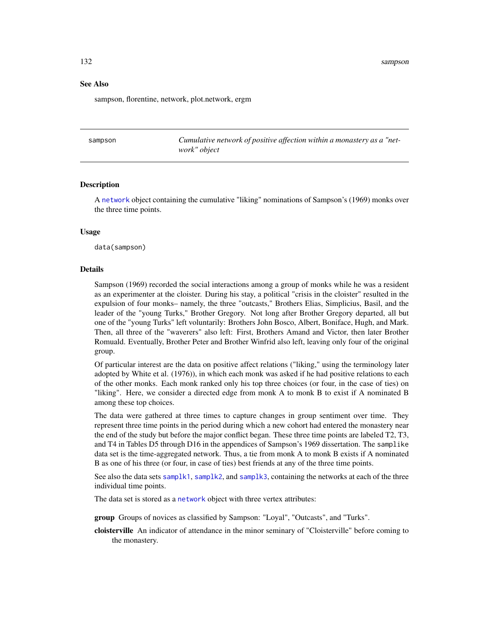#### See Also

sampson, florentine, network, plot.network, ergm

<span id="page-131-0"></span>sampson *Cumulative network of positive affection within a monastery as a "network" object*

#### <span id="page-131-1"></span>Description

A [network](#page-0-0) object containing the cumulative "liking" nominations of Sampson's (1969) monks over the three time points.

# Usage

data(sampson)

#### Details

Sampson (1969) recorded the social interactions among a group of monks while he was a resident as an experimenter at the cloister. During his stay, a political "crisis in the cloister" resulted in the expulsion of four monks– namely, the three "outcasts," Brothers Elias, Simplicius, Basil, and the leader of the "young Turks," Brother Gregory. Not long after Brother Gregory departed, all but one of the "young Turks" left voluntarily: Brothers John Bosco, Albert, Boniface, Hugh, and Mark. Then, all three of the "waverers" also left: First, Brothers Amand and Victor, then later Brother Romuald. Eventually, Brother Peter and Brother Winfrid also left, leaving only four of the original group.

Of particular interest are the data on positive affect relations ("liking," using the terminology later adopted by White et al. (1976)), in which each monk was asked if he had positive relations to each of the other monks. Each monk ranked only his top three choices (or four, in the case of ties) on "liking". Here, we consider a directed edge from monk A to monk B to exist if A nominated B among these top choices.

The data were gathered at three times to capture changes in group sentiment over time. They represent three time points in the period during which a new cohort had entered the monastery near the end of the study but before the major conflict began. These three time points are labeled T2, T3, and T4 in Tables D5 through D16 in the appendices of Sampson's 1969 dissertation. The samplike data set is the time-aggregated network. Thus, a tie from monk A to monk B exists if A nominated B as one of his three (or four, in case of ties) best friends at any of the three time points.

See also the data sets [samplk1](#page-129-0), [samplk2](#page-129-0), and [samplk3](#page-129-0), containing the networks at each of the three individual time points.

The data set is stored as a [network](#page-0-0) object with three vertex attributes:

group Groups of novices as classified by Sampson: "Loyal", "Outcasts", and "Turks".

cloisterville An indicator of attendance in the minor seminary of "Cloisterville" before coming to the monastery.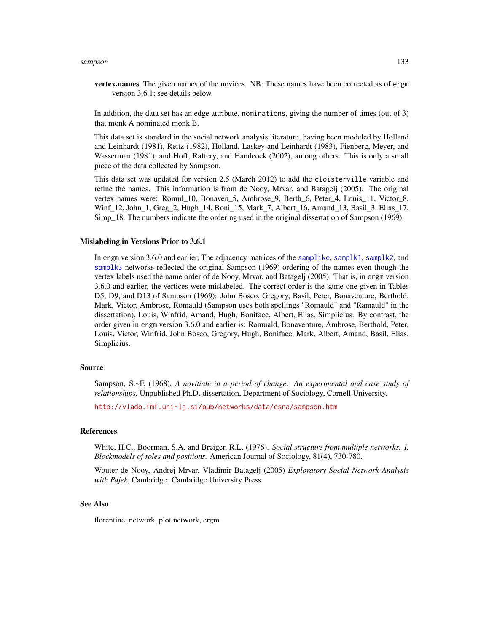#### sampson and the state of the state of the state of the state of the state of the state of the state of the state of the state of the state of the state of the state of the state of the state of the state of the state of th

**vertex.names** The given names of the novices. NB: These names have been corrected as of ergm version 3.6.1; see details below.

In addition, the data set has an edge attribute, nominations, giving the number of times (out of 3) that monk A nominated monk B.

This data set is standard in the social network analysis literature, having been modeled by Holland and Leinhardt (1981), Reitz (1982), Holland, Laskey and Leinhardt (1983), Fienberg, Meyer, and Wasserman (1981), and Hoff, Raftery, and Handcock (2002), among others. This is only a small piece of the data collected by Sampson.

This data set was updated for version 2.5 (March 2012) to add the cloisterville variable and refine the names. This information is from de Nooy, Mrvar, and Batagelj (2005). The original vertex names were: Romul\_10, Bonaven\_5, Ambrose\_9, Berth\_6, Peter\_4, Louis\_11, Victor\_8, Winf<sub>12</sub>, John<sub>1</sub>, Greg<sub>2</sub>, Hugh<sub>14</sub>, Boni<sub>15</sub>, Mark<sub>7</sub>, Albert<sub>16</sub>, Amand<sub>13</sub>, Basil<sub>3</sub>, Elias<sub>17</sub>, Simp\_18. The numbers indicate the ordering used in the original dissertation of Sampson (1969).

#### Mislabeling in Versions Prior to 3.6.1

In ergm version 3.6.0 and earlier, The adjacency matrices of the [samplike](#page-131-1), [samplk1](#page-129-0), [samplk2](#page-129-0), and [samplk3](#page-129-0) networks reflected the original Sampson (1969) ordering of the names even though the vertex labels used the name order of de Nooy, Mrvar, and Batagelj (2005). That is, in ergm version 3.6.0 and earlier, the vertices were mislabeled. The correct order is the same one given in Tables D5, D9, and D13 of Sampson (1969): John Bosco, Gregory, Basil, Peter, Bonaventure, Berthold, Mark, Victor, Ambrose, Romauld (Sampson uses both spellings "Romauld" and "Ramauld" in the dissertation), Louis, Winfrid, Amand, Hugh, Boniface, Albert, Elias, Simplicius. By contrast, the order given in ergm version 3.6.0 and earlier is: Ramuald, Bonaventure, Ambrose, Berthold, Peter, Louis, Victor, Winfrid, John Bosco, Gregory, Hugh, Boniface, Mark, Albert, Amand, Basil, Elias, Simplicius.

# Source

Sampson, S.~F. (1968), *A novitiate in a period of change: An experimental and case study of relationships,* Unpublished Ph.D. dissertation, Department of Sociology, Cornell University.

<http://vlado.fmf.uni-lj.si/pub/networks/data/esna/sampson.htm>

#### References

White, H.C., Boorman, S.A. and Breiger, R.L. (1976). *Social structure from multiple networks. I. Blockmodels of roles and positions.* American Journal of Sociology, 81(4), 730-780.

Wouter de Nooy, Andrej Mrvar, Vladimir Batagelj (2005) *Exploratory Social Network Analysis with Pajek*, Cambridge: Cambridge University Press

# See Also

florentine, network, plot.network, ergm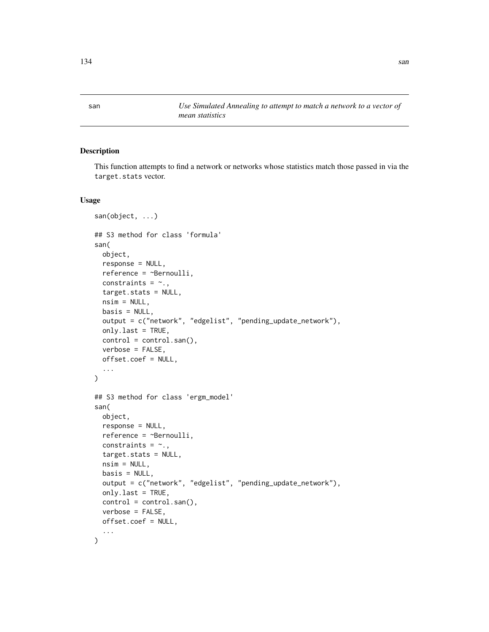san *Use Simulated Annealing to attempt to match a network to a vector of mean statistics*

# Description

This function attempts to find a network or networks whose statistics match those passed in via the target.stats vector.

#### Usage

```
san(object, ...)
## S3 method for class 'formula'
san(
 object,
 response = NULL,
  reference = ~Bernoulli,
 constraints = \sim.,
  target.stats = NULL,
  nsim = NULL,basis = NULL,output = c("network", "edgelist", "pending_update_network"),
 only.last = TRUE,
 control = control.san(),
  verbose = FALSE,
 offset.coef = NULL,
  ...
\mathcal{L}## S3 method for class 'ergm_model'
san(
 object,
 response = NULL,
 reference = ~Bernoulli,
 constraints = \sim.,
  target.stats = NULL,
 nsim = NULL,basis = NULL,output = c("network", "edgelist", "pending_update_network"),
  only.last = TRUE,
 control = control.san(),verbose = FALSE,
 offset.coef = NULL,
  ...
\mathcal{L}
```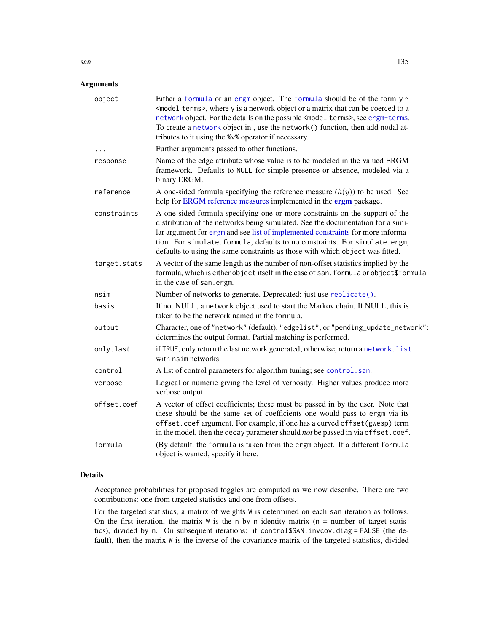# Arguments

| object       | Either a formula or an ergm object. The formula should be of the form $y \sim$<br><model terms="">, where y is a network object or a matrix that can be coerced to a<br/>network object. For the details on the possible <model terms="">, see ergm-terms.<br/>To create a network object in, use the network() function, then add nodal at-<br/>tributes to it using the %v% operator if necessary.</model></model> |  |
|--------------|----------------------------------------------------------------------------------------------------------------------------------------------------------------------------------------------------------------------------------------------------------------------------------------------------------------------------------------------------------------------------------------------------------------------|--|
| $\ddots$     | Further arguments passed to other functions.                                                                                                                                                                                                                                                                                                                                                                         |  |
| response     | Name of the edge attribute whose value is to be modeled in the valued ERGM<br>framework. Defaults to NULL for simple presence or absence, modeled via a<br>binary ERGM.                                                                                                                                                                                                                                              |  |
| reference    | A one-sided formula specifying the reference measure $(h(y))$ to be used. See<br>help for ERGM reference measures implemented in the ergm package.                                                                                                                                                                                                                                                                   |  |
| constraints  | A one-sided formula specifying one or more constraints on the support of the<br>distribution of the networks being simulated. See the documentation for a simi-<br>lar argument for ergm and see list of implemented constraints for more informa-<br>tion. For simulate. formula, defaults to no constraints. For simulate.ergm,<br>defaults to using the same constraints as those with which object was fitted.   |  |
| target.stats | A vector of the same length as the number of non-offset statistics implied by the<br>formula, which is either object itself in the case of san. formula or object\$formula<br>in the case of san.ergm.                                                                                                                                                                                                               |  |
| nsim         | Number of networks to generate. Deprecated: just use replicate().                                                                                                                                                                                                                                                                                                                                                    |  |
| basis        | If not NULL, a network object used to start the Markov chain. If NULL, this is<br>taken to be the network named in the formula.                                                                                                                                                                                                                                                                                      |  |
| output       | Character, one of "network" (default), "edgelist", or "pending_update_network":<br>determines the output format. Partial matching is performed.                                                                                                                                                                                                                                                                      |  |
| only.last    | if TRUE, only return the last network generated; otherwise, return a network. list<br>with nsim networks.                                                                                                                                                                                                                                                                                                            |  |
| control      | A list of control parameters for algorithm tuning; see control.san.                                                                                                                                                                                                                                                                                                                                                  |  |
| verbose      | Logical or numeric giving the level of verbosity. Higher values produce more<br>verbose output.                                                                                                                                                                                                                                                                                                                      |  |
| offset.coef  | A vector of offset coefficients; these must be passed in by the user. Note that<br>these should be the same set of coefficients one would pass to ergm via its<br>offset.coef argument. For example, if one has a curved offset (gwesp) term<br>in the model, then the decay parameter should not be passed in via offset.coef.                                                                                      |  |
| formula      | (By default, the formula is taken from the ergm object. If a different formula<br>object is wanted, specify it here.                                                                                                                                                                                                                                                                                                 |  |
|              |                                                                                                                                                                                                                                                                                                                                                                                                                      |  |

# Details

Acceptance probabilities for proposed toggles are computed as we now describe. There are two contributions: one from targeted statistics and one from offsets.

For the targeted statistics, a matrix of weights W is determined on each san iteration as follows. On the first iteration, the matrix  $W$  is the n by n identity matrix ( $n =$  number of target statistics), divided by n. On subsequent iterations: if control\$SAN.invcov.diag = FALSE (the default), then the matrix W is the inverse of the covariance matrix of the targeted statistics, divided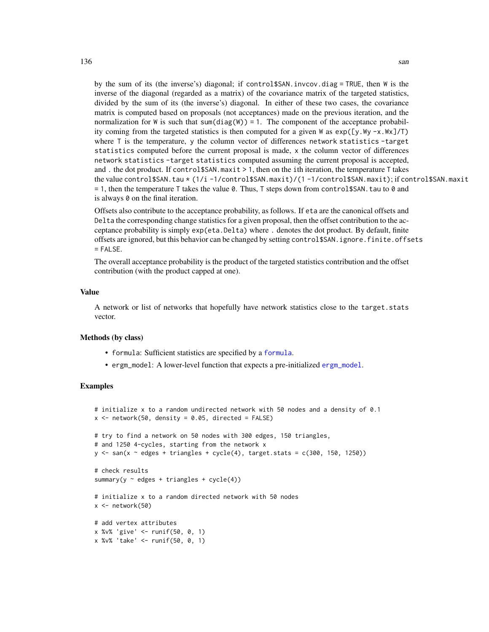by the sum of its (the inverse's) diagonal; if control\$SAN.invcov.diag = TRUE, then W is the inverse of the diagonal (regarded as a matrix) of the covariance matrix of the targeted statistics, divided by the sum of its (the inverse's) diagonal. In either of these two cases, the covariance matrix is computed based on proposals (not acceptances) made on the previous iteration, and the normalization for W is such that  $sum(diag(W)) = 1$ . The component of the acceptance probability coming from the targeted statistics is then computed for a given W as  $exp([y.Wy -x.Wx]/T)$ where T is the temperature, y the column vector of differences network statistics -target statistics computed before the current proposal is made, x the column vector of differences network statistics -target statistics computed assuming the current proposal is accepted, and . the dot product. If control\$SAN.maxit > 1, then on the ith iteration, the temperature T takes the value control\$SAN.tau \* (1/i -1/control\$SAN.maxit)/(1 -1/control\$SAN.maxit); if control\$SAN.maxit  $= 1$ , then the temperature T takes the value 0. Thus, T steps down from control \$SAN. tau to 0 and is always 0 on the final iteration.

Offsets also contribute to the acceptance probability, as follows. If eta are the canonical offsets and Delta the corresponding change statistics for a given proposal, then the offset contribution to the acceptance probability is simply exp(eta.Delta) where . denotes the dot product. By default, finite offsets are ignored, but this behavior can be changed by setting control\$SAN.ignore.finite.offsets  $=$  FALSE.

The overall acceptance probability is the product of the targeted statistics contribution and the offset contribution (with the product capped at one).

#### Value

A network or list of networks that hopefully have network statistics close to the target.stats vector.

#### Methods (by class)

- formula: Sufficient statistics are specified by a [formula](#page-0-0).
- ergm\_model: A lower-level function that expects a pre-initialized [ergm\\_model](#page-0-0).

```
# initialize x to a random undirected network with 50 nodes and a density of 0.1
x \le - network(50, density = 0.05, directed = FALSE)
# try to find a network on 50 nodes with 300 edges, 150 triangles,
# and 1250 4-cycles, starting from the network x
y \leq -\ san(x \sim edges + triangles + cycle(4), target.stats = c(300, 150, 1250))
# check results
summary(y \sim edges + triangles + cycle(4))
# initialize x to a random directed network with 50 nodes
x \leftarrow network(50)
# add vertex attributes
x %v% 'give' <- runif(50, 0, 1)
x %v% 'take' <- runif(50, 0, 1)
```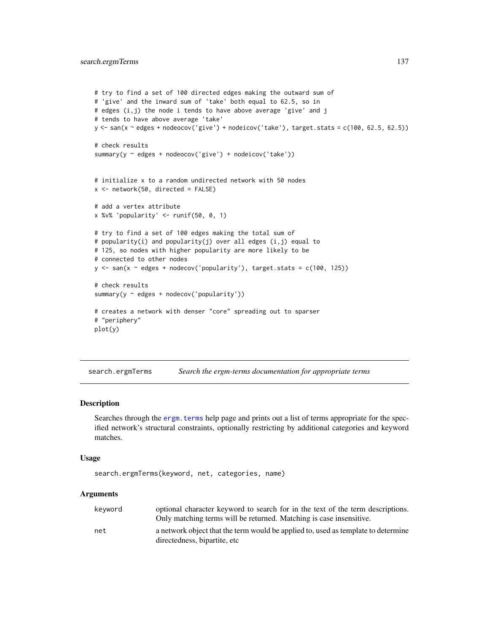```
# try to find a set of 100 directed edges making the outward sum of
# 'give' and the inward sum of 'take' both equal to 62.5, so in
# edges (i,j) the node i tends to have above average 'give' and j
# tends to have above average 'take'
y <- san(x ~ edges + nodeocov('give') + nodeicov('take'), target.stats = c(100, 62.5, 62.5))
# check results
summary(y ~ edges + nodeocov('give') + nodeicov('take'))
# initialize x to a random undirected network with 50 nodes
x <- network(50, directed = FALSE)
# add a vertex attribute
x %v% 'popularity' <- runif(50, 0, 1)
# try to find a set of 100 edges making the total sum of
# popularity(i) and popularity(j) over all edges (i,j) equal to
# 125, so nodes with higher popularity are more likely to be
# connected to other nodes
y \le -\sin(x - \text{edges} + \text{nodesov('popularity'), target.stats = c(100, 125))# check results
summary(y ~ edges + nodecov('popularity'))
# creates a network with denser "core" spreading out to sparser
# "periphery"
plot(y)
```
search.ergmTerms *Search the ergm-terms documentation for appropriate terms*

#### Description

Searches through the ergm. terms help page and prints out a list of terms appropriate for the specified network's structural constraints, optionally restricting by additional categories and keyword matches.

#### Usage

```
search.ergmTerms(keyword, net, categories, name)
```
## Arguments

| kevword | optional character keyword to search for in the text of the term descriptions.    |
|---------|-----------------------------------------------------------------------------------|
|         | Only matching terms will be returned. Matching is case insensitive.               |
| net     | a network object that the term would be applied to, used as template to determine |
|         | directedness, bipartite, etc                                                      |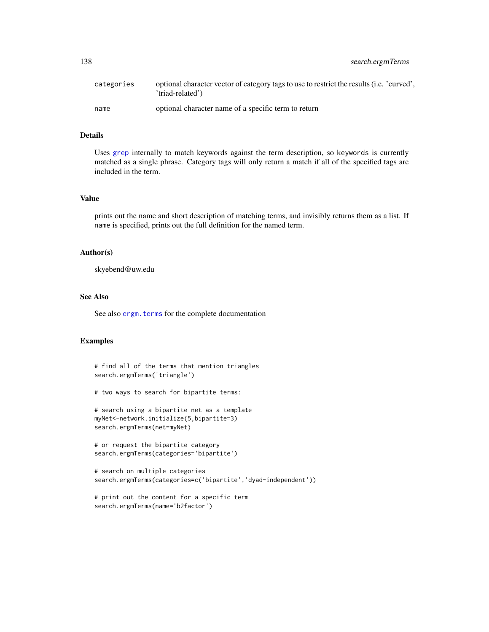| search.ergmTerms |  |
|------------------|--|
|                  |  |

| categories | optional character vector of category tags to use to restrict the results (i.e. 'curved',<br>'triad-related') |
|------------|---------------------------------------------------------------------------------------------------------------|
| name       | optional character name of a specific term to return                                                          |

# Details

Uses [grep](#page-0-0) internally to match keywords against the term description, so keywords is currently matched as a single phrase. Category tags will only return a match if all of the specified tags are included in the term.

#### Value

prints out the name and short description of matching terms, and invisibly returns them as a list. If name is specified, prints out the full definition for the named term.

#### Author(s)

skyebend@uw.edu

#### See Also

See also ergm. terms for the complete documentation

```
# find all of the terms that mention triangles
search.ergmTerms('triangle')
```

```
# two ways to search for bipartite terms:
```

```
# search using a bipartite net as a template
myNet<-network.initialize(5,bipartite=3)
search.ergmTerms(net=myNet)
```

```
# or request the bipartite category
search.ergmTerms(categories='bipartite')
```

```
# search on multiple categories
search.ergmTerms(categories=c('bipartite','dyad-independent'))
```

```
# print out the content for a specific term
search.ergmTerms(name='b2factor')
```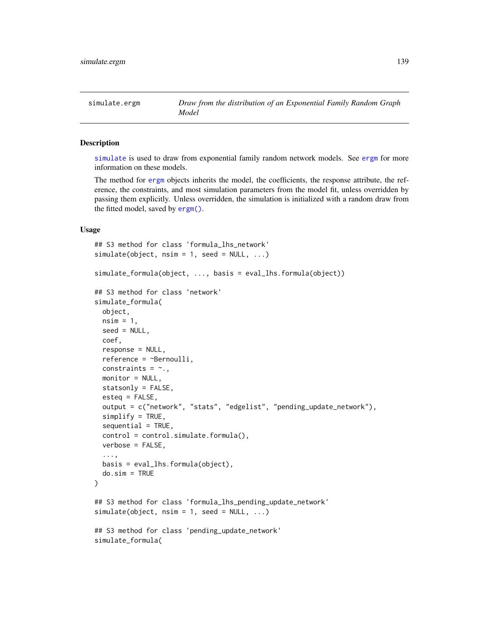#### <span id="page-138-1"></span><span id="page-138-0"></span>Description

[simulate](#page-0-0) is used to draw from exponential family random network models. See [ergm](#page-37-0) for more information on these models.

The method for [ergm](#page-37-0) objects inherits the model, the coefficients, the response attribute, the reference, the constraints, and most simulation parameters from the model fit, unless overridden by passing them explicitly. Unless overridden, the simulation is initialized with a random draw from the fitted model, saved by [ergm\(\)](#page-37-0).

## Usage

```
## S3 method for class 'formula_lhs_network'
simulate(object, nsim = 1, seed = NULL, ...)simulate_formula(object, ..., basis = eval_lhs.formula(object))
## S3 method for class 'network'
simulate_formula(
  object,
  nsim = 1,
  seed = NULL,
  coef,
  response = NULL,
  reference = ~Bernoulli,
  constraints = \sim.,
  monitor = NULL,
  statsonly = FALSE,
  esteq = FALSE,
  output = c("network", "stats", "edgelist", "pending_update_network"),
  simplify = TRUE,
  sequential = TRUE,control = control.simulate.formula(),
  verbose = FALSE,
  ...,
 basis = eval_lhs.formula(object),
  do.sim = TRUE
\lambda## S3 method for class 'formula_lhs_pending_update_network'
simulate(object, nsim = 1, seed = NULL, ...)## S3 method for class 'pending_update_network'
simulate_formula(
```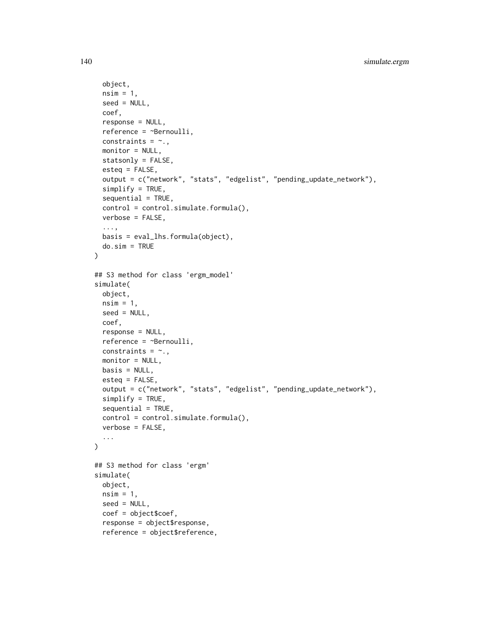```
object,
 nsim = 1,
 seed = NULL,
 coef,
  response = NULL,
 reference = ~Bernoulli,
 constraints = \sim.,
 monitor = NULL,
 statsonly = FALSE,
 esteq = FALSE,
 output = c("network", "stats", "edgelist", "pending_update_network"),
  simplify = TRUE,
  sequential = TRUE,control = control.simulate.formula(),
 verbose = FALSE,
  ...,
 basis = eval_lhs.formula(object),
 do.sim = TRUE
\lambda## S3 method for class 'ergm_model'
simulate(
 object,
 nsim = 1,
 seed = NULL,
 coef,
 response = NULL,
 reference = ~Bernoulli,
 constraints = \sim.,
 monitor = NULL,
 basis = NULL,esteq = FALSE,
 output = c("network", "stats", "edgelist", "pending_update_network"),
  simplify = TRUE,
  sequential = TRUE,control = control.simulate.formula(),
 verbose = FALSE,
  ...
\mathcal{L}## S3 method for class 'ergm'
simulate(
 object,
 nsim = 1,
 seed = NULL,
 coef = object$coef,
  response = object$response,
 reference = object$reference,
```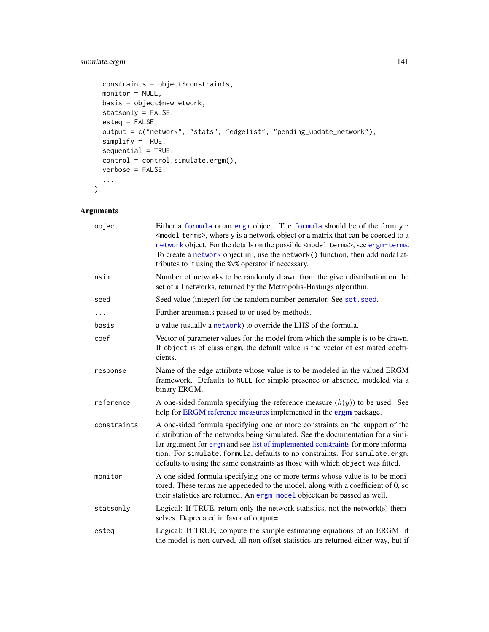# simulate.ergm 141

```
constraints = object$constraints,
 monitor = NULL,
 basis = object$newnetwork,
 statsonly = FALSE,
 esteq = FALSE,
 output = c("network", "stats", "edgelist", "pending_update_network"),
 simplify = TRUE,
 sequential = TRUE,control = control.simulate.ergm(),
 verbose = FALSE,
  ...
\mathcal{L}
```
# Arguments

| object      | Either a formula or an ergm object. The formula should be of the form $y \sim$<br><model terms="">, where y is a network object or a matrix that can be coerced to a<br/>network object. For the details on the possible <model terms="">, see ergm-terms.<br/>To create a network object in, use the network() function, then add nodal at-<br/>tributes to it using the %v% operator if necessary.</model></model> |
|-------------|----------------------------------------------------------------------------------------------------------------------------------------------------------------------------------------------------------------------------------------------------------------------------------------------------------------------------------------------------------------------------------------------------------------------|
| nsim        | Number of networks to be randomly drawn from the given distribution on the<br>set of all networks, returned by the Metropolis-Hastings algorithm.                                                                                                                                                                                                                                                                    |
| seed        | Seed value (integer) for the random number generator. See set. seed.                                                                                                                                                                                                                                                                                                                                                 |
| .           | Further arguments passed to or used by methods.                                                                                                                                                                                                                                                                                                                                                                      |
| basis       | a value (usually a network) to override the LHS of the formula.                                                                                                                                                                                                                                                                                                                                                      |
| coef        | Vector of parameter values for the model from which the sample is to be drawn.<br>If object is of class ergm, the default value is the vector of estimated coeffi-<br>cients.                                                                                                                                                                                                                                        |
| response    | Name of the edge attribute whose value is to be modeled in the valued ERGM<br>framework. Defaults to NULL for simple presence or absence, modeled via a<br>binary ERGM.                                                                                                                                                                                                                                              |
| reference   | A one-sided formula specifying the reference measure $(h(y))$ to be used. See<br>help for ERGM reference measures implemented in the ergm package.                                                                                                                                                                                                                                                                   |
| constraints | A one-sided formula specifying one or more constraints on the support of the<br>distribution of the networks being simulated. See the documentation for a simi-<br>lar argument for ergm and see list of implemented constraints for more informa-<br>tion. For simulate. formula, defaults to no constraints. For simulate.ergm,<br>defaults to using the same constraints as those with which object was fitted.   |
| monitor     | A one-sided formula specifying one or more terms whose value is to be moni-<br>tored. These terms are appeneded to the model, along with a coefficient of 0, so<br>their statistics are returned. An ergm_mode1 objectcan be passed as well.                                                                                                                                                                         |
| statsonly   | Logical: If TRUE, return only the network statistics, not the network $(s)$ them-<br>selves. Deprecated in favor of output=.                                                                                                                                                                                                                                                                                         |
| esteg       | Logical: If TRUE, compute the sample estimating equations of an ERGM: if<br>the model is non-curved, all non-offset statistics are returned either way, but if                                                                                                                                                                                                                                                       |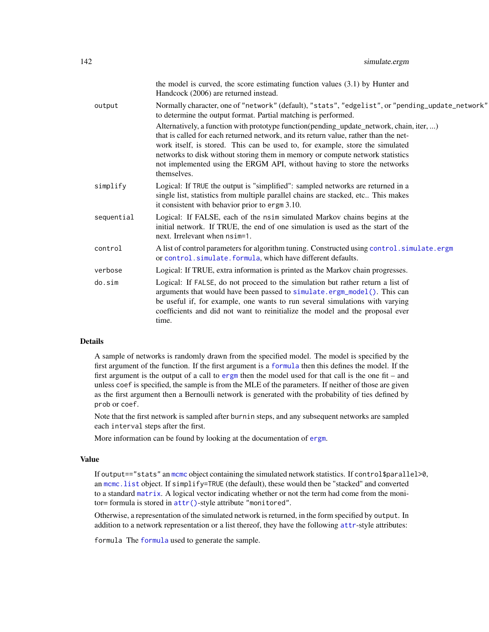|            | the model is curved, the score estimating function values $(3.1)$ by Hunter and<br>Handcock (2006) are returned instead.                                                                                                                                                                                                                                                                                                                       |
|------------|------------------------------------------------------------------------------------------------------------------------------------------------------------------------------------------------------------------------------------------------------------------------------------------------------------------------------------------------------------------------------------------------------------------------------------------------|
| output     | Normally character, one of "network" (default), "stats", "edgelist", or "pending_update_network"<br>to determine the output format. Partial matching is performed.                                                                                                                                                                                                                                                                             |
|            | Alternatively, a function with prototype function (pending_update_network, chain, iter, )<br>that is called for each returned network, and its return value, rather than the net-<br>work itself, is stored. This can be used to, for example, store the simulated<br>networks to disk without storing them in memory or compute network statistics<br>not implemented using the ERGM API, without having to store the networks<br>themselves. |
| simplify   | Logical: If TRUE the output is "simplified": sampled networks are returned in a<br>single list, statistics from multiple parallel chains are stacked, etc This makes<br>it consistent with behavior prior to ergm 3.10.                                                                                                                                                                                                                        |
| sequential | Logical: If FALSE, each of the nsim simulated Markov chains begins at the<br>initial network. If TRUE, the end of one simulation is used as the start of the<br>next. Irrelevant when $nsim=1$ .                                                                                                                                                                                                                                               |
| control    | A list of control parameters for algorithm tuning. Constructed using control. simulate.ergm<br>or control.simulate.formula, which have different defaults.                                                                                                                                                                                                                                                                                     |
| verbose    | Logical: If TRUE, extra information is printed as the Markov chain progresses.                                                                                                                                                                                                                                                                                                                                                                 |
| do.sim     | Logical: If FALSE, do not proceed to the simulation but rather return a list of<br>arguments that would have been passed to simulate.ergm_model(). This can<br>be useful if, for example, one wants to run several simulations with varying<br>coefficients and did not want to reinitialize the model and the proposal ever<br>time.                                                                                                          |
|            |                                                                                                                                                                                                                                                                                                                                                                                                                                                |

# Details

A sample of networks is randomly drawn from the specified model. The model is specified by the first argument of the function. If the first argument is a [formula](#page-0-0) then this defines the model. If the first argument is the output of a call to [ergm](#page-37-0) then the model used for that call is the one fit – and unless coef is specified, the sample is from the MLE of the parameters. If neither of those are given as the first argument then a Bernoulli network is generated with the probability of ties defined by prob or coef.

Note that the first network is sampled after burnin steps, and any subsequent networks are sampled each interval steps after the first.

More information can be found by looking at the documentation of [ergm](#page-37-0).

### Value

If output=="stats" an [mcmc](#page-0-0) object containing the simulated network statistics. If control\$parallel>0, an [mcmc.list](#page-0-0) object. If simplify=TRUE (the default), these would then be "stacked" and converted to a standard [matrix](#page-0-0). A logical vector indicating whether or not the term had come from the monitor= formula is stored in [attr\(\)](#page-124-0)-style attribute "monitored".

Otherwise, a representation of the simulated network is returned, in the form specified by output. In addition to a network representation or a list thereof, they have the following [attr](#page-124-0)-style attributes:

formula The [formula](#page-0-0) used to generate the sample.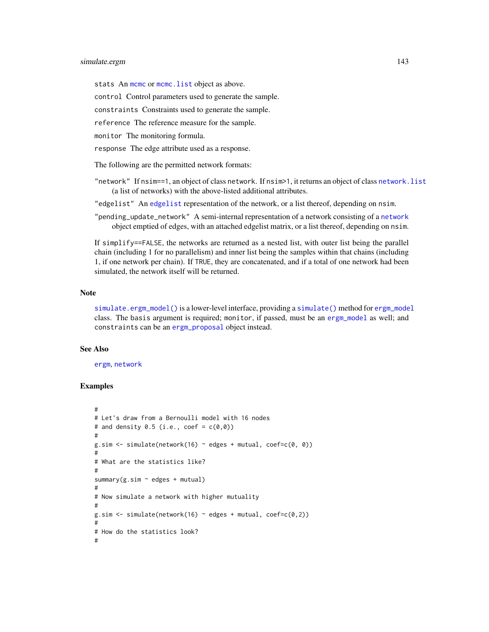# simulate.ergm 143

stats An [mcmc](#page-0-0) or mcmc. list object as above.

control Control parameters used to generate the sample.

constraints Constraints used to generate the sample.

reference The reference measure for the sample.

monitor The monitoring formula.

response The edge attribute used as a response.

The following are the permitted network formats:

"network" If nsim==1, an object of class network. If nsim>1, it returns an object of class [network.list](#page-122-0) (a list of networks) with the above-listed additional attributes.

"edgelist" An [edgelist](#page-0-0) representation of the network, or a list thereof, depending on nsim.

"pending\_update\_network" A semi-internal representation of a network consisting of a [network](#page-0-0) object emptied of edges, with an attached edgelist matrix, or a list thereof, depending on nsim.

If simplify==FALSE, the networks are returned as a nested list, with outer list being the parallel chain (including 1 for no parallelism) and inner list being the samples within that chains (including 1, if one network per chain). If TRUE, they are concatenated, and if a total of one network had been simulated, the network itself will be returned.

#### Note

[simulate.ergm\\_model\(\)](#page-138-1) is a lower-level interface, providing a [simulate\(\)](#page-0-0) method for [ergm\\_model](#page-0-0) class. The basis argument is required; monitor, if passed, must be an [ergm\\_model](#page-0-0) as well; and constraints can be an [ergm\\_proposal](#page-0-0) object instead.

#### See Also

[ergm](#page-37-0), [network](#page-0-0)

```
#
# Let's draw from a Bernoulli model with 16 nodes
# and density 0.5 (i.e., coef = c(\emptyset, \emptyset))
#
g.sim \le simulate(network(16) \sim edges + mutual, coef=c(0, 0))
#
# What are the statistics like?
#
summary(g.sim ~ edges + mutual)
#
# Now simulate a network with higher mutuality
#
g.sim \le simulate(network(16) \sim edges + mutual, coef=c(0,2))
#
# How do the statistics look?
#
```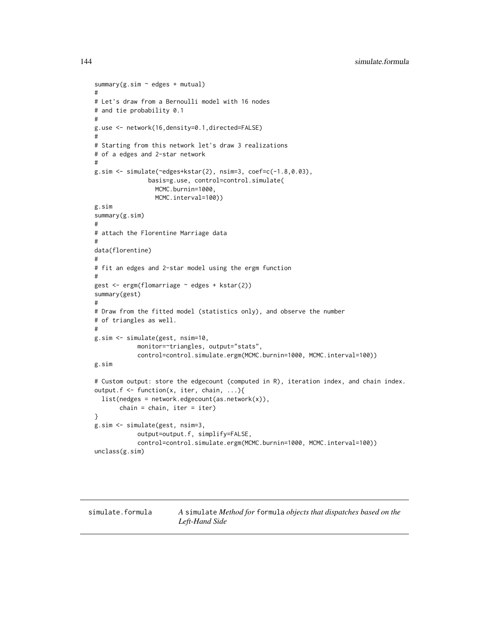```
summary(g.sim \sim edges + mutual)
#
# Let's draw from a Bernoulli model with 16 nodes
# and tie probability 0.1
#
g.use <- network(16,density=0.1,directed=FALSE)
#
# Starting from this network let's draw 3 realizations
# of a edges and 2-star network
#
g.sim <- simulate(~edges+kstar(2), nsim=3, coef=c(-1.8,0.03),
               basis=g.use, control=control.simulate(
                 MCMC.burnin=1000,
                 MCMC.interval=100))
g.sim
summary(g.sim)
#
# attach the Florentine Marriage data
#
data(florentine)
#
# fit an edges and 2-star model using the ergm function
#
gest <- ergm(flomarriage ~ edges + kstar(2))
summary(gest)
#
# Draw from the fitted model (statistics only), and observe the number
# of triangles as well.
#
g.sim <- simulate(gest, nsim=10,
            monitor=~triangles, output="stats",
            control=control.simulate.ergm(MCMC.burnin=1000, MCMC.interval=100))
g.sim
# Custom output: store the edgecount (computed in R), iteration index, and chain index.
output.f <- function(x, iter, chain, ...){
  list(nedges = network.edgecount(as.network(x)),
       chain = chain, iter = iter)}
g.sim <- simulate(gest, nsim=3,
            output=output.f, simplify=FALSE,
            control=control.simulate.ergm(MCMC.burnin=1000, MCMC.interval=100))
unclass(g.sim)
```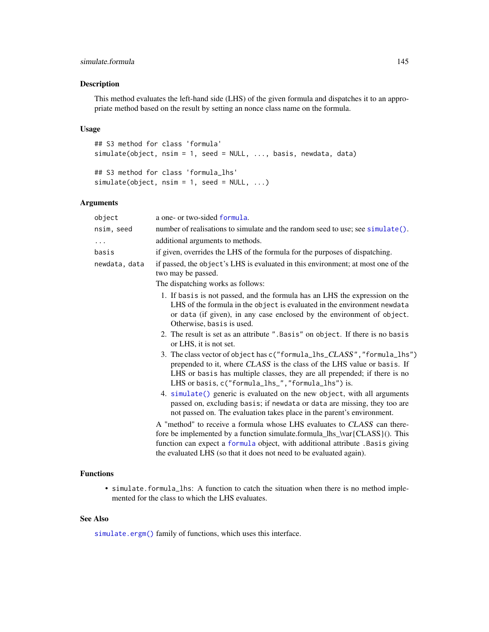#### <span id="page-144-0"></span>simulate.formula 145

#### Description

This method evaluates the left-hand side (LHS) of the given formula and dispatches it to an appropriate method based on the result by setting an nonce class name on the formula.

#### Usage

```
## S3 method for class 'formula'
simulate(object, nsim = 1, seed = NULL, ..., basis, newdata, data)
## S3 method for class 'formula_lhs'
simulate(object, nsim = 1, seed = NULL, ...)
```
#### Arguments

| object        | a one- or two-sided formula.                                                                                                                                                                                                                                                                                   |
|---------------|----------------------------------------------------------------------------------------------------------------------------------------------------------------------------------------------------------------------------------------------------------------------------------------------------------------|
| nsim, seed    | number of realisations to simulate and the random seed to use; see simulate().                                                                                                                                                                                                                                 |
| .             | additional arguments to methods.                                                                                                                                                                                                                                                                               |
| basis         | if given, overrides the LHS of the formula for the purposes of dispatching.                                                                                                                                                                                                                                    |
| newdata, data | if passed, the object's LHS is evaluated in this environment; at most one of the<br>two may be passed.                                                                                                                                                                                                         |
|               | The dispatching works as follows:                                                                                                                                                                                                                                                                              |
|               | 1. If basis is not passed, and the formula has an LHS the expression on the<br>LHS of the formula in the object is evaluated in the environment newdata<br>or data (if given), in any case enclosed by the environment of object.<br>Otherwise, basis is used.                                                 |
|               | 2. The result is set as an attribute ". Basis" on object. If there is no basis<br>or LHS, it is not set.                                                                                                                                                                                                       |
|               | 3. The class vector of object has c("formula_lhs_CLASS", "formula_lhs")<br>prepended to it, where CLASS is the class of the LHS value or basis. If<br>LHS or basis has multiple classes, they are all prepended; if there is no<br>LHS or basis, c("formula_lhs_","formula_lhs") is.                           |
|               | 4. simulate() generic is evaluated on the new object, with all arguments<br>passed on, excluding basis; if newdata or data are missing, they too are<br>not passed on. The evaluation takes place in the parent's environment.                                                                                 |
|               | A "method" to receive a formula whose LHS evaluates to CLASS can there-<br>fore be implemented by a function simulate.formula_lhs_\var{CLASS}(). This<br>function can expect a formula object, with additional attribute . Basis giving<br>the evaluated LHS (so that it does not need to be evaluated again). |

#### Functions

• simulate.formula\_lhs: A function to catch the situation when there is no method implemented for the class to which the LHS evaluates.

### See Also

[simulate.ergm\(\)](#page-138-0) family of functions, which uses this interface.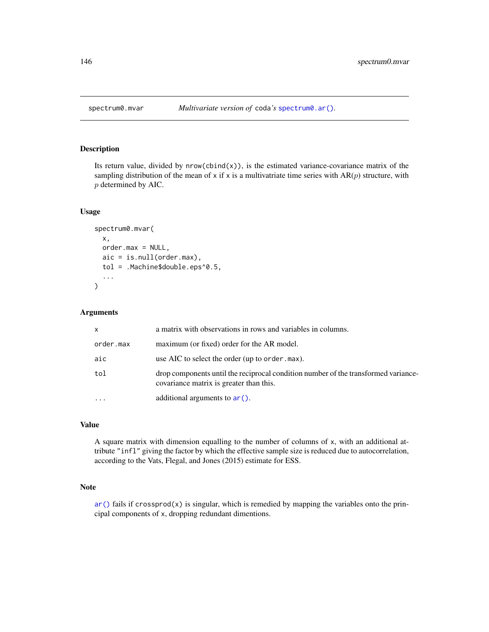<span id="page-145-0"></span>

### Description

Its return value, divided by  $nrow(cbind(x))$ , is the estimated variance-covariance matrix of the sampling distribution of the mean of x if x is a multivatriate time series with  $AR(p)$  structure, with p determined by AIC.

#### Usage

```
spectrum0.mvar(
  x,
  order.max = NULL,
  aic = is.null(order.max),
  tol = .Machine$double.eps^0.5,
  ...
\mathcal{E}
```
## Arguments

| $\mathsf{x}$ | a matrix with observations in rows and variables in columns.                                                                  |
|--------------|-------------------------------------------------------------------------------------------------------------------------------|
| order.max    | maximum (or fixed) order for the AR model.                                                                                    |
| aic          | use AIC to select the order (up to order, max).                                                                               |
| tol          | drop components until the reciprocal condition number of the transformed variance-<br>covariance matrix is greater than this. |
|              | additional arguments to $ar()$ .                                                                                              |

# Value

A square matrix with dimension equalling to the number of columns of x, with an additional attribute "infl" giving the factor by which the effective sample size is reduced due to autocorrelation, according to the Vats, Flegal, and Jones (2015) estimate for ESS.

#### Note

 $ar()$  fails if crossprod(x) is singular, which is remedied by mapping the variables onto the principal components of x, dropping redundant dimentions.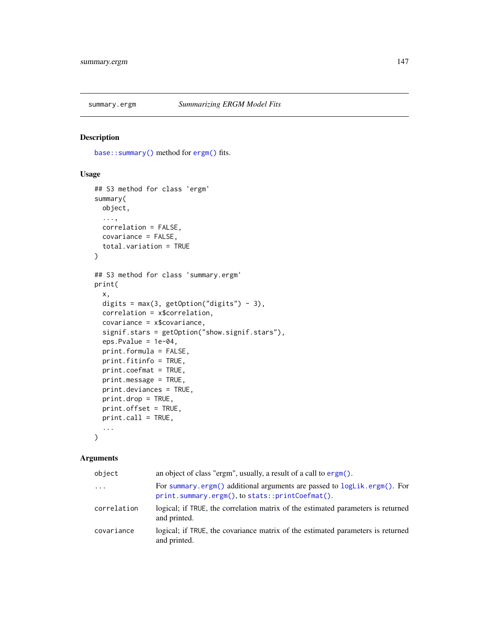<span id="page-146-2"></span><span id="page-146-0"></span>

# <span id="page-146-1"></span>Description

[base::summary\(\)](#page-0-0) method for [ergm\(\)](#page-37-0) fits.

#### Usage

```
## S3 method for class 'ergm'
summary(
 object,
  ...,
 correlation = FALSE,
 covariance = FALSE,
  total.variation = TRUE
)
## S3 method for class 'summary.ergm'
print(
  x,
 digits = max(3, getOption("digits") - 3),correlation = x$correlation,
  covariance = x$covariance,
  signif.stars = getOption("show.signif.stars"),
  eps.Pvalue = 1e-04,
  print.formula = FALSE,
 print.fitinfo = TRUE,
 print.coefmat = TRUE,
 print.message = TRUE,
 print.deviances = TRUE,
 print.drop = TRUE,
  print.offset = TRUE,
 print.call = TRUE,
  ...
\mathcal{L}
```
#### Arguments

| object      | an object of class "ergm", usually, a result of a call to $\epsilon$ rgm $()$ .                                             |
|-------------|-----------------------------------------------------------------------------------------------------------------------------|
| $\cdots$    | For summary ergm() additional arguments are passed to logLik.ergm(). For<br>print.summary.ergm(), to stats::printCoefmat(). |
| correlation | logical; if TRUE, the correlation matrix of the estimated parameters is returned<br>and printed.                            |
| covariance  | logical; if TRUE, the covariance matrix of the estimated parameters is returned<br>and printed.                             |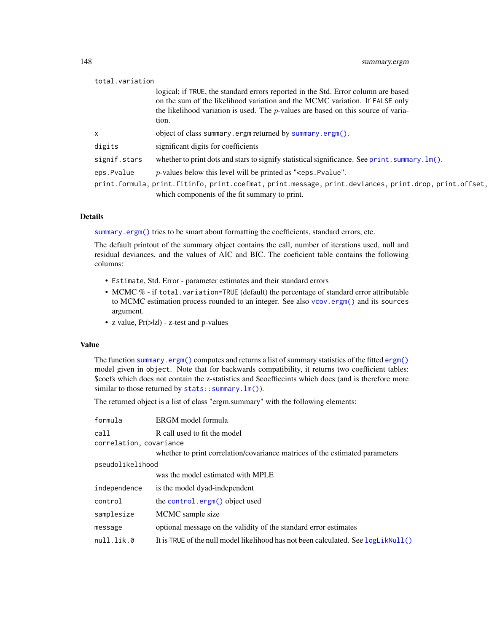<span id="page-147-0"></span>

| total.variation |                                                                                                                                                                                                                                                                    |
|-----------------|--------------------------------------------------------------------------------------------------------------------------------------------------------------------------------------------------------------------------------------------------------------------|
|                 | logical; if TRUE, the standard errors reported in the Std. Error column are based<br>on the sum of the likelihood variation and the MCMC variation. If FALSE only<br>the likelihood variation is used. The $p$ -values are based on this source of varia-<br>tion. |
| $\mathsf{x}$    | object of class summary.ergm returned by summary.ergm().                                                                                                                                                                                                           |
| digits          | significant digits for coefficients                                                                                                                                                                                                                                |
| signif.stars    | whether to print dots and stars to signify statistical significance. See print. summary. $lm()$ .                                                                                                                                                                  |
| eps.Pvalue      | $p$ -values below this level will be printed as " $\le$ eps. Pvalue".                                                                                                                                                                                              |
|                 | print.formula, print.fitinfo, print.coefmat, print.message, print.deviances, print.drop, print.offset,<br>which components of the fit summary to print.                                                                                                            |

#### Details

[summary.ergm\(\)](#page-146-0) tries to be smart about formatting the coefficients, standard errors, etc.

The default printout of the summary object contains the call, number of iterations used, null and residual deviances, and the values of AIC and BIC. The coeficient table contains the following columns:

- Estimate, Std. Error parameter estimates and their standard errors
- MCMC % if total.variation=TRUE (default) the percentage of standard error attributable to MCMC estimation process rounded to an integer. See also [vcov.ergm\(\)](#page-37-1) and its sources argument.
- z value,  $Pr(\ge |z|)$  z-test and p-values

#### Value

The function [summary.ergm\(\)](#page-146-0) computes and returns a list of summary statistics of the fitted [ergm\(\)](#page-37-0) model given in object. Note that for backwards compatibility, it returns two coefficient tables: \$coefs which does not contain the z-statistics and \$coefficeints which does (and is therefore more similar to those returned by [stats::summary.lm\(\)](#page-0-0)).

The returned object is a list of class "ergm.summary" with the following elements:

| formula                 | ERGM model formula                                                                |  |
|-------------------------|-----------------------------------------------------------------------------------|--|
| call                    | R call used to fit the model                                                      |  |
| correlation, covariance |                                                                                   |  |
|                         | whether to print correlation/covariance matrices of the estimated parameters      |  |
| pseudolikelihood        |                                                                                   |  |
|                         | was the model estimated with MPLE                                                 |  |
| independence            | is the model dyad-independent                                                     |  |
| control                 | the control.ergm() object used                                                    |  |
| samplesize              | MCMC sample size                                                                  |  |
| message                 | optional message on the validity of the standard error estimates                  |  |
| null.lik.0              | It is TRUE of the null model likelihood has not been calculated. See logLikNull() |  |
|                         |                                                                                   |  |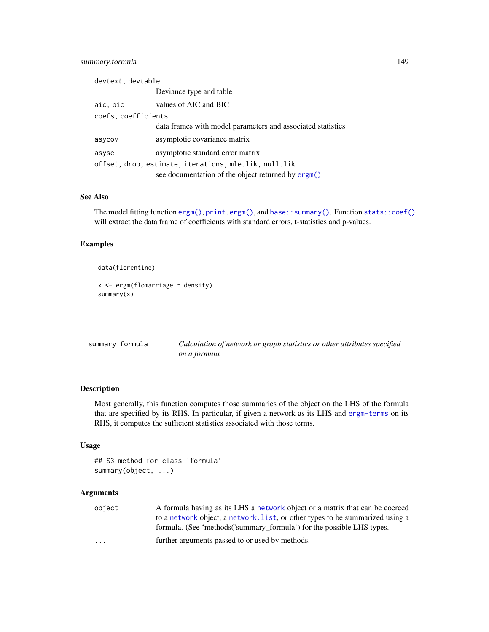### <span id="page-148-1"></span>summary.formula 149

| devtext, devtable   |                                                             |
|---------------------|-------------------------------------------------------------|
|                     | Deviance type and table                                     |
| aic, bic            | values of AIC and BIC                                       |
| coefs, coefficients |                                                             |
|                     | data frames with model parameters and associated statistics |
| asycov              | asymptotic covariance matrix                                |
| asyse               | asymptotic standard error matrix                            |
|                     | offset, drop, estimate, iterations, mle.lik, null.lik       |
|                     | see documentation of the object returned by ergm()          |

#### See Also

The model fitting function [ergm\(\)](#page-37-0), [print.ergm\(\)](#page-37-1), and [base::summary\(\)](#page-0-0). Function [stats::coef\(\)](#page-0-0) will extract the data frame of coefficients with standard errors, t-statistics and p-values.

# Examples

```
data(florentine)
x <- ergm(flomarriage ~ density)
summary(x)
```
<span id="page-148-0"></span>

| summary.formula | Calculation of network or graph statistics or other attributes specified |
|-----------------|--------------------------------------------------------------------------|
|                 | on a formula                                                             |

# Description

Most generally, this function computes those summaries of the object on the LHS of the formula that are specified by its RHS. In particular, if given a network as its LHS and [ergm-terms](#page-51-0) on its RHS, it computes the sufficient statistics associated with those terms.

#### Usage

```
## S3 method for class 'formula'
summary(object, ...)
```
#### Arguments

| object                  | A formula having as its LHS a network object or a matrix that can be coerced  |
|-------------------------|-------------------------------------------------------------------------------|
|                         | to a network object, a network, list, or other types to be summarized using a |
|                         | formula. (See 'methods('summary_formula') for the possible LHS types.         |
| $\cdot$ $\cdot$ $\cdot$ | further arguments passed to or used by methods.                               |
|                         |                                                                               |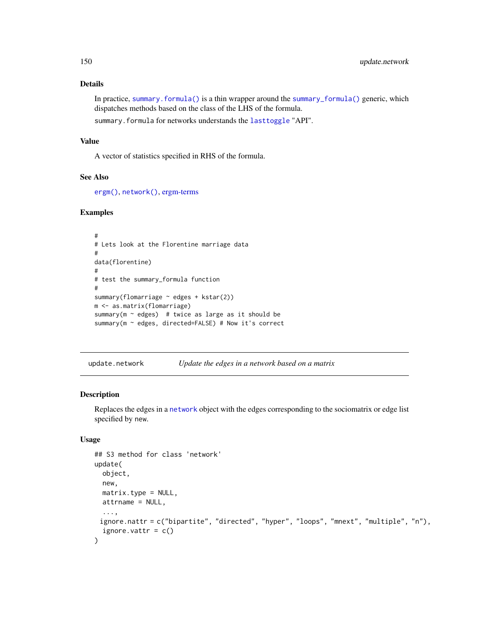#### Details

In practice, summary. formula() is a thin wrapper around the [summary\\_formula\(\)](#page-0-0) generic, which dispatches methods based on the class of the LHS of the formula.

summary.formula for networks understands the [lasttoggle](#page-0-0) "API".

# Value

A vector of statistics specified in RHS of the formula.

#### See Also

[ergm\(\)](#page-37-0), [network\(\)](#page-0-0), [ergm-terms](#page-51-0)

#### Examples

```
#
# Lets look at the Florentine marriage data
#
data(florentine)
#
# test the summary_formula function
#
summary(flomarriage ~ edges + kstar(2))
m <- as.matrix(flomarriage)
summary(m \sim edges) # twice as large as it should be
summary(m ~ edges, directed=FALSE) # Now it's correct
```
update.network *Update the edges in a network based on a matrix*

# Description

Replaces the edges in a [network](#page-0-0) object with the edges corresponding to the sociomatrix or edge list specified by new.

#### Usage

```
## S3 method for class 'network'
update(
 object,
 new,
 matrix.\type = NULL,attrname = NULL,
  ...,
 ignore.nattr = c("bipartite", "directed", "hyper", "loops", "mnext", "multiple", "n"),
  ignore.vattr = c())
```
<span id="page-149-0"></span>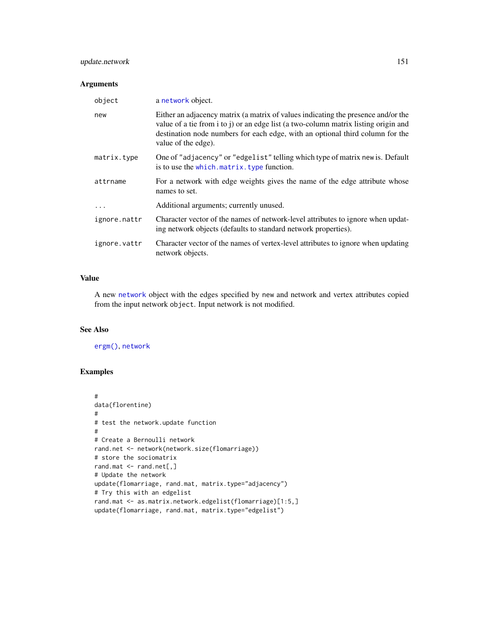### <span id="page-150-0"></span>update.network 151

#### Arguments

| object       | a network object.                                                                                                                                                                                                                                                                |
|--------------|----------------------------------------------------------------------------------------------------------------------------------------------------------------------------------------------------------------------------------------------------------------------------------|
| new          | Either an adjacency matrix (a matrix of values indicating the presence and/or the<br>value of a tie from i to j) or an edge list (a two-column matrix listing origin and<br>destination node numbers for each edge, with an optional third column for the<br>value of the edge). |
| matrix.type  | One of "adjacency" or "edgelist" telling which type of matrix new is. Default<br>is to use the which. matrix. type function.                                                                                                                                                     |
| attrname     | For a network with edge weights gives the name of the edge attribute whose<br>names to set.                                                                                                                                                                                      |
| $\ddots$     | Additional arguments; currently unused.                                                                                                                                                                                                                                          |
| ignore.nattr | Character vector of the names of network-level attributes to ignore when updat-<br>ing network objects (defaults to standard network properties).                                                                                                                                |
| ignore.vattr | Character vector of the names of vertex-level attributes to ignore when updating<br>network objects.                                                                                                                                                                             |

#### Value

A new [network](#page-0-0) object with the edges specified by new and network and vertex attributes copied from the input network object. Input network is not modified.

# See Also

[ergm\(\)](#page-37-0), [network](#page-0-0)

# Examples

```
#
data(florentine)
#
# test the network.update function
#
# Create a Bernoulli network
rand.net <- network(network.size(flomarriage))
# store the sociomatrix
rand.mat <- rand.net[,]
# Update the network
update(flomarriage, rand.mat, matrix.type="adjacency")
# Try this with an edgelist
rand.mat <- as.matrix.network.edgelist(flomarriage)[1:5,]
update(flomarriage, rand.mat, matrix.type="edgelist")
```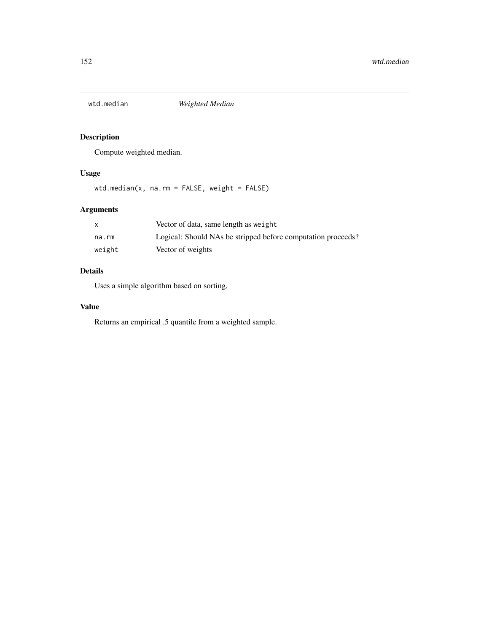<span id="page-151-0"></span>

# Description

Compute weighted median.

# Usage

wtd.median(x, na.rm = FALSE, weight = FALSE)

# Arguments

|        | Vector of data, same length as weight                        |
|--------|--------------------------------------------------------------|
| na.rm  | Logical: Should NAs be stripped before computation proceeds? |
| weight | Vector of weights                                            |

# Details

Uses a simple algorithm based on sorting.

# Value

Returns an empirical .5 quantile from a weighted sample.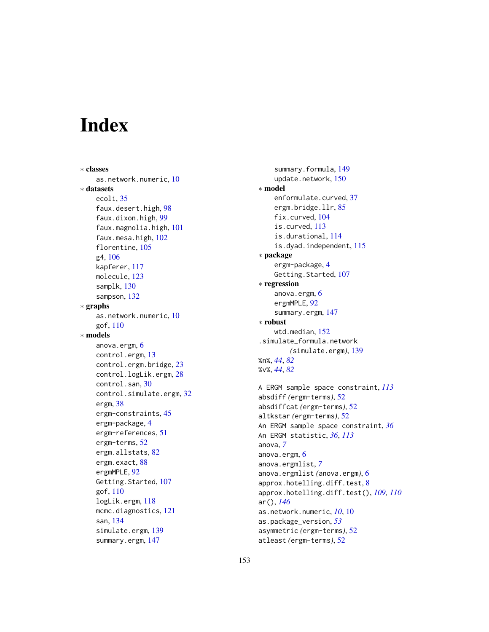# **Index**

∗ classes as.network.numeric, [10](#page-9-0) ∗ datasets ecoli, [35](#page-34-0) faux.desert.high, [98](#page-97-0) faux.dixon.high, [99](#page-98-0) faux.magnolia.high, [101](#page-100-0) faux.mesa.high, [102](#page-101-0) florentine, [105](#page-104-0) g4, [106](#page-105-0) kapferer, [117](#page-116-0) molecule, [123](#page-122-1) samplk, [130](#page-129-0) sampson, [132](#page-131-0) ∗ graphs as.network.numeric, [10](#page-9-0) gof, [110](#page-109-0) ∗ models anova.ergm, [6](#page-5-0) control.ergm, [13](#page-12-1) control.ergm.bridge, [23](#page-22-0) control.logLik.ergm, [28](#page-27-0) control.san, [30](#page-29-0) control.simulate.ergm, [32](#page-31-0) ergm, [38](#page-37-2) ergm-constraints, [45](#page-44-0) ergm-package, [4](#page-3-0) ergm-references, [51](#page-50-0) ergm-terms, [52](#page-51-1) ergm.allstats, [82](#page-81-0) ergm.exact, [88](#page-87-0) ergmMPLE, [92](#page-91-0) Getting.Started, [107](#page-106-0) gof, [110](#page-109-0) logLik.ergm, [118](#page-117-1) mcmc.diagnostics, [121](#page-120-0) san, [134](#page-133-0) simulate.ergm, [139](#page-138-1) summary.ergm, [147](#page-146-2)

summary.formula, [149](#page-148-1) update.network, [150](#page-149-0) ∗ model enformulate.curved, [37](#page-36-0) ergm.bridge.llr, [85](#page-84-0) fix.curved, [104](#page-103-0) is.curved, [113](#page-112-0) is.durational, [114](#page-113-0) is.dyad.independent, [115](#page-114-0) ∗ package ergm-package, [4](#page-3-0) Getting.Started, [107](#page-106-0) ∗ regression anova.ergm, [6](#page-5-0) ergmMPLE, [92](#page-91-0) summary.ergm, [147](#page-146-2) ∗ robust wtd.median, [152](#page-151-0) .simulate\_formula.network *(*simulate.ergm*)*, [139](#page-138-1) %n%, *[44](#page-43-0)*, *[82](#page-81-0)* %v%, *[44](#page-43-0)*, *[82](#page-81-0)* A ERGM sample space constraint, *[113](#page-112-0)*

absdiff *(*ergm-terms*)*, [52](#page-51-1) absdiffcat *(*ergm-terms*)*, [52](#page-51-1) altkstar *(*ergm-terms*)*, [52](#page-51-1) An ERGM sample space constraint, *[36](#page-35-0)* An ERGM statistic, *[36](#page-35-0)*, *[113](#page-112-0)* anova, *[7](#page-6-0)* anova.ergm, [6](#page-5-0) anova.ergmlist, *[7](#page-6-0)* anova.ergmlist *(*anova.ergm*)*, [6](#page-5-0) approx.hotelling.diff.test, [8](#page-7-0) approx.hotelling.diff.test(), *[109,](#page-108-0) [110](#page-109-0)* ar(), *[146](#page-145-0)* as.network.numeric, *[10](#page-9-0)*, [10](#page-9-0) as.package\_version, *[53](#page-52-0)* asymmetric *(*ergm-terms*)*, [52](#page-51-1) atleast *(*ergm-terms*)*, [52](#page-51-1)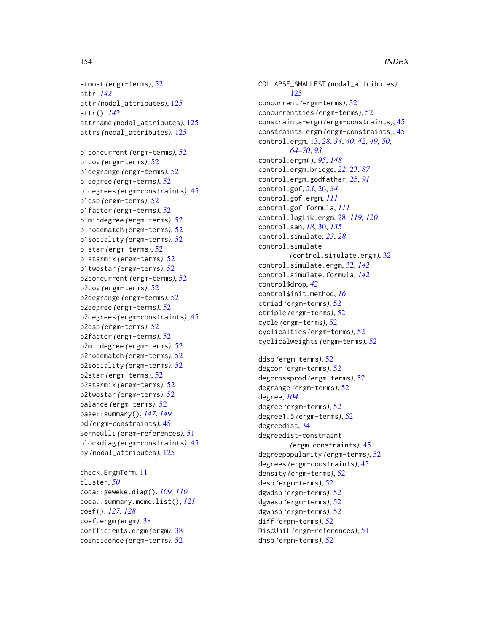```
atmost (ergm-terms), 52
attr, 142
attr (nodal_attributes), 125
attr(), 142
attrname (nodal_attributes), 125
attrs (nodal_attributes), 125
b1concurrent (ergm-terms), 52
b1cov (ergm-terms), 52
```
b1degrange *(*ergm-terms*)*, [52](#page-51-1) b1degree *(*ergm-terms*)*, [52](#page-51-1) b1degrees *(*ergm-constraints*)*, [45](#page-44-0) b1dsp *(*ergm-terms*)*, [52](#page-51-1) b1factor *(*ergm-terms*)*, [52](#page-51-1) b1mindegree *(*ergm-terms*)*, [52](#page-51-1) b1nodematch *(*ergm-terms*)*, [52](#page-51-1) b1sociality *(*ergm-terms*)*, [52](#page-51-1) b1star *(*ergm-terms*)*, [52](#page-51-1) b1starmix *(*ergm-terms*)*, [52](#page-51-1) b1twostar *(*ergm-terms*)*, [52](#page-51-1) b2concurrent *(*ergm-terms*)*, [52](#page-51-1) b2cov *(*ergm-terms*)*, [52](#page-51-1) b2degrange *(*ergm-terms*)*, [52](#page-51-1) b2degree *(*ergm-terms*)*, [52](#page-51-1) b2degrees *(*ergm-constraints*)*, [45](#page-44-0) b2dsp *(*ergm-terms*)*, [52](#page-51-1) b2factor *(*ergm-terms*)*, [52](#page-51-1) b2mindegree *(*ergm-terms*)*, [52](#page-51-1) b2nodematch *(*ergm-terms*)*, [52](#page-51-1) b2sociality *(*ergm-terms*)*, [52](#page-51-1) b2star *(*ergm-terms*)*, [52](#page-51-1) b2starmix *(*ergm-terms*)*, [52](#page-51-1) b2twostar *(*ergm-terms*)*, [52](#page-51-1) balance *(*ergm-terms*)*, [52](#page-51-1) base::summary(), *[147](#page-146-2)*, *[149](#page-148-1)* bd *(*ergm-constraints*)*, [45](#page-44-0) Bernoulli *(*ergm-references*)*, [51](#page-50-0) blockdiag *(*ergm-constraints*)*, [45](#page-44-0) by *(*nodal\_attributes*)*, [125](#page-124-0)

check.ErgmTerm, [11](#page-10-0) cluster, *[50](#page-49-0)* coda::geweke.diag(), *[109,](#page-108-0) [110](#page-109-0)* coda::summary.mcmc.list(), *[121](#page-120-0)* coef(), *[127,](#page-126-0) [128](#page-127-0)* coef.ergm *(*ergm*)*, [38](#page-37-2) coefficients.ergm *(*ergm*)*, [38](#page-37-2) coincidence *(*ergm-terms*)*, [52](#page-51-1)

COLLAPSE\_SMALLEST *(*nodal\_attributes*)*, [125](#page-124-0) concurrent *(*ergm-terms*)*, [52](#page-51-1) concurrentties *(*ergm-terms*)*, [52](#page-51-1) constraints-ergm *(*ergm-constraints*)*, [45](#page-44-0) constraints.ergm *(*ergm-constraints*)*, [45](#page-44-0) control.ergm, [13,](#page-12-1) *[28](#page-27-0)*, *[34](#page-33-0)*, *[40](#page-39-0)*, *[42](#page-41-0)*, *[49,](#page-48-0) [50](#page-49-0)*, *[64](#page-63-0)[–70](#page-69-0)*, *[93](#page-92-0)* control.ergm(), *[95](#page-94-0)*, *[148](#page-147-0)* control.ergm.bridge, *[22](#page-21-0)*, [23,](#page-22-0) *[87](#page-86-0)* control.ergm.godfather, [25,](#page-24-0) *[91](#page-90-0)* control.gof, *[23](#page-22-0)*, [26,](#page-25-0) *[34](#page-33-0)* control.gof.ergm, *[111](#page-110-0)* control.gof.formula, *[111](#page-110-0)* control.logLik.ergm, [28,](#page-27-0) *[119,](#page-118-0) [120](#page-119-1)* control.san, *[18](#page-17-0)*, [30,](#page-29-0) *[135](#page-134-0)* control.simulate, *[23](#page-22-0)*, *[28](#page-27-0)* control.simulate *(*control.simulate.ergm*)*, [32](#page-31-0) control.simulate.ergm, [32,](#page-31-0) *[142](#page-141-0)* control.simulate.formula, *[142](#page-141-0)* control\$drop, *[42](#page-41-0)* control\$init.method, *[16](#page-15-0)* ctriad *(*ergm-terms*)*, [52](#page-51-1) ctriple *(*ergm-terms*)*, [52](#page-51-1) cycle *(*ergm-terms*)*, [52](#page-51-1) cyclicalties *(*ergm-terms*)*, [52](#page-51-1) cyclicalweights *(*ergm-terms*)*, [52](#page-51-1)

ddsp *(*ergm-terms*)*, [52](#page-51-1) degcor *(*ergm-terms*)*, [52](#page-51-1) degcrossprod *(*ergm-terms*)*, [52](#page-51-1) degrange *(*ergm-terms*)*, [52](#page-51-1) degree, *[104](#page-103-0)* degree *(*ergm-terms*)*, [52](#page-51-1) degree1.5 *(*ergm-terms*)*, [52](#page-51-1) degreedist, [34](#page-33-0) degreedist-constraint *(*ergm-constraints*)*, [45](#page-44-0) degreepopularity *(*ergm-terms*)*, [52](#page-51-1) degrees *(*ergm-constraints*)*, [45](#page-44-0) density *(*ergm-terms*)*, [52](#page-51-1) desp *(*ergm-terms*)*, [52](#page-51-1) dgwdsp *(*ergm-terms*)*, [52](#page-51-1) dgwesp *(*ergm-terms*)*, [52](#page-51-1) dgwnsp *(*ergm-terms*)*, [52](#page-51-1) diff *(*ergm-terms*)*, [52](#page-51-1) DiscUnif *(*ergm-references*)*, [51](#page-50-0) dnsp *(*ergm-terms*)*, [52](#page-51-1)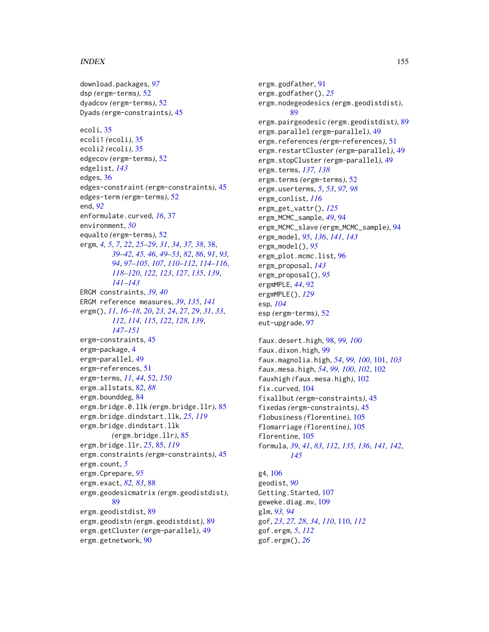#### INDEX 155

download.packages, *[97](#page-96-0)* dsp *(*ergm-terms*)*, [52](#page-51-1) dyadcov *(*ergm-terms*)*, [52](#page-51-1) Dyads *(*ergm-constraints*)*, [45](#page-44-0) ecoli, [35](#page-34-0) ecoli1 *(*ecoli*)*, [35](#page-34-0) ecoli2 *(*ecoli*)*, [35](#page-34-0) edgecov *(*ergm-terms*)*, [52](#page-51-1) edgelist, *[143](#page-142-0)* edges, [36](#page-35-0) edges-constraint *(*ergm-constraints*)*, [45](#page-44-0) edges-term *(*ergm-terms*)*, [52](#page-51-1) end, *[92](#page-91-0)* enformulate.curved, *[16](#page-15-0)*, [37](#page-36-0) environment, *[50](#page-49-0)* equalto *(*ergm-terms*)*, [52](#page-51-1) ergm, *[4,](#page-3-0) [5](#page-4-0)*, *[7](#page-6-0)*, *[22](#page-21-0)*, *[25](#page-24-0)[–29](#page-28-0)*, *[31](#page-30-0)*, *[34](#page-33-0)*, *[37,](#page-36-0) [38](#page-37-2)*, [38,](#page-37-2) *[39](#page-38-0)[–42](#page-41-0)*, *[45,](#page-44-0) [46](#page-45-0)*, *[49–](#page-48-0)[53](#page-52-0)*, *[82](#page-81-0)*, *[86](#page-85-0)*, *[91](#page-90-0)*, *[93,](#page-92-0) [94](#page-93-0)*, *[97](#page-96-0)[–105](#page-104-0)*, *[107](#page-106-0)*, *[110–](#page-109-0)[112](#page-111-0)*, *[114–](#page-113-0)[116](#page-115-0)*, *[118](#page-117-1)[–120](#page-119-1)*, *[122,](#page-121-0) [123](#page-122-1)*, *[127](#page-126-0)*, *[135](#page-134-0)*, *[139](#page-138-1)*, *[141](#page-140-0)[–143](#page-142-0)* ERGM constraints, *[39,](#page-38-0) [40](#page-39-0)* ERGM reference measures, *[39](#page-38-0)*, *[135](#page-134-0)*, *[141](#page-140-0)* ergm(), *[11](#page-10-0)*, *[16](#page-15-0)[–18](#page-17-0)*, *[20](#page-19-0)*, *[23,](#page-22-0) [24](#page-23-0)*, *[27](#page-26-0)*, *[29](#page-28-0)*, *[31](#page-30-0)*, *[33](#page-32-0)*, *[112](#page-111-0)*, *[114,](#page-113-0) [115](#page-114-0)*, *[122](#page-121-0)*, *[128](#page-127-0)*, *[139](#page-138-1)*, *[147](#page-146-2)[–151](#page-150-0)* ergm-constraints, [45](#page-44-0) ergm-package, [4](#page-3-0) ergm-parallel, [49](#page-48-0) ergm-references, [51](#page-50-0) ergm-terms, *[11](#page-10-0)*, *[44](#page-43-0)*, [52,](#page-51-1) *[150](#page-149-0)* ergm.allstats, [82,](#page-81-0) *[88](#page-87-0)* ergm.bounddeg, [84](#page-83-0) ergm.bridge.0.llk *(*ergm.bridge.llr*)*, [85](#page-84-0) ergm.bridge.dindstart.llk, *[25](#page-24-0)*, *[119](#page-118-0)* ergm.bridge.dindstart.llk *(*ergm.bridge.llr*)*, [85](#page-84-0) ergm.bridge.llr, *[25](#page-24-0)*, [85,](#page-84-0) *[119](#page-118-0)* ergm.constraints *(*ergm-constraints*)*, [45](#page-44-0) ergm.count, *[5](#page-4-0)* ergm.Cprepare, *[95](#page-94-0)* ergm.exact, *[82,](#page-81-0) [83](#page-82-0)*, [88](#page-87-0) ergm.geodesicmatrix *(*ergm.geodistdist*)*, [89](#page-88-0) ergm.geodistdist, [89](#page-88-0) ergm.geodistn *(*ergm.geodistdist*)*, [89](#page-88-0) ergm.getCluster *(*ergm-parallel*)*, [49](#page-48-0) ergm.getnetwork, [90](#page-89-0)

ergm.godfather, [91](#page-90-0) ergm.godfather(), *[25](#page-24-0)* ergm.nodegeodesics *(*ergm.geodistdist*)*, [89](#page-88-0) ergm.pairgeodesic *(*ergm.geodistdist*)*, [89](#page-88-0) ergm.parallel *(*ergm-parallel*)*, [49](#page-48-0) ergm.references *(*ergm-references*)*, [51](#page-50-0) ergm.restartCluster *(*ergm-parallel*)*, [49](#page-48-0) ergm.stopCluster *(*ergm-parallel*)*, [49](#page-48-0) ergm.terms, *[137,](#page-136-0) [138](#page-137-0)* ergm.terms *(*ergm-terms*)*, [52](#page-51-1) ergm.userterms, *[5](#page-4-0)*, *[53](#page-52-0)*, *[97,](#page-96-0) [98](#page-97-0)* ergm\_conlist, *[116](#page-115-0)* ergm\_get\_vattr(), *[125](#page-124-0)* ergm\_MCMC\_sample, *[49](#page-48-0)*, [94](#page-93-0) ergm\_MCMC\_slave *(*ergm\_MCMC\_sample*)*, [94](#page-93-0) ergm\_model, *[95](#page-94-0)*, *[136](#page-135-0)*, *[141](#page-140-0)*, *[143](#page-142-0)* ergm\_model(), *[95](#page-94-0)* ergm\_plot.mcmc.list, [96](#page-95-0) ergm\_proposal, *[143](#page-142-0)* ergm\_proposal(), *[95](#page-94-0)* ergmMPLE, *[44](#page-43-0)*, [92](#page-91-0) ergmMPLE(), *[129](#page-128-0)* esp, *[104](#page-103-0)* esp *(*ergm-terms*)*, [52](#page-51-1) eut-upgrade, [97](#page-96-0) faux.desert.high, [98,](#page-97-0) *[99,](#page-98-0) [100](#page-99-0)* faux.dixon.high, [99](#page-98-0)

faux.magnolia.high, *[54](#page-53-0)*, *[99,](#page-98-0) [100](#page-99-0)*, [101,](#page-100-0) *[103](#page-102-0)* faux.mesa.high, *[54](#page-53-0)*, *[99,](#page-98-0) [100](#page-99-0)*, *[102](#page-101-0)*, [102](#page-101-0) fauxhigh *(*faux.mesa.high*)*, [102](#page-101-0) fix.curved, [104](#page-103-0) fixallbut *(*ergm-constraints*)*, [45](#page-44-0) fixedas *(*ergm-constraints*)*, [45](#page-44-0) flobusiness *(*florentine*)*, [105](#page-104-0) flomarriage *(*florentine*)*, [105](#page-104-0) florentine, [105](#page-104-0) formula, *[39](#page-38-0)*, *[41](#page-40-0)*, *[83](#page-82-0)*, *[112](#page-111-0)*, *[135,](#page-134-0) [136](#page-135-0)*, *[141,](#page-140-0) [142](#page-141-0)*, *[145](#page-144-0)*

g4, [106](#page-105-0) geodist, *[90](#page-89-0)* Getting.Started, [107](#page-106-0) geweke.diag.mv, [109](#page-108-0) glm, *[93,](#page-92-0) [94](#page-93-0)* gof, *[23](#page-22-0)*, *[27,](#page-26-0) [28](#page-27-0)*, *[34](#page-33-0)*, *[110](#page-109-0)*, [110,](#page-109-0) *[112](#page-111-0)* gof.ergm, *[5](#page-4-0)*, *[112](#page-111-0)* gof.ergm(), *[26](#page-25-0)*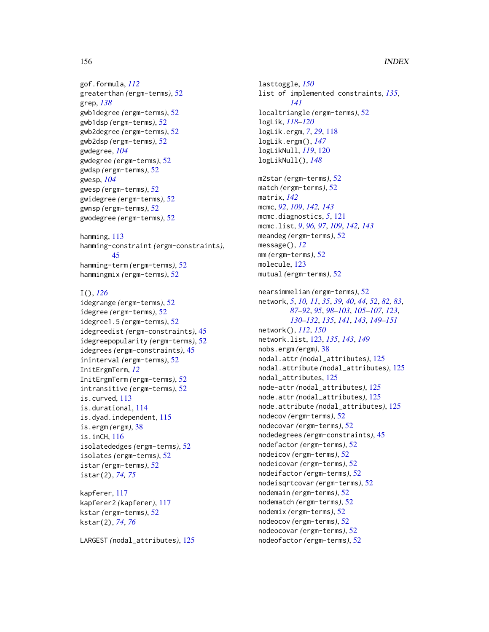```
gof.formula, 112
greaterthan (ergm-terms), 52
grep, 138
gwb1degree (ergm-terms), 52
gwb1dsp (ergm-terms), 52
gwb2degree (ergm-terms), 52
gwb2dsp (ergm-terms), 52
gwdegree, 104
gwdegree (ergm-terms), 52
gwdsp (ergm-terms), 52
gwesp, 104
gwesp (ergm-terms), 52
gwidegree (ergm-terms), 52
gwnsp (ergm-terms), 52
gwodegree (ergm-terms), 52
```
hamming, [113](#page-112-0) hamming-constraint *(*ergm-constraints*)*, [45](#page-44-0) hamming-term *(*ergm-terms*)*, [52](#page-51-1) hammingmix *(*ergm-terms*)*, [52](#page-51-1)

### I(), *[126](#page-125-0)* idegrange *(*ergm-terms*)*, [52](#page-51-1) idegree *(*ergm-terms*)*, [52](#page-51-1)

```
idegree1.5 (ergm-terms), 52
idegreedist (ergm-constraints), 45
idegreepopularity (ergm-terms), 52
idegrees (ergm-constraints), 45
ininterval (ergm-terms), 52
InitErgmTerm, 12
InitErgmTerm (ergm-terms), 52
intransitive (ergm-terms), 52
is.curved, 113
is.durational, 114
is.dyad.independent, 115
is.ergm (ergm), 38
is.inCH, 116
isolatededges (ergm-terms), 52
isolates (ergm-terms), 52
istar (ergm-terms), 52
istar(2), 74, 75
```
kapferer, [117](#page-116-0) kapferer2 *(*kapferer*)*, [117](#page-116-0) kstar *(*ergm-terms*)*, [52](#page-51-1) kstar(2), *[74](#page-73-0)*, *[76](#page-75-0)*

LARGEST *(*nodal\_attributes*)*, [125](#page-124-0)

lasttoggle, *[150](#page-149-0)* list of implemented constraints, *[135](#page-134-0)*, *[141](#page-140-0)* localtriangle *(*ergm-terms*)*, [52](#page-51-1) logLik, *[118](#page-117-1)[–120](#page-119-1)* logLik.ergm, *[7](#page-6-0)*, *[29](#page-28-0)*, [118](#page-117-1) logLik.ergm(), *[147](#page-146-2)* logLikNull, *[119](#page-118-0)*, [120](#page-119-1) logLikNull(), *[148](#page-147-0)* m2star *(*ergm-terms*)*, [52](#page-51-1) match *(*ergm-terms*)*, [52](#page-51-1) matrix, *[142](#page-141-0)* mcmc, *[92](#page-91-0)*, *[109](#page-108-0)*, *[142,](#page-141-0) [143](#page-142-0)* mcmc.diagnostics, *[5](#page-4-0)*, [121](#page-120-0) mcmc.list, *[9](#page-8-0)*, *[96,](#page-95-0) [97](#page-96-0)*, *[109](#page-108-0)*, *[142,](#page-141-0) [143](#page-142-0)* meandeg *(*ergm-terms*)*, [52](#page-51-1) message(), *[12](#page-11-0)* mm *(*ergm-terms*)*, [52](#page-51-1) molecule, [123](#page-122-1) mutual *(*ergm-terms*)*, [52](#page-51-1) nearsimmelian *(*ergm-terms*)*, [52](#page-51-1) network, *[5](#page-4-0)*, *[10,](#page-9-0) [11](#page-10-0)*, *[35](#page-34-0)*, *[39,](#page-38-0) [40](#page-39-0)*, *[44](#page-43-0)*, *[52](#page-51-1)*, *[82,](#page-81-0) [83](#page-82-0)*, *[87](#page-86-0)[–92](#page-91-0)*, *[95](#page-94-0)*, *[98](#page-97-0)[–103](#page-102-0)*, *[105](#page-104-0)[–107](#page-106-0)*, *[123](#page-122-1)*, *[130](#page-129-0)[–132](#page-131-0)*, *[135](#page-134-0)*, *[141](#page-140-0)*, *[143](#page-142-0)*, *[149](#page-148-1)[–151](#page-150-0)* network(), *[112](#page-111-0)*, *[150](#page-149-0)* network.list, [123,](#page-122-1) *[135](#page-134-0)*, *[143](#page-142-0)*, *[149](#page-148-1)* nobs.ergm *(*ergm*)*, [38](#page-37-2) nodal.attr *(*nodal\_attributes*)*, [125](#page-124-0) nodal.attribute *(*nodal\_attributes*)*, [125](#page-124-0) nodal\_attributes, [125](#page-124-0) node-attr *(*nodal\_attributes*)*, [125](#page-124-0) node.attr *(*nodal\_attributes*)*, [125](#page-124-0) node.attribute *(*nodal\_attributes*)*, [125](#page-124-0) nodecov *(*ergm-terms*)*, [52](#page-51-1) nodecovar *(*ergm-terms*)*, [52](#page-51-1) nodedegrees *(*ergm-constraints*)*, [45](#page-44-0) nodefactor *(*ergm-terms*)*, [52](#page-51-1) nodeicov *(*ergm-terms*)*, [52](#page-51-1) nodeicovar *(*ergm-terms*)*, [52](#page-51-1) nodeifactor *(*ergm-terms*)*, [52](#page-51-1) nodeisqrtcovar *(*ergm-terms*)*, [52](#page-51-1) nodemain *(*ergm-terms*)*, [52](#page-51-1) nodematch *(*ergm-terms*)*, [52](#page-51-1) nodemix *(*ergm-terms*)*, [52](#page-51-1) nodeocov *(*ergm-terms*)*, [52](#page-51-1) nodeocovar *(*ergm-terms*)*, [52](#page-51-1) nodeofactor *(*ergm-terms*)*, [52](#page-51-1)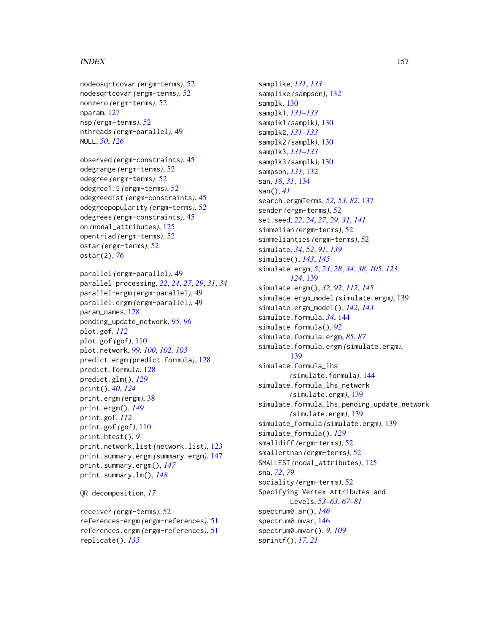#### INDEX  $157$

```
nodeosqrtcovar (ergm-terms), 52
nodesqrtcovar (ergm-terms), 52
nonzero (ergm-terms), 52
nparam, 127
nsp (ergm-terms), 52
nthreads (ergm-parallel), 49
NULL, 50, 126
```
observed *(*ergm-constraints*)*, [45](#page-44-0) odegrange *(*ergm-terms*)*, [52](#page-51-1) odegree *(*ergm-terms*)*, [52](#page-51-1) odegree1.5 *(*ergm-terms*)*, [52](#page-51-1) odegreedist *(*ergm-constraints*)*, [45](#page-44-0) odegreepopularity *(*ergm-terms*)*, [52](#page-51-1) odegrees *(*ergm-constraints*)*, [45](#page-44-0) on *(*nodal\_attributes*)*, [125](#page-124-0) opentriad *(*ergm-terms*)*, [52](#page-51-1) ostar *(*ergm-terms*)*, [52](#page-51-1) ostar(2), *[76](#page-75-0)*

parallel *(*ergm-parallel*)*, [49](#page-48-0) parallel processing, *[22](#page-21-0)*, *[24](#page-23-0)*, *[27](#page-26-0)*, *[29](#page-28-0)*, *[31](#page-30-0)*, *[34](#page-33-0)* parallel-ergm *(*ergm-parallel*)*, [49](#page-48-0) parallel.ergm *(*ergm-parallel*)*, [49](#page-48-0) param\_names, [128](#page-127-0) pending\_update\_network, *[95,](#page-94-0) [96](#page-95-0)* plot.gof, *[112](#page-111-0)* plot.gof *(*gof*)*, [110](#page-109-0) plot.network, *[99,](#page-98-0) [100](#page-99-0)*, *[102,](#page-101-0) [103](#page-102-0)* predict.ergm *(*predict.formula*)*, [128](#page-127-0) predict.formula, [128](#page-127-0) predict.glm(), *[129](#page-128-0)* print(), *[40](#page-39-0)*, *[124](#page-123-0)* print.ergm *(*ergm*)*, [38](#page-37-2) print.ergm(), *[149](#page-148-1)* print.gof, *[112](#page-111-0)* print.gof *(*gof*)*, [110](#page-109-0) print.htest(), *[9](#page-8-0)* print.network.list *(*network.list*)*, [123](#page-122-1) print.summary.ergm *(*summary.ergm*)*, [147](#page-146-2) print.summary.ergm(), *[147](#page-146-2)* print.summary.lm(), *[148](#page-147-0)*

QR decomposition, *[17](#page-16-0)*

receiver *(*ergm-terms*)*, [52](#page-51-1) references-ergm *(*ergm-references*)*, [51](#page-50-0) references.ergm *(*ergm-references*)*, [51](#page-50-0) replicate(), *[135](#page-134-0)*

samplike, *[131](#page-130-0)*, *[133](#page-132-0)* samplike *(*sampson*)*, [132](#page-131-0) samplk, [130](#page-129-0) samplk1, *[131](#page-130-0)[–133](#page-132-0)* samplk1 *(*samplk*)*, [130](#page-129-0) samplk2, *[131](#page-130-0)[–133](#page-132-0)* samplk2 *(*samplk*)*, [130](#page-129-0) samplk3, *[131](#page-130-0)[–133](#page-132-0)* samplk3 *(*samplk*)*, [130](#page-129-0) sampson, *[131](#page-130-0)*, [132](#page-131-0) san, *[18](#page-17-0)*, *[31](#page-30-0)*, [134](#page-133-0) san(), *[41](#page-40-0)* search.ergmTerms, *[52,](#page-51-1) [53](#page-52-0)*, *[82](#page-81-0)*, [137](#page-136-0) sender *(*ergm-terms*)*, [52](#page-51-1) set.seed, *[22](#page-21-0)*, *[24](#page-23-0)*, *[27](#page-26-0)*, *[29](#page-28-0)*, *[31](#page-30-0)*, *[141](#page-140-0)* simmelian *(*ergm-terms*)*, [52](#page-51-1) simmelianties *(*ergm-terms*)*, [52](#page-51-1) simulate, *[34](#page-33-0)*, *[52](#page-51-1)*, *[91](#page-90-0)*, *[139](#page-138-1)* simulate(), *[143](#page-142-0)*, *[145](#page-144-0)* simulate.ergm, *[5](#page-4-0)*, *[23](#page-22-0)*, *[28](#page-27-0)*, *[34](#page-33-0)*, *[38](#page-37-2)*, *[105](#page-104-0)*, *[123,](#page-122-1) [124](#page-123-0)*, [139](#page-138-1) simulate.ergm(), *[32](#page-31-0)*, *[92](#page-91-0)*, *[112](#page-111-0)*, *[145](#page-144-0)* simulate.ergm\_model *(*simulate.ergm*)*, [139](#page-138-1) simulate.ergm\_model(), *[142,](#page-141-0) [143](#page-142-0)* simulate.formula, *[34](#page-33-0)*, [144](#page-143-0) simulate.formula(), *[92](#page-91-0)* simulate.formula.ergm, *[85](#page-84-0)*, *[87](#page-86-0)* simulate.formula.ergm *(*simulate.ergm*)*, [139](#page-138-1) simulate.formula\_lhs *(*simulate.formula*)*, [144](#page-143-0) simulate.formula\_lhs\_network *(*simulate.ergm*)*, [139](#page-138-1) simulate.formula\_lhs\_pending\_update\_network *(*simulate.ergm*)*, [139](#page-138-1) simulate\_formula *(*simulate.ergm*)*, [139](#page-138-1) simulate\_formula(), *[129](#page-128-0)* smalldiff *(*ergm-terms*)*, [52](#page-51-1) smallerthan *(*ergm-terms*)*, [52](#page-51-1) SMALLEST *(*nodal\_attributes*)*, [125](#page-124-0) sna, *[72](#page-71-0)*, *[79](#page-78-0)* sociality *(*ergm-terms*)*, [52](#page-51-1) Specifying Vertex Attributes and Levels, *[53](#page-52-0)[–63](#page-62-0)*, *[67](#page-66-0)[–81](#page-80-0)* spectrum0.ar(), *[146](#page-145-0)* spectrum0.mvar, [146](#page-145-0) spectrum0.mvar(), *[9](#page-8-0)*, *[109](#page-108-0)* sprintf(), *[17](#page-16-0)*, *[21](#page-20-0)*